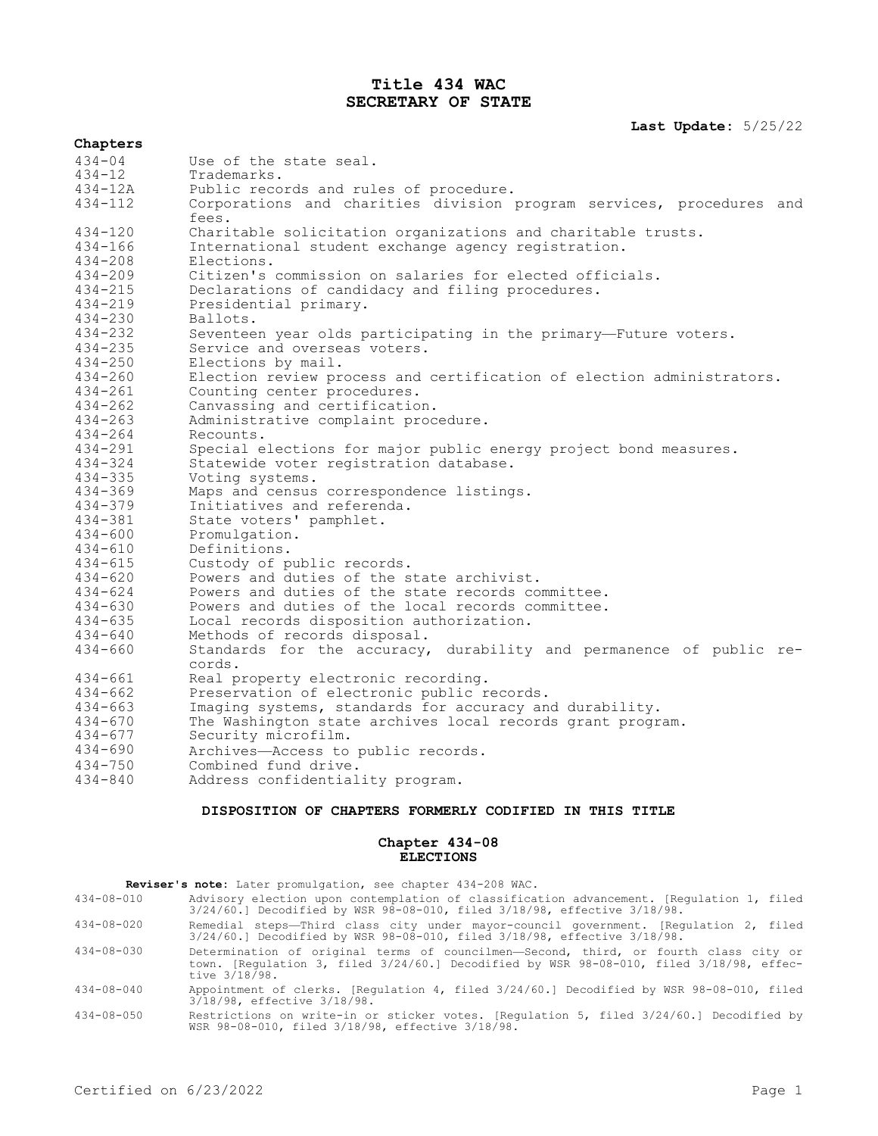# **Title 434 WAC SECRETARY OF STATE**

## **Last Update:** 5/25/22

| Chapters    |                                                                               |
|-------------|-------------------------------------------------------------------------------|
| $434 - 04$  | Use of the state seal.                                                        |
| $434 - 12$  | Trademarks.                                                                   |
| 434-12A     | Public records and rules of procedure.                                        |
| $434 - 112$ | Corporations and charities division program services, procedures and          |
|             | fees.                                                                         |
| $434 - 120$ | Charitable solicitation organizations and charitable trusts.                  |
| $434 - 166$ | International student exchange agency registration.                           |
| $434 - 208$ | Elections.                                                                    |
| $434 - 209$ | Citizen's commission on salaries for elected officials.                       |
| $434 - 215$ | Declarations of candidacy and filing procedures.                              |
| $434 - 219$ | Presidential primary.                                                         |
| $434 - 230$ | Ballots.                                                                      |
| $434 - 232$ | Seventeen year olds participating in the primary-Future voters.               |
| $434 - 235$ | Service and overseas voters.                                                  |
| $434 - 250$ | Elections by mail.                                                            |
| $434 - 260$ | Election review process and certification of election administrators.         |
| $434 - 261$ | Counting center procedures.                                                   |
| $434 - 262$ | Canvassing and certification.                                                 |
| $434 - 263$ | Administrative complaint procedure.                                           |
| 434-264     | Recounts.                                                                     |
| $434 - 291$ | Special elections for major public energy project bond measures.              |
| $434 - 324$ | Statewide voter registration database.                                        |
| $434 - 335$ | Voting systems.                                                               |
| $434 - 369$ | Maps and census correspondence listings.                                      |
| $434 - 379$ | Initiatives and referenda.                                                    |
| $434 - 381$ | State voters' pamphlet.                                                       |
| $434 - 600$ | Promulgation.                                                                 |
| $434 - 610$ | Definitions.                                                                  |
| $434 - 615$ | Custody of public records.                                                    |
| 434-620     | Powers and duties of the state archivist.                                     |
| $434 - 624$ | Powers and duties of the state records committee.                             |
| $434 - 630$ | Powers and duties of the local records committee.                             |
| $434 - 635$ | Local records disposition authorization.                                      |
| $434 - 640$ | Methods of records disposal.                                                  |
| $434 - 660$ | Standards for the accuracy, durability and permanence of public re-<br>cords. |
| $434 - 661$ | Real property electronic recording.                                           |
| $434 - 662$ | Preservation of electronic public records.                                    |
| 434-663     | Imaging systems, standards for accuracy and durability.                       |
| $434 - 670$ | The Washington state archives local records grant program.                    |
| $434 - 677$ | Security microfilm.                                                           |
| $434 - 690$ | Archives-Access to public records.                                            |
| $434 - 750$ | Combined fund drive.                                                          |
| $434 - 840$ | Address confidentiality program.                                              |
|             |                                                                               |

# **DISPOSITION OF CHAPTERS FORMERLY CODIFIED IN THIS TITLE**

# **Chapter 434-08 ELECTIONS**

- **Reviser's note:** Later promulgation, see chapter 434-208 WAC.<br>434-08-010 Advisory election upon contemplation of classifica Advisory election upon contemplation of classification advancement. [Regulation 1, filed 3/24/60.] Decodified by WSR 98-08-010, filed 3/18/98, effective 3/18/98.
- 434-08-020 Remedial steps—Third class city under mayor-council government. [Regulation 2, filed 3/24/60.] Decodified by WSR 98-08-010, filed 3/18/98, effective 3/18/98.
- 434-08-030 Determination of original terms of councilmen—Second, third, or fourth class city or town. [Regulation 3, filed 3/24/60.] Decodified by WSR 98-08-010, filed 3/18/98, effective 3/18/98.
- 434-08-040 Appointment of clerks. [Regulation 4, filed 3/24/60.] Decodified by WSR 98-08-010, filed 3/18/98, effective 3/18/98.
- 434-08-050 Restrictions on write-in or sticker votes. [Regulation 5, filed 3/24/60.] Decodified by WSR 98-08-010, filed 3/18/98, effective 3/18/98.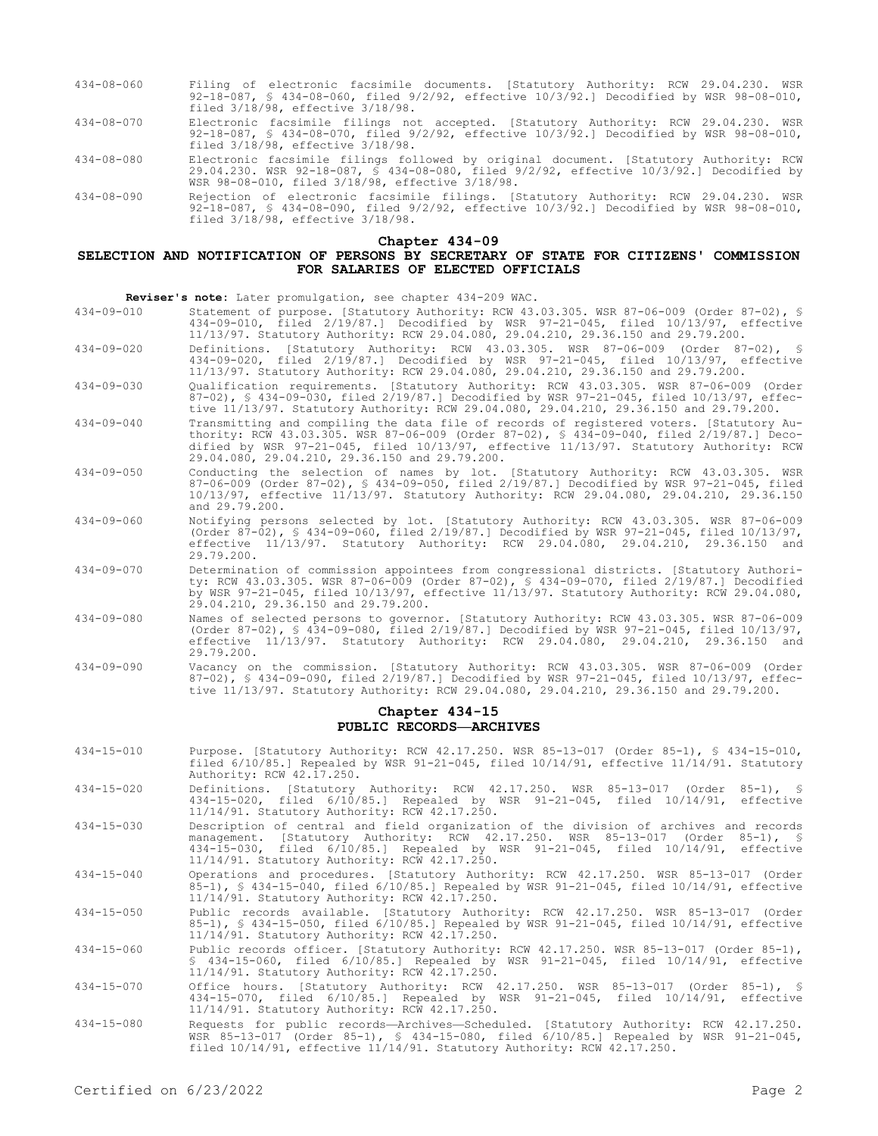- 434-08-060 Filing of electronic facsimile documents. [Statutory Authority: RCW 29.04.230. WSR 92-18-087, § 434-08-060, filed 9/2/92, effective 10/3/92.] Decodified by WSR 98-08-010, filed 3/18/98, effective 3/18/98.
- 434-08-070 Electronic facsimile filings not accepted. [Statutory Authority: RCW 29.04.230. WSR 92-18-087, § 434-08-070, filed 9/2/92, effective 10/3/92.] Decodified by WSR 98-08-010, filed 3/18/98, effective 3/18/98.
- 434-08-080 Electronic facsimile filings followed by original document. [Statutory Authority: RCW 29.04.230. WSR 92-18-087, § 434-08-080, filed 9/2/92, effective 10/3/92.] Decodified by WSR 98-08-010, filed 3/18/98, effective 3/18/98.
- 434-08-090 Rejection of electronic facsimile filings. [Statutory Authority: RCW 29.04.230. WSR 92-18-087, § 434-08-090, filed 9/2/92, effective 10/3/92.] Decodified by WSR 98-08-010, filed 3/18/98, effective 3/18/98.

#### **Chapter 434-09**

# **SELECTION AND NOTIFICATION OF PERSONS BY SECRETARY OF STATE FOR CITIZENS' COMMISSION FOR SALARIES OF ELECTED OFFICIALS**

**Reviser's note:** Later promulgation, see chapter 434-209 WAC.

- 434-09-010 Statement of purpose. [Statutory Authority: RCW 43.03.305. WSR 87-06-009 (Order 87-02), § 434-09-010, filed 2/19/87.] Decodified by WSR 97-21-045, filed 10/13/97, effective 11/13/97. Statutory Authority: RCW 29.04.080, 29.04.210, 29.36.150 and 29.79.200.
- 434-09-020 Definitions. [Statutory Authority: RCW 43.03.305. WSR 87-06-009 (Order 87-02), § 434-09-020, filed 2/19/87.] Decodified by WSR 97-21-045, filed 10/13/97, effective 11/13/97. Statutory Authority: RCW 29.04.080, 29.04.210, 29.36.150 and 29.79.200.
- 434-09-030 Qualification requirements. [Statutory Authority: RCW 43.03.305. WSR 87-06-009 (Order 87-02), § 434-09-030, filed 2/19/87.] Decodified by WSR 97-21-045, filed 10/13/97, effective 11/13/97. Statutory Authority: RCW 29.04.080, 29.04.210, 29.36.150 and 29.79.200.
- 434-09-040 Transmitting and compiling the data file of records of registered voters. [Statutory Authority: RCW 43.03.305. WSR 87-06-009 (Order 87-02), § 434-09-040, filed 2/19/87.] Decodified by WSR 97-21-045, filed 10/13/97, effective 11/13/97. Statutory Authority: RCW 29.04.080, 29.04.210, 29.36.150 and 29.79.200.
- 434-09-050 Conducting the selection of names by lot. [Statutory Authority: RCW 43.03.305. WSR 87-06-009 (Order 87-02), § 434-09-050, filed 2/19/87.] Decodified by WSR 97-21-045, filed 10/13/97, effective 11/13/97. Statutory Authority: RCW 29.04.080, 29.04.210, 29.36.150 and 29.79.200.
- 434-09-060 Notifying persons selected by lot. [Statutory Authority: RCW 43.03.305. WSR 87-06-009 (Order 87-02), § 434-09-060, filed 2/19/87.] Decodified by WSR 97-21-045, filed 10/13/97, effective 11/13/97. Statutory Authority: RCW 29.04.080, 29.04.210, 29.36.150 and 29.79.200.
- 434-09-070 Determination of commission appointees from congressional districts. [Statutory Authority: RCW 43.03.305. WSR 87-06-009 (Order 87-02), § 434-09-070, filed 2/19/87.] Decodified by WSR 97-21-045, filed 10/13/97, effective 11/13/97. Statutory Authority: RCW 29.04.080, 29.04.210, 29.36.150 and 29.79.200.
- 434-09-080 Names of selected persons to governor. [Statutory Authority: RCW 43.03.305. WSR 87-06-009 (Order 87-02), § 434-09-080, filed 2/19/87.] Decodified by WSR 97-21-045, filed 10/13/97, effective 11/13/97. Statutory Authority: RCW 29.04.080, 29.04.210, 29.36.150 and 29.79.200.
- 434-09-090 Vacancy on the commission. [Statutory Authority: RCW 43.03.305. WSR 87-06-009 (Order 87-02), § 434-09-090, filed 2/19/87.] Decodified by WSR 97-21-045, filed 10/13/97, effective 11/13/97. Statutory Authority: RCW 29.04.080, 29.04.210, 29.36.150 and 29.79.200.

## **Chapter 434-15 PUBLIC RECORDS—ARCHIVES**

- 434-15-010 Purpose. [Statutory Authority: RCW 42.17.250. WSR 85-13-017 (Order 85-1), § 434-15-010, filed 6/10/85.] Repealed by WSR 91-21-045, filed 10/14/91, effective 11/14/91. Statutory Authority: RCW 42.17.250.
- 434-15-020 Definitions. [Statutory Authority: RCW 42.17.250. WSR 85-13-017 (Order 85-1), § 434-15-020, filed 6/10/85.] Repealed by WSR 91-21-045, filed 10/14/91, effective 11/14/91. Statutory Authority: RCW 42.17.250.
- 434-15-030 Description of central and field organization of the division of archives and records management. [Statutory Authority: RCW 42.17.250. WSR 85-13-017 (Order 85-1), § 434-15-030, filed 6/10/85.] Repealed by WSR 91-21-045, filed 10/14/91, effective 11/14/91. Statutory Authority: RCW 42.17.250.
- 434-15-040 Operations and procedures. [Statutory Authority: RCW 42.17.250. WSR 85-13-017 (Order 85-1), § 434-15-040, filed 6/10/85.] Repealed by WSR 91-21-045, filed 10/14/91, effective 11/14/91. Statutory Authority: RCW 42.17.250.
- 434-15-050 Public records available. [Statutory Authority: RCW 42.17.250. WSR 85-13-017 (Order 85-1), § 434-15-050, filed 6/10/85.] Repealed by WSR 91-21-045, filed 10/14/91, effective 11/14/91. Statutory Authority: RCW 42.17.250.
- 434-15-060 Public records officer. [Statutory Authority: RCW 42.17.250. WSR 85-13-017 (Order 85-1), § 434-15-060, filed 6/10/85.] Repealed by WSR 91-21-045, filed 10/14/91, effective 11/14/91. Statutory Authority: RCW 42.17.250.
- 434-15-070 Office hours. [Statutory Authority: RCW 42.17.250. WSR 85-13-017 (Order 85-1), § 434-15-070, filed 6/10/85.] Repealed by WSR 91-21-045, filed 10/14/91, effective 11/14/91. Statutory Authority: RCW 42.17.250.
- 434-15-080 Requests for public records—Archives—Scheduled. [Statutory Authority: RCW 42.17.250. WSR 85-13-017 (Order 85-1), § 434-15-080, filed 6/10/85.] Repealed by WSR 91-21-045, filed 10/14/91, effective 11/14/91. Statutory Authority: RCW 42.17.250.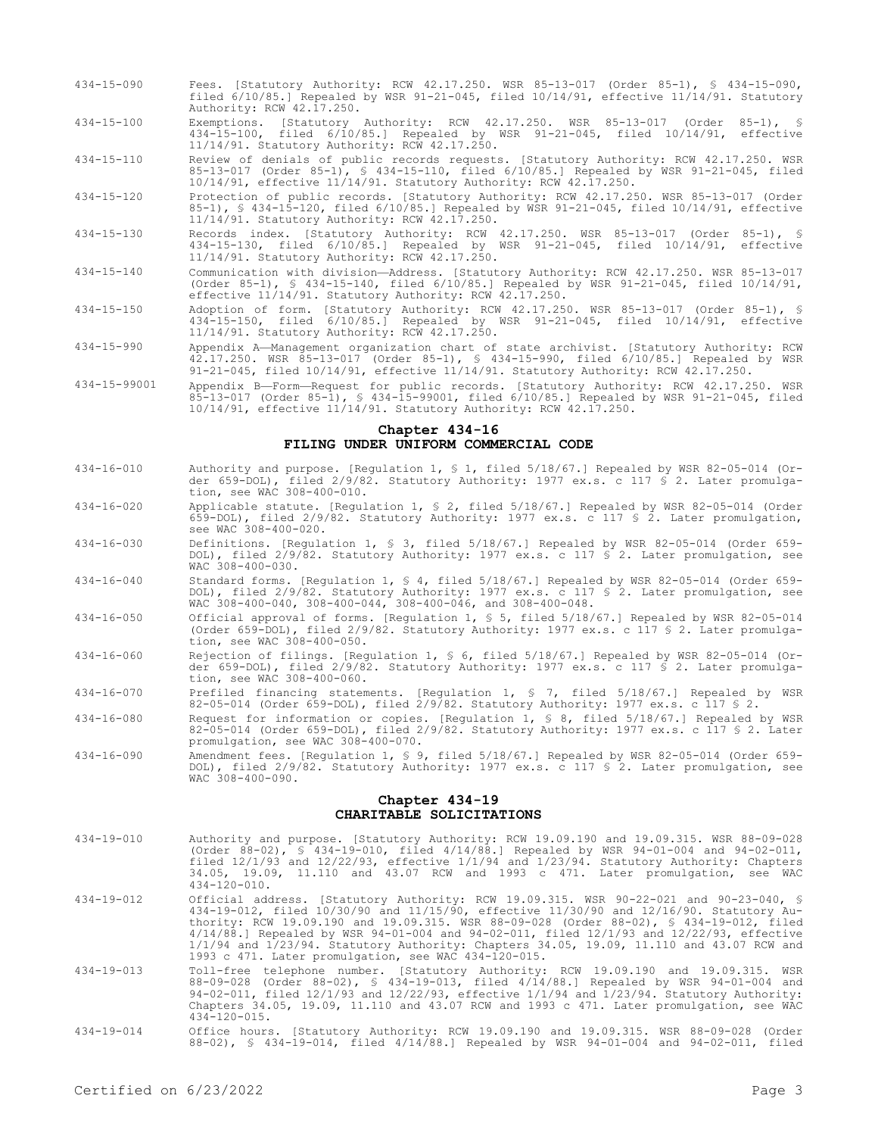- 434-15-090 Fees. [Statutory Authority: RCW 42.17.250. WSR 85-13-017 (Order 85-1), § 434-15-090, filed 6/10/85.] Repealed by WSR 91-21-045, filed 10/14/91, effective 11/14/91. Statutory Authority: RCW 42.17.250.
- 434-15-100 Exemptions. [Statutory Authority: RCW 42.17.250. WSR 85-13-017 (Order 85-1), § 434-15-100, filed 6/10/85.] Repealed by WSR 91-21-045, filed 10/14/91, effective 11/14/91. Statutory Authority: RCW 42.17.250.
- 434-15-110 Review of denials of public records requests. [Statutory Authority: RCW 42.17.250. WSR 85-13-017 (Order 85-1), § 434-15-110, filed 6/10/85.] Repealed by WSR 91-21-045, filed 10/14/91, effective 11/14/91. Statutory Authority: RCW 42.17.250.
- 434-15-120 Protection of public records. [Statutory Authority: RCW 42.17.250. WSR 85-13-017 (Order 85-1), § 434-15-120, filed 6/10/85.] Repealed by WSR 91-21-045, filed 10/14/91, effective 11/14/91. Statutory Authority: RCW 42.17.250.
- 434-15-130 Records index. [Statutory Authority: RCW 42.17.250. WSR 85-13-017 (Order 85-1), § 434-15-130, filed 6/10/85.] Repealed by WSR 91-21-045, filed 10/14/91, effective 11/14/91. Statutory Authority: RCW 42.17.250.
- 434-15-140 Communication with division—Address. [Statutory Authority: RCW 42.17.250. WSR 85-13-017 (Order 85-1), § 434-15-140, filed 6/10/85.] Repealed by WSR 91-21-045, filed 10/14/91, effective 11/14/91. Statutory Authority: RCW 42.17.250.
- 434-15-150 Adoption of form. [Statutory Authority: RCW 42.17.250. WSR 85-13-017 (Order 85-1), § 434-15-150, filed 6/10/85.] Repealed by WSR 91-21-045, filed 10/14/91, effective 11/14/91. Statutory Authority: RCW 42.17.250.
- 434-15-990 Appendix A—Management organization chart of state archivist. [Statutory Authority: RCW 42.17.250. WSR 85-13-017 (Order 85-1), § 434-15-990, filed 6/10/85.] Repealed by WSR 91-21-045, filed 10/14/91, effective 11/14/91. Statutory Authority: RCW 42.17.250.
- 434-15-99001 Appendix B—Form—Request for public records. [Statutory Authority: RCW 42.17.250. WSR 85-13-017 (Order 85-1), § 434-15-99001, filed 6/10/85.] Repealed by WSR 91-21-045, filed 10/14/91, effective 11/14/91. Statutory Authority: RCW 42.17.250.

### **Chapter 434-16 FILING UNDER UNIFORM COMMERCIAL CODE**

- 434-16-010 Authority and purpose. [Regulation 1, § 1, filed 5/18/67.] Repealed by WSR 82-05-014 (Order 659-DOL), filed 2/9/82. Statutory Authority: 1977 ex.s. c 117 § 2. Later promulgation, see WAC 308-400-010.
- 434-16-020 Applicable statute. [Regulation 1, § 2, filed 5/18/67.] Repealed by WSR 82-05-014 (Order 659-DOL), filed 2/9/82. Statutory Authority: 1977 ex.s. c 117 § 2. Later promulgation, see WAC 308-400-020.
- 434-16-030 Definitions. [Regulation 1, § 3, filed 5/18/67.] Repealed by WSR 82-05-014 (Order 659- DOL), filed 2/9/82. Statutory Authority: 1977 ex.s. c 117 § 2. Later promulgation, see WAC 308-400-030.
- 434-16-040 Standard forms. [Regulation 1, § 4, filed 5/18/67.] Repealed by WSR 82-05-014 (Order 659- DOL), filed 2/9/82. Statutory Authority: 1977 ex.s. c 117 § 2. Later promulgation, see WAC 308-400-040, 308-400-044, 308-400-046, and 308-400-048.
- 434-16-050 Official approval of forms. [Regulation 1, § 5, filed 5/18/67.] Repealed by WSR 82-05-014 (Order 659-DOL), filed 2/9/82. Statutory Authority: 1977 ex.s. c 117 § 2. Later promulgation, see WAC 308-400-050.
- 434-16-060 Rejection of filings. [Regulation 1, § 6, filed 5/18/67.] Repealed by WSR 82-05-014 (Order 659-DOL), filed 2/9/82. Statutory Authority: 1977 ex.s. c 117 § 2. Later promulgation, see WAC 308-400-060.
- 434-16-070 Prefiled financing statements. [Regulation 1, § 7, filed 5/18/67.] Repealed by WSR 82-05-014 (Order 659-DOL), filed 2/9/82. Statutory Authority: 1977 ex.s. c 117 § 2.
- 434-16-080 Request for information or copies. [Regulation 1, § 8, filed 5/18/67.] Repealed by WSR 82-05-014 (Order 659-DOL), filed 2/9/82. Statutory Authority: 1977 ex.s. c 117 § 2. Later promulgation, see WAC 308-400-070.
- 434-16-090 Amendment fees. [Regulation 1, § 9, filed 5/18/67.] Repealed by WSR 82-05-014 (Order 659- DOL), filed 2/9/82. Statutory Authority: 1977 ex.s. c 117 § 2. Later promulgation, see WAC 308-400-090.

## **Chapter 434-19 CHARITABLE SOLICITATIONS**

- 434-19-010 Authority and purpose. [Statutory Authority: RCW 19.09.190 and 19.09.315. WSR 88-09-028 (Order 88-02), § 434-19-010, filed 4/14/88.] Repealed by WSR 94-01-004 and 94-02-011, filed 12/1/93 and 12/22/93, effective 1/1/94 and 1/23/94. Statutory Authority: Chapters 34.05, 19.09, 11.110 and 43.07 RCW and 1993 c 471. Later promulgation, see WAC 434-120-010.
- 434-19-012 Official address. [Statutory Authority: RCW 19.09.315. WSR 90-22-021 and 90-23-040, § 434-19-012, filed 10/30/90 and 11/15/90, effective 11/30/90 and 12/16/90. Statutory Authority: RCW 19.09.190 and 19.09.315. WSR 88-09-028 (Order 88-02), § 434-19-012, filed 4/14/88.] Repealed by WSR 94-01-004 and 94-02-011, filed 12/1/93 and 12/22/93, effective 1/1/94 and 1/23/94. Statutory Authority: Chapters 34.05, 19.09, 11.110 and 43.07 RCW and 1993 c 471. Later promulgation, see WAC 434-120-015.
- 434-19-013 Toll-free telephone number. [Statutory Authority: RCW 19.09.190 and 19.09.315. WSR 88-09-028 (Order 88-02), § 434-19-013, filed 4/14/88.] Repealed by WSR 94-01-004 and 94-02-011, filed 12/1/93 and 12/22/93, effective 1/1/94 and 1/23/94. Statutory Authority: Chapters 34.05, 19.09, 11.110 and 43.07 RCW and 1993 c 471. Later promulgation, see WAC 434-120-015.
- 434-19-014 Office hours. [Statutory Authority: RCW 19.09.190 and 19.09.315. WSR 88-09-028 (Order 88-02), § 434-19-014, filed 4/14/88.] Repealed by WSR 94-01-004 and 94-02-011, filed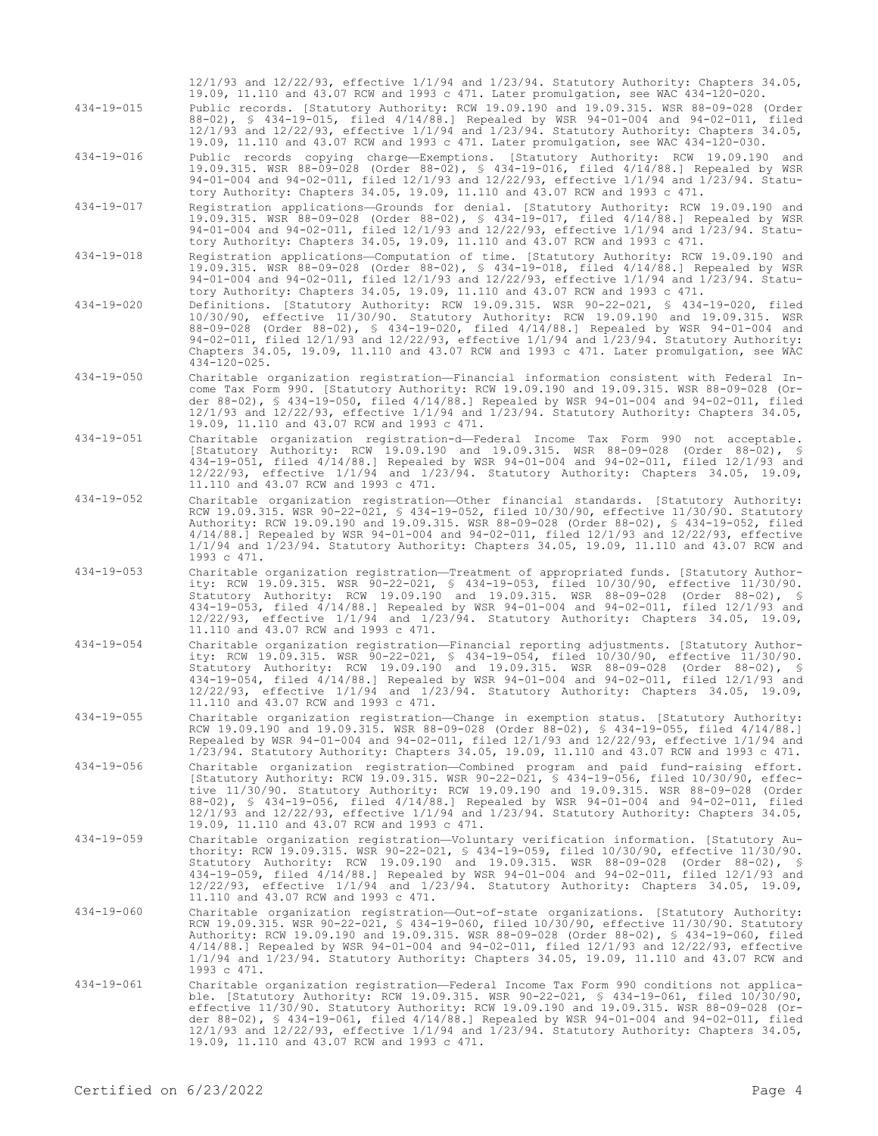| 434-19-015       | Public records. [Statutory Authority: RCW 19.09.190 and 19.09.315. WSR 88-09-028 (Order<br>88-02), § 434-19-015, filed 4/14/88.] Repealed by WSR 94-01-004 and 94-02-011, filed<br>12/1/93 and 12/22/93, effective 1/1/94 and 1/23/94. Statutory Authority: Chapters 34.05,<br>19.09, 11.110 and 43.07 RCW and 1993 c 471. Later promulgation, see WAC 434-120-030.                                                                                                                                                             |
|------------------|---------------------------------------------------------------------------------------------------------------------------------------------------------------------------------------------------------------------------------------------------------------------------------------------------------------------------------------------------------------------------------------------------------------------------------------------------------------------------------------------------------------------------------|
| 434-19-016       | Public records copying charge—Exemptions. [Statutory Authority: RCW 19.09.190 and<br>19.09.315. WSR 88-09-028 (Order 88-02), § 434-19-016, filed 4/14/88.] Repealed by WSR<br>94-01-004 and 94-02-011, filed 12/1/93 and 12/22/93, effective 1/1/94 and 1/23/94. Statu-<br>tory Authority: Chapters 34.05, 19.09, 11.110 and 43.07 RCW and 1993 c 471.                                                                                                                                                                          |
| $434 - 19 - 017$ | Registration applications-Grounds for denial. [Statutory Authority: RCW 19.09.190 and<br>19.09.315. WSR 88-09-028 (Order 88-02), § 434-19-017, filed 4/14/88.] Repealed by WSR<br>94-01-004 and 94-02-011, filed 12/1/93 and 12/22/93, effective 1/1/94 and 1/23/94. Statu-<br>tory Authority: Chapters 34.05, 19.09, 11.110 and 43.07 RCW and 1993 c 471.                                                                                                                                                                      |
| $434 - 19 - 018$ | Registration applications--Computation of time. [Statutory Authority: RCW 19.09.190 and<br>19.09.315. WSR 88-09-028 (Order 88-02), § 434-19-018, filed 4/14/88.] Repealed by WSR<br>94-01-004 and 94-02-011, filed 12/1/93 and 12/22/93, effective 1/1/94 and 1/23/94. Statu-<br>tory Authority: Chapters 34.05, 19.09, 11.110 and 43.07 RCW and 1993 c 471.                                                                                                                                                                    |
| $434 - 19 - 020$ | Definitions. [Statutory Authority: RCW 19.09.315. WSR 90-22-021, § 434-19-020, filed<br>10/30/90, effective 11/30/90. Statutory Authority: RCW 19.09.190 and 19.09.315. WSR<br>88-09-028 (Order 88-02), § 434-19-020, filed 4/14/88.] Repealed by WSR 94-01-004 and<br>94-02-011, filed 12/1/93 and 12/22/93, effective 1/1/94 and 1/23/94. Statutory Authority:<br>Chapters 34.05, 19.09, 11.110 and 43.07 RCW and 1993 c 471. Later promulgation, see WAC<br>$434 - 120 - 025$ .                                              |
| $434 - 19 - 050$ | Charitable organization registration—Financial information consistent with Federal In-<br>come Tax Form 990. [Statutory Authority: RCW 19.09.190 and 19.09.315. WSR 88-09-028 (Or-<br>der 88-02), § 434-19-050, filed 4/14/88.] Repealed by WSR 94-01-004 and 94-02-011, filed<br>$12/1/93$ and $12/22/93$ , effective $1/1/94$ and $1/23/94$ . Statutory Authority: Chapters 34.05,<br>19.09, 11.110 and 43.07 RCW and 1993 c 471.                                                                                             |
| $434 - 19 - 051$ | Charitable organization registration-d-Federal Income Tax Form 990 not acceptable.<br>[Statutory Authority: RCW 19.09.190 and 19.09.315. WSR 88-09-028 (Order 88-02), §<br>434-19-051, filed 4/14/88.] Repealed by WSR 94-01-004 and 94-02-011, filed 12/1/93 and<br>$12/22/93$ , effective $1/1/94$ and $1/23/94$ . Statutory Authority: Chapters 34.05, 19.09,<br>11.110 and 43.07 RCW and 1993 c 471.                                                                                                                        |
| 434-19-052       | Charitable organization registration-Other financial standards. [Statutory Authority:<br>RCW 19.09.315. WSR 90-22-021, § 434-19-052, filed 10/30/90, effective 11/30/90. Statutory<br>Authority: RCW 19.09.190 and 19.09.315. WSR 88-09-028 (Order 88-02), § 434-19-052, filed<br>$4/14/88$ .] Repealed by WSR 94-01-004 and 94-02-011, filed $12/1/93$ and $12/22/93$ , effective<br>1/1/94 and 1/23/94. Statutory Authority: Chapters 34.05, 19.09, 11.110 and 43.07 RCW and<br>1993 c 471.                                   |
| $434 - 19 - 053$ | Charitable organization registration—Treatment of appropriated funds. [Statutory Author-<br>ity: RCW 19.09.315. WSR 90-22-021, § 434-19-053, filed 10/30/90, effective 11/30/90.<br>Statutory Authority: RCW 19.09.190 and 19.09.315. WSR 88-09-028 (Order 88-02), §<br>434-19-053, filed 4/14/88.] Repealed by WSR 94-01-004 and 94-02-011, filed 12/1/93 and<br>$12/22/93$ , effective $1/1/94$ and $1/23/94$ . Statutory Authority: Chapters 34.05, 19.09,<br>11.110 and 43.07 RCW and 1993 c 471.                           |
| $434 - 19 - 054$ | Charitable organization registration—Financial reporting adjustments. [Statutory Author-<br>ity: RCW 19.09.315. WSR 90-22-021, § 434-19-054, filed 10/30/90, effective 11/30/90.<br>Statutory Authority: RCW 19.09.190 and 19.09.315. WSR 88-09-028 (Order 88-02), §<br>434-19-054, filed 4/14/88.] Repealed by WSR 94-01-004 and 94-02-011, filed 12/1/93 and<br>$12/22/93$ , effective $1/1/94$ and $1/23/94$ . Statutory Authority: Chapters 34.05, 19.09,<br>11.110 and 43.07 RCW and 1993 c 471.                           |
| 434-19-055       | Charitable organization registration—Change in exemption status. [Statutory Authority:<br>RCW 19.09.190 and 19.09.315. WSR 88-09-028 (Order 88-02), § 434-19-055, filed 4/14/88.]<br>Repealed by WSR 94-01-004 and 94-02-011, filed $12/1/93$ and $12/22/93$ , effective $1/1/94$ and<br>$1/23/94$ . Statutory Authority: Chapters 34.05, 19.09, 11.110 and 43.07 RCW and 1993 c 471.                                                                                                                                           |
| 434-19-056       | Charitable organization registration-Combined program and paid fund-raising effort.<br>[Statutory Authority: RCW 19.09.315. WSR 90-22-021, § 434-19-056, filed 10/30/90, effec-<br>tive 11/30/90. Statutory Authority: RCW 19.09.190 and 19.09.315. WSR 88-09-028 (Order<br>88-02), § 434-19-056, filed 4/14/88.] Repealed by WSR 94-01-004 and 94-02-011, filed<br>12/1/93 and 12/22/93, effective 1/1/94 and 1/23/94. Statutory Authority: Chapters 34.05,<br>19.09, 11.110 and 43.07 RCW and 1993 c 471.                     |
| $434 - 19 - 059$ | Charitable organization registration-Voluntary verification information. [Statutory Au-<br>thority: RCW 19.09.315. WSR 90-22-021, § 434-19-059, filed 10/30/90, effective 11/30/90.<br>Statutory Authority: RCW 19.09.190 and 19.09.315. WSR 88-09-028 (Order 88-02), §<br>434-19-059, filed 4/14/88.] Repealed by WSR 94-01-004 and 94-02-011, filed 12/1/93 and<br>$12/22/93$ , effective $1/1/94$ and $1/23/94$ . Statutory Authority: Chapters 34.05, 19.09,<br>11.110 and 43.07 RCW and 1993 c 471.                        |
| 434-19-060       | Charitable organization registration-Out-of-state organizations. [Statutory Authority:<br>RCW 19.09.315. WSR 90-22-021, § 434-19-060, filed 10/30/90, effective 11/30/90. Statutory<br>Authority: RCW 19.09.190 and 19.09.315. WSR 88-09-028 (Order 88-02), § 434-19-060, filed<br>4/14/88.] Repealed by WSR 94-01-004 and 94-02-011, filed 12/1/93 and 12/22/93, effective<br>$1/1/94$ and $1/23/94$ . Statutory Authority: Chapters 34.05, 19.09, 11.110 and 43.07 RCW and<br>1993 c 471.                                     |
| 434-19-061       | Charitable organization registration—Federal Income Tax Form 990 conditions not applica-<br>ble. [Statutory Authority: RCW 19.09.315. WSR 90-22-021, § 434-19-061, filed 10/30/90,<br>effective 11/30/90. Statutory Authority: RCW 19.09.190 and 19.09.315. WSR 88-09-028 (Or-<br>der 88-02), § 434-19-061, filed 4/14/88.] Repealed by WSR 94-01-004 and 94-02-011, filed<br>$12/1/93$ and $12/22/93$ , effective $1/1/94$ and $1/23/94$ . Statutory Authority: Chapters 34.05,<br>19.09, 11.110 and 43.07 RCW and 1993 c 471. |
|                  |                                                                                                                                                                                                                                                                                                                                                                                                                                                                                                                                 |

12/1/93 and 12/22/93, effective 1/1/94 and 1/23/94. Statutory Authority: Chapters 34.05, 19.09, 11.110 and 43.07 RCW and 1993 c 471. Later promulgation, see WAC 434-120-020.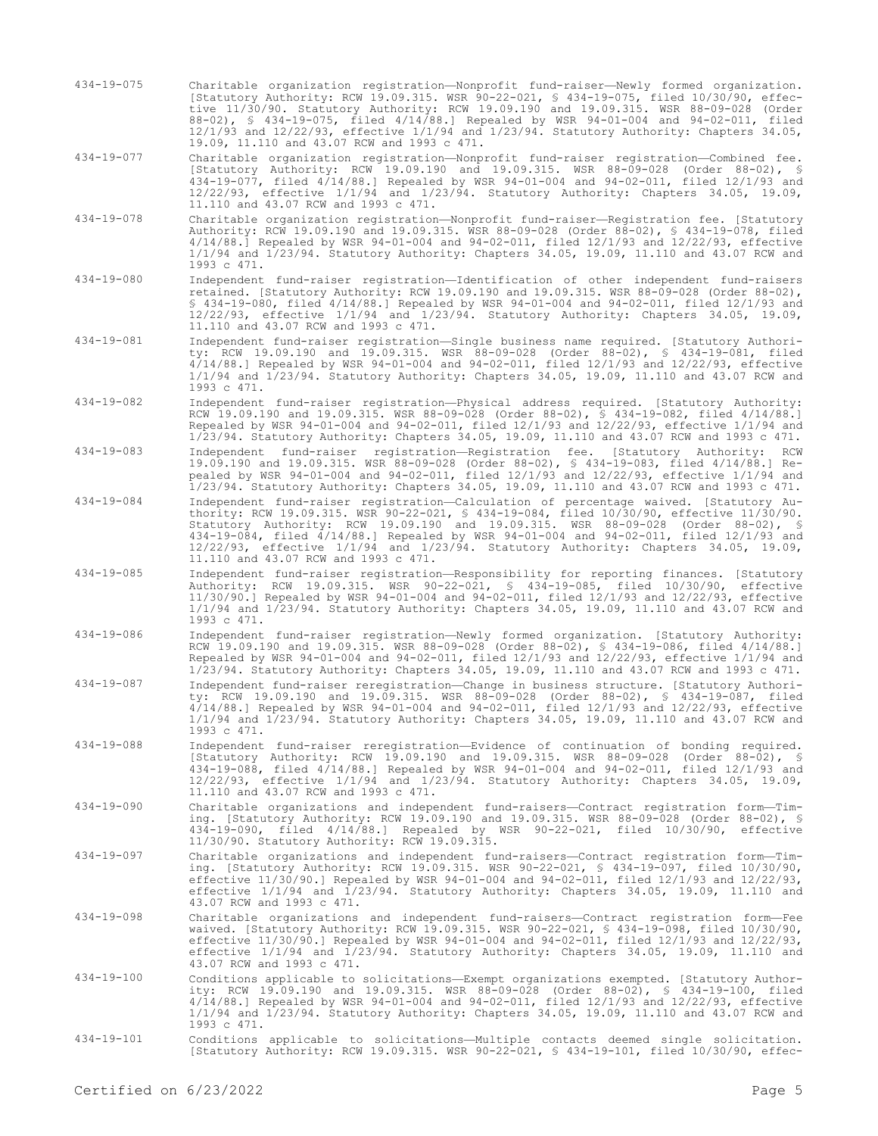434-19-075 Charitable organization registration—Nonprofit fund-raiser—Newly formed organization. [Statutory Authority: RCW 19.09.315. WSR 90-22-021, § 434-19-075, filed 10/30/90, effective 11/30/90. Statutory Authority: RCW 19.09.190 and 19.09.315. WSR 88-09-028 (Order 88-02), § 434-19-075, filed 4/14/88.] Repealed by WSR 94-01-004 and 94-02-011, filed 12/1/93 and 12/22/93, effective 1/1/94 and 1/23/94. Statutory Authority: Chapters 34.05, 19.09, 11.110 and 43.07 RCW and 1993 c 471.

434-19-077 Charitable organization registration—Nonprofit fund-raiser registration—Combined fee. [Statutory Authority: RCW 19.09.190 and 19.09.315. WSR 88-09-028 (Order 88-02), § 434-19-077, filed 4/14/88.] Repealed by WSR 94-01-004 and 94-02-011, filed 12/1/93 and 12/22/93, effective 1/1/94 and 1/23/94. Statutory Authority: Chapters 34.05, 19.09, 11.110 and 43.07 RCW and 1993 c 471.

- 434-19-078 Charitable organization registration—Nonprofit fund-raiser—Registration fee. [Statutory Authority: RCW 19.09.190 and 19.09.315. WSR 88-09-028 (Order 88-02), § 434-19-078, filed 4/14/88.] Repealed by WSR 94-01-004 and 94-02-011, filed 12/1/93 and 12/22/93, effective 1/1/94 and 1/23/94. Statutory Authority: Chapters 34.05, 19.09, 11.110 and 43.07 RCW and 1993 c 471.
- 434-19-080 Independent fund-raiser registration—Identification of other independent fund-raisers retained. [Statutory Authority: RCW 19.09.190 and 19.09.315. WSR 88-09-028 (Order 88-02), § 434-19-080, filed 4/14/88.] Repealed by WSR 94-01-004 and 94-02-011, filed 12/1/93 and 12/22/93, effective 1/1/94 and 1/23/94. Statutory Authority: Chapters 34.05, 19.09, 11.110 and 43.07 RCW and 1993 c 471.
- 434-19-081 Independent fund-raiser registration—Single business name required. [Statutory Authority: RCW 19.09.190 and 19.09.315. WSR 88-09-028 (Order 88-02), § 434-19-081, filed 4/14/88.] Repealed by WSR 94-01-004 and 94-02-011, filed 12/1/93 and 12/22/93, effective 1/1/94 and 1/23/94. Statutory Authority: Chapters 34.05, 19.09, 11.110 and 43.07 RCW and 1993 c 471.
- 434-19-082 Independent fund-raiser registration—Physical address required. [Statutory Authority: RCW 19.09.190 and 19.09.315. WSR 88-09-028 (Order 88-02), § 434-19-082, filed 4/14/88.] Repealed by WSR 94-01-004 and 94-02-011, filed 12/1/93 and 12/22/93, effective 1/1/94 and 1/23/94. Statutory Authority: Chapters 34.05, 19.09, 11.110 and 43.07 RCW and 1993 c 471.
- 434-19-083 Independent fund-raiser registration—Registration fee. [Statutory Authority: RCW 19.09.190 and 19.09.315. WSR 88-09-028 (Order 88-02), § 434-19-083, filed 4/14/88.] Repealed by WSR 94-01-004 and 94-02-011, filed 12/1/93 and 12/22/93, effective 1/1/94 and 1/23/94. Statutory Authority: Chapters 34.05, 19.09, 11.110 and 43.07 RCW and 1993 c 471.
- 434-19-084 Independent fund-raiser registration—Calculation of percentage waived. [Statutory Authority: RCW 19.09.315. WSR 90-22-021, § 434-19-084, filed 10/30/90, effective 11/30/90. Statutory Authority: RCW 19.09.190 and 19.09.315. WSR 88-09-028 (Order 88-02), § 434-19-084, filed 4/14/88.] Repealed by WSR 94-01-004 and 94-02-011, filed 12/1/93 and 12/22/93, effective 1/1/94 and 1/23/94. Statutory Authority: Chapters 34.05, 19.09, 11.110 and 43.07 RCW and 1993 c 471.
- 434-19-085 Independent fund-raiser registration—Responsibility for reporting finances. [Statutory Authority: RCW 19.09.315. WSR 90-22-021, § 434-19-085, filed 10/30/90, effective 11/30/90.] Repealed by WSR 94-01-004 and 94-02-011, filed 12/1/93 and 12/22/93, effective 1/1/94 and 1/23/94. Statutory Authority: Chapters 34.05, 19.09, 11.110 and 43.07 RCW and 1993 c 471.
- 434-19-086 Independent fund-raiser registration—Newly formed organization. [Statutory Authority: RCW 19.09.190 and 19.09.315. WSR 88-09-028 (Order 88-02), § 434-19-086, filed 4/14/88.] Repealed by WSR 94-01-004 and 94-02-011, filed 12/1/93 and 12/22/93, effective 1/1/94 and 1/23/94. Statutory Authority: Chapters 34.05, 19.09, 11.110 and 43.07 RCW and 1993 c 471.
- 434-19-087 Independent fund-raiser reregistration—Change in business structure. [Statutory Authority: RCW 19.09.190 and 19.09.315. WSR 88-09-028 (Order 88-02), § 434-19-087, filed 4/14/88.] Repealed by WSR 94-01-004 and 94-02-011, filed 12/1/93 and 12/22/93, effective 1/1/94 and 1/23/94. Statutory Authority: Chapters 34.05, 19.09, 11.110 and 43.07 RCW and 1993 c 471.
- 434-19-088 Independent fund-raiser reregistration—Evidence of continuation of bonding required. [Statutory Authority: RCW 19.09.190 and 19.09.315. WSR 88-09-028 (Order 88-02), § 434-19-088, filed 4/14/88.] Repealed by WSR 94-01-004 and 94-02-011, filed 12/1/93 and 12/22/93, effective 1/1/94 and 1/23/94. Statutory Authority: Chapters 34.05, 19.09, 11.110 and 43.07 RCW and 1993 c 471.
- 434-19-090 Charitable organizations and independent fund-raisers—Contract registration form—Timing. [Statutory Authority: RCW 19.09.190 and 19.09.315. WSR 88-09-028 (Order 88-02), § 434-19-090, filed 4/14/88.] Repealed by WSR 90-22-021, filed 10/30/90, effective 11/30/90. Statutory Authority: RCW 19.09.315.
- 434-19-097 Charitable organizations and independent fund-raisers—Contract registration form—Timing. [Statutory Authority: RCW 19.09.315. WSR 90-22-021, § 434-19-097, filed 10/30/90, effective 11/30/90.] Repealed by WSR 94-01-004 and 94-02-011, filed 12/1/93 and 12/22/93, effective 1/1/94 and 1/23/94. Statutory Authority: Chapters 34.05, 19.09, 11.110 and 43.07 RCW and 1993 c 471.
- 434-19-098 Charitable organizations and independent fund-raisers—Contract registration form—Fee waived. [Statutory Authority: RCW 19.09.315. WSR 90-22-021, § 434-19-098, filed 10/30/90, effective 11/30/90.] Repealed by WSR 94-01-004 and 94-02-011, filed 12/1/93 and 12/22/93, effective 1/1/94 and 1/23/94. Statutory Authority: Chapters 34.05, 19.09, 11.110 and 43.07 RCW and 1993 c 471.
- 434-19-100 Conditions applicable to solicitations—Exempt organizations exempted. [Statutory Authority: RCW 19.09.190 and 19.09.315. WSR 88-09-028 (Order 88-02), § 434-19-100, filed 4/14/88.] Repealed by WSR 94-01-004 and 94-02-011, filed 12/1/93 and 12/22/93, effective 1/1/94 and 1/23/94. Statutory Authority: Chapters 34.05, 19.09, 11.110 and 43.07 RCW and 1993 c 471.
- 434-19-101 Conditions applicable to solicitations—Multiple contacts deemed single solicitation. [Statutory Authority: RCW 19.09.315. WSR 90-22-021, § 434-19-101, filed 10/30/90, effec-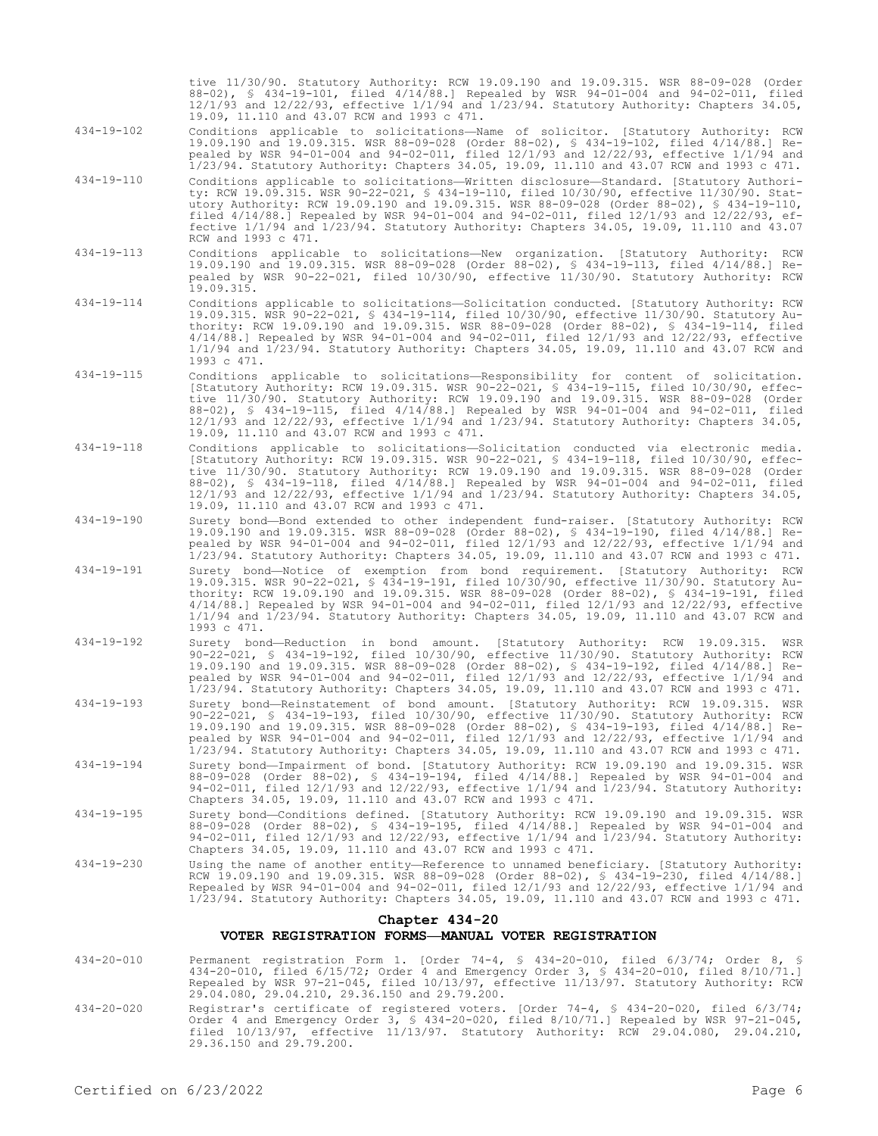tive 11/30/90. Statutory Authority: RCW 19.09.190 and 19.09.315. WSR 88-09-028 (Order 88-02), § 434-19-101, filed 4/14/88.] Repealed by WSR 94-01-004 and 94-02-011, filed 12/1/93 and 12/22/93, effective 1/1/94 and 1/23/94. Statutory Authority: Chapters 34.05, 19.09, 11.110 and 43.07 RCW and 1993 c 471.

- 434-19-102 Conditions applicable to solicitations—Name of solicitor. [Statutory Authority: RCW 19.09.190 and 19.09.315. WSR 88-09-028 (Order 88-02), § 434-19-102, filed 4/14/88.] Repealed by WSR 94-01-004 and 94-02-011, filed 12/1/93 and 12/22/93, effective 1/1/94 and 1/23/94. Statutory Authority: Chapters 34.05, 19.09, 11.110 and 43.07 RCW and 1993 c 471.
- 434-19-110 Conditions applicable to solicitations—Written disclosure—Standard. [Statutory Authority: RCW 19.09.315. WSR 90-22-021, § 434-19-110, filed 10/30/90, effective 11/30/90. Statutory Authority: RCW 19.09.190 and 19.09.315. WSR 88-09-028 (Order 88-02), § 434-19-110, filed 4/14/88.] Repealed by WSR 94-01-004 and 94-02-011, filed 12/1/93 and 12/22/93, effective 1/1/94 and 1/23/94. Statutory Authority: Chapters 34.05, 19.09, 11.110 and 43.07 RCW and 1993 c 471.
- 434-19-113 Conditions applicable to solicitations—New organization. [Statutory Authority: RCW 19.09.190 and 19.09.315. WSR 88-09-028 (Order 88-02), § 434-19-113, filed 4/14/88.] Repealed by WSR 90-22-021, filed 10/30/90, effective 11/30/90. Statutory Authority: RCW 19.09.315.
- 434-19-114 Conditions applicable to solicitations—Solicitation conducted. [Statutory Authority: RCW 19.09.315. WSR 90-22-021, § 434-19-114, filed 10/30/90, effective 11/30/90. Statutory Authority: RCW 19.09.190 and 19.09.315. WSR 88-09-028 (Order 88-02), § 434-19-114, filed 4/14/88.] Repealed by WSR 94-01-004 and 94-02-011, filed 12/1/93 and 12/22/93, effective 1/1/94 and 1/23/94. Statutory Authority: Chapters 34.05, 19.09, 11.110 and 43.07 RCW and 1993 c 471.
- 434-19-115 Conditions applicable to solicitations—Responsibility for content of solicitation. [Statutory Authority: RCW 19.09.315. WSR 90-22-021, § 434-19-115, filed 10/30/90, effective 11/30/90. Statutory Authority: RCW 19.09.190 and 19.09.315. WSR 88-09-028 (Order 88-02), § 434-19-115, filed 4/14/88.] Repealed by WSR 94-01-004 and 94-02-011, filed 12/1/93 and 12/22/93, effective 1/1/94 and 1/23/94. Statutory Authority: Chapters 34.05, 19.09, 11.110 and 43.07 RCW and 1993 c 471.
- 434-19-118 Conditions applicable to solicitations—Solicitation conducted via electronic media. [Statutory Authority: RCW 19.09.315. WSR 90-22-021, § 434-19-118, filed 10/30/90, effective 11/30/90. Statutory Authority: RCW 19.09.190 and 19.09.315. WSR 88-09-028 (Order 88-02), § 434-19-118, filed 4/14/88.] Repealed by WSR 94-01-004 and 94-02-011, filed 12/1/93 and 12/22/93, effective 1/1/94 and 1/23/94. Statutory Authority: Chapters 34.05, 19.09, 11.110 and 43.07 RCW and 1993 c 471.
- 434-19-190 Surety bond—Bond extended to other independent fund-raiser. [Statutory Authority: RCW 19.09.190 and 19.09.315. WSR 88-09-028 (Order 88-02), § 434-19-190, filed 4/14/88.] Repealed by WSR 94-01-004 and 94-02-011, filed 12/1/93 and 12/22/93, effective 1/1/94 and 1/23/94. Statutory Authority: Chapters 34.05, 19.09, 11.110 and 43.07 RCW and 1993 c 471.
- 434-19-191 Surety bond—Notice of exemption from bond requirement. [Statutory Authority: RCW 19.09.315. WSR 90-22-021, § 434-19-191, filed 10/30/90, effective 11/30/90. Statutory Authority: RCW 19.09.190 and 19.09.315. WSR 88-09-028 (Order 88-02), § 434-19-191, filed 4/14/88.] Repealed by WSR 94-01-004 and 94-02-011, filed 12/1/93 and 12/22/93, effective 1/1/94 and 1/23/94. Statutory Authority: Chapters 34.05, 19.09, 11.110 and 43.07 RCW and 1993 c 471.
- 434-19-192 Surety bond—Reduction in bond amount. [Statutory Authority: RCW 19.09.315. WSR 90-22-021, § 434-19-192, filed 10/30/90, effective 11/30/90. Statutory Authority: RCW 19.09.190 and 19.09.315. WSR 88-09-028 (Order 88-02), § 434-19-192, filed 4/14/88.] Repealed by WSR 94-01-004 and 94-02-011, filed 12/1/93 and 12/22/93, effective 1/1/94 and 1/23/94. Statutory Authority: Chapters 34.05, 19.09, 11.110 and 43.07 RCW and 1993 c 471.
- 434-19-193 Surety bond—Reinstatement of bond amount. [Statutory Authority: RCW 19.09.315. WSR 90-22-021, § 434-19-193, filed 10/30/90, effective 11/30/90. Statutory Authority: RCW 19.09.190 and 19.09.315. WSR 88-09-028 (Order 88-02), § 434-19-193, filed 4/14/88.] Repealed by WSR 94-01-004 and 94-02-011, filed 12/1/93 and 12/22/93, effective 1/1/94 and 1/23/94. Statutory Authority: Chapters 34.05, 19.09, 11.110 and 43.07 RCW and 1993 c 471.
- 434-19-194 Surety bond—Impairment of bond. [Statutory Authority: RCW 19.09.190 and 19.09.315. WSR 88-09-028 (Order 88-02), § 434-19-194, filed 4/14/88.] Repealed by WSR 94-01-004 and 94-02-011, filed 12/1/93 and 12/22/93, effective 1/1/94 and 1/23/94. Statutory Authority: Chapters 34.05, 19.09, 11.110 and 43.07 RCW and 1993 c 471.
- 434-19-195 Surety bond—Conditions defined. [Statutory Authority: RCW 19.09.190 and 19.09.315. WSR 88-09-028 (Order 88-02), § 434-19-195, filed 4/14/88.] Repealed by WSR 94-01-004 and 94-02-011, filed 12/1/93 and 12/22/93, effective 1/1/94 and 1/23/94. Statutory Authority: Chapters 34.05, 19.09, 11.110 and 43.07 RCW and 1993 c 471.
- 434-19-230 Using the name of another entity—Reference to unnamed beneficiary. [Statutory Authority: RCW 19.09.190 and 19.09.315. WSR 88-09-028 (Order 88-02), § 434-19-230, filed 4/14/88.] Repealed by WSR 94-01-004 and 94-02-011, filed 12/1/93 and 12/22/93, effective 1/1/94 and 1/23/94. Statutory Authority: Chapters 34.05, 19.09, 11.110 and 43.07 RCW and 1993 c 471.

## **Chapter 434-20**

### **VOTER REGISTRATION FORMS—MANUAL VOTER REGISTRATION**

- 434-20-010 Permanent registration Form 1. [Order 74-4, § 434-20-010, filed 6/3/74; Order 8, § 434-20-010, filed 6/15/72; Order 4 and Emergency Order 3, § 434-20-010, filed 8/10/71.] Repealed by WSR 97-21-045, filed 10/13/97, effective 11/13/97. Statutory Authority: RCW 29.04.080, 29.04.210, 29.36.150 and 29.79.200.
- 434-20-020 Registrar's certificate of registered voters. [Order 74-4, § 434-20-020, filed 6/3/74; Order 4 and Emergency Order 3, § 434-20-020, filed 8/10/71.] Repealed by WSR 97-21-045, filed 10/13/97, effective 11/13/97. Statutory Authority: RCW 29.04.080, 29.04.210, 29.36.150 and 29.79.200.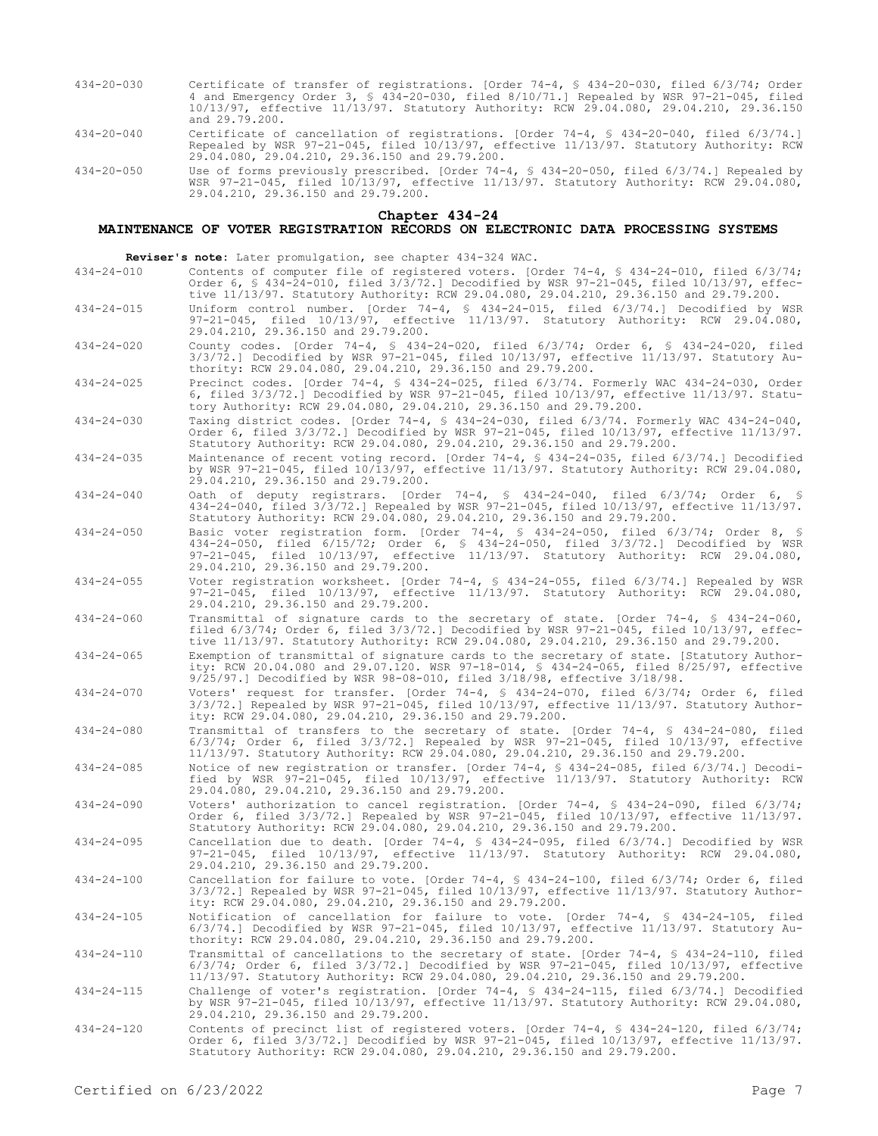- 434-20-030 Certificate of transfer of registrations. [Order 74-4, § 434-20-030, filed 6/3/74; Order 4 and Emergency Order 3, § 434-20-030, filed 8/10/71.] Repealed by WSR 97-21-045, filed 10/13/97, effective 11/13/97. Statutory Authority: RCW 29.04.080, 29.04.210, 29.36.150 and 29.79.200.
- 434-20-040 Certificate of cancellation of registrations. [Order 74-4, § 434-20-040, filed 6/3/74.] Repealed by WSR 97-21-045, filed 10/13/97, effective 11/13/97. Statutory Authority: RCW 29.04.080, 29.04.210, 29.36.150 and 29.79.200.

434-20-050 Use of forms previously prescribed. [Order 74-4, § 434-20-050, filed 6/3/74.] Repealed by WSR 97-21-045, filed 10/13/97, effective 11/13/97. Statutory Authority: RCW 29.04.080, 29.04.210, 29.36.150 and 29.79.200.

#### **Chapter 434-24**

# **MAINTENANCE OF VOTER REGISTRATION RECORDS ON ELECTRONIC DATA PROCESSING SYSTEMS**

**Reviser's note:** Later promulgation, see chapter 434-324 WAC.

- 434-24-010 Contents of computer file of registered voters. [Order 74-4, § 434-24-010, filed 6/3/74; Order 6, § 434-24-010, filed 3/3/72.] Decodified by WSR 97-21-045, filed 10/13/97, effective 11/13/97. Statutory Authority: RCW 29.04.080, 29.04.210, 29.36.150 and 29.79.200.
- 434-24-015 Uniform control number. [Order 74-4, § 434-24-015, filed 6/3/74.] Decodified by WSR 97-21-045, filed 10/13/97, effective 11/13/97. Statutory Authority: RCW 29.04.080, 29.04.210, 29.36.150 and 29.79.200.
- 434-24-020 County codes. [Order 74-4, § 434-24-020, filed 6/3/74; Order 6, § 434-24-020, filed 3/3/72.] Decodified by WSR 97-21-045, filed 10/13/97, effective 11/13/97. Statutory Authority: RCW 29.04.080, 29.04.210, 29.36.150 and 29.79.200.
- 434-24-025 Precinct codes. [Order 74-4, § 434-24-025, filed 6/3/74. Formerly WAC 434-24-030, Order 6, filed 3/3/72.] Decodified by WSR 97-21-045, filed 10/13/97, effective 11/13/97. Statutory Authority: RCW 29.04.080, 29.04.210, 29.36.150 and 29.79.200.
- 434-24-030 Taxing district codes. [Order 74-4, § 434-24-030, filed 6/3/74. Formerly WAC 434-24-040, Order 6, filed 3/3/72.] Decodified by WSR 97-21-045, filed 10/13/97, effective 11/13/97. Statutory Authority: RCW 29.04.080, 29.04.210, 29.36.150 and 29.79.200.
- 434-24-035 Maintenance of recent voting record. [Order 74-4, § 434-24-035, filed 6/3/74.] Decodified by WSR 97-21-045, filed 10/13/97, effective 11/13/97. Statutory Authority: RCW 29.04.080, 29.04.210, 29.36.150 and 29.79.200.
- 434-24-040 Oath of deputy registrars. [Order 74-4, § 434-24-040, filed 6/3/74; Order 6, § 434-24-040, filed 3/3/72.] Repealed by WSR 97-21-045, filed 10/13/97, effective 11/13/97. Statutory Authority: RCW 29.04.080, 29.04.210, 29.36.150 and 29.79.200.
- 434-24-050 Basic voter registration form. [Order 74-4, § 434-24-050, filed 6/3/74; Order 8, § 434-24-050, filed 6/15/72; Order 6, § 434-24-050, filed 3/3/72.] Decodified by WSR 97-21-045, filed 10/13/97, effective 11/13/97. Statutory Authority: RCW 29.04.080, 97-21-045, filed 10/13/97, effect<br>29.04.210, 29.36.150 and 29.79.200.
- 434-24-055 Voter registration worksheet. [Order 74-4, § 434-24-055, filed 6/3/74.] Repealed by WSR 97-21-045, filed 10/13/97, effective 11/13/97. Statutory Authority: RCW 29.04.080, 29.04.210, 29.36.150 and 29.79.200.
- 434-24-060 Transmittal of signature cards to the secretary of state. [Order 74-4, § 434-24-060, filed 6/3/74; Order 6, filed 3/3/72.] Decodified by WSR 97-21-045, filed 10/13/97, effective 11/13/97. Statutory Authority: RCW 29.04.080, 29.04.210, 29.36.150 and 29.79.200.
- 434-24-065 Exemption of transmittal of signature cards to the secretary of state. [Statutory Authority: RCW 20.04.080 and 29.07.120. WSR 97-18-014, § 434-24-065, filed 8/25/97, effective 9/25/97.] Decodified by WSR 98-08-010, filed 3/18/98, effective 3/18/98.
- 434-24-070 Voters' request for transfer. [Order 74-4, § 434-24-070, filed 6/3/74; Order 6, filed 3/3/72.] Repealed by WSR 97-21-045, filed 10/13/97, effective 11/13/97. Statutory Authority: RCW 29.04.080, 29.04.210, 29.36.150 and 29.79.200.
- 434-24-080 Transmittal of transfers to the secretary of state. [Order 74-4, § 434-24-080, filed 6/3/74; Order 6, filed 3/3/72.] Repealed by WSR 97-21-045, filed 10/13/97, effective 11/13/97. Statutory Authority: RCW 29.04.080, 29.04.210, 29.36.150 and 29.79.200.
- 434-24-085 Notice of new registration or transfer. [Order 74-4, § 434-24-085, filed 6/3/74.] Decodified by WSR 97-21-045, filed 10/13/97, effective 11/13/97. Statutory Authority: RCW 29.04.080, 29.04.210, 29.36.150 and 29.79.200.
- 434-24-090 Voters' authorization to cancel registration. [Order 74-4, § 434-24-090, filed 6/3/74; Order 6, filed 3/3/72.] Repealed by WSR 97-21-045, filed 10/13/97, effective 11/13/97. Statutory Authority: RCW 29.04.080, 29.04.210, 29.36.150 and 29.79.200.
- 434-24-095 Cancellation due to death. [Order 74-4, § 434-24-095, filed 6/3/74.] Decodified by WSR 97-21-045, filed 10/13/97, effective 11/13/97. Statutory Authority: RCW 29.04.080, 29.04.210, 29.36.150 and 29.79.200.
- 434-24-100 Cancellation for failure to vote. [Order 74-4, § 434-24-100, filed 6/3/74; Order 6, filed 3/3/72.] Repealed by WSR 97-21-045, filed 10/13/97, effective 11/13/97. Statutory Authority: RCW 29.04.080, 29.04.210, 29.36.150 and 29.79.200.
- 434-24-105 Notification of cancellation for failure to vote. [Order 74-4, § 434-24-105, filed 6/3/74.] Decodified by WSR 97-21-045, filed 10/13/97, effective 11/13/97. Statutory Authority: RCW 29.04.080, 29.04.210, 29.36.150 and 29.79.200.
- 434-24-110 Transmittal of cancellations to the secretary of state. [Order 74-4, § 434-24-110, filed  $6/3/74$ ; Order 6, filed  $3/3/72$ .] Decodified by WSR  $97-21-045$ , filed  $10/13/97$ , effective 11/13/97. Statutory Authority: RCW 29.04.080, 29.04.210, 29.36.150 and 29.79.200.
- 434-24-115 Challenge of voter's registration. [Order 74-4, § 434-24-115, filed 6/3/74.] Decodified by WSR 97-21-045, filed 10/13/97, effective 11/13/97. Statutory Authority: RCW 29.04.080, 29.04.210, 29.36.150 and 29.79.200.
- 434-24-120 Contents of precinct list of registered voters. [Order 74-4, § 434-24-120, filed 6/3/74; Order 6, filed 3/3/72.] Decodified by WSR 97-21-045, filed 10/13/97, effective 11/13/97. Statutory Authority: RCW 29.04.080, 29.04.210, 29.36.150 and 29.79.200.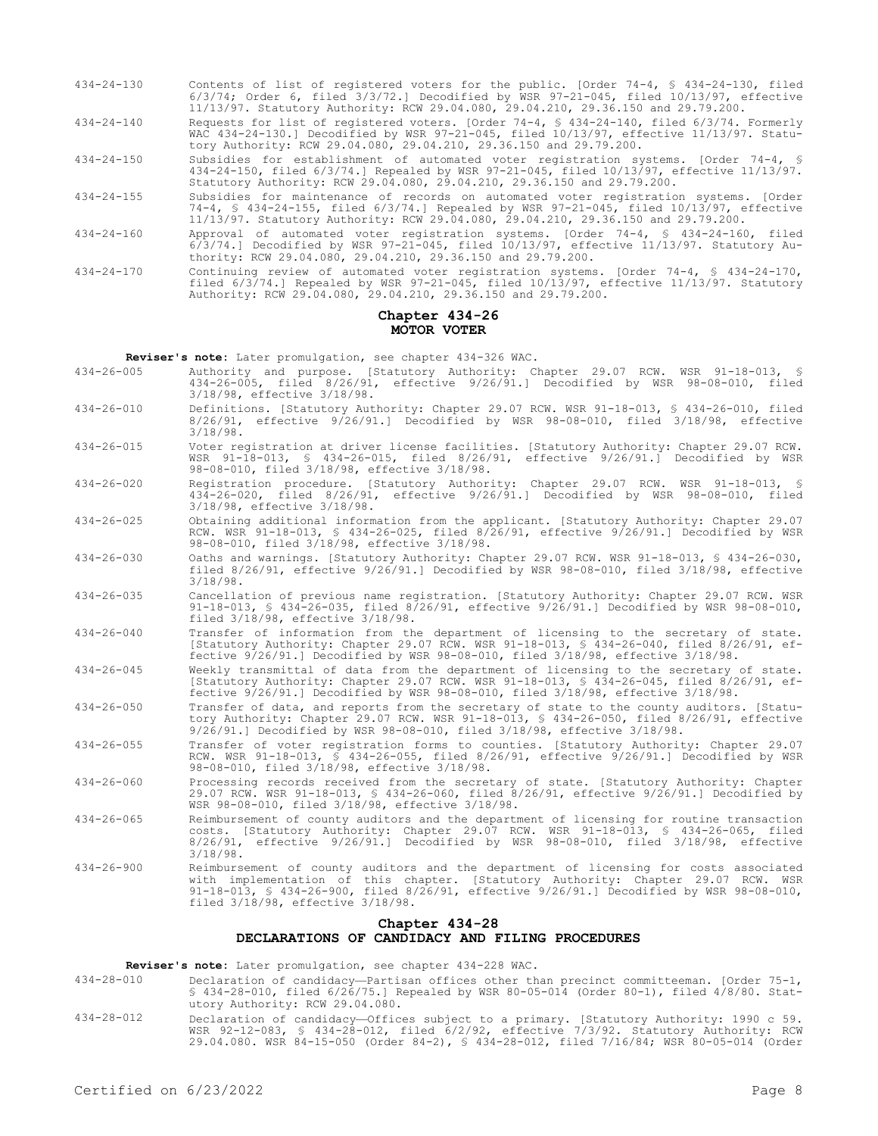- 434-24-130 Contents of list of registered voters for the public. [Order 74-4, § 434-24-130, filed 6/3/74; Order 6, filed 3/3/72.] Decodified by WSR 97-21-045, filed 10/13/97, effective 11/13/97. Statutory Authority: RCW 29.04.080, 29.04.210, 29.36.150 and 29.79.200.
- 434-24-140 Requests for list of registered voters. [Order 74-4, § 434-24-140, filed 6/3/74. Formerly WAC 434-24-130.] Decodified by WSR 97-21-045, filed 10/13/97, effective 11/13/97. Statutory Authority: RCW 29.04.080, 29.04.210, 29.36.150 and 29.79.200.
- 434-24-150 Subsidies for establishment of automated voter registration systems. [Order 74-4, § 434-24-150, filed 6/3/74.] Repealed by WSR 97-21-045, filed 10/13/97, effective 11/13/97. Statutory Authority: RCW 29.04.080, 29.04.210, 29.36.150 and 29.79.200.
- 434-24-155 Subsidies for maintenance of records on automated voter registration systems. [Order 74-4, § 434-24-155, filed 6/3/74.] Repealed by WSR 97-21-045, filed 10/13/97, effective 11/13/97. Statutory Authority: RCW 29.04.080, 29.04.210, 29.36.150 and 29.79.200.
- 434-24-160 Approval of automated voter registration systems. [Order 74-4, § 434-24-160, filed 6/3/74.] Decodified by WSR 97-21-045, filed 10/13/97, effective 11/13/97. Statutory Authority: RCW 29.04.080, 29.04.210, 29.36.150 and 29.79.200.
- 434-24-170 Continuing review of automated voter registration systems. [Order 74-4, § 434-24-170, filed 6/3/74.] Repealed by WSR 97-21-045, filed 10/13/97, effective 11/13/97. Statutory Authority: RCW 29.04.080, 29.04.210, 29.36.150 and 29.79.200.

### **Chapter 434-26 MOTOR VOTER**

**Reviser's note:** Later promulgation, see chapter 434-326 WAC.

- 434-26-005 Authority and purpose. [Statutory Authority: Chapter 29.07 RCW. WSR 91-18-013, § 434-26-005, filed 8/26/91, effective 9/26/91.] Decodified by WSR 98-08-010, filed 3/18/98, effective 3/18/98.
- 434-26-010 Definitions. [Statutory Authority: Chapter 29.07 RCW. WSR 91-18-013, § 434-26-010, filed 8/26/91, effective 9/26/91.] Decodified by WSR 98-08-010, filed 3/18/98, effective 3/18/98.
- 434-26-015 Voter registration at driver license facilities. [Statutory Authority: Chapter 29.07 RCW. WSR 91-18-013, § 434-26-015, filed 8/26/91, effective 9/26/91.] Decodified by WSR 98-08-010, filed 3/18/98, effective 3/18/98.
- 434-26-020 Registration procedure. [Statutory Authority: Chapter 29.07 RCW. WSR 91-18-013, § 434-26-020, filed 8/26/91, effective 9/26/91.] Decodified by WSR 98-08-010, filed 3/18/98, effective 3/18/98.
- 434-26-025 Obtaining additional information from the applicant. [Statutory Authority: Chapter 29.07 RCW. WSR 91-18-013, § 434-26-025, filed 8/26/91, effective 9/26/91.] Decodified by WSR 98-08-010, filed 3/18/98, effective 3/18/98.
- 434-26-030 Oaths and warnings. [Statutory Authority: Chapter 29.07 RCW. WSR 91-18-013, § 434-26-030, filed 8/26/91, effective 9/26/91.] Decodified by WSR 98-08-010, filed 3/18/98, effective 3/18/98.
- 434-26-035 Cancellation of previous name registration. [Statutory Authority: Chapter 29.07 RCW. WSR 91-18-013, § 434-26-035, filed 8/26/91, effective 9/26/91.] Decodified by WSR 98-08-010, filed 3/18/98, effective 3/18/98.
- 434-26-040 Transfer of information from the department of licensing to the secretary of state. [Statutory Authority: Chapter 29.07 RCW. WSR 91-18-013, § 434-26-040, filed 8/26/91, effective 9/26/91.] Decodified by WSR 98-08-010, filed 3/18/98, effective 3/18/98.
- 434-26-045 Weekly transmittal of data from the department of licensing to the secretary of state. [Statutory Authority: Chapter 29.07 RCW. WSR 91-18-013, § 434-26-045, filed 8/26/91, effective 9/26/91.] Decodified by WSR 98-08-010, filed 3/18/98, effective 3/18/98.
- 434-26-050 Transfer of data, and reports from the secretary of state to the county auditors. [Statutory Authority: Chapter 29.07 RCW. WSR 91-18-013, § 434-26-050, filed 8/26/91, effective 9/26/91.] Decodified by WSR 98-08-010, filed 3/18/98, effective 3/18/98.
- 434-26-055 Transfer of voter registration forms to counties. [Statutory Authority: Chapter 29.07 RCW. WSR 91-18-013, § 434-26-055, filed 8/26/91, effective 9/26/91.] Decodified by WSR 98-08-010, filed 3/18/98, effective 3/18/98.
- 434-26-060 Processing records received from the secretary of state. [Statutory Authority: Chapter 29.07 RCW. WSR 91-18-013, § 434-26-060, filed 8/26/91, effective 9/26/91.] Decodified by WSR 98-08-010, filed 3/18/98, effective 3/18/98.
- 434-26-065 Reimbursement of county auditors and the department of licensing for routine transaction costs. [Statutory Authority: Chapter 29.07 RCW. WSR 91-18-013, § 434-26-065, filed 8/26/91, effective 9/26/91.] Decodified by WSR 98-08-010, filed 3/18/98, effective 3/18/98.
- 434-26-900 Reimbursement of county auditors and the department of licensing for costs associated with implementation of this chapter. [Statutory Authority: Chapter 29.07 RCW. WSR 91-18-013, § 434-26-900, filed 8/26/91, effective 9/26/91.] Decodified by WSR 98-08-010, filed 3/18/98, effective 3/18/98.

### **Chapter 434-28 DECLARATIONS OF CANDIDACY AND FILING PROCEDURES**

**Reviser's note:** Later promulgation, see chapter 434-228 WAC.

- 434-28-010 Declaration of candidacy—Partisan offices other than precinct committeeman. [Order 75-1, § 434-28-010, filed 6/26/75.] Repealed by WSR 80-05-014 (Order 80-1), filed 4/8/80. Statutory Authority: RCW 29.04.080.
- 434-28-012 Declaration of candidacy—Offices subject to a primary. [Statutory Authority: 1990 c 59. WSR 92-12-083, § 434-28-012, filed 6/2/92, effective 7/3/92. Statutory Authority: RCW 29.04.080. WSR 84-15-050 (Order 84-2), § 434-28-012, filed 7/16/84; WSR 80-05-014 (Order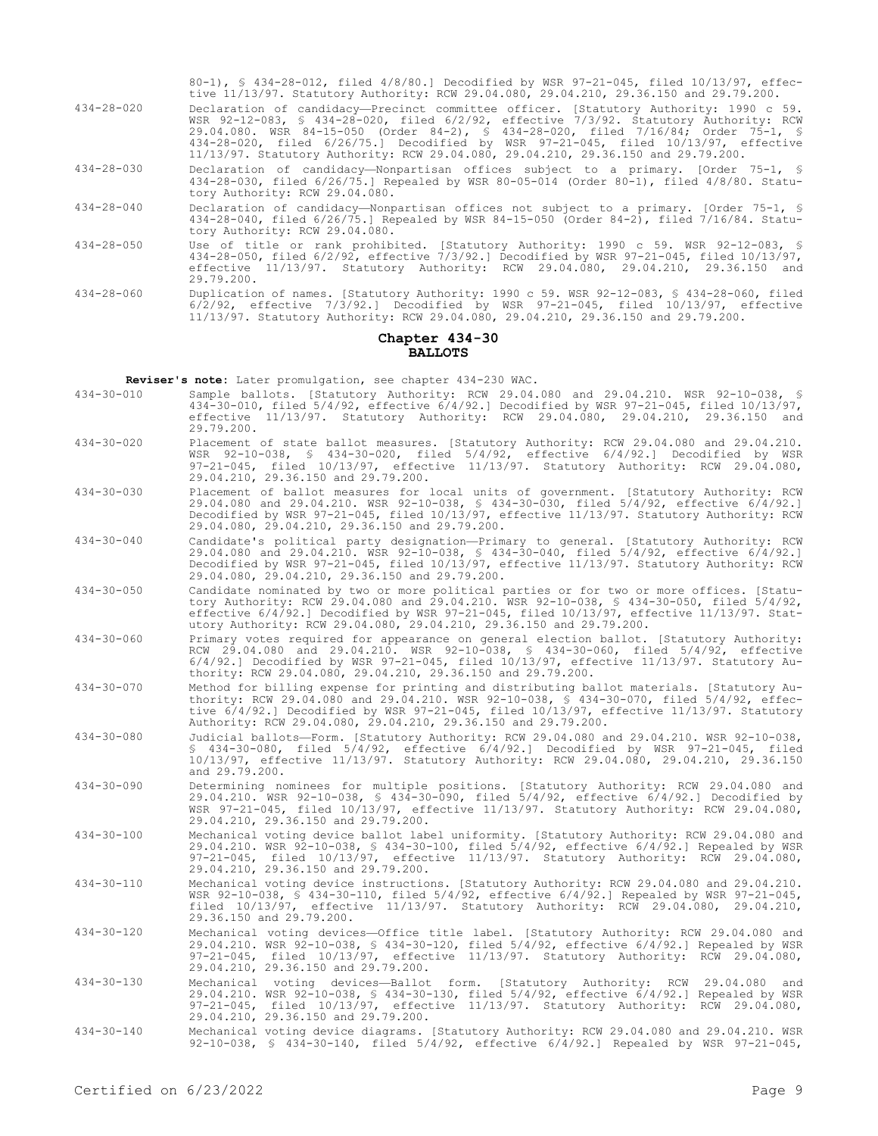|                  | 80-1), § 434-28-012, filed 4/8/80.] Decodified by WSR 97-21-045, filed 10/13/97, effec-<br>tive 11/13/97. Statutory Authority: RCW 29.04.080, 29.04.210, 29.36.150 and 29.79.200.                                                                                                                                                                                                                                                              |
|------------------|------------------------------------------------------------------------------------------------------------------------------------------------------------------------------------------------------------------------------------------------------------------------------------------------------------------------------------------------------------------------------------------------------------------------------------------------|
| $434 - 28 - 020$ | Declaration of candidacy-Precinct committee officer. [Statutory Authority: 1990 c 59.<br>WSR 92-12-083, § 434-28-020, filed 6/2/92, effective 7/3/92. Statutory Authority: RCW<br>29.04.080. WSR 84-15-050 (Order 84-2), § 434-28-020, filed 7/16/84; Order 75-1, §<br>434-28-020, filed 6/26/75.1 Decodified by WSR 97-21-045, filed 10/13/97, effective<br>11/13/97. Statutory Authority: RCW 29.04.080, 29.04.210, 29.36.150 and 29.79.200. |
| $434 - 28 - 030$ | Declaration of candidacy—Nonpartisan offices subject to a primary. [Order 75-1, §<br>434-28-030, filed 6/26/75.1 Repealed by WSR 80-05-014 (Order 80-1), filed 4/8/80. Statu-<br>tory Authority: RCW 29.04.080.                                                                                                                                                                                                                                |
| $434 - 28 - 040$ | Declaration of candidacy-Nonpartisan offices not subject to a primary. [Order 75-1, §<br>434-28-040, filed 6/26/75.] Repealed by WSR 84-15-050 (Order 84-2), filed 7/16/84. Statu-<br>tory Authority: RCW 29.04.080.                                                                                                                                                                                                                           |
| $434 - 28 - 050$ | Use of title or rank prohibited. [Statutory Authority: 1990 c 59. WSR 92-12-083, §<br>434-28-050, filed 6/2/92, effective 7/3/92.1 Decodified by WSR 97-21-045, filed 10/13/97,<br>effective 11/13/97. Statutory Authority: RCW 29.04.080, 29.04.210, 29.36.150 and<br>29.79.200.                                                                                                                                                              |
| $434 - 28 - 060$ | Duplication of names. [Statutory Authority: 1990 c 59. WSR 92-12-083, § 434-28-060, filed<br>$6/2/92$ , effective $7/3/92$ . Decodified by WSR $97-21-045$ , filed $10/13/97$ , effective                                                                                                                                                                                                                                                      |

### **Chapter 434-30 BALLOTS**

11/13/97. Statutory Authority: RCW 29.04.080, 29.04.210, 29.36.150 and 29.79.200.

**Reviser's note:** Later promulgation, see chapter 434-230 WAC.

- 434-30-010 Sample ballots. [Statutory Authority: RCW 29.04.080 and 29.04.210. WSR 92-10-038, § 434-30-010, filed 5/4/92, effective 6/4/92.] Decodified by WSR 97-21-045, filed 10/13/97, effective 11/13/97. Statutory Authority: RCW 29.04.080, 29.04.210, 29.36.150 and 29.79.200.
- 434-30-020 Placement of state ballot measures. [Statutory Authority: RCW 29.04.080 and 29.04.210. WSR 92-10-038, § 434-30-020, filed 5/4/92, effective 6/4/92.] Decodified by WSR 97-21-045, filed 10/13/97, effective 11/13/97. Statutory Authority: RCW 29.04.080, 29.04.210, 29.36.150 and 29.79.200.
- 434-30-030 Placement of ballot measures for local units of government. [Statutory Authority: RCW 29.04.080 and 29.04.210. WSR 92-10-038, § 434-30-030, filed 5/4/92, effective 6/4/92.] Decodified by WSR 97-21-045, filed 10/13/97, effective 11/13/97. Statutory Authority: RCW 29.04.080, 29.04.210, 29.36.150 and 29.79.200.
- 434-30-040 Candidate's political party designation—Primary to general. [Statutory Authority: RCW 29.04.080 and 29.04.210. WSR 92-10-038, § 434-30-040, filed 5/4/92, effective 6/4/92.] Decodified by WSR 97-21-045, filed 10/13/97, effective 11/13/97. Statutory Authority: RCW 29.04.080, 29.04.210, 29.36.150 and 29.79.200.
- 434-30-050 Candidate nominated by two or more political parties or for two or more offices. [Statutory Authority: RCW 29.04.080 and 29.04.210. WSR 92-10-038, § 434-30-050, filed 5/4/92, effective 6/4/92.] Decodified by WSR 97-21-045, filed 10/13/97, effective 11/13/97. Statutory Authority: RCW 29.04.080, 29.04.210, 29.36.150 and 29.79.200.
- 434-30-060 Primary votes required for appearance on general election ballot. [Statutory Authority: RCW 29.04.080 and 29.04.210. WSR 92-10-038, § 434-30-060, filed 5/4/92, effective 6/4/92.] Decodified by WSR 97-21-045, filed 10/13/97, effective 11/13/97. Statutory Authority: RCW 29.04.080, 29.04.210, 29.36.150 and 29.79.200.
- 434-30-070 Method for billing expense for printing and distributing ballot materials. [Statutory Authority: RCW 29.04.080 and 29.04.210. WSR 92-10-038, § 434-30-070, filed 5/4/92, effective 6/4/92.] Decodified by WSR 97-21-045, filed 10/13/97, effective 11/13/97. Statutory Authority: RCW 29.04.080, 29.04.210, 29.36.150 and 29.79.200.
- 434-30-080 Judicial ballots—Form. [Statutory Authority: RCW 29.04.080 and 29.04.210. WSR 92-10-038, § 434-30-080, filed 5/4/92, effective 6/4/92.] Decodified by WSR 97-21-045, filed 10/13/97, effective 11/13/97. Statutory Authority: RCW 29.04.080, 29.04.210, 29.36.150 and 29.79.200.
- 434-30-090 Determining nominees for multiple positions. [Statutory Authority: RCW 29.04.080 and 29.04.210. WSR 92-10-038, § 434-30-090, filed 5/4/92, effective 6/4/92.] Decodified by WSR 97-21-045, filed 10/13/97, effective 11/13/97. Statutory Authority: RCW 29.04.080, 29.04.210, 29.36.150 and 29.79.200.
- 434-30-100 Mechanical voting device ballot label uniformity. [Statutory Authority: RCW 29.04.080 and 29.04.210. WSR 92-10-038, § 434-30-100, filed 5/4/92, effective 6/4/92.] Repealed by WSR 97-21-045, filed 10/13/97, effective 11/13/97. Statutory Authority: RCW 29.04.080, 97-21-045, filed 10/13/97, effect<br>29.04.210, 29.36.150 and 29.79.200.
- 434-30-110 Mechanical voting device instructions. [Statutory Authority: RCW 29.04.080 and 29.04.210. WSR 92-10-038, § 434-30-110, filed 5/4/92, effective 6/4/92.] Repealed by WSR 97-21-045, filed 10/13/97, effective 11/13/97. Statutory Authority: RCW 29.04.080, 29.04.210, 29.36.150 and 29.79.200.
- 434-30-120 Mechanical voting devices—Office title label. [Statutory Authority: RCW 29.04.080 and 29.04.210. WSR 92-10-038, § 434-30-120, filed 5/4/92, effective 6/4/92.] Repealed by WSR 97-21-045, filed 10/13/97, effective 11/13/97. Statutory Authority: RCW 29.04.080, 29.04.210, 29.36.150 and 29.79.200.
- 434-30-130 Mechanical voting devices—Ballot form. [Statutory Authority: RCW 29.04.080 and 29.04.210. WSR 92-10-038, § 434-30-130, filed 5/4/92, effective 6/4/92.] Repealed by WSR 97-21-045, filed 10/13/97, effective 11/13/97. Statutory Authority: RCW 29.04.080, 29.04.210, 29.36.150 and 29.79.200.
- 434-30-140 Mechanical voting device diagrams. [Statutory Authority: RCW 29.04.080 and 29.04.210. WSR 92-10-038, § 434-30-140, filed 5/4/92, effective 6/4/92.] Repealed by WSR 97-21-045,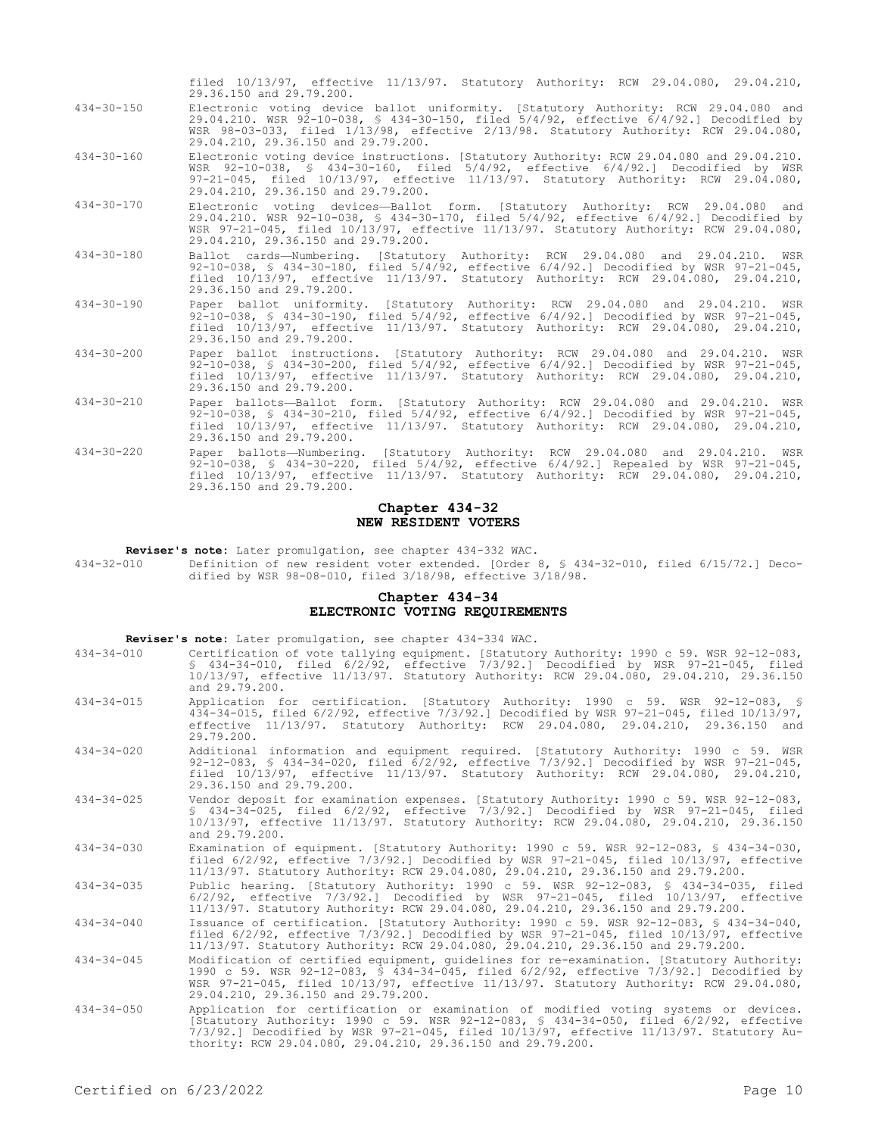|                  | Chapter 434-32<br>NEW RESIDENT VOTERS                                                                                                                                                                                                                                                                        |
|------------------|--------------------------------------------------------------------------------------------------------------------------------------------------------------------------------------------------------------------------------------------------------------------------------------------------------------|
| $434 - 30 - 220$ | Paper ballots-Numbering. [Statutory Authority: RCW 29.04.080 and 29.04.210. WSR<br>92-10-038, § 434-30-220, filed 5/4/92, effective 6/4/92.1 Repealed by WSR 97-21-045,<br>filed 10/13/97, effective 11/13/97. Statutory Authority: RCW 29.04.080, 29.04.210,<br>29.36.150 and 29.79.200.                    |
| $434 - 30 - 210$ | Paper ballots-Ballot form. [Statutory Authority: RCW 29.04.080 and 29.04.210. WSR<br>92-10-038, § 434-30-210, filed $5/4/92$ , effective $6/4/92$ . Decodified by WSR 97-21-045,<br>filed $10/13/97$ , effective $11/13/97$ . Statutory Authority: RCW 29.04.080, 29.04.210,<br>29.36.150 and 29.79.200.     |
| $434 - 30 - 200$ | Paper ballot instructions. [Statutory Authority: RCW 29.04.080 and 29.04.210. WSR<br>92-10-038, § 434-30-200, filed $5/4/92$ , effective $6/4/92$ .] Decodified by WSR 97-21-045,<br>filed $10/13/97$ , effective $11/13/97$ . Statutory Authority: RCW 29.04.080, 29.04.210,<br>29.36.150 and 29.79.200.    |
| $434 - 30 - 190$ | Paper ballot uniformity. [Statutory Authority: RCW 29.04.080 and 29.04.210. WSR<br>92-10-038, § 434-30-190, filed $5/4/92$ , effective $6/4/92$ . Decodified by WSR 97-21-045,<br>filed 10/13/97, effective 11/13/97. Statutory Authority: RCW 29.04.080, 29.04.210,<br>29.36.150 and 29.79.200.             |
| $434 - 30 - 180$ | Ballot cards—Numbering. [Statutory Authority: RCW 29.04.080 and 29.04.210. WSR<br>92-10-038, § 434-30-180, filed 5/4/92, effective 6/4/92.] Decodified by WSR 97-21-045,<br>filed 10/13/97, effective 11/13/97. Statutory Authority: RCW 29.04.080, 29.04.210,<br>29.36.150 and 29.79.200.                   |
| $434 - 30 - 170$ | Electronic voting devices-Ballot form. [Statutory Authority: RCW 29.04.080 and<br>29.04.210. WSR 92-10-038, § 434-30-170, filed 5/4/92, effective 6/4/92.] Decodified by<br>WSR 97-21-045, filed 10/13/97, effective 11/13/97. Statutory Authority: RCW 29.04.080,<br>29.04.210, 29.36.150 and 29.79.200.    |
| $434 - 30 - 160$ | Electronic voting device instructions. [Statutory Authority: RCW 29.04.080 and 29.04.210.<br>WSR 92-10-038, § 434-30-160, filed 5/4/92, effective 6/4/92.] Decodified by WSR<br>97-21-045, filed 10/13/97, effective 11/13/97. Statutory Authority: RCW 29.04.080,<br>29.04.210, 29.36.150 and 29.79.200.    |
| $434 - 30 - 150$ | Electronic voting device ballot uniformity. [Statutory Authority: RCW 29.04.080 and<br>29.04.210. WSR 92-10-038, § 434-30-150, filed 5/4/92, effective 6/4/92.] Decodified by<br>WSR 98-03-033, filed 1/13/98, effective 2/13/98. Statutory Authority: RCW 29.04.080,<br>29.04.210, 29.36.150 and 29.79.200. |
|                  | filed 10/13/97, effective 11/13/97. Statutory Authority: RCW 29.04.080, 29.04.210,<br>29.36.150 and 29.79.200.                                                                                                                                                                                               |

**Reviser's note:** Later promulgation, see chapter 434-332 WAC.

434-32-010 Definition of new resident voter extended. [Order 8, § 434-32-010, filed 6/15/72.] Decodified by WSR 98-08-010, filed 3/18/98, effective 3/18/98.

# **Chapter 434-34 ELECTRONIC VOTING REQUIREMENTS**

**Reviser's note:** Later promulgation, see chapter 434-334 WAC.

| 434-34-010       | Certification of vote tallying equipment. [Statutory Authority: 1990 c 59. WSR 92-12-083,<br>$$434-34-010$ , filed $6/2/92$ , effective $7/3/92$ . Decodified by WSR $97-21-045$ , filed<br>10/13/97, effective 11/13/97. Statutory Authority: RCW 29.04.080, 29.04.210, 29.36.150<br>and 29.79.200.                 |
|------------------|----------------------------------------------------------------------------------------------------------------------------------------------------------------------------------------------------------------------------------------------------------------------------------------------------------------------|
| $434 - 34 - 015$ | Application for certification. [Statutory Authority: 1990 c 59. WSR 92-12-083, §<br>434-34-015, filed 6/2/92, effective 7/3/92.] Decodified by WSR 97-21-045, filed 10/13/97,<br>effective 11/13/97. Statutory Authority: RCW 29.04.080, 29.04.210, 29.36.150 and<br>29.79.200.                                      |
| $434 - 34 - 020$ | Additional information and equipment required. [Statutory Authority: 1990 c 59. WSR<br>92-12-083, § 434-34-020, filed $6/2/92$ , effective $7/3/92$ . Decodified by WSR 97-21-045,<br>filed 10/13/97, effective 11/13/97. Statutory Authority: RCW 29.04.080, 29.04.210,<br>29.36.150 and 29.79.200.                 |
| $434 - 34 - 025$ | Vendor deposit for examination expenses. [Statutory Authority: 1990 c 59. WSR 92-12-083,<br>\$ 434-34-025, filed 6/2/92, effective 7/3/92.1 Decodified by WSR 97-21-045, filed<br>10/13/97, effective 11/13/97. Statutory Authority: RCW 29.04.080, 29.04.210, 29.36.150<br>and 29.79.200.                           |
| $434 - 34 - 030$ | Examination of equipment. [Statutory Authority: 1990 c 59. WSR 92-12-083, § 434-34-030,<br>filed $6/2/92$ , effective $7/3/92$ . Decodified by WSR $97-21-045$ , filed $10/13/97$ , effective<br>11/13/97. Statutory Authority: RCW 29.04.080, 29.04.210, 29.36.150 and 29.79.200.                                   |
| $434 - 34 - 035$ | Public hearing. [Statutory Authority: 1990 c 59. WSR 92-12-083, § 434-34-035, filed<br>$6/2/92$ , effective $7/3/92$ . Decodified by WSR $97-21-045$ , filed $10/13/97$ , effective<br>11/13/97. Statutory Authority: RCW 29.04.080, 29.04.210, 29.36.150 and 29.79.200.                                             |
| $434 - 34 - 040$ | Issuance of certification. [Statutory Authority: 1990 c 59. WSR 92-12-083, § 434-34-040,<br>filed 6/2/92, effective 7/3/92.] Decodified by WSR 97-21-045, filed 10/13/97, effective<br>11/13/97. Statutory Authority: RCW 29.04.080, 29.04.210, 29.36.150 and 29.79.200.                                             |
| $434 - 34 - 045$ | Modification of certified equipment, quidelines for re-examination. [Statutory Authority:<br>1990 c 59. WSR 92-12-083, § 434-34-045, filed 6/2/92, effective 7/3/92.] Decodified by<br>WSR 97-21-045, filed 10/13/97, effective 11/13/97. Statutory Authority: RCW 29.04.080,<br>29.04.210, 29.36.150 and 29.79.200. |
| $434 - 34 - 050$ | Application for certification or examination of modified voting systems or devices.<br>[Statutory Authority: 1990 c 59. WSR 92-12-083, § 434-34-050, filed 6/2/92, effective<br>7/3/92.] Decodified by WSR 97-21-045, filed 10/13/97, effective 11/13/97. Statutory Au-                                              |

thority: RCW 29.04.080, 29.04.210, 29.36.150 and 29.79.200.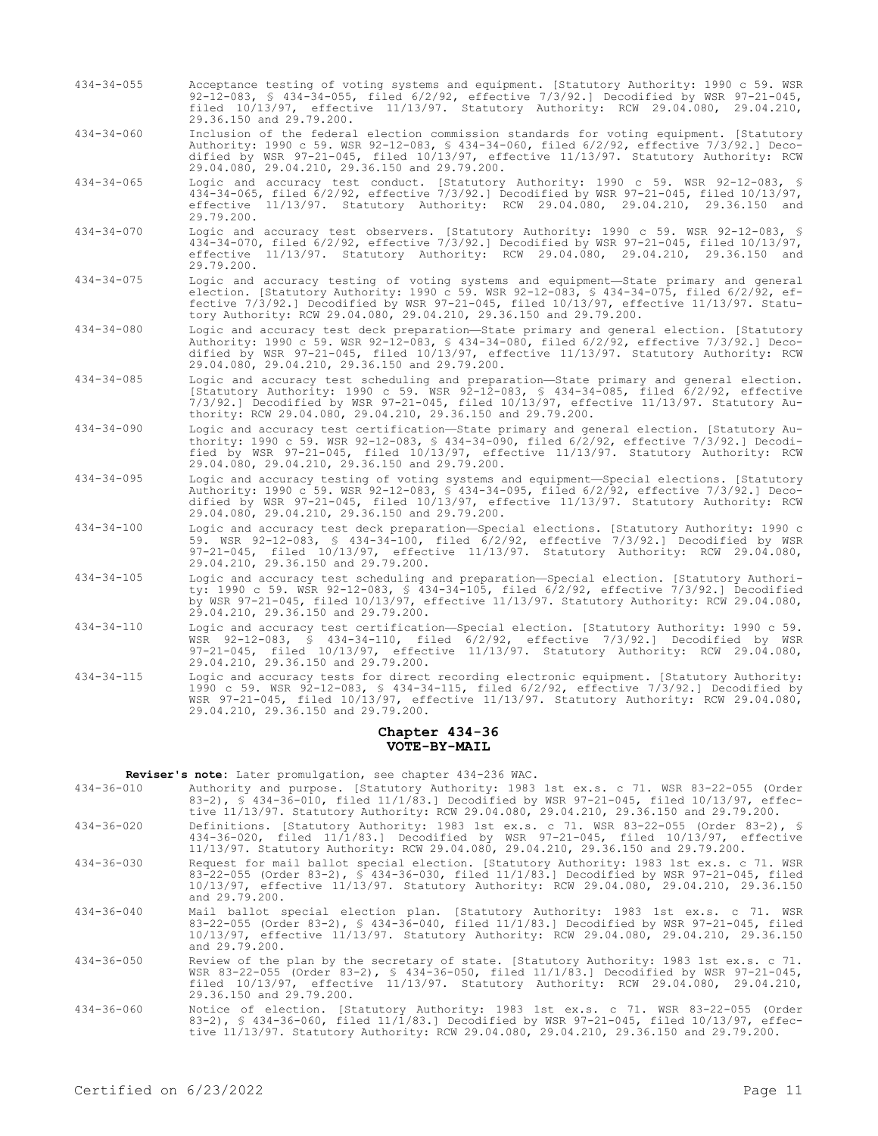- 434-34-055 Acceptance testing of voting systems and equipment. [Statutory Authority: 1990 c 59. WSR 92-12-083, § 434-34-055, filed 6/2/92, effective 7/3/92.] Decodified by WSR 97-21-045, filed 10/13/97, effective 11/13/97. Statutory Authority: RCW 29.04.080, 29.04.210, 29.36.150 and 29.79.200.
- 434-34-060 Inclusion of the federal election commission standards for voting equipment. [Statutory Authority: 1990 c 59. WSR 92-12-083, § 434-34-060, filed 6/2/92, effective 7/3/92.] Decodified by WSR 97-21-045, filed 10/13/97, effective 11/13/97. Statutory Authority: RCW 29.04.080, 29.04.210, 29.36.150 and 29.79.200.
- 434-34-065 Logic and accuracy test conduct. [Statutory Authority: 1990 c 59. WSR 92-12-083, § 434-34-065, filed 6/2/92, effective 7/3/92.] Decodified by WSR 97-21-045, filed 10/13/97, effective 11/13/97. Statutory Authority: RCW 29.04.080, 29.04.210, 29.36.150 and 29.79.200.
- 434-34-070 Logic and accuracy test observers. [Statutory Authority: 1990 c 59. WSR 92-12-083, § 434-34-070, filed 6/2/92, effective 7/3/92.] Decodified by WSR 97-21-045, filed 10/13/97, effective 11/13/97. Statutory Authority: RCW 29.04.080, 29.04.210, 29.36.150 and 29.79.200.
- 434-34-075 Logic and accuracy testing of voting systems and equipment—State primary and general election. [Statutory Authority: 1990 c 59. WSR 92-12-083, § 434-34-075, filed 6/2/92, effective 7/3/92.] Decodified by WSR 97-21-045, filed 10/13/97, effective 11/13/97. Statutory Authority: RCW 29.04.080, 29.04.210, 29.36.150 and 29.79.200.
- 434-34-080 Logic and accuracy test deck preparation—State primary and general election. [Statutory Authority: 1990 c 59. WSR 92-12-083, § 434-34-080, filed 6/2/92, effective 7/3/92.] Decodified by WSR 97-21-045, filed 10/13/97, effective 11/13/97. Statutory Authority: RCW 29.04.080, 29.04.210, 29.36.150 and 29.79.200.
- 434-34-085 Logic and accuracy test scheduling and preparation—State primary and general election. [Statutory Authority: 1990 c 59. WSR 92-12-083, § 434-34-085, filed 6/2/92, effective 7/3/92.] Decodified by WSR 97-21-045, filed 10/13/97, effective 11/13/97. Statutory Authority: RCW 29.04.080, 29.04.210, 29.36.150 and 29.79.200.
- 434-34-090 Logic and accuracy test certification—State primary and general election. [Statutory Authority: 1990 c 59. WSR 92-12-083, § 434-34-090, filed 6/2/92, effective 7/3/92.] Decodified by WSR 97-21-045, filed 10/13/97, effective 11/13/97. Statutory Authority: RCW 29.04.080, 29.04.210, 29.36.150 and 29.79.200.
- 434-34-095 Logic and accuracy testing of voting systems and equipment—Special elections. [Statutory Authority: 1990 c 59. WSR 92-12-083, § 434-34-095, filed 6/2/92, effective 7/3/92.] Decodified by WSR 97-21-045, filed 10/13/97, effective 11/13/97. Statutory Authority: RCW 29.04.080, 29.04.210, 29.36.150 and 29.79.200.
- 434-34-100 Logic and accuracy test deck preparation—Special elections. [Statutory Authority: 1990 c 59. WSR 92-12-083, § 434-34-100, filed 6/2/92, effective 7/3/92.] Decodified by WSR 97-21-045, filed 10/13/97, effective 11/13/97. Statutory Authority: RCW 29.04.080, 29.04.210, 29.36.150 and 29.79.200.
- 434-34-105 Logic and accuracy test scheduling and preparation—Special election. [Statutory Authority: 1990 c 59. WSR 92-12-083, § 434-34-105, filed 6/2/92, effective 7/3/92.] Decodified by WSR 97-21-045, filed 10/13/97, effective 11/13/97. Statutory Authority: RCW 29.04.080, 29.04.210, 29.36.150 and 29.79.200.
- 434-34-110 Logic and accuracy test certification—Special election. [Statutory Authority: 1990 c 59. WSR 92-12-083, § 434-34-110, filed 6/2/92, effective 7/3/92.] Decodified by WSR 97-21-045, filed 10/13/97, effective 11/13/97. Statutory Authority: RCW 29.04.080, 29.04.210, 29.36.150 and 29.79.200.
- 434-34-115 Logic and accuracy tests for direct recording electronic equipment. [Statutory Authority: 1990 c 59. WSR 92-12-083, § 434-34-115, filed 6/2/92, effective 7/3/92.] Decodified by WSR 97-21-045, filed 10/13/97, effective 11/13/97. Statutory Authority: RCW 29.04.080, 29.04.210, 29.36.150 and 29.79.200.

### **Chapter 434-36 VOTE-BY-MAIL**

**Reviser's note:** Later promulgation, see chapter 434-236 WAC.

- 434-36-010 Authority and purpose. [Statutory Authority: 1983 1st ex.s. c 71. WSR 83-22-055 (Order 83-2), § 434-36-010, filed 11/1/83.] Decodified by WSR 97-21-045, filed 10/13/97, effective 11/13/97. Statutory Authority: RCW 29.04.080, 29.04.210, 29.36.150 and 29.79.200.
- 434-36-020 Definitions. [Statutory Authority: 1983 1st ex.s. c 71. WSR 83-22-055 (Order 83-2), § 434-36-020, filed 11/1/83.] Decodified by WSR 97-21-045, filed 10/13/97, effective 11/13/97. Statutory Authority: RCW 29.04.080, 29.04.210, 29.36.150 and 29.79.200.
- 434-36-030 Request for mail ballot special election. [Statutory Authority: 1983 1st ex.s. c 71. 83-22-055 (Order 83-2), § 434-36-030, filed 11/1/83.] Decodified by WSR 97-21-045, filed 10/13/97, effective 11/13/97. Statutory Authority: RCW 29.04.080, 29.04.210, 29.36.150 and 29.79.200.
- 434-36-040 Mail ballot special election plan. [Statutory Authority: 1983 1st ex.s. c 71. WSR 83-22-055 (Order 83-2), § 434-36-040, filed 11/1/83.] Decodified by WSR 97-21-045, filed 10/13/97, effective 11/13/97. Statutory Authority: RCW 29.04.080, 29.04.210, 29.36.150 and 29.79.200.
- 434-36-050 Review of the plan by the secretary of state. [Statutory Authority: 1983 1st ex.s. c 71. WSR 83-22-055 (Order 83-2), § 434-36-050, filed 11/1/83.] Decodified by WSR 97-21-045, filed 10/13/97, effective 11/13/97. Statutory Authority: RCW 29.04.080, 29.04.210, 29.36.150 and 29.79.200.
- 434-36-060 Notice of election. [Statutory Authority: 1983 1st ex.s. c 71. WSR 83-22-055 (Order 83-2), § 434-36-060, filed 11/1/83.] Decodified by WSR 97-21-045, filed 10/13/97, effective 11/13/97. Statutory Authority: RCW 29.04.080, 29.04.210, 29.36.150 and 29.79.200.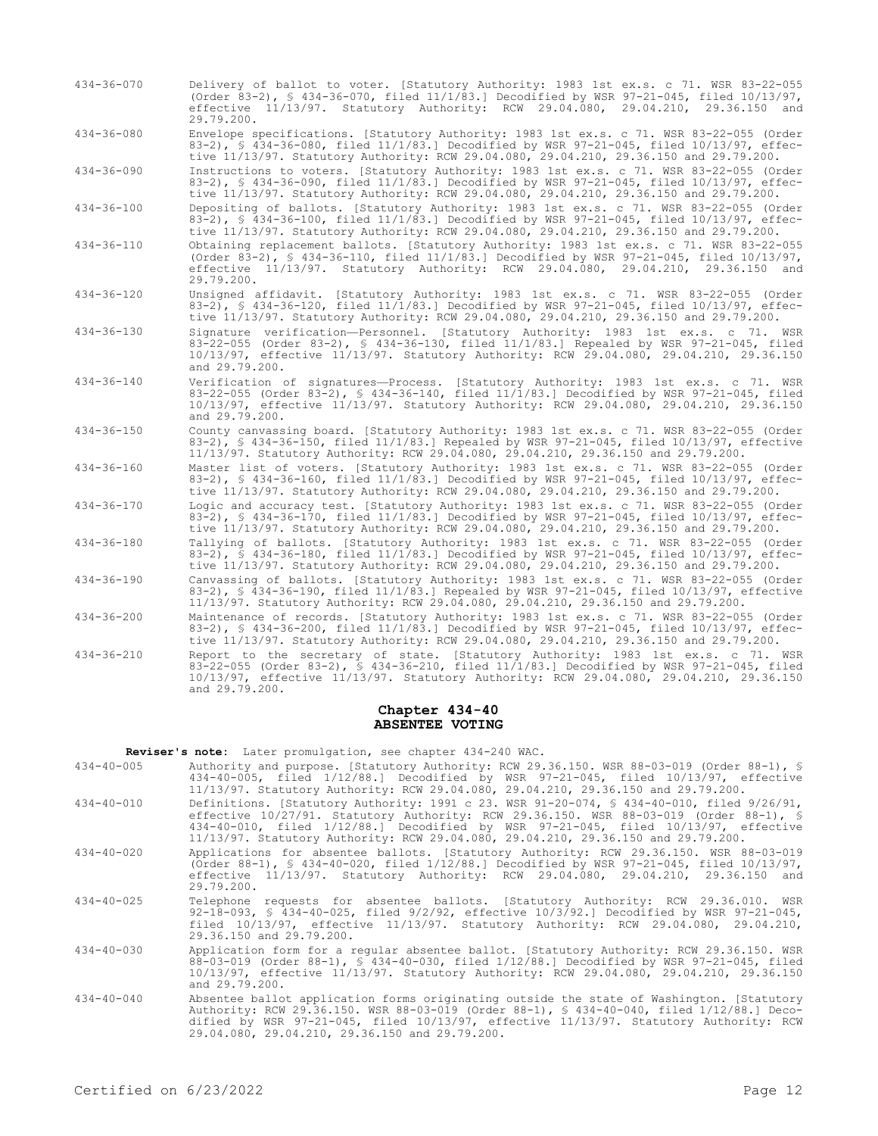| $434 - 36 - 070$ | Delivery of ballot to voter. [Statutory Authority: 1983 1st ex.s. c 71. WSR 83-22-055<br>(Order 83-2), § 434-36-070, filed $11/1/83$ . Decodified by WSR 97-21-045, filed $10/13/97$ ,<br>effective 11/13/97. Statutory Authority: RCW 29.04.080, 29.04.210, 29.36.150 and<br>29.79.200.   |
|------------------|--------------------------------------------------------------------------------------------------------------------------------------------------------------------------------------------------------------------------------------------------------------------------------------------|
| $434 - 36 - 080$ | Envelope specifications. [Statutory Authority: 1983 1st ex.s. c 71. WSR 83-22-055 (Order<br>83-2), § 434-36-080, filed 11/1/83.] Decodified by WSR 97-21-045, filed 10/13/97, effec-<br>tive 11/13/97. Statutory Authority: RCW 29.04.080, 29.04.210, 29.36.150 and 29.79.200.             |
| $434 - 36 - 090$ | Instructions to voters. [Statutory Authority: 1983 1st ex.s. c 71. WSR 83-22-055 (Order<br>83-2), § 434-36-090, filed 11/1/83.] Decodified by WSR 97-21-045, filed 10/13/97, effec-<br>tive 11/13/97. Statutory Authority: RCW 29.04.080, 29.04.210, 29.36.150 and 29.79.200.              |
| $434 - 36 - 100$ | Depositing of ballots. [Statutory Authority: 1983 1st ex.s. c 71. WSR 83-22-055 (Order<br>83-2), § 434-36-100, filed 11/1/83.] Decodified by WSR 97-21-045, filed 10/13/97, effec-<br>tive 11/13/97. Statutory Authority: RCW 29.04.080, 29.04.210, 29.36.150 and 29.79.200.               |
| $434 - 36 - 110$ | Obtaining replacement ballots. [Statutory Authority: 1983 1st ex.s. c 71. WSR 83-22-055<br>(Order 83-2), § 434-36-110, filed 11/1/83.] Decodified by WSR 97-21-045, filed 10/13/97,<br>effective 11/13/97. Statutory Authority: RCW 29.04.080, 29.04.210, 29.36.150 and<br>29.79.200.      |
| $434 - 36 - 120$ | Unsigned affidavit. [Statutory Authority: 1983 1st ex.s. c 71. WSR 83-22-055 (Order<br>83-2), § 434-36-120, filed $11/1/83$ . Decodified by WSR 97-21-045, filed $10/13/97$ , effec-<br>tive 11/13/97. Statutory Authority: RCW 29.04.080, 29.04.210, 29.36.150 and 29.79.200.             |
| $434 - 36 - 130$ | Signature verification-Personnel. [Statutory Authority: 1983 1st ex.s. c 71. WSR<br>83-22-055 (Order 83-2), § 434-36-130, filed 11/1/83.] Repealed by WSR 97-21-045, filed<br>10/13/97, effective 11/13/97. Statutory Authority: RCW 29.04.080, 29.04.210, 29.36.150<br>and 29.79.200.     |
| $434 - 36 - 140$ | Verification of signatures-Process. [Statutory Authority: 1983 1st ex.s. c 71. WSR<br>83-22-055 (Order 83-2), § 434-36-140, filed 11/1/83.] Decodified by WSR 97-21-045, filed<br>10/13/97, effective 11/13/97. Statutory Authority: RCW 29.04.080, 29.04.210, 29.36.150<br>and 29.79.200. |
| $434 - 36 - 150$ | County canvassing board. [Statutory Authority: 1983 1st ex.s. c 71. WSR 83-22-055 (Order<br>83-2), § 434-36-150, filed 11/1/83.] Repealed by WSR 97-21-045, filed 10/13/97, effective<br>11/13/97. Statutory Authority: RCW 29.04.080, 29.04.210, 29.36.150 and 29.79.200.                 |
| $434 - 36 - 160$ | Master list of voters. [Statutory Authority: 1983 1st ex.s. c 71. WSR 83-22-055 (Order<br>83-2), § 434-36-160, filed 11/1/83.] Decodified by WSR 97-21-045, filed 10/13/97, effec-<br>tive 11/13/97. Statutory Authority: RCW 29.04.080, 29.04.210, 29.36.150 and 29.79.200.               |
| $434 - 36 - 170$ | Logic and accuracy test. [Statutory Authority: 1983 1st ex.s. c 71. WSR 83-22-055 (Order<br>83-2), § 434-36-170, filed 11/1/83.1 Decodified by WSR 97-21-045, filed 10/13/97, effec-<br>tive 11/13/97. Statutory Authority: RCW 29.04.080, 29.04.210, 29.36.150 and 29.79.200.             |
| $434 - 36 - 180$ | Tallying of ballots. [Statutory Authority: 1983 1st ex.s. c 71. WSR 83-22-055 (Order<br>83-2), § 434-36-180, filed 11/1/83.] Decodified by WSR 97-21-045, filed 10/13/97, effec-<br>tive 11/13/97. Statutory Authority: RCW 29.04.080, 29.04.210, 29.36.150 and 29.79.200.                 |
| $434 - 36 - 190$ | Canvassing of ballots. [Statutory Authority: 1983 1st ex.s. c 71. WSR 83-22-055 (Order<br>83-2), § 434-36-190, filed 11/1/83.] Repealed by WSR 97-21-045, filed 10/13/97, effective<br>11/13/97. Statutory Authority: RCW 29.04.080, 29.04.210, 29.36.150 and 29.79.200.                   |
| $434 - 36 - 200$ | Maintenance of records. [Statutory Authority: 1983 1st ex.s. c 71. WSR 83-22-055 (Order<br>83-2), § 434-36-200, filed 11/1/83.1 Decodified by WSR 97-21-045, filed 10/13/97, effec-<br>tive 11/13/97. Statutory Authority: RCW 29.04.080, 29.04.210, 29.36.150 and 29.79.200.              |
| $434 - 36 - 210$ | Report to the secretary of state. [Statutory Authority: 1983 1st ex.s. c 71. WSR<br>83-22-055 (Order 83-2), § 434-36-210, filed 11/1/83.] Decodified by WSR 97-21-045, filed<br>10/13/97, effective 11/13/97. Statutory Authority: RCW 29.04.080, 29.04.210, 29.36.150<br>and 29.79.200.   |

# **Chapter 434-40 ABSENTEE VOTING**

|                  | Reviser's note: Later promulgation, see chapter 434-240 WAC.                                                                                                                                                                                                                                                                                                   |
|------------------|----------------------------------------------------------------------------------------------------------------------------------------------------------------------------------------------------------------------------------------------------------------------------------------------------------------------------------------------------------------|
| $434 - 40 - 005$ | Authority and purpose. [Statutory Authority: RCW 29.36.150. WSR 88-03-019 (Order 88-1), §<br>434-40-005, filed 1/12/88.1 Decodified by WSR 97-21-045, filed 10/13/97, effective<br>11/13/97. Statutory Authority: RCW 29.04.080, 29.04.210, 29.36.150 and 29.79.200.                                                                                           |
| $434 - 40 - 010$ | Definitions. [Statutory Authority: 1991 c 23. WSR 91-20-074, § 434-40-010, filed 9/26/91,<br>effective 10/27/91. Statutory Authority: RCW 29.36.150. WSR 88-03-019 (Order 88-1), \$<br>434-40-010, filed 1/12/88.1 Decodified by WSR 97-21-045, filed 10/13/97, effective<br>11/13/97. Statutory Authority: RCW 29.04.080, 29.04.210, 29.36.150 and 29.79.200. |
| $434 - 40 - 020$ | Applications for absentee ballots. [Statutory Authority: RCW 29.36.150. WSR 88-03-019<br>(Order 88-1), § 434-40-020, filed $1/12/88$ . Decodified by WSR 97-21-045, filed $10/13/97$ ,<br>effective 11/13/97. Statutory Authority: RCW 29.04.080, 29.04.210, 29.36.150 and<br>29.79.200.                                                                       |
| $434 - 40 - 025$ | Telephone requests for absentee ballots. [Statutory Authority: RCW 29.36.010. WSR<br>92-18-093, § 434-40-025, filed 9/2/92, effective $10/3/92$ .] Decodified by WSR 97-21-045,<br>filed 10/13/97, effective 11/13/97. Statutory Authority: RCW 29.04.080, 29.04.210,<br>29.36.150 and 29.79.200.                                                              |
| $434 - 40 - 030$ | Application form for a regular absentee ballot. [Statutory Authority: RCW 29.36.150. WSR<br>88-03-019 (Order 88-1), § 434-40-030, filed 1/12/88.] Decodified by WSR 97-21-045, filed<br>10/13/97, effective 11/13/97. Statutory Authority: RCW 29.04.080, 29.04.210, 29.36.150<br>and 29.79.200.                                                               |
| $434 - 40 - 040$ | Absentee ballot application forms originating outside the state of Washington. [Statutory<br>Authority: RCW 29.36.150. WSR 88-03-019 (Order 88-1), § 434-40-040, filed 1/12/88.] Deco-<br>dified by WSR 97-21-045, filed 10/13/97, effective 11/13/97. Statutory Authority: RCW<br>29.04.080, 29.04.210, 29.36.150 and 29.79.200.                              |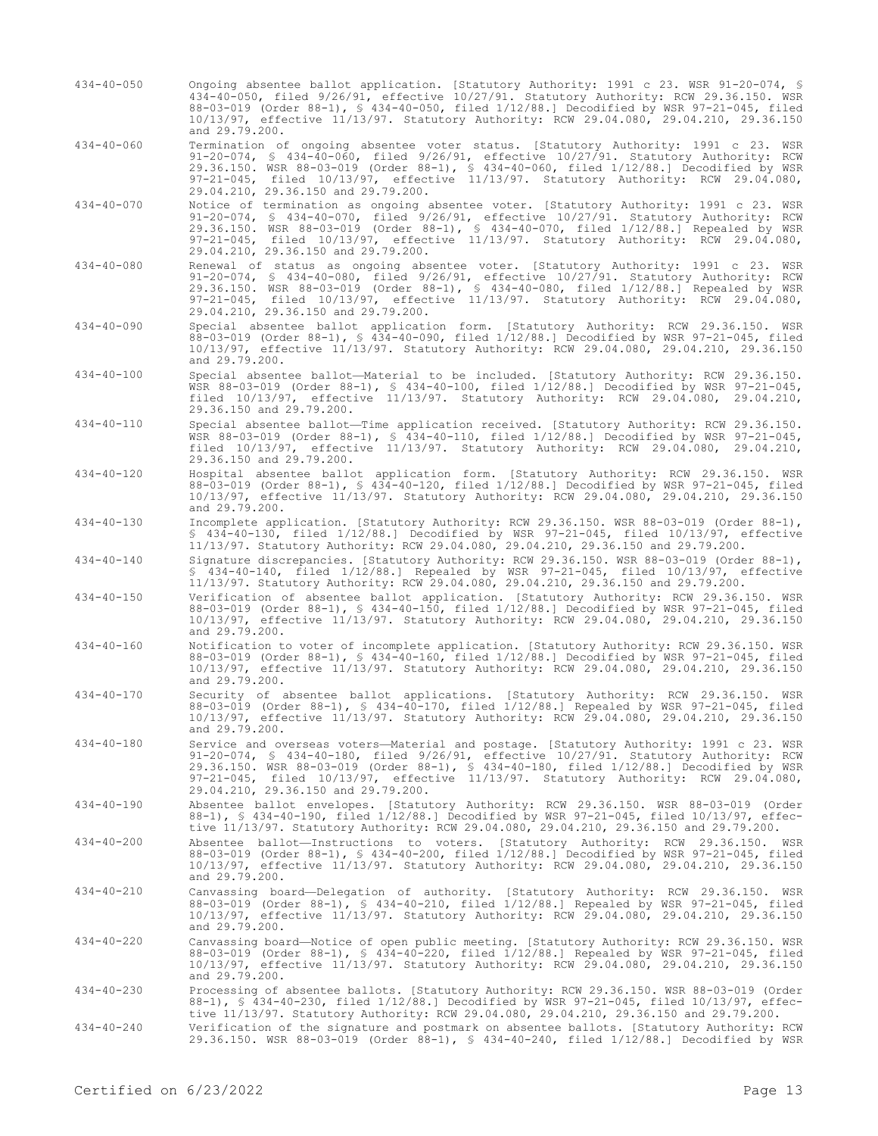- 434-40-050 Ongoing absentee ballot application. [Statutory Authority: 1991 c 23. WSR 91-20-074, § 434-40-050, filed 9/26/91, effective 10/27/91. Statutory Authority: RCW 29.36.150. WSR 88-03-019 (Order 88-1), § 434-40-050, filed 1/12/88.] Decodified by WSR 97-21-045, filed 10/13/97, effective 11/13/97. Statutory Authority: RCW 29.04.080, 29.04.210, 29.36.150 and 29.79.200.
- 434-40-060 Termination of ongoing absentee voter status. [Statutory Authority: 1991 c 23. WSR 91-20-074, § 434-40-060, filed 9/26/91, effective 10/27/91. Statutory Authority: RCW 29.36.150. WSR 88-03-019 (Order 88-1), § 434-40-060, filed 1/12/88.] Decodified by WSR 97-21-045, filed 10/13/97, effective 11/13/97. Statutory Authority: RCW 29.04.080, 29.04.210, 29.36.150 and 29.79.200.
- 434-40-070 Notice of termination as ongoing absentee voter. [Statutory Authority: 1991 c 23. WSR 91-20-074, § 434-40-070, filed 9/26/91, effective 10/27/91. Statutory Authority: RCW 29.36.150. WSR 88-03-019 (Order 88-1), § 434-40-070, filed 1/12/88.] Repealed by WSR 97-21-045, filed 10/13/97, effective 11/13/97. Statutory Authority: RCW 29.04.080, 29.04.210, 29.36.150 and 29.79.200.
- 434-40-080 Renewal of status as ongoing absentee voter. [Statutory Authority: 1991 c 23. WSR 91-20-074, § 434-40-080, filed 9/26/91, effective 10/27/91. Statutory Authority: RCW 29.36.150. WSR 88-03-019 (Order 88-1), § 434-40-080, filed 1/12/88.] Repealed by WSR 97-21-045, filed 10/13/97, effective 11/13/97. Statutory Authority: RCW 29.04.080, 29.04.210, 29.36.150 and 29.79.200.
- 434-40-090 Special absentee ballot application form. [Statutory Authority: RCW 29.36.150. WSR 88-03-019 (Order 88-1), § 434-40-090, filed 1/12/88.] Decodified by WSR 97-21-045, filed 10/13/97, effective 11/13/97. Statutory Authority: RCW 29.04.080, 29.04.210, 29.36.150 and 29.79.200.
- 434-40-100 Special absentee ballot—Material to be included. [Statutory Authority: RCW 29.36.150. WSR 88-03-019 (Order 88-1), § 434-40-100, filed 1/12/88.] Decodified by WSR 97-21-045, filed 10/13/97, effective 11/13/97. Statutory Authority: RCW 29.04.080, 29.04.210, 29.36.150 and 29.79.200.
- 434-40-110 Special absentee ballot—Time application received. [Statutory Authority: RCW 29.36.150. WSR 88-03-019 (Order 88-1), § 434-40-110, filed 1/12/88.] Decodified by WSR 97-21-045, filed 10/13/97, effective 11/13/97. Statutory Authority: RCW 29.04.080, 29.04.210, 29.36.150 and 29.79.200.
- 434-40-120 Hospital absentee ballot application form. [Statutory Authority: RCW 29.36.150. WSR 88-03-019 (Order 88-1), § 434-40-120, filed 1/12/88.] Decodified by WSR 97-21-045, filed 10/13/97, effective 11/13/97. Statutory Authority: RCW 29.04.080, 29.04.210, 29.36.150 and 29.79.200.
- 434-40-130 Incomplete application. [Statutory Authority: RCW 29.36.150. WSR 88-03-019 (Order 88-1), § 434-40-130, filed 1/12/88.] Decodified by WSR 97-21-045, filed 10/13/97, effective 11/13/97. Statutory Authority: RCW 29.04.080, 29.04.210, 29.36.150 and 29.79.200.
- 434-40-140 Signature discrepancies. [Statutory Authority: RCW 29.36.150. WSR 88-03-019 (Order 88-1), § 434-40-140, filed 1/12/88.] Repealed by WSR 97-21-045, filed 10/13/97, effective 11/13/97. Statutory Authority: RCW 29.04.080, 29.04.210, 29.36.150 and 29.79.200.
- 434-40-150 Verification of absentee ballot application. [Statutory Authority: RCW 29.36.150. WSR 88-03-019 (Order 88-1), § 434-40-150, filed 1/12/88.] Decodified by WSR 97-21-045, filed 10/13/97, effective 11/13/97. Statutory Authority: RCW 29.04.080, 29.04.210, 29.36.150 10/13/97, effer<br>and 29.79.200.
- 434-40-160 Notification to voter of incomplete application. [Statutory Authority: RCW 29.36.150. WSR 88-03-019 (Order 88-1), § 434-40-160, filed 1/12/88.] Decodified by WSR 97-21-045, filed 10/13/97, effective 11/13/97. Statutory Authority: RCW 29.04.080, 29.04.210, 29.36.150 and 29.79.200.
- 434-40-170 Security of absentee ballot applications. [Statutory Authority: RCW 29.36.150. WSR 88-03-019 (Order 88-1), § 434-40-170, filed 1/12/88.] Repealed by WSR 97-21-045, filed 10/13/97, effective 11/13/97. Statutory Authority: RCW 29.04.080, 29.04.210, 29.36.150 and 29.79.200.
- 434-40-180 Service and overseas voters—Material and postage. [Statutory Authority: 1991 c 23. WSR 91-20-074, § 434-40-180, filed 9/26/91, effective 10/27/91. Statutory Authority: RCW 29.36.150. WSR 88-03-019 (Order 88-1), § 434-40-180, filed 1/12/88.] Decodified by WSR 97-21-045, filed 10/13/97, effective 11/13/97. Statutory Authority: RCW 29.04.080, 29.04.210, 29.36.150 and 29.79.200.
- 434-40-190 Absentee ballot envelopes. [Statutory Authority: RCW 29.36.150. WSR 88-03-019 (Order 88-1), § 434-40-190, filed 1/12/88.] Decodified by WSR 97-21-045, filed 10/13/97, effective 11/13/97. Statutory Authority: RCW 29.04.080, 29.04.210, 29.36.150 and 29.79.200.
- 434-40-200 Absentee ballot—Instructions to voters. [Statutory Authority: RCW 29.36.150. WSR 88-03-019 (Order 88-1), § 434-40-200, filed 1/12/88.] Decodified by WSR 97-21-045, filed 10/13/97, effective 11/13/97. Statutory Authority: RCW 29.04.080, 29.04.210, 29.36.150 and 29.79.200.
- 434-40-210 Canvassing board—Delegation of authority. [Statutory Authority: RCW 29.36.150. WSR 88-03-019 (Order 88-1), § 434-40-210, filed 1/12/88.] Repealed by WSR 97-21-045, filed 10/13/97, effective 11/13/97. Statutory Authority: RCW 29.04.080, 29.04.210, 29.36.150 and 29.79.200.
- 434-40-220 Canvassing board—Notice of open public meeting. [Statutory Authority: RCW 29.36.150. WSR<br>88-03-019 (Order 88-1), § 434-40-220, filed 1/12/88.] Repealed by WSR 97-21-045, filed<br>10/13/97, effective 11/13/97. Statu and 29.79.200.
- 434-40-230 Processing of absentee ballots. [Statutory Authority: RCW 29.36.150. WSR 88-03-019 (Order 88-1), § 434-40-230, filed 1/12/88.] Decodified by WSR 97-21-045, filed 10/13/97, effective 11/13/97. Statutory Authority: RCW 29.04.080, 29.04.210, 29.36.150 and 29.79.200.
- 434-40-240 Verification of the signature and postmark on absentee ballots. [Statutory Authority: RCW 29.36.150. WSR 88-03-019 (Order 88-1), § 434-40-240, filed 1/12/88.] Decodified by WSR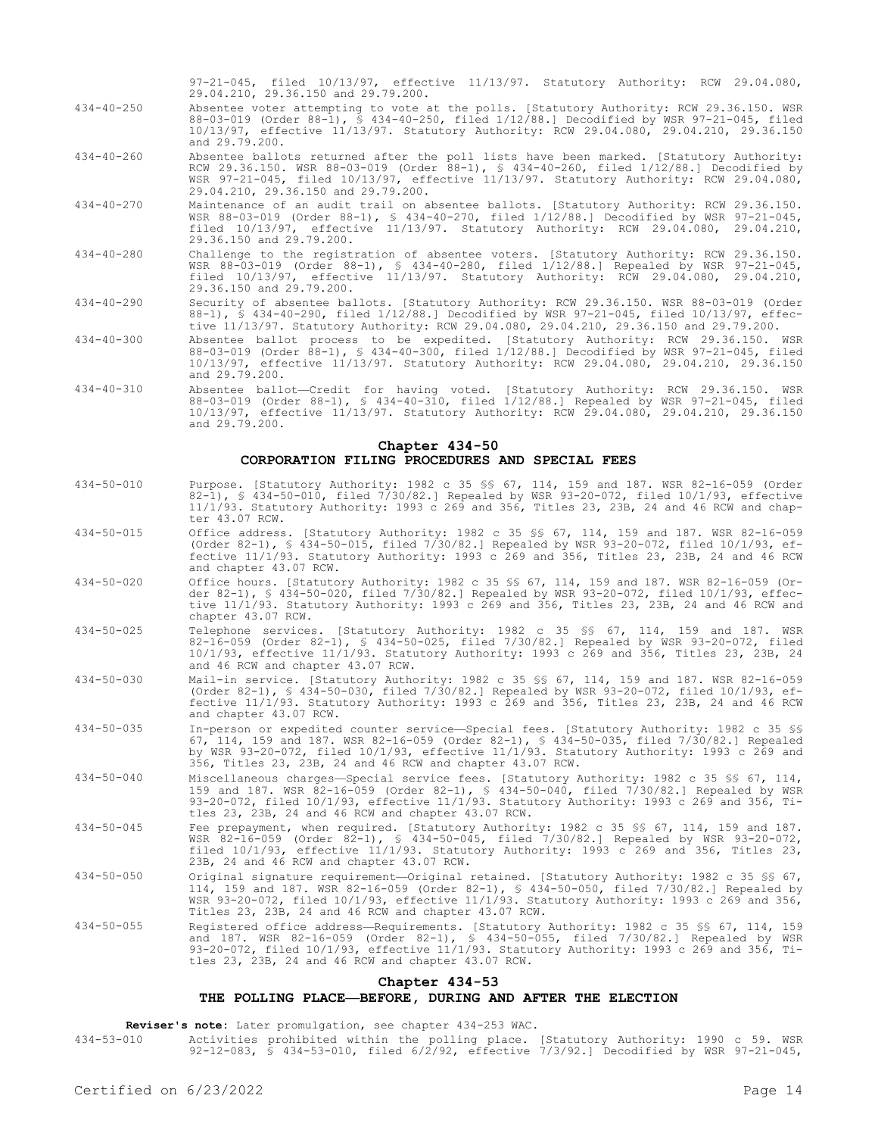97-21-045, filed 10/13/97, effective 11/13/97. Statutory Authority: RCW 29.04.080, 29.04.210, 29.36.150 and 29.79.200.

- 434-40-250 Absentee voter attempting to vote at the polls. [Statutory Authority: RCW 29.36.150. WSR 88-03-019 (Order 88-1), § 434-40-250, filed 1/12/88.] Decodified by WSR 97-21-045, filed 10/13/97, effective 11/13/97. Statutory Authority: RCW 29.04.080, 29.04.210, 29.36.150 and 29.79.200.
- 434-40-260 Absentee ballots returned after the poll lists have been marked. [Statutory Authority: RCW 29.36.150. WSR 88-03-019 (Order 88-1), § 434-40-260, filed 1/12/88.] Decodified by WSR 97-21-045, filed 10/13/97, effective 11/13/97. Statutory Authority: RCW 29.04.080, 29.04.210, 29.36.150 and 29.79.200.
- 434-40-270 Maintenance of an audit trail on absentee ballots. [Statutory Authority: RCW 29.36.150. WSR 88-03-019 (Order 88-1), § 434-40-270, filed 1/12/88.] Decodified by WSR 97-21-045, filed 10/13/97, effective 11/13/97. Statutory Authority: RCW 29.04.080, 29.04.210, 29.36.150 and 29.79.200.
- 434-40-280 Challenge to the registration of absentee voters. [Statutory Authority: RCW 29.36.150. WSR 88-03-019 (Order 88-1), § 434-40-280, filed 1/12/88.] Repealed by WSR 97-21-045, filed 10/13/97, effective 11/13/97. Statutory Authority: RCW 29.04.080, 29.04.210, 29.36.150 and 29.79.200.
- 434-40-290 Security of absentee ballots. [Statutory Authority: RCW 29.36.150. WSR 88-03-019 (Order 88-1), § 434-40-290, filed 1/12/88.] Decodified by WSR 97-21-045, filed 10/13/97, effective 11/13/97. Statutory Authority: RCW 29.04.080, 29.04.210, 29.36.150 and 29.79.200.
- 434-40-300 Absentee ballot process to be expedited. [Statutory Authority: RCW 29.36.150. WSR 88-03-019 (Order 88-1), § 434-40-300, filed 1/12/88.] Decodified by WSR 97-21-045, filed 10/13/97, effective 11/13/97. Statutory Authority: RCW 29.04.080, 29.04.210, 29.36.150 and 29.79.200.
- 434-40-310 Absentee ballot—Credit for having voted. [Statutory Authority: RCW 29.36.150. WSR 88-03-019 (Order 88-1), § 434-40-310, filed 1/12/88.] Repealed by WSR 97-21-045, filed 10/13/97, effective 11/13/97. Statutory Authority: RCW 29.04.080, 29.04.210, 29.36.150 and 29.79.200.

## **Chapter 434-50 CORPORATION FILING PROCEDURES AND SPECIAL FEES**

- 434-50-010 Purpose. [Statutory Authority: 1982 c 35 §§ 67, 114, 159 and 187. WSR 82-16-059 (Order 82-1), § 434-50-010, filed 7/30/82.] Repealed by WSR 93-20-072, filed 10/1/93, effective 11/1/93. Statutory Authority: 1993 c 269 and 356, Titles 23, 23B, 24 and 46 RCW and chapter 43.07 RCW.
- 434-50-015 Office address. [Statutory Authority: 1982 c 35 §§ 67, 114, 159 and 187. WSR 82-16-059 (Order 82-1), § 434-50-015, filed 7/30/82.] Repealed by WSR 93-20-072, filed 10/1/93, effective 11/1/93. Statutory Authority: 1993 c 269 and 356, Titles 23, 23B, 24 and 46 RCW and chapter 43.07 RCW.
- 434-50-020 Office hours. [Statutory Authority: 1982 c 35 §§ 67, 114, 159 and 187. WSR 82-16-059 (Order 82-1), § 434-50-020, filed 7/30/82.] Repealed by WSR 93-20-072, filed 10/1/93, effective 11/1/93. Statutory Authority: 1993 c 269 and 356, Titles 23, 23B, 24 and 46 RCW and chapter 43.07 RCW.
- 434-50-025 Telephone services. [Statutory Authority: 1982 c 35 §§ 67, 114, 159 and 187. WSR 82-16-059 (Order 82-1), § 434-50-025, filed 7/30/82.] Repealed by WSR 93-20-072, filed 10/1/93, effective 11/1/93. Statutory Authority: 1993 c 269 and 356, Titles 23, 23B, 24 and 46 RCW and chapter 43.07 RCW.
- 434-50-030 Mail-in service. [Statutory Authority: 1982 c 35 §§ 67, 114, 159 and 187. WSR 82-16-059 (Order 82-1), § 434-50-030, filed 7/30/82.] Repealed by WSR 93-20-072, filed 10/1/93, effective 11/1/93. Statutory Authority: 1993 c 269 and 356, Titles 23, 23B, 24 and 46 RCW and chapter 43.07 RCW.
- 434-50-035 In-person or expedited counter service—Special fees. [Statutory Authority: 1982 c 35 §§ 67, 114, 159 and 187. WSR 82-16-059 (Order 82-1), § 434-50-035, filed 7/30/82.] Repealed by WSR 93-20-072, filed 10/1/93, effective 11/1/93. Statutory Authority: 1993 c 269 and 356, Titles 23, 23B, 24 and 46 RCW and chapter 43.07 RCW.
- 434-50-040 Miscellaneous charges—Special service fees. [Statutory Authority: 1982 c 35 §§ 67, 114, 159 and 187. WSR 82-16-059 (Order 82-1), § 434-50-040, filed 7/30/82.] Repealed by WSR 93-20-072, filed 10/1/93, effective 11/1/93. Statutory Authority: 1993 c 269 and 356, Titles 23, 23B, 24 and 46 RCW and chapter 43.07 RCW.
- 434-50-045 Fee prepayment, when required. [Statutory Authority: 1982 c 35 §§ 67, 114, 159 and 187. WSR 82-16-059 (Order 82-1), § 434-50-045, filed 7/30/82.] Repealed by WSR 93-20-072, filed 10/1/93, effective 11/1/93. Statutory Authority: 1993 c 269 and 356, Titles 23, 23B, 24 and 46 RCW and chapter 43.07 RCW.
- 434-50-050 Original signature requirement—Original retained. [Statutory Authority: 1982 c 35 \$ 67, 114, 159 and 187. WSR 82-16-059 (Order 82-1), § 434-50-050, filed 7/30/82.] Repealed by WSR 93-20-072, filed 10/1/93, effective 11/1/93. Statutory Authority: 1993 c 269 and 356, Titles 23, 23B, 24 and 46 RCW and chapter 43.07 RCW.
- 434-50-055 Registered office address—Requirements. [Statutory Authority: 1982 c 35 §§ 67, 114, 159 and 187. WSR 82-16-059 (Order 82-1), § 434-50-055, filed 7/30/82.] Repealed by WSR 93-20-072, filed 10/1/93, effective 11/1/93. Statutory Authority: 1993 c 269 and 356, Titles 23, 23B, 24 and 46 RCW and chapter 43.07 RCW.

### **Chapter 434-53**

# **THE POLLING PLACE—BEFORE, DURING AND AFTER THE ELECTION**

**Reviser's note:** Later promulgation, see chapter 434-253 WAC.

434-53-010 Activities prohibited within the polling place. [Statutory Authority: 1990 c 59. WSR 92-12-083, § 434-53-010, filed 6/2/92, effective 7/3/92.] Decodified by WSR 97-21-045,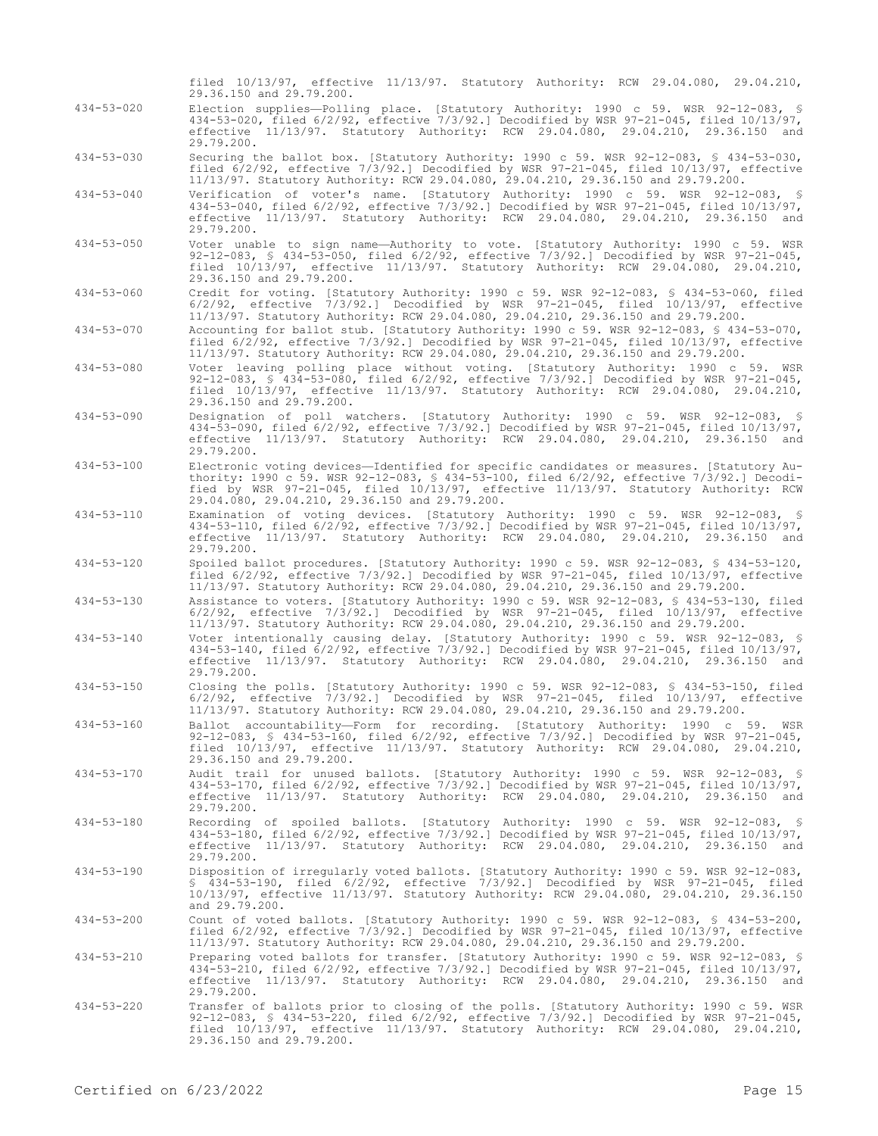|                  | filed 10/13/97, effective 11/13/97. Statutory Authority: RCW 29.04.080, 29.04.210,<br>29.36.150 and 29.79.200.                                                                                                                                                                                                                 |
|------------------|--------------------------------------------------------------------------------------------------------------------------------------------------------------------------------------------------------------------------------------------------------------------------------------------------------------------------------|
| $434 - 53 - 020$ | Election supplies—Polling place. [Statutory Authority: 1990 c 59. WSR 92-12-083, §<br>434-53-020, filed 6/2/92, effective 7/3/92.] Decodified by WSR 97-21-045, filed 10/13/97,<br>effective 11/13/97. Statutory Authority: RCW 29.04.080, 29.04.210, 29.36.150 and<br>29.79.200.                                              |
| $434 - 53 - 030$ | Securing the ballot box. [Statutory Authority: 1990 c 59. WSR 92-12-083, § 434-53-030,<br>filed $6/2/92$ , effective $7/3/92$ . Decodified by WSR $97-21-045$ , filed $10/13/97$ , effective<br>11/13/97. Statutory Authority: RCW 29.04.080, 29.04.210, 29.36.150 and 29.79.200.                                              |
| $434 - 53 - 040$ | Verification of voter's name. [Statutory Authority: 1990 c 59. WSR 92-12-083, §<br>434-53-040, filed 6/2/92, effective 7/3/92.] Decodified by WSR 97-21-045, filed 10/13/97,<br>effective 11/13/97. Statutory Authority: RCW 29.04.080, 29.04.210, 29.36.150 and<br>29.79.200.                                                 |
| $434 - 53 - 050$ | Voter unable to sign name-Authority to vote. [Statutory Authority: 1990 c 59. WSR<br>92-12-083, § 434-53-050, filed $6/2/92$ , effective $7/3/92$ .] Decodified by WSR 97-21-045,<br>filed 10/13/97, effective 11/13/97. Statutory Authority: RCW 29.04.080, 29.04.210,<br>29.36.150 and 29.79.200.                            |
| $434 - 53 - 060$ | Credit for voting. [Statutory Authority: 1990 c 59. WSR 92-12-083, § 434-53-060, filed<br>$6/2/92$ , effective $7/3/92$ . Decodified by WSR $97-21-045$ , filed $10/13/97$ , effective<br>11/13/97. Statutory Authority: RCW 29.04.080, 29.04.210, 29.36.150 and 29.79.200.                                                    |
| $434 - 53 - 070$ | Accounting for ballot stub. [Statutory Authority: 1990 c 59. WSR 92-12-083, § 434-53-070,<br>filed $6/2/92$ , effective $7/3/92$ . Decodified by WSR $97-21-045$ , filed $10/13/97$ , effective<br>11/13/97. Statutory Authority: RCW 29.04.080, 29.04.210, 29.36.150 and 29.79.200.                                           |
| $434 - 53 - 080$ | Voter leaving polling place without voting. [Statutory Authority: 1990 c 59. WSR<br>92-12-083, § 434-53-080, filed 6/2/92, effective 7/3/92.] Decodified by WSR 97-21-045,<br>filed 10/13/97, effective 11/13/97. Statutory Authority: RCW 29.04.080, 29.04.210,<br>29.36.150 and 29.79.200.                                   |
| $434 - 53 - 090$ | Designation of poll watchers. [Statutory Authority: 1990 c 59. WSR 92-12-083, §<br>434-53-090, filed $6/2/92$ , effective $7/3/92$ . Decodified by WSR 97-21-045, filed $10/13/97$ ,<br>effective 11/13/97. Statutory Authority: RCW 29.04.080, 29.04.210, 29.36.150 and<br>29.79.200.                                         |
| $434 - 53 - 100$ | Electronic voting devices—Identified for specific candidates or measures. [Statutory Au-<br>thority: 1990 c 59. WSR 92-12-083, § 434-53-100, filed 6/2/92, effective 7/3/92.] Decodi-<br>fied by WSR 97-21-045, filed 10/13/97, effective 11/13/97. Statutory Authority: RCW<br>29.04.080, 29.04.210, 29.36.150 and 29.79.200. |
| $434 - 53 - 110$ | Examination of voting devices. [Statutory Authority: 1990 c 59. WSR 92-12-083, §<br>434-53-110, filed 6/2/92, effective 7/3/92.] Decodified by WSR 97-21-045, filed 10/13/97,<br>effective 11/13/97. Statutory Authority: RCW 29.04.080, 29.04.210, 29.36.150 and<br>29.79.200.                                                |
| $434 - 53 - 120$ | Spoiled ballot procedures. [Statutory Authority: 1990 c 59. WSR 92-12-083, § 434-53-120,<br>filed $6/2/92$ , effective $7/3/92$ . Decodified by WSR $97-21-045$ , filed $10/13/97$ , effective<br>11/13/97. Statutory Authority: RCW 29.04.080, 29.04.210, 29.36.150 and 29.79.200.                                            |
| $434 - 53 - 130$ | Assistance to voters. [Statutory Authority: 1990 c 59. WSR 92-12-083, § 434-53-130, filed<br>$6/2/92$ , effective $7/3/92$ . Decodified by WSR $97-21-045$ , filed $10/13/97$ , effective<br>11/13/97. Statutory Authority: RCW 29.04.080, 29.04.210, 29.36.150 and 29.79.200.                                                 |
| $434 - 53 - 140$ | Voter intentionally causing delay. [Statutory Authority: 1990 c 59. WSR 92-12-083, §<br>434-53-140, filed $6/2/92$ , effective $7/3/92$ . Decodified by WSR 97-21-045, filed $10/13/97$ ,<br>effective 11/13/97. Statutory Authority: RCW 29.04.080, 29.04.210, 29.36.150 and<br>29.79.200.                                    |
| $434 - 53 - 150$ | Closing the polls. [Statutory Authority: 1990 c 59. WSR 92-12-083, § 434-53-150, filed<br>$6/2/92$ , effective $7/3/92$ . Decodified by WSR $97-21-045$ , filed $10/13/97$ , effective<br>11/13/97. Statutory Authority: RCW 29.04.080, 29.04.210, 29.36.150 and 29.79.200.                                                    |
| $434 - 53 - 160$ | Ballot accountability-Form for recording. [Statutory Authority: 1990 c 59. WSR<br>92-12-083, \$ 434-53-160, filed 6/2/92, effective 7/3/92.] Decodified by WSR 97-21-045,<br>filed 10/13/97, effective 11/13/97. Statutory Authority: RCW 29.04.080, 29.04.210,<br>29.36.150 and 29.79.200.                                    |
| 434-53-170       | Audit trail for unused ballots. [Statutory Authority: 1990 c 59. WSR 92-12-083, §<br>434-53-170, filed 6/2/92, effective 7/3/92.] Decodified by WSR 97-21-045, filed 10/13/97,<br>effective 11/13/97. Statutory Authority: RCW 29.04.080, 29.04.210, 29.36.150 and<br>29.79.200.                                               |
| $434 - 53 - 180$ | Recording of spoiled ballots. [Statutory Authority: 1990 c 59. WSR 92-12-083, §<br>434-53-180, filed $6/2/92$ , effective $7/3/92$ .] Decodified by WSR 97-21-045, filed $10/13/97$ ,<br>effective 11/13/97. Statutory Authority: RCW 29.04.080, 29.04.210, 29.36.150 and<br>29.79.200.                                        |
| $434 - 53 - 190$ | Disposition of irreqularly voted ballots. [Statutory Authority: 1990 c 59. WSR 92-12-083,<br>$$434-53-190$ , filed $6/2/92$ , effective $7/3/92$ . Decodified by WSR $97-21-045$ , filed<br>10/13/97, effective 11/13/97. Statutory Authority: RCW 29.04.080, 29.04.210, 29.36.150<br>and 29.79.200.                           |
| $434 - 53 - 200$ | Count of voted ballots. [Statutory Authority: 1990 c 59. WSR 92-12-083, \$ 434-53-200,<br>filed $6/2/92$ , effective $7/3/92$ . Decodified by WSR $97-21-045$ , filed $10/13/97$ , effective<br>11/13/97. Statutory Authority: RCW 29.04.080, 29.04.210, 29.36.150 and 29.79.200.                                              |
| $434 - 53 - 210$ | Preparing voted ballots for transfer. [Statutory Authority: 1990 c 59. WSR 92-12-083, §<br>434-53-210, filed 6/2/92, effective 7/3/92.] Decodified by WSR 97-21-045, filed 10/13/97,<br>effective 11/13/97. Statutory Authority: RCW 29.04.080, 29.04.210, 29.36.150 and<br>29.79.200.                                         |
| $434 - 53 - 220$ | Transfer of ballots prior to closing of the polls. [Statutory Authority: 1990 c 59. WSR<br>92-12-083, § 434-53-220, filed 6/2/92, effective 7/3/92.] Decodified by WSR 97-21-045,<br>filed 10/13/97, effective 11/13/97. Statutory Authority: RCW 29.04.080, 29.04.210,<br>29.36.150 and 29.79.200.                            |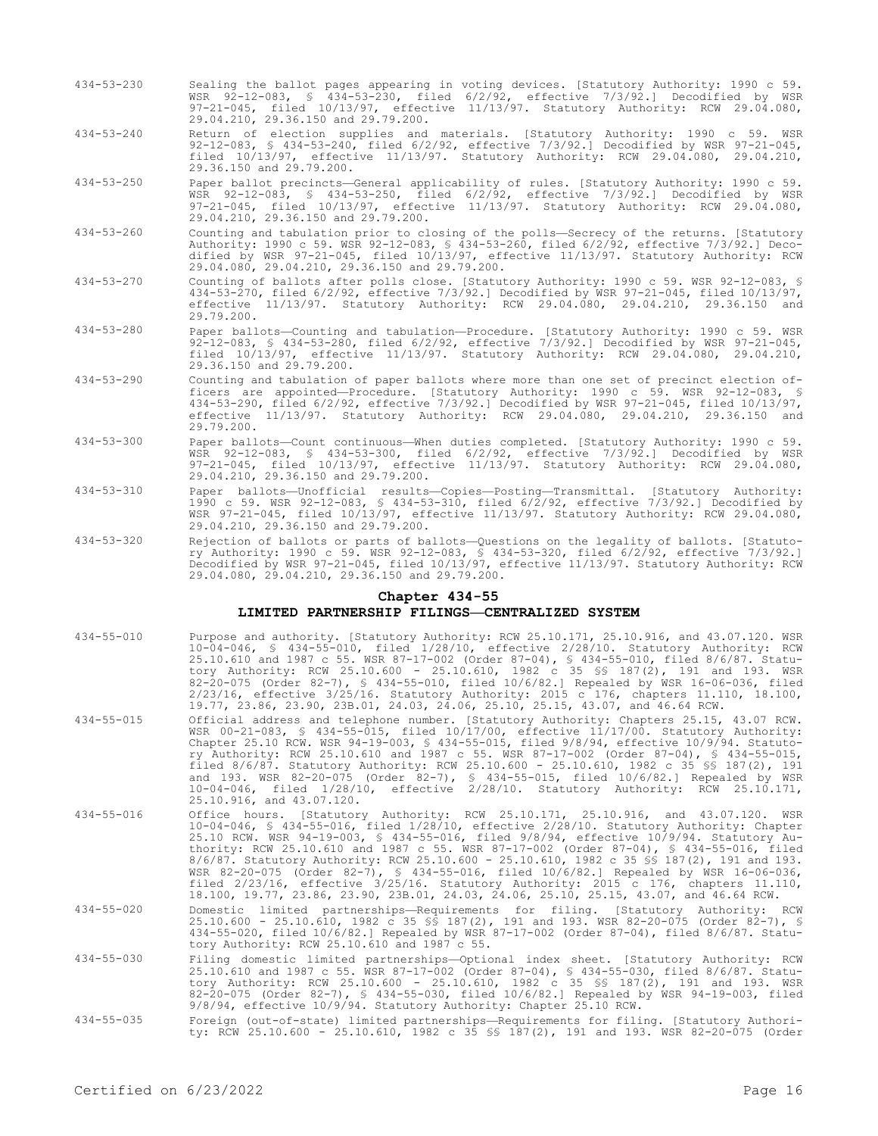- 434-53-230 Sealing the ballot pages appearing in voting devices. [Statutory Authority: 1990 c 59. WSR 92-12-083, § 434-53-230, filed 6/2/92, effective 7/3/92.] Decodified by WSR 97-21-045, filed 10/13/97, effective 11/13/97. Statutory Authority: RCW 29.04.080, 29.04.210, 29.36.150 and 29.79.200.
- 434-53-240 Return of election supplies and materials. [Statutory Authority: 1990 c 59. WSR 92-12-083, § 434-53-240, filed 6/2/92, effective 7/3/92.] Decodified by WSR 97-21-045, filed 10/13/97, effective 11/13/97. Statutory Authority: RCW 29.04.080, 29.04.210, 29.36.150 and 29.79.200.
- 434-53-250 Paper ballot precincts—General applicability of rules. [Statutory Authority: 1990 c 59. WSR 92-12-083, § 434-53-250, filed 6/2/92, effective 7/3/92.] Decodified by WSR 97-21-045, filed 10/13/97, effective 11/13/97. Statutory Authority: RCW 29.04.080, 29.04.210, 29.36.150 and 29.79.200.
- 434-53-260 Counting and tabulation prior to closing of the polls—Secrecy of the returns. [Statutory Authority: 1990 c 59. WSR 92-12-083, § 434-53-260, filed 6/2/92, effective 7/3/92.] Decodified by WSR 97-21-045, filed 10/13/97, effective 11/13/97. Statutory Authority: RCW 29.04.080, 29.04.210, 29.36.150 and 29.79.200.
- 434-53-270 Counting of ballots after polls close. [Statutory Authority: 1990 c 59. WSR 92-12-083, § 434-53-270, filed 6/2/92, effective 7/3/92.] Decodified by WSR 97-21-045, filed 10/13/97, effective 11/13/97. Statutory Authority: RCW 29.04.080, 29.04.210, 29.36.150 and 29.79.200.
- 434-53-280 Paper ballots—Counting and tabulation—Procedure. [Statutory Authority: 1990 c 59. WSR 92-12-083, § 434-53-280, filed 6/2/92, effective 7/3/92.] Decodified by WSR 97-21-045, filed 10/13/97, effective 11/13/97. Statutory Authority: RCW 29.04.080, 29.04.210, 29.36.150 and 29.79.200.
- 434-53-290 Counting and tabulation of paper ballots where more than one set of precinct election officers are appointed—Procedure. [Statutory Authority: 1990 c 59. WSR 92-12-083, § 434-53-290, filed 6/2/92, effective 7/3/92.] Decodified by WSR 97-21-045, filed 10/13/97, effective 11/13/97. Statutory Authority: RCW 29.04.080, 29.04.210, 29.36.150 and 29.79.200.
- 434-53-300 Paper ballots—Count continuous—When duties completed. [Statutory Authority: 1990 c 59. WSR 92-12-083, § 434-53-300, filed 6/2/92, effective 7/3/92.] Decodified by WSR 97-21-045, filed 10/13/97, effective 11/13/97. Statutory Authority: RCW 29.04.080, 29.04.210, 29.36.150 and 29.79.200.
- 434-53-310 Paper ballots—Unofficial results—Copies—Posting—Transmittal. [Statutory Authority: 1990 c 59. WSR 92-12-083, § 434-53-310, filed 6/2/92, effective 7/3/92.] Decodified by WSR 97-21-045, filed 10/13/97, effective 11/13/97. Statutory Authority: RCW 29.04.080, 29.04.210, 29.36.150 and 29.79.200.
- 434-53-320 Rejection of ballots or parts of ballots—Questions on the legality of ballots. [Statutory Authority: 1990 c 59. WSR 92-12-083, § 434-53-320, filed 6/2/92, effective 7/3/92.] Decodified by WSR 97-21-045, filed 10/13/97, effective 11/13/97. Statutory Authority: RCW 29.04.080, 29.04.210, 29.36.150 and 29.79.200.

### **Chapter 434-55**

### **LIMITED PARTNERSHIP FILINGS—CENTRALIZED SYSTEM**

- 434-55-010 Purpose and authority. [Statutory Authority: RCW 25.10.171, 25.10.916, and 43.07.120. WSR 10-04-046, § 434-55-010, filed 1/28/10, effective 2/28/10. Statutory Authority: RCW 25.10.610 and 1987 c 55. WSR 87-17-002 (Order 87-04), § 434-55-010, filed 8/6/87. Statutory Authority: RCW 25.10.600 - 25.10.610, 1982 c 35 §§ 187(2), 191 and 193. WSR 82-20-075 (Order 82-7), § 434-55-010, filed 10/6/82.] Repealed by WSR 16-06-036, filed 2/23/16, effective 3/25/16. Statutory Authority: 2015 c 176, chapters 11.110, 18.100, 19.77, 23.86, 23.90, 23B.01, 24.03, 24.06, 25.10, 25.15, 43.07, and 46.64 RCW.
- 434-55-015 Official address and telephone number. [Statutory Authority: Chapters 25.15, 43.07 RCW. WSR 00-21-083, § 434-55-015, filed 10/17/00, effective 11/17/00. Statutory Authority: Chapter 25.10 RCW. WSR 94-19-003, § 434-55-015, filed 9/8/94, effective 10/9/94. Statutory Authority: RCW 25.10.610 and 1987 c 55. WSR 87-17-002 (Order 87-04), § 434-55-015, filed 8/6/87. Statutory Authority: RCW 25.10.600 - 25.10.610, 1982 c 35 §§ 187(2), 191 and 193. WSR 82-20-075 (Order 82-7), § 434-55-015, filed 10/6/82.] Repealed by WSR 10-04-046, filed 1/28/10, effective 2/28/10. Statutory Authority: RCW 25.10.171, 25.10.916, and 43.07.120.
- 434-55-016 Office hours. [Statutory Authority: RCW 25.10.171, 25.10.916, and 43.07.120. WSR 10-04-046, § 434-55-016, filed 1/28/10, effective 2/28/10. Statutory Authority: Chapter 25.10 RCW. WSR 94-19-003, § 434-55-016, filed 9/8/94, effective 10/9/94. Statutory Authority: RCW 25.10.610 and 1987 c 55. WSR 87-17-002 (Order 87-04), § 434-55-016, filed 8/6/87. Statutory Authority: RCW 25.10.600 - 25.10.610, 1982 c 35 §§ 187(2), 191 and 193. WSR 82-20-075 (Order 82-7), § 434-55-016, filed 10/6/82.] Repealed by WSR 16-06-036, filed 2/23/16, effective 3/25/16. Statutory Authority: 2015 c 176, chapters 11.110, 18.100, 19.77, 23.86, 23.90, 23B.01, 24.03, 24.06, 25.10, 25.15, 43.07, and 46.64 RCW.
- 434-55-020 Domestic limited partnerships—Requirements for filing. [Statutory Authority: RCW 25.10.600 - 25.10.610, 1982 c 35 §§ 187(2), 191 and 193. WSR 82-20-075 (Order 82-7), § 434-55-020, filed 10/6/82.] Repealed by WSR 87-17-002 (Order 87-04), filed 8/6/87. Statutory Authority: RCW 25.10.610 and 1987 c 55.
- 434-55-030 Filing domestic limited partnerships—Optional index sheet. [Statutory Authority: RCW 25.10.610 and 1987 c 55. WSR 87-17-002 (Order 87-04), § 434-55-030, filed 8/6/87. Statutory Authority: RCW 25.10.600 - 25.10.610, 1982 c 35 §§ 187(2), 191 and 193. WSR 82-20-075 (Order 82-7), § 434-55-030, filed 10/6/82.] Repealed by WSR 94-19-003, filed 9/8/94, effective 10/9/94. Statutory Authority: Chapter 25.10 RCW.
- 434-55-035 Foreign (out-of-state) limited partnerships—Requirements for filing. [Statutory Authority: RCW 25.10.600 - 25.10.610, 1982 c 35 §§ 187(2), 191 and 193. WSR 82-20-075 (Order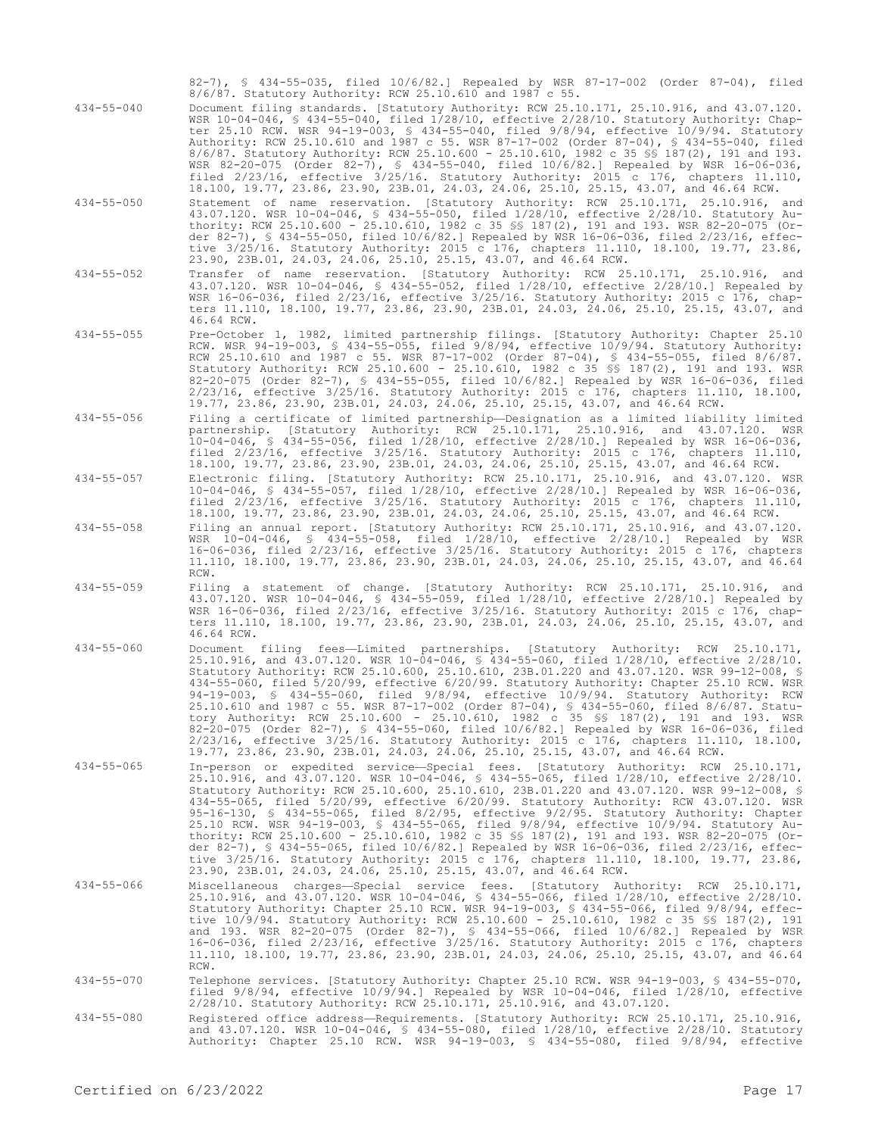82-7), § 434-55-035, filed 10/6/82.] Repealed by WSR 87-17-002 (Order 87-04), filed 8/6/87. Statutory Authority: RCW 25.10.610 and 1987 c 55.

- 434-55-040 Document filing standards. [Statutory Authority: RCW 25.10.171, 25.10.916, and 43.07.120. WSR 10-04-046, § 434-55-040, filed 1/28/10, effective 2/28/10. Statutory Authority: Chapter 25.10 RCW. WSR 94-19-003, § 434-55-040, filed 9/8/94, effective 10/9/94. Statutory Authority: RCW 25.10.610 and 1987 c 55. WSR 87-17-002 (Order 87-04), § 434-55-040, filed 8/6/87. Statutory Authority: RCW 25.10.600 - 25.10.610, 1982 c 35 §§ 187(2), 191 and 193. WSR 82-20-075 (Order 82-7), § 434-55-040, filed 10/6/82.] Repealed by WSR 16-06-036, filed 2/23/16, effective 3/25/16. Statutory Authority: 2015 c 176, chapters 11.110, 18.100, 19.77, 23.86, 23.90, 23B.01, 24.03, 24.06, 25.10, 25.15, 43.07, and 46.64 RCW.
- 434-55-050 Statement of name reservation. [Statutory Authority: RCW 25.10.171, 25.10.916, and 43.07.120. WSR 10-04-046, § 434-55-050, filed 1/28/10, effective 2/28/10. Statutory Authority: RCW 25.10.600 - 25.10.610, 1982 c 35 §§ 187(2), 191 and 193. WSR 82-20-075 (Order 82-7), § 434-55-050, filed 10/6/82.] Repealed by WSR 16-06-036, filed 2/23/16, effective 3/25/16. Statutory Authority: 2015 c 176, chapters 11.110, 18.100, 19.77, 23.86, 23.90, 23B.01, 24.03, 24.06, 25.10, 25.15, 43.07, and 46.64 RCW.
- 434-55-052 Transfer of name reservation. [Statutory Authority: RCW 25.10.171, 25.10.916, and 43.07.120. WSR 10-04-046, § 434-55-052, filed 1/28/10, effective 2/28/10.] Repealed by WSR 16-06-036, filed 2/23/16, effective 3/25/16. Statutory Authority: 2015 c 176, chapters 11.110, 18.100, 19.77, 23.86, 23.90, 23B.01, 24.03, 24.06, 25.10, 25.15, 43.07, and 46.64 RCW.
- 434-55-055 Pre-October 1, 1982, limited partnership filings. [Statutory Authority: Chapter 25.10 RCW. WSR 94-19-003, § 434-55-055, filed 9/8/94, effective 10/9/94. Statutory Authority: RCW 25.10.610 and 1987 c 55. WSR 87-17-002 (Order 87-04), § 434-55-055, filed 8/6/87. Statutory Authority: RCW 25.10.600 - 25.10.610, 1982 c 35 §§ 187(2), 191 and 193. WSR 82-20-075 (Order 82-7), § 434-55-055, filed 10/6/82.] Repealed by WSR 16-06-036, filed 2/23/16, effective 3/25/16. Statutory Authority: 2015 c 176, chapters 11.110, 18.100, 19.77, 23.86, 23.90, 23B.01, 24.03, 24.06, 25.10, 25.15, 43.07, and 46.64 RCW.
- 434-55-056 Filing a certificate of limited partnership—Designation as a limited liability limited partnership. [Statutory Authority: RCW 25.10.171, 25.10.916, and 43.07.120. WSR 10-04-046, § 434-55-056, filed 1/28/10, effective 2/28/10.] Repealed by WSR 16-06-036, filed 2/23/16, effective 3/25/16. Statutory Authority: 2015 c 176, chapters 11.110, 18.100, 19.77, 23.86, 23.90, 23B.01, 24.03, 24.06, 25.10, 25.15, 43.07, and 46.64 RCW.
- 434-55-057 Electronic filing. [Statutory Authority: RCW 25.10.171, 25.10.916, and 43.07.120. WSR 10-04-046, § 434-55-057, filed 1/28/10, effective 2/28/10.] Repealed by WSR 16-06-036, filed 2/23/16, effective 3/25/16. Statutory Authority: 2015 c 176, chapters 11.110, 18.100, 19.77, 23.86, 23.90, 23B.01, 24.03, 24.06, 25.10, 25.15, 43.07, and 46.64 RCW.
- 434-55-058 Filing an annual report. [Statutory Authority: RCW 25.10.171, 25.10.916, and 43.07.120. WSR 10-04-046, § 434-55-058, filed 1/28/10, effective 2/28/10.] Repealed by WSR 16-06-036, filed 2/23/16, effective 3/25/16. Statutory Authority: 2015 c 176, chapters 11.110, 18.100, 19.77, 23.86, 23.90, 23B.01, 24.03, 24.06, 25.10, 25.15, 43.07, and 46.64 RCW.
- 434-55-059 Filing a statement of change. [Statutory Authority: RCW 25.10.171, 25.10.916, and 43.07.120. WSR 10-04-046, § 434-55-059, filed 1/28/10, effective 2/28/10.] Repealed by WSR 16-06-036, filed 2/23/16, effective 3/25/16. Statutory Authority: 2015 c 176, chapters 11.110, 18.100, 19.77, 23.86, 23.90, 23B.01, 24.03, 24.06, 25.10, 25.15, 43.07, and 46.64 RCW.
- 434-55-060 Document filing fees—Limited partnerships. [Statutory Authority: RCW 25.10.171, 25.10.916, and 43.07.120. WSR 10-04-046, § 434-55-060, filed 1/28/10, effective 2/28/10. Statutory Authority: RCW 25.10.600, 25.10.610, 23B.01.220 and 43.07.120. WSR 99-12-008, § 434-55-060, filed 5/20/99, effective 6/20/99. Statutory Authority: Chapter 25.10 RCW. WSR 94-19-003, § 434-55-060, filed 9/8/94, effective 10/9/94. Statutory Authority: RCW 25.10.610 and 1987 c 55. WSR 87-17-002 (Order 87-04), § 434-55-060, filed 8/6/87. Statutory Authority: RCW 25.10.600 - 25.10.610, 1982 c 35 §§ 187(2), 191 and 193. WSR 82-20-075 (Order 82-7), § 434-55-060, filed 10/6/82.] Repealed by WSR 16-06-036, filed 2/23/16, effective 3/25/16. Statutory Authority: 2015 c 176, chapters 11.110, 18.100, 19.77, 23.86, 23.90, 23B.01, 24.03, 24.06, 25.10, 25.15, 43.07, and 46.64 RCW.
- 434-55-065 In-person or expedited service—Special fees. [Statutory Authority: RCW 25.10.171, 25.10.916, and 43.07.120. WSR 10-04-046, § 434-55-065, filed 1/28/10, effective 2/28/10. Statutory Authority: RCW 25.10.600, 25.10.610, 23B.01.220 and 43.07.120. WSR 99-12-008, § 434-55-065, filed 5/20/99, effective 6/20/99. Statutory Authority: RCW 43.07.120. WSR 95-16-130, § 434-55-065, filed 8/2/95, effective 9/2/95. Statutory Authority: Chapter 25.10 RCW. WSR 94-19-003, § 434-55-065, filed 9/8/94, effective 10/9/94. Statutory Authority: RCW 25.10.600 - 25.10.610, 1982 c 35 §§ 187(2), 191 and 193. WSR 82-20-075 (Order 82-7), § 434-55-065, filed 10/6/82.] Repealed by WSR 16-06-036, filed 2/23/16, effective 3/25/16. Statutory Authority: 2015 c 176, chapters 11.110, 18.100, 19.77, 23.86, 23.90, 23B.01, 24.03, 24.06, 25.10, 25.15, 43.07, and 46.64 RCW.
- 434-55-066 Miscellaneous charges—Special service fees. [Statutory Authority: RCW 25.10.171, 25.10.916, and 43.07.120. WSR 10-04-046, § 434-55-066, filed 1/28/10, effective 2/28/10. Statutory Authority: Chapter 25.10 RCW. WSR 94-19-003, § 434-55-066, filed 9/8/94, effective 10/9/94. Statutory Authority: RCW 25.10.600 - 25.10.610, 1982 c 35 §§ 187(2), 191 and 193. WSR 82-20-075 (Order 82-7), § 434-55-066, filed 10/6/82.] Repealed by WSR 16-06-036, filed 2/23/16, effective 3/25/16. Statutory Authority: 2015 c 176, chapters 11.110, 18.100, 19.77, 23.86, 23.90, 23B.01, 24.03, 24.06, 25.10, 25.15, 43.07, and 46.64 RCW.
- 434-55-070 Telephone services. [Statutory Authority: Chapter 25.10 RCW. WSR 94-19-003, § 434-55-070, filed 9/8/94, effective 10/9/94.] Repealed by WSR 10-04-046, filed 1/28/10, effective 2/28/10. Statutory Authority: RCW 25.10.171, 25.10.916, and 43.07.120.
- 434-55-080 Registered office address—Requirements. [Statutory Authority: RCW 25.10.171, 25.10.916, and 43.07.120. WSR 10-04-046, § 434-55-080, filed 1/28/10, effective 2/28/10. Statutory Authority: Chapter 25.10 RCW. WSR 94-19-003, § 434-55-080, filed 9/8/94, effective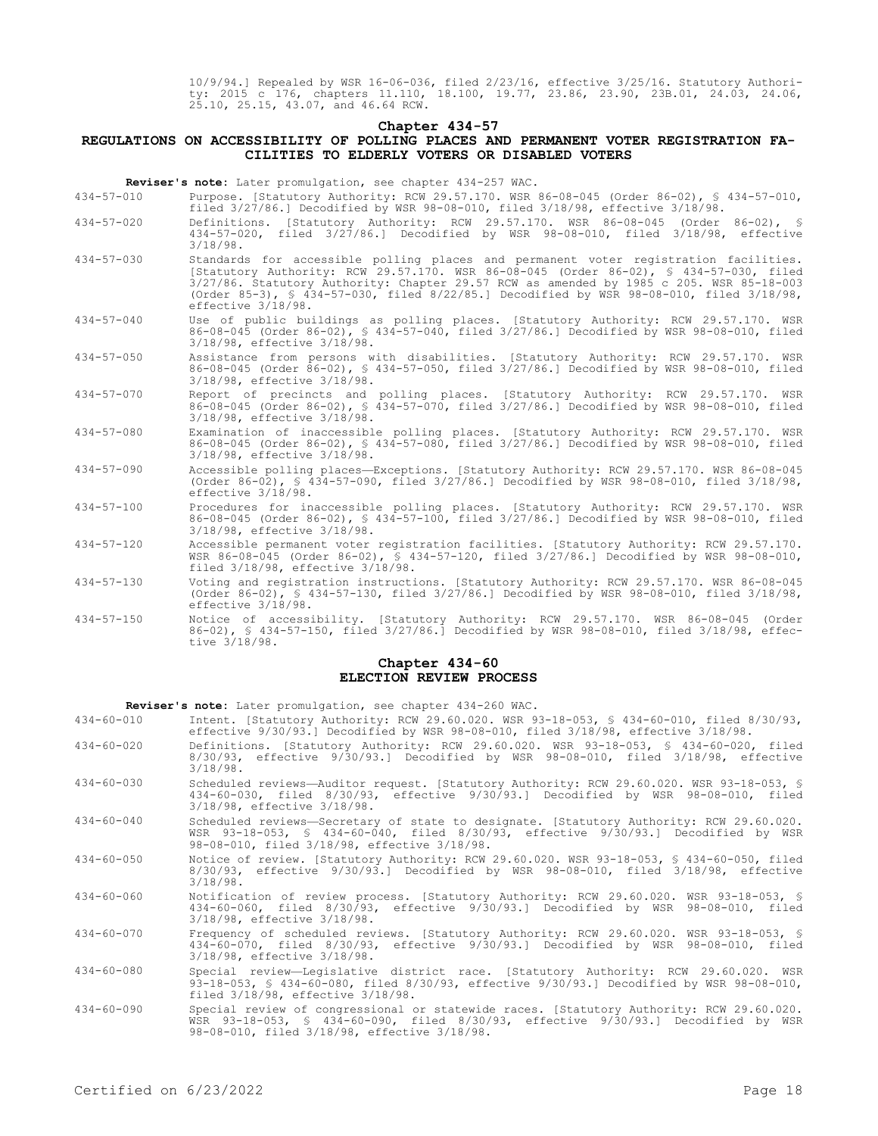10/9/94.] Repealed by WSR 16-06-036, filed 2/23/16, effective 3/25/16. Statutory Authority: 2015 c 176, chapters 11.110, 18.100, 19.77, 23.86, 23.90, 23B.01, 24.03, 24.06, 25.10, 25.15, 43.07, and 46.64 RCW.

# **Chapter 434-57**

# **REGULATIONS ON ACCESSIBILITY OF POLLING PLACES AND PERMANENT VOTER REGISTRATION FA-CILITIES TO ELDERLY VOTERS OR DISABLED VOTERS**

**Reviser's note:** Later promulgation, see chapter 434-257 WAC.

- 434-57-010 Purpose. [Statutory Authority: RCW 29.57.170. WSR 86-08-045 (Order 86-02), § 434-57-010, filed 3/27/86.] Decodified by WSR 98-08-010, filed 3/18/98, effective 3/18/98.
- 434-57-020 Definitions. [Statutory Authority: RCW 29.57.170. WSR 86-08-045 (Order 86-02), § 434-57-020, filed 3/27/86.] Decodified by WSR 98-08-010, filed 3/18/98, effective 3/18/98.
- 434-57-030 Standards for accessible polling places and permanent voter registration facilities. [Statutory Authority: RCW 29.57.170. WSR 86-08-045 (Order 86-02), § 434-57-030, filed 3/27/86. Statutory Authority: Chapter 29.57 RCW as amended by 1985 c 205. WSR 85-18-003 (Order 85-3), § 434-57-030, filed 8/22/85.] Decodified by WSR 98-08-010, filed 3/18/98, effective 3/18/98.
- 434-57-040 Use of public buildings as polling places. [Statutory Authority: RCW 29.57.170. WSR 86-08-045 (Order 86-02), § 434-57-040, filed 3/27/86.] Decodified by WSR 98-08-010, filed 3/18/98, effective 3/18/98.
- 434-57-050 Assistance from persons with disabilities. [Statutory Authority: RCW 29.57.170. WSR 86-08-045 (Order 86-02), § 434-57-050, filed 3/27/86.] Decodified by WSR 98-08-010, filed 3/18/98, effective 3/18/98.
- 434-57-070 Report of precincts and polling places. [Statutory Authority: RCW 29.57.170. WSR 86-08-045 (Order 86-02), § 434-57-070, filed 3/27/86.] Decodified by WSR 98-08-010, filed 3/18/98, effective 3/18/98.
- 434-57-080 Examination of inaccessible polling places. [Statutory Authority: RCW 29.57.170. WSR 86-08-045 (Order 86-02), § 434-57-080, filed 3/27/86.] Decodified by WSR 98-08-010, filed 3/18/98, effective 3/18/98.
- 434-57-090 Accessible polling places—Exceptions. [Statutory Authority: RCW 29.57.170. WSR 86-08-045 (Order 86-02), § 434-57-090, filed 3/27/86.] Decodified by WSR 98-08-010, filed 3/18/98, effective 3/18/98.
- 434-57-100 Procedures for inaccessible polling places. [Statutory Authority: RCW 29.57.170. WSR 86-08-045 (Order 86-02), § 434-57-100, filed 3/27/86.] Decodified by WSR 98-08-010, filed 3/18/98, effective 3/18/98.
- 434-57-120 Accessible permanent voter registration facilities. [Statutory Authority: RCW 29.57.170. WSR 86-08-045 (Order 86-02), § 434-57-120, filed 3/27/86.] Decodified by WSR 98-08-010, filed 3/18/98, effective 3/18/98.
- 434-57-130 Voting and registration instructions. [Statutory Authority: RCW 29.57.170. WSR 86-08-045 (Order 86-02), § 434-57-130, filed 3/27/86.] Decodified by WSR 98-08-010, filed 3/18/98, effective 3/18/98.
- 434-57-150 Notice of accessibility. [Statutory Authority: RCW 29.57.170. WSR 86-08-045 (Order 86-02), § 434-57-150, filed 3/27/86.] Decodified by WSR 98-08-010, filed 3/18/98, effective 3/18/98.

## **Chapter 434-60 ELECTION REVIEW PROCESS**

**Reviser's note:** Later promulgation, see chapter 434-260 WAC.

- 434-60-010 Intent. [Statutory Authority: RCW 29.60.020. WSR 93-18-053, § 434-60-010, filed 8/30/93, effective 9/30/93.] Decodified by WSR 98-08-010, filed 3/18/98, effective 3/18/98.
- 434-60-020 Definitions. [Statutory Authority: RCW 29.60.020. WSR 93-18-053, § 434-60-020, filed 8/30/93, effective 9/30/93.] Decodified by WSR 98-08-010, filed 3/18/98, effective 3/18/98.
- 434-60-030 Scheduled reviews—Auditor request. [Statutory Authority: RCW 29.60.020. WSR 93-18-053, § 434-60-030, filed 8/30/93, effective 9/30/93.] Decodified by WSR 98-08-010, filed 3/18/98, effective 3/18/98.
- 434-60-040 Scheduled reviews—Secretary of state to designate. [Statutory Authority: RCW 29.60.020. WSR 93-18-053, § 434-60-040, filed 8/30/93, effective 9/30/93.] Decodified by WSR 98-08-010, filed 3/18/98, effective 3/18/98.
- 434-60-050 Notice of review. [Statutory Authority: RCW 29.60.020. WSR 93-18-053, § 434-60-050, filed 8/30/93, effective 9/30/93.] Decodified by WSR 98-08-010, filed 3/18/98, effective 3/18/98.
- 434-60-060 Notification of review process. [Statutory Authority: RCW 29.60.020. WSR 93-18-053, § 434-60-060, filed 8/30/93, effective 9/30/93.] Decodified by WSR 98-08-010, filed 3/18/98, effective 3/18/98.

434-60-070 Frequency of scheduled reviews. [Statutory Authority: RCW 29.60.020. WSR 93-18-053, § 434-60-070, filed 8/30/93, effective 9/30/93.] Decodified by WSR 98-08-010, filed 3/18/98, effective 3/18/98.

- 434-60-080 Special review—Legislative district race. [Statutory Authority: RCW 29.60.020. WSR 93-18-053, § 434-60-080, filed 8/30/93, effective 9/30/93.] Decodified by WSR 98-08-010, filed 3/18/98, effective 3/18/98.
- 434-60-090 Special review of congressional or statewide races. [Statutory Authority: RCW 29.60.020. WSR 93-18-053, § 434-60-090, filed 8/30/93, effective 9/30/93.] Decodified by WSR 98-08-010, filed 3/18/98, effective 3/18/98.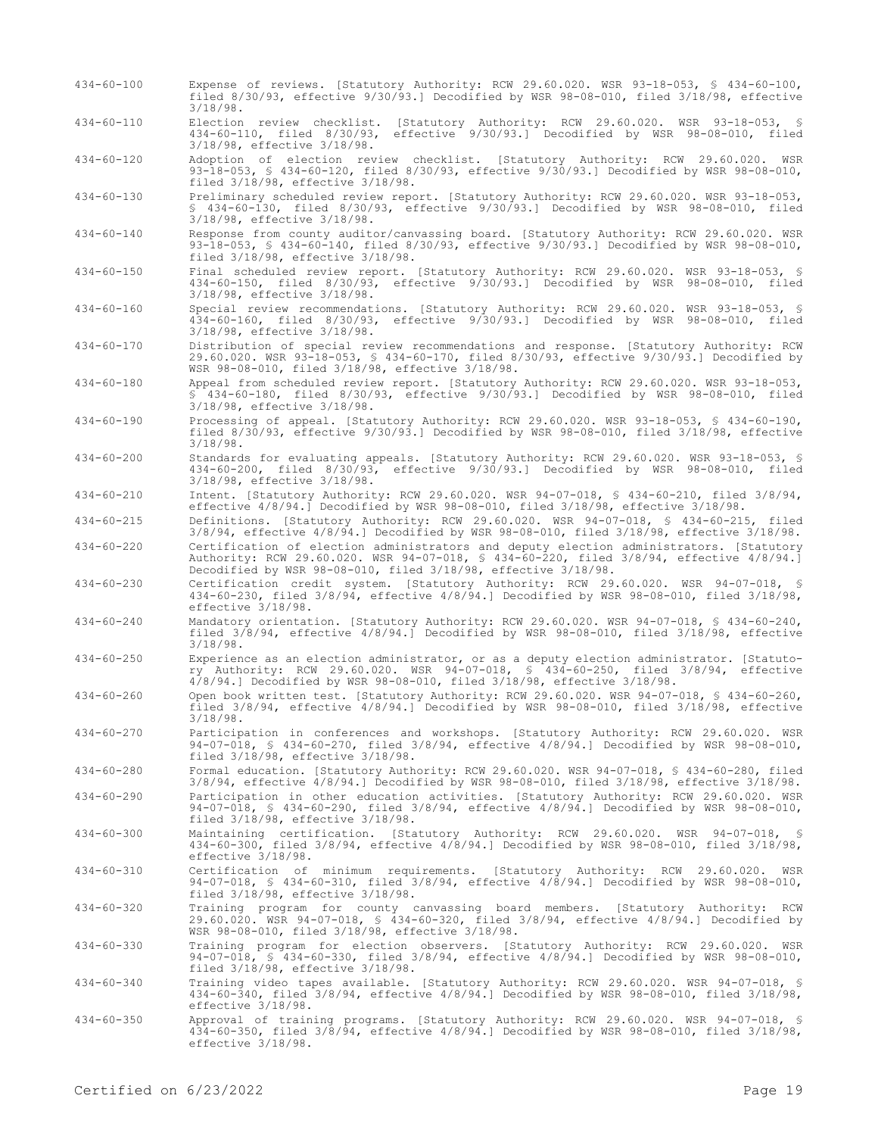434-60-100 Expense of reviews. [Statutory Authority: RCW 29.60.020. WSR 93-18-053, § 434-60-100, filed 8/30/93, effective 9/30/93.] Decodified by WSR 98-08-010, filed 3/18/98, effective 3/18/98. 434-60-110 Election review checklist. [Statutory Authority: RCW 29.60.020. WSR 93-18-053, § 434-60-110, filed 8/30/93, effective 9/30/93.] Decodified by WSR 98-08-010, filed 3/18/98, effective 3/18/98. 434-60-120 Adoption of election review checklist. [Statutory Authority: RCW 29.60.020. WSR 93-18-053, § 434-60-120, filed 8/30/93, effective 9/30/93.] Decodified by WSR 98-08-010, filed 3/18/98, effective 3/18/98. 434-60-130 Preliminary scheduled review report. [Statutory Authority: RCW 29.60.020. WSR 93-18-053, § 434-60-130, filed 8/30/93, effective 9/30/93.] Decodified by WSR 98-08-010, filed 3/18/98, effective 3/18/98. 434-60-140 Response from county auditor/canvassing board. [Statutory Authority: RCW 29.60.020. WSR 93-18-053, § 434-60-140, filed 8/30/93, effective 9/30/93.] Decodified by WSR 98-08-010, filed 3/18/98, effective 3/18/98. 434-60-150 Final scheduled review report. [Statutory Authority: RCW 29.60.020. WSR 93-18-053, § 434-60-150, filed 8/30/93, effective 9/30/93.] Decodified by WSR 98-08-010, filed 3/18/98, effective 3/18/98. 434-60-160 Special review recommendations. [Statutory Authority: RCW 29.60.020. WSR 93-18-053, § 434-60-160, filed 8/30/93, effective 9/30/93.] Decodified by WSR 98-08-010, filed 3/18/98, effective 3/18/98. 434-60-170 Distribution of special review recommendations and response. [Statutory Authority: RCW 29.60.020. WSR 93-18-053, § 434-60-170, filed 8/30/93, effective 9/30/93.] Decodified by WSR 98-08-010, filed 3/18/98, effective 3/18/98. 434-60-180 Appeal from scheduled review report. [Statutory Authority: RCW 29.60.020. WSR 93-18-053, § 434-60-180, filed 8/30/93, effective 9/30/93.] Decodified by WSR 98-08-010, filed 3/18/98, effective 3/18/98. 434-60-190 Processing of appeal. [Statutory Authority: RCW 29.60.020. WSR 93-18-053, § 434-60-190, filed 8/30/93, effective 9/30/93.] Decodified by WSR 98-08-010, filed 3/18/98, effective 3/18/98. 434-60-200 Standards for evaluating appeals. [Statutory Authority: RCW 29.60.020. WSR 93-18-053, § 434-60-200, filed 8/30/93, effective 9/30/93.] Decodified by WSR 98-08-010, filed 3/18/98, effective 3/18/98. 434-60-210 Intent. [Statutory Authority: RCW 29.60.020. WSR 94-07-018, § 434-60-210, filed 3/8/94, effective 4/8/94.] Decodified by WSR 98-08-010, filed 3/18/98, effective 3/18/98. 434-60-215 Definitions. [Statutory Authority: RCW 29.60.020. WSR 94-07-018, § 434-60-215, filed 3/8/94, effective 4/8/94.] Decodified by WSR 98-08-010, filed 3/18/98, effective 3/18/98. 434-60-220 Certification of election administrators and deputy election administrators. [Statutory Authority: RCW 29.60.020. WSR 94-07-018, § 434-60-220, filed 3/8/94, effective 4/8/94.] Decodified by WSR 98-08-010, filed 3/18/98, effective 3/18/98. 434-60-230 Certification credit system. [Statutory Authority: RCW 29.60.020. WSR 94-07-018, § 434-60-230, filed 3/8/94, effective 4/8/94.] Decodified by WSR 98-08-010, filed 3/18/98, effective 3/18/98. 434-60-240 Mandatory orientation. [Statutory Authority: RCW 29.60.020. WSR 94-07-018, § 434-60-240, filed 3/8/94, effective 4/8/94.] Decodified by WSR 98-08-010, filed 3/18/98, effective 3/18/98. 434-60-250 Experience as an election administrator, or as a deputy election administrator. [Statutory Authority: RCW 29.60.020. WSR 94-07-018, § 434-60-250, filed 3/8/94, effective 4/8/94.] Decodified by WSR 98-08-010, filed 3/18/98, effective 3/18/98. 434-60-260 Open book written test. [Statutory Authority: RCW 29.60.020. WSR 94-07-018, § 434-60-260, filed 3/8/94, effective 4/8/94.] Decodified by WSR 98-08-010, filed 3/18/98, effective 3/18/98. 434-60-270 Participation in conferences and workshops. [Statutory Authority: RCW 29.60.020. WSR 94-07-018, § 434-60-270, filed 3/8/94, effective 4/8/94.] Decodified by WSR 98-08-010, filed 3/18/98, effective 3/18/98. 434-60-280 Formal education. [Statutory Authority: RCW 29.60.020. WSR 94-07-018, § 434-60-280, filed 3/8/94, effective 4/8/94.] Decodified by WSR 98-08-010, filed 3/18/98, effective 3/18/98. 434-60-290 Participation in other education activities. [Statutory Authority: RCW 29.60.020. WSR 94-07-018, § 434-60-290, filed 3/8/94, effective 4/8/94.] Decodified by WSR 98-08-010, filed 3/18/98, effective 3/18/98. 434-60-300 Maintaining certification. [Statutory Authority: RCW 29.60.020. WSR 94-07-018, § 434-60-300, filed 3/8/94, effective 4/8/94.] Decodified by WSR 98-08-010, filed 3/18/98, effective 3/18/98. 434-60-310 Certification of minimum requirements. [Statutory Authority: RCW 29.60.020. WSR 94-07-018, § 434-60-310, filed 3/8/94, effective 4/8/94.] Decodified by WSR 98-08-010, filed 3/18/98, effective 3/18/98. 434-60-320 Training program for county canvassing board members. [Statutory Authority: RCW 29.60.020. WSR 94-07-018, § 434-60-320, filed 3/8/94, effective 4/8/94.] Decodified by WSR 98-08-010, filed 3/18/98, effective 3/18/98. 434-60-330 Training program for election observers. [Statutory Authority: RCW 29.60.020. WSR 94-07-018, § 434-60-330, filed 3/8/94, effective 4/8/94.] Decodified by WSR 98-08-010, filed 3/18/98, effective 3/18/98. 434-60-340 Training video tapes available. [Statutory Authority: RCW 29.60.020. WSR 94-07-018, § 434-60-340, filed 3/8/94, effective 4/8/94.] Decodified by WSR 98-08-010, filed 3/18/98, effective 3/18/98. 434-60-350 Approval of training programs. [Statutory Authority: RCW 29.60.020. WSR 94-07-018, § 434-60-350, filed 3/8/94, effective 4/8/94.] Decodified by WSR 98-08-010, filed 3/18/98, effective 3/18/98.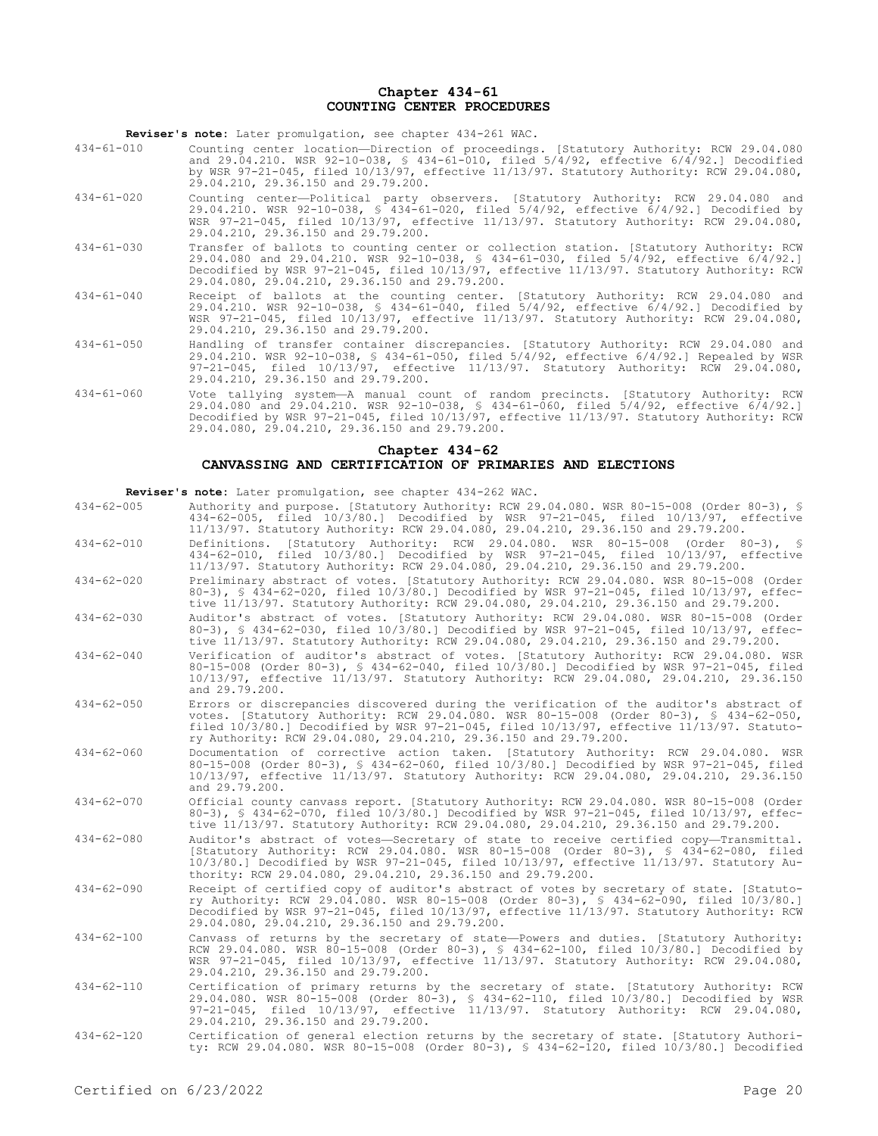### **Chapter 434-61 COUNTING CENTER PROCEDURES**

**Reviser's note:** Later promulgation, see chapter 434-261 WAC.

- 434-61-010 Counting center location—Direction of proceedings. [Statutory Authority: RCW 29.04.080 and 29.04.210. WSR 92-10-038, § 434-61-010, filed 5/4/92, effective 6/4/92.] Decodified by WSR 97-21-045, filed 10/13/97, effective 11/13/97. Statutory Authority: RCW 29.04.080, 29.04.210, 29.36.150 and 29.79.200.
- 434-61-020 Counting center—Political party observers. [Statutory Authority: RCW 29.04.080 and 29.04.210. WSR 92-10-038, § 434-61-020, filed 5/4/92, effective 6/4/92.] Decodified by WSR 97-21-045, filed 10/13/97, effective 11/13/97. Statutory Authority: RCW 29.04.080, 29.04.210, 29.36.150 and 29.79.200.
- 434-61-030 Transfer of ballots to counting center or collection station. [Statutory Authority: RCW 29.04.080 and 29.04.210. WSR 92-10-038, § 434-61-030, filed 5/4/92, effective 6/4/92.] Decodified by WSR 97-21-045, filed 10/13/97, effective 11/13/97. Statutory Authority: RCW 29.04.080, 29.04.210, 29.36.150 and 29.79.200.
- 434-61-040 Receipt of ballots at the counting center. [Statutory Authority: RCW 29.04.080 and 29.04.210. WSR 92-10-038, § 434-61-040, filed 5/4/92, effective 6/4/92.] Decodified by WSR 97-21-045, filed 10/13/97, effective 11/13/97. Statutory Authority: RCW 29.04.080, 29.04.210, 29.36.150 and 29.79.200.
- 434-61-050 Handling of transfer container discrepancies. [Statutory Authority: RCW 29.04.080 and 29.04.210. WSR 92-10-038, § 434-61-050, filed 5/4/92, effective 6/4/92.] Repealed by WSR 97-21-045, filed 10/13/97, effective 11/13/97. Statutory Authority: RCW 29.04.080, 29.04.210, 29.36.150 and 29.79.200.
- 434-61-060 Vote tallying system—A manual count of random precincts. [Statutory Authority: RCW 29.04.080 and 29.04.210. WSR 92-10-038, § 434-61-060, filed 5/4/92, effective 6/4/92.] Decodified by WSR 97-21-045, filed 10/13/97, effective 11/13/97. Statutory Authority: RCW 29.04.080, 29.04.210, 29.36.150 and 29.79.200.

# **Chapter 434-62 CANVASSING AND CERTIFICATION OF PRIMARIES AND ELECTIONS**

**Reviser's note:** Later promulgation, see chapter 434-262 WAC.

- 434-62-005 Authority and purpose. [Statutory Authority: RCW 29.04.080. WSR 80-15-008 (Order 80-3), § 434-62-005, filed 10/3/80.] Decodified by WSR 97-21-045, filed 10/13/97, effective 11/13/97. Statutory Authority: RCW 29.04.080, 29.04.210, 29.36.150 and 29.79.200.
- 434-62-010 Definitions. [Statutory Authority: RCW 29.04.080. WSR 80-15-008 (Order 80-3), § 434-62-010, filed 10/3/80.] Decodified by WSR 97-21-045, filed 10/13/97, effective 11/13/97. Statutory Authority: RCW 29.04.080, 29.04.210, 29.36.150 and 29.79.200.
- 434-62-020 Preliminary abstract of votes. [Statutory Authority: RCW 29.04.080. WSR 80-15-008 (Order 80-3), § 434-62-020, filed 10/3/80.] Decodified by WSR 97-21-045, filed 10/13/97, effective 11/13/97. Statutory Authority: RCW 29.04.080, 29.04.210, 29.36.150 and 29.79.200.
- 434-62-030 Auditor's abstract of votes. [Statutory Authority: RCW 29.04.080. WSR 80-15-008 (Order 80-3), § 434-62-030, filed 10/3/80.] Decodified by WSR 97-21-045, filed 10/13/97, effective 11/13/97. Statutory Authority: RCW 29.04.080, 29.04.210, 29.36.150 and 29.79.200.
- 434-62-040 Verification of auditor's abstract of votes. [Statutory Authority: RCW 29.04.080. WSR 80-15-008 (Order 80-3), § 434-62-040, filed 10/3/80.] Decodified by WSR 97-21-045, filed 10/13/97, effective 11/13/97. Statutory Authority: RCW 29.04.080, 29.04.210, 29.36.150 and 29.79.200.
- 434-62-050 Errors or discrepancies discovered during the verification of the auditor's abstract of votes. [Statutory Authority: RCW 29.04.080. WSR 80-15-008 (Order 80-3), § 434-62-050, filed 10/3/80.] Decodified by WSR 97-21-045, filed 10/13/97, effective 11/13/97. Statutory Authority: RCW 29.04.080, 29.04.210, 29.36.150 and 29.79.200.
- 434-62-060 Documentation of corrective action taken. [Statutory Authority: RCW 29.04.080. WSR 80-15-008 (Order 80-3), § 434-62-060, filed 10/3/80.] Decodified by WSR 97-21-045, filed 10/13/97, effective 11/13/97. Statutory Authority: RCW 29.04.080, 29.04.210, 29.36.150 and 29.79.200.
- 434-62-070 Official county canvass report. [Statutory Authority: RCW 29.04.080. WSR 80-15-008 (Order 80-3), § 434-62-070, filed 10/3/80.] Decodified by WSR 97-21-045, filed 10/13/97, effective 11/13/97. Statutory Authority: RCW 29.04.080, 29.04.210, 29.36.150 and 29.79.200.
- 434-62-080 Auditor's abstract of votes—Secretary of state to receive certified copy—Transmittal. [Statutory Authority: RCW 29.04.080. WSR 80-15-008 (Order 80-3), § 434-62-080, filed 10/3/80.] Decodified by WSR 97-21-045, filed 10/13/97, effective 11/13/97. Statutory Authority: RCW 29.04.080, 29.04.210, 29.36.150 and 29.79.200.
- 434-62-090 Receipt of certified copy of auditor's abstract of votes by secretary of state. [Statutory Authority: RCW 29.04.080. WSR 80-15-008 (Order 80-3), § 434-62-090, filed 10/3/80.] Decodified by WSR 97-21-045, filed 10/13/97, effective 11/13/97. Statutory Authority: RCW 29.04.080, 29.04.210, 29.36.150 and 29.79.200.
- 434-62-100 Canvass of returns by the secretary of state—Powers and duties. [Statutory Authority:<br>RCW 29.04.080. WSR 80-15-008 (Order 80-3), § 434-62-100, filed 10/3/80.] Decodified by<br>WSR 97-21-045, filed 10/13/97, effecti 29.04.210, 29.36.150 and 29.79.200.
- 434-62-110 Certification of primary returns by the secretary of state. [Statutory Authority: RCW 29.04.080. WSR 80-15-008 (Order 80-3), § 434-62-110, filed 10/3/80.] Decodified by WSR 97-21-045, filed 10/13/97, effective 11/13/97. Statutory Authority: RCW 29.04.080, 29.04.210, 29.36.150 and 29.79.200.
- 434-62-120 Certification of general election returns by the secretary of state. [Statutory Authority: RCW 29.04.080. WSR 80-15-008 (Order 80-3), § 434-62-120, filed 10/3/80.] Decodified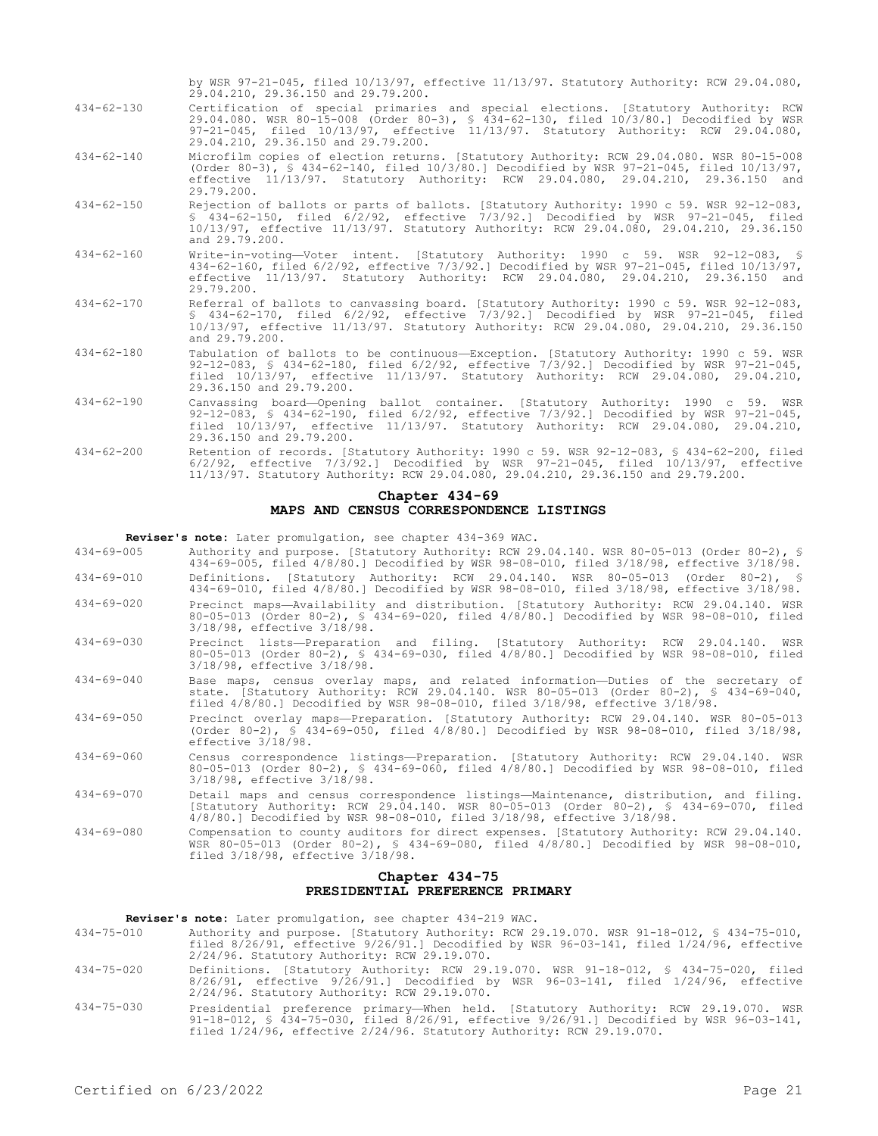|                  | Chapter 434-69                                                                                                                                                                                                                                                                                             |
|------------------|------------------------------------------------------------------------------------------------------------------------------------------------------------------------------------------------------------------------------------------------------------------------------------------------------------|
| $434 - 62 - 200$ | Retention of records. [Statutory Authority: 1990 c 59. WSR 92-12-083, § 434-62-200, filed<br>$6/2/92$ , effective $7/3/92$ . Decodified by WSR $97-21-045$ , filed $10/13/97$ , effective<br>11/13/97. Statutory Authority: RCW 29.04.080, 29.04.210, 29.36.150 and 29.79.200.                             |
| $434 - 62 - 190$ | Canvassing board-Opening ballot container. [Statutory Authority: 1990 c 59. WSR<br>92-12-083, § 434-62-190, filed 6/2/92, effective 7/3/92.] Decodified by WSR 97-21-045,<br>filed 10/13/97, effective 11/13/97. Statutory Authority: RCW 29.04.080, 29.04.210,<br>29.36.150 and 29.79.200.                |
| $434 - 62 - 180$ | Tabulation of ballots to be continuous-Exception. [Statutory Authority: 1990 c 59. WSR<br>92-12-083, § 434-62-180, filed 6/2/92, effective 7/3/92.] Decodified by WSR 97-21-045,<br>filed 10/13/97, effective 11/13/97. Statutory Authority: RCW 29.04.080, 29.04.210,<br>29.36.150 and 29.79.200.         |
| $434 - 62 - 170$ | Referral of ballots to canvassing board. [Statutory Authority: 1990 c 59. WSR 92-12-083,<br>$$434-62-170$ , filed $6/2/92$ , effective $7/3/92$ . Decodified by WSR $97-21-045$ , filed<br>10/13/97, effective 11/13/97. Statutory Authority: RCW 29.04.080, 29.04.210, 29.36.150<br>and 29.79.200.        |
| $434 - 62 - 160$ | Write-in-voting-Voter intent. [Statutory Authority: 1990 c 59. WSR 92-12-083, §<br>434-62-160, filed 6/2/92, effective 7/3/92.1 Decodified by WSR 97-21-045, filed 10/13/97,<br>effective 11/13/97. Statutory Authority: RCW 29.04.080, 29.04.210, 29.36.150 and<br>29.79.200.                             |
| $434 - 62 - 150$ | Rejection of ballots or parts of ballots. [Statutory Authority: 1990 c 59. WSR 92-12-083,<br>§ 434-62-150, filed 6/2/92, effective 7/3/92.] Decodified by WSR 97-21-045, filed<br>10/13/97, effective 11/13/97. Statutory Authority: RCW 29.04.080, 29.04.210, 29.36.150<br>and 29.79.200.                 |
| $434 - 62 - 140$ | Microfilm copies of election returns. [Statutory Authority: RCW 29.04.080. WSR 80-15-008<br>(Order 80-3), $\frac{1}{2}$ 434-62-140, filed 10/3/80.] Decodified by WSR 97-21-045, filed 10/13/97,<br>effective 11/13/97. Statutory Authority: RCW 29.04.080, 29.04.210, 29.36.150 and<br>29.79.200.         |
| $434 - 62 - 130$ | Certification of special primaries and special elections. [Statutory Authority: RCW<br>29.04.080. WSR 80-15-008 (Order 80-3), § 434-62-130, filed 10/3/80.] Decodified by WSR<br>97-21-045, filed 10/13/97, effective 11/13/97. Statutory Authority: RCW 29.04.080,<br>29.04.210, 29.36.150 and 29.79.200. |
|                  | by WSR 97-21-045, filed 10/13/97, effective 11/13/97. Statutory Authority: RCW 29.04.080,<br>29.04.210, 29.36.150 and 29.79.200.                                                                                                                                                                           |

# **MAPS AND CENSUS CORRESPONDENCE LISTINGS**

**Reviser's note:** Later promulgation, see chapter 434-369 WAC.

- 434-69-005 Authority and purpose. [Statutory Authority: RCW 29.04.140. WSR 80-05-013 (Order 80-2), § 434-69-005, filed 4/8/80.] Decodified by WSR 98-08-010, filed 3/18/98, effective 3/18/98. 434-69-010 Definitions. [Statutory Authority: RCW 29.04.140. WSR 80-05-013 (Order 80-2), §
- 434-69-010, filed 4/8/80.] Decodified by WSR 98-08-010, filed 3/18/98, effective 3/18/98. 434-69-020 Precinct maps—Availability and distribution. [Statutory Authority: RCW 29.04.140. WSR 80-05-013 (Order 80-2), § 434-69-020, filed 4/8/80.] Decodified by WSR 98-08-010, filed 3/18/98, effective 3/18/98.
- 434-69-030 Precinct lists—Preparation and filing. [Statutory Authority: RCW 29.04.140. WSR 80-05-013 (Order 80-2), § 434-69-030, filed 4/8/80.] Decodified by WSR 98-08-010, filed 3/18/98, effective 3/18/98.
- 434-69-040 Base maps, census overlay maps, and related information—Duties of the secretary of state. [Statutory Authority: RCW 29.04.140. WSR 80-05-013 (Order 80-2), § 434-69-040, filed 4/8/80.] Decodified by WSR 98-08-010, filed 3/18/98, effective 3/18/98.
- 434-69-050 Precinct overlay maps—Preparation. [Statutory Authority: RCW 29.04.140. WSR 80-05-013 (Order 80-2), § 434-69-050, filed 4/8/80.] Decodified by WSR 98-08-010, filed 3/18/98, effective 3/18/98.
- 434-69-060 Census correspondence listings—Preparation. [Statutory Authority: RCW 29.04.140. WSR 80-05-013 (Order 80-2), § 434-69-060, filed 4/8/80.] Decodified by WSR 98-08-010, filed 3/18/98, effective 3/18/98.
- 434-69-070 Detail maps and census correspondence listings—Maintenance, distribution, and filing. [Statutory Authority: RCW 29.04.140. WSR 80-05-013 (Order 80-2), § 434-69-070, filed 4/8/80.] Decodified by WSR 98-08-010, filed 3/18/98, effective 3/18/98.
- 434-69-080 Compensation to county auditors for direct expenses. [Statutory Authority: RCW 29.04.140. WSR 80-05-013 (Order 80-2), § 434-69-080, filed 4/8/80.] Decodified by WSR 98-08-010, filed 3/18/98, effective 3/18/98.

### **Chapter 434-75 PRESIDENTIAL PREFERENCE PRIMARY**

**Reviser's note:** Later promulgation, see chapter 434-219 WAC.

- 434-75-010 Authority and purpose. [Statutory Authority: RCW 29.19.070. WSR 91-18-012, § 434-75-010, filed 8/26/91, effective 9/26/91.] Decodified by WSR 96-03-141, filed 1/24/96, effective 2/24/96. Statutory Authority: RCW 29.19.070.
- 434-75-020 Definitions. [Statutory Authority: RCW 29.19.070. WSR 91-18-012, § 434-75-020, filed 8/26/91, effective 9/26/91.] Decodified by WSR 96-03-141, filed 1/24/96, effective 2/24/96. Statutory Authority: RCW 29.19.070.
- 434-75-030 Presidential preference primary—When held. [Statutory Authority: RCW 29.19.070. WSR 91-18-012, § 434-75-030, filed 8/26/91, effective 9/26/91.] Decodified by WSR 96-03-141, filed 1/24/96, effective 2/24/96. Statutory Authority: RCW 29.19.070.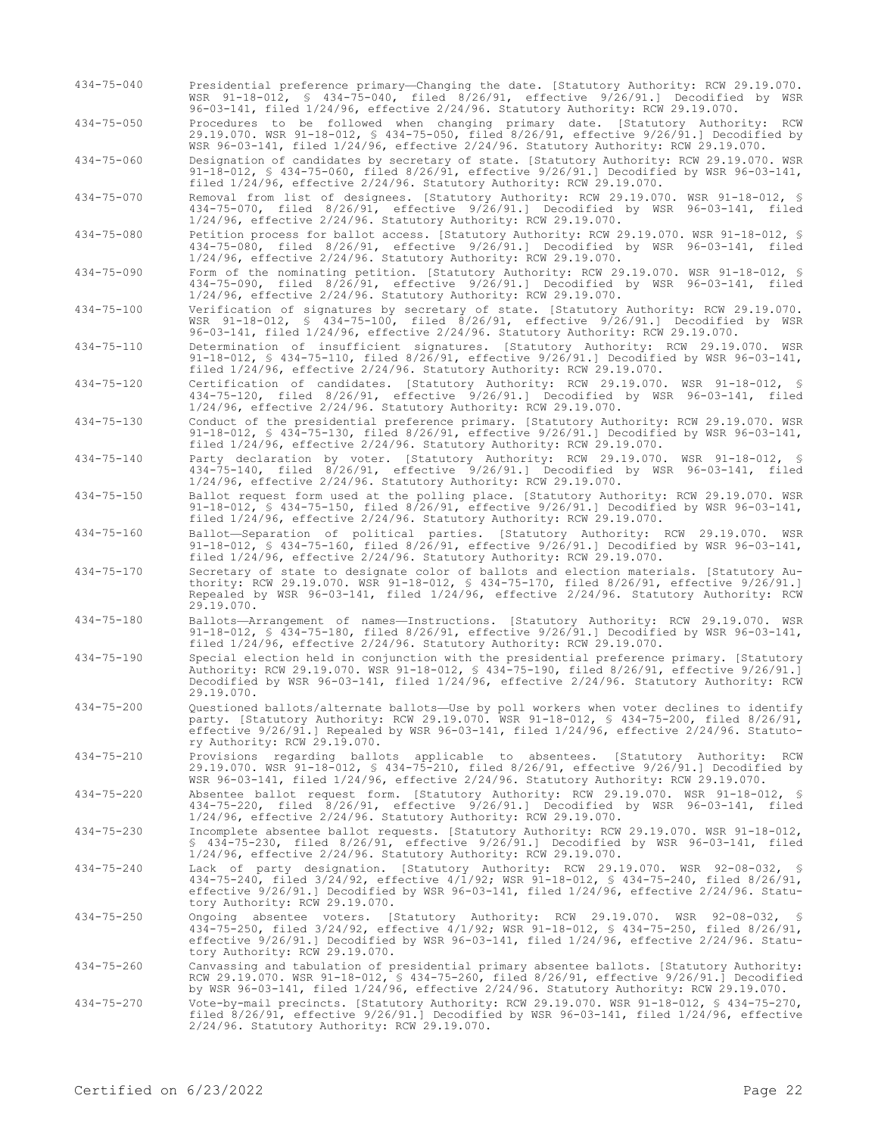- 434-75-040 Presidential preference primary—Changing the date. [Statutory Authority: RCW 29.19.070. WSR 91-18-012, § 434-75-040, filed 8/26/91, effective 9/26/91.] Decodified by WSR 96-03-141, filed 1/24/96, effective 2/24/96. Statutory Authority: RCW 29.19.070.
- 434-75-050 Procedures to be followed when changing primary date. [Statutory Authority: RCW 29.19.070. WSR 91-18-012, § 434-75-050, filed 8/26/91, effective 9/26/91.] Decodified by

WSR 96-03-141, filed 1/24/96, effective 2/24/96. Statutory Authority: RCW 29.19.070. 434-75-060 Designation of candidates by secretary of state. [Statutory Authority: RCW 29.19.070. WSR 91-18-012, § 434-75-060, filed 8/26/91, effective 9/26/91.] Decodified by WSR 96-03-141, filed 1/24/96, effective 2/24/96. Statutory Authority: RCW 29.19.070.

434-75-070 Removal from list of designees. [Statutory Authority: RCW 29.19.070. WSR 91-18-012, § 434-75-070, filed 8/26/91, effective 9/26/91.] Decodified by WSR 96-03-141, filed 1/24/96, effective 2/24/96. Statutory Authority: RCW 29.19.070.

434-75-080 Petition process for ballot access. [Statutory Authority: RCW 29.19.070. WSR 91-18-012, § 434-75-080, filed 8/26/91, effective 9/26/91.] Decodified by WSR 96-03-141, filed 1/24/96, effective 2/24/96. Statutory Authority: RCW 29.19.070.

434-75-090 Form of the nominating petition. [Statutory Authority: RCW 29.19.070. WSR 91-18-012, § 434-75-090, filed 8/26/91, effective 9/26/91.] Decodified by WSR 96-03-141, filed 1/24/96, effective 2/24/96. Statutory Authority: RCW 29.19.070.

434-75-100 Verification of signatures by secretary of state. [Statutory Authority: RCW 29.19.070. WSR 91-18-012, § 434-75-100, filed 8/26/91, effective 9/26/91.] Decodified by WSR 96-03-141, filed 1/24/96, effective 2/24/96. Statutory Authority: RCW 29.19.070.

434-75-110 Determination of insufficient signatures. [Statutory Authority: RCW 29.19.070. WSR 91-18-012, § 434-75-110, filed 8/26/91, effective 9/26/91.] Decodified by WSR 96-03-141, filed 1/24/96, effective 2/24/96. Statutory Authority: RCW 29.19.070.

434-75-120 Certification of candidates. [Statutory Authority: RCW 29.19.070. WSR 91-18-012, § 434-75-120, filed 8/26/91, effective 9/26/91.] Decodified by WSR 96-03-141, filed 1/24/96, effective 2/24/96. Statutory Authority: RCW 29.19.070.

434-75-130 Conduct of the presidential preference primary. [Statutory Authority: RCW 29.19.070. WSR 91-18-012, § 434-75-130, filed 8/26/91, effective 9/26/91.] Decodified by WSR 96-03-141, filed 1/24/96, effective 2/24/96. Statutory Authority: RCW 29.19.070.

434-75-140 Party declaration by voter. [Statutory Authority: RCW 29.19.070. WSR 91-18-012, § 434-75-140, filed 8/26/91, effective 9/26/91.] Decodified by WSR 96-03-141, filed 1/24/96, effective 2/24/96. Statutory Authority: RCW 29.19.070.

434-75-150 Ballot request form used at the polling place. [Statutory Authority: RCW 29.19.070. WSR 91-18-012, § 434-75-150, filed 8/26/91, effective 9/26/91.] Decodified by WSR 96-03-141, filed 1/24/96, effective 2/24/96. Statutory Authority: RCW 29.19.070.

434-75-160 Ballot—Separation of political parties. [Statutory Authority: RCW 29.19.070. WSR 91-18-012, § 434-75-160, filed 8/26/91, effective 9/26/91.] Decodified by WSR 96-03-141, filed 1/24/96, effective 2/24/96. Statutory Authority: RCW 29.19.070.

- 434-75-170 Secretary of state to designate color of ballots and election materials. [Statutory Authority: RCW 29.19.070. WSR 91-18-012, § 434-75-170, filed 8/26/91, effective 9/26/91.] Repealed by WSR 96-03-141, filed 1/24/96, effective 2/24/96. Statutory Authority: RCW 29.19.070.
- 434-75-180 Ballots—Arrangement of names—Instructions. [Statutory Authority: RCW 29.19.070. WSR 91-18-012, § 434-75-180, filed 8/26/91, effective 9/26/91.] Decodified by WSR 96-03-141, filed 1/24/96, effective 2/24/96. Statutory Authority: RCW 29.19.070.
- 434-75-190 Special election held in conjunction with the presidential preference primary. [Statutory Authority: RCW 29.19.070. WSR 91-18-012, § 434-75-190, filed 8/26/91, effective 9/26/91.] Decodified by WSR 96-03-141, filed 1/24/96, effective 2/24/96. Statutory Authority: RCW 29.19.070.
- 434-75-200 Questioned ballots/alternate ballots—Use by poll workers when voter declines to identify party. [Statutory Authority: RCW 29.19.070. WSR 91-18-012, § 434-75-200, filed 8/26/91, effective 9/26/91.] Repealed by WSR 96-03-141, filed 1/24/96, effective 2/24/96. Statutory Authority: RCW 29.19.070.
- 434-75-210 Provisions regarding ballots applicable to absentees. [Statutory Authority: RCW 29.19.070. WSR 91-18-012, § 434-75-210, filed 8/26/91, effective 9/26/91.] Decodified by WSR 96-03-141, filed 1/24/96, effective 2/24/96. Statutory Authority: RCW 29.19.070.

434-75-220 Absentee ballot request form. [Statutory Authority: RCW 29.19.070. WSR 91-18-012, § 434-75-220, filed 8/26/91, effective 9/26/91.] Decodified by WSR 96-03-141, filed 1/24/96, effective 2/24/96. Statutory Authority: RCW 29.19.070.

434-75-230 Incomplete absentee ballot requests. [Statutory Authority: RCW 29.19.070. WSR 91-18-012, § 434-75-230, filed 8/26/91, effective 9/26/91.] Decodified by WSR 96-03-141, filed 1/24/96, effective 2/24/96. Statutory Authority: RCW 29.19.070.

434-75-240 Lack of party designation. [Statutory Authority: RCW 29.19.070. WSR 92-08-032, § 434-75-240, filed 3/24/92, effective 4/1/92; WSR 91-18-012, § 434-75-240, filed 8/26/91, effective 9/26/91.] Decodified by WSR 96-03-141, filed 1/24/96, effective 2/24/96. Statutory Authority: RCW 29.19.070.

434-75-250 Ongoing absentee voters. [Statutory Authority: RCW 29.19.070. WSR 92-08-032, § 434-75-250, filed 3/24/92, effective 4/1/92; WSR 91-18-012, § 434-75-250, filed 8/26/91, effective 9/26/91.] Decodified by WSR 96-03-141, filed 1/24/96, effective 2/24/96. Statu-tory Authority: RCW 29.19.070.

434-75-260 Canvassing and tabulation of presidential primary absentee ballots. [Statutory Authority: RCW 29.19.070. WSR 91-18-012, § 434-75-260, filed 8/26/91, effective 9/26/91.] Decodified by WSR 96-03-141, filed 1/24/96, effective 2/24/96. Statutory Authority: RCW 29.19.070.

434-75-270 Vote-by-mail precincts. [Statutory Authority: RCW 29.19.070. WSR 91-18-012, § 434-75-270, filed 8/26/91, effective 9/26/91.] Decodified by WSR 96-03-141, filed 1/24/96, effective 2/24/96. Statutory Authority: RCW 29.19.070.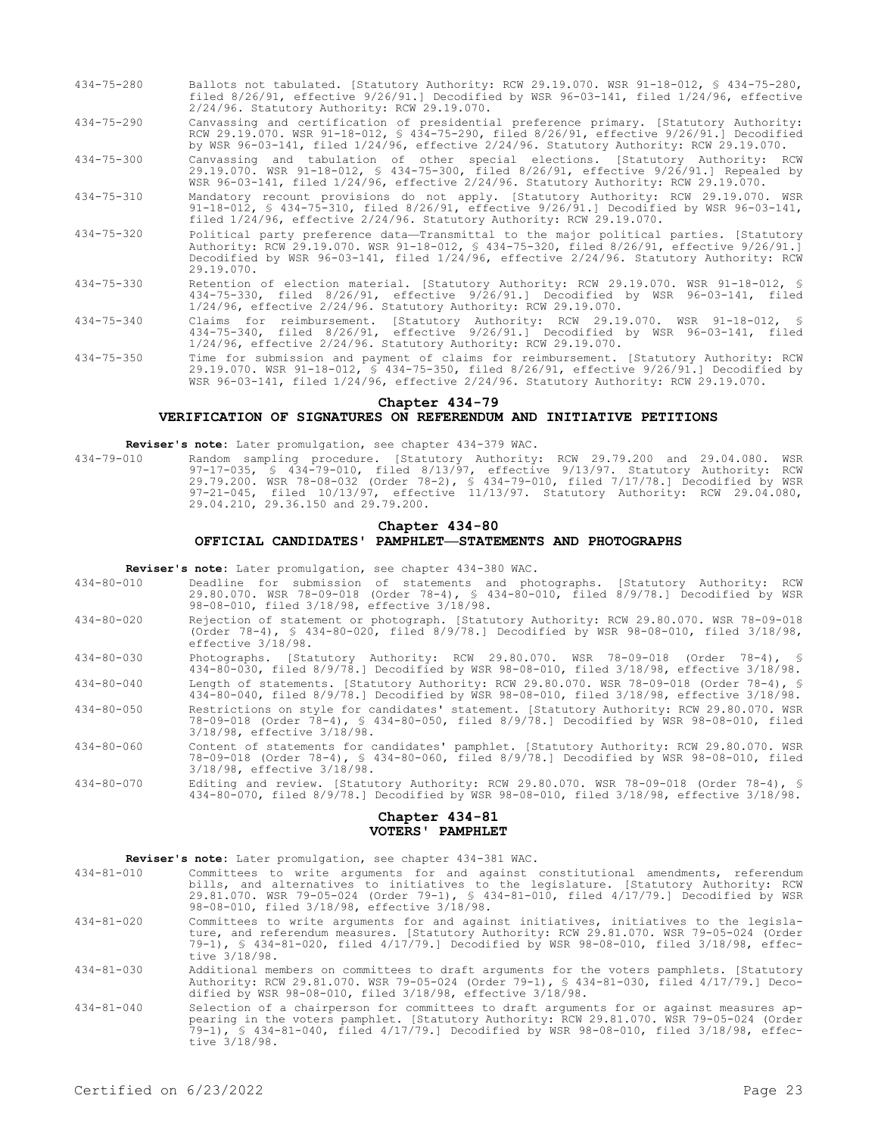- 434-75-280 Ballots not tabulated. [Statutory Authority: RCW 29.19.070. WSR 91-18-012, § 434-75-280, filed 8/26/91, effective 9/26/91.] Decodified by WSR 96-03-141, filed 1/24/96, effective 2/24/96. Statutory Authority: RCW 29.19.070.
- 434-75-290 Canvassing and certification of presidential preference primary. [Statutory Authority: RCW 29.19.070. WSR 91-18-012, § 434-75-290, filed 8/26/91, effective 9/26/91.] Decodified by WSR 96-03-141, filed 1/24/96, effective 2/24/96. Statutory Authority: RCW 29.19.070.
- 434-75-300 Canvassing and tabulation of other special elections. [Statutory Authority: RCW 29.19.070. WSR 91-18-012, § 434-75-300, filed 8/26/91, effective 9/26/91.] Repealed by WSR 96-03-141, filed 1/24/96, effective 2/24/96. Statutory Authority: RCW 29.19.070.
- 434-75-310 Mandatory recount provisions do not apply. [Statutory Authority: RCW 29.19.070. WSR 91-18-012, § 434-75-310, filed 8/26/91, effective 9/26/91.] Decodified by WSR 96-03-141, filed 1/24/96, effective 2/24/96. Statutory Authority: RCW 29.19.070.
- 434-75-320 Political party preference data—Transmittal to the major political parties. [Statutory Authority: RCW 29.19.070. WSR 91-18-012, § 434-75-320, filed 8/26/91, effective 9/26/91.] Decodified by WSR 96-03-141, filed 1/24/96, effective 2/24/96. Statutory Authority: RCW 29.19.070.
- 434-75-330 Retention of election material. [Statutory Authority: RCW 29.19.070. WSR 91-18-012, § 434-75-330, filed 8/26/91, effective 9/26/91.] Decodified by WSR 96-03-141, filed 1/24/96, effective 2/24/96. Statutory Authority: RCW 29.19.070.
- 434-75-340 Claims for reimbursement. [Statutory Authority: RCW 29.19.070. WSR 91-18-012, § 434-75-340, filed 8/26/91, effective 9/26/91.] Decodified by WSR 96-03-141, filed 1/24/96, effective 2/24/96. Statutory Authority: RCW 29.19.070.
- 434-75-350 Time for submission and payment of claims for reimbursement. [Statutory Authority: RCW 29.19.070. WSR 91-18-012, § 434-75-350, filed 8/26/91, effective 9/26/91.] Decodified by WSR 96-03-141, filed 1/24/96, effective 2/24/96. Statutory Authority: RCW 29.19.070.

#### **Chapter 434-79**

### **VERIFICATION OF SIGNATURES ON REFERENDUM AND INITIATIVE PETITIONS**

**Reviser's note:** Later promulgation, see chapter 434-379 WAC.

434-79-010 Random sampling procedure. [Statutory Authority: RCW 29.79.200 and 29.04.080. WSR 97-17-035, § 434-79-010, filed 8/13/97, effective 9/13/97. Statutory Authority: RCW 29.79.200. WSR 78-08-032 (Order 78-2), § 434-79-010, filed 7/17/78.] Decodified by WSR 97-21-045, filed 10/13/97, effective 11/13/97. Statutory Authority: RCW 29.04.080, 29.04.210, 29.36.150 and 29.79.200.

# **Chapter 434-80 OFFICIAL CANDIDATES' PAMPHLET—STATEMENTS AND PHOTOGRAPHS**

**Reviser's note:** Later promulgation, see chapter 434-380 WAC.

- 434-80-010 Deadline for submission of statements and photographs. [Statutory Authority: RCW 29.80.070. WSR 78-09-018 (Order 78-4), § 434-80-010, filed 8/9/78.] Decodified by WSR 98-08-010, filed 3/18/98, effective 3/18/98.
- 434-80-020 Rejection of statement or photograph. [Statutory Authority: RCW 29.80.070. WSR 78-09-018 (Order 78-4), § 434-80-020, filed 8/9/78.] Decodified by WSR 98-08-010, filed 3/18/98, effective 3/18/98.
- 434-80-030 Photographs. [Statutory Authority: RCW 29.80.070. WSR 78-09-018 (Order 78-4), § 434-80-030, filed 8/9/78.] Decodified by WSR 98-08-010, filed 3/18/98, effective 3/18/98.
- 434-80-040 Length of statements. [Statutory Authority: RCW 29.80.070. WSR 78-09-018 (Order 78-4), § 434-80-040, filed 8/9/78.] Decodified by WSR 98-08-010, filed 3/18/98, effective 3/18/98.
- 434-80-050 Restrictions on style for candidates' statement. [Statutory Authority: RCW 29.80.070. WSR 78-09-018 (Order 78-4), § 434-80-050, filed 8/9/78.] Decodified by WSR 98-08-010, filed 3/18/98, effective 3/18/98.
- 434-80-060 Content of statements for candidates' pamphlet. [Statutory Authority: RCW 29.80.070. WSR 78-09-018 (Order 78-4), § 434-80-060, filed 8/9/78.] Decodified by WSR 98-08-010, filed 3/18/98, effective 3/18/98.
- 434-80-070 Editing and review. [Statutory Authority: RCW 29.80.070. WSR 78-09-018 (Order 78-4), § 434-80-070, filed 8/9/78.] Decodified by WSR 98-08-010, filed 3/18/98, effective 3/18/98.

### **Chapter 434-81 VOTERS' PAMPHLET**

**Reviser's note:** Later promulgation, see chapter 434-381 WAC.

- 434-81-010 Committees to write arguments for and against constitutional amendments, referendum bills, and alternatives to initiatives to the legislature. [Statutory Authority: RCW 29.81.070. WSR 79-05-024 (Order 79-1), § 434-81-010, filed 4/17/79.] Decodified by WSR 98-08-010, filed 3/18/98, effective 3/18/98.
- 434-81-020 Committees to write arguments for and against initiatives, initiatives to the legislature, and referendum measures. [Statutory Authority: RCW 29.81.070. WSR 79-05-024 (Order 79-1), § 434-81-020, filed 4/17/79.] Decodified by WSR 98-08-010, filed 3/18/98, effective 3/18/98.
- 434-81-030 Additional members on committees to draft arguments for the voters pamphlets. [Statutory Authority: RCW 29.81.070. WSR 79-05-024 (Order 79-1), § 434-81-030, filed 4/17/79.] Decodified by WSR 98-08-010, filed 3/18/98, effective 3/18/98.
- 434-81-040 Selection of a chairperson for committees to draft arguments for or against measures appearing in the voters pamphlet. [Statutory Authority: RCW 29.81.070. WSR 79-05-024 (Order 79-1), § 434-81-040, filed 4/17/79.] Decodified by WSR 98-08-010, filed 3/18/98, effective 3/18/98.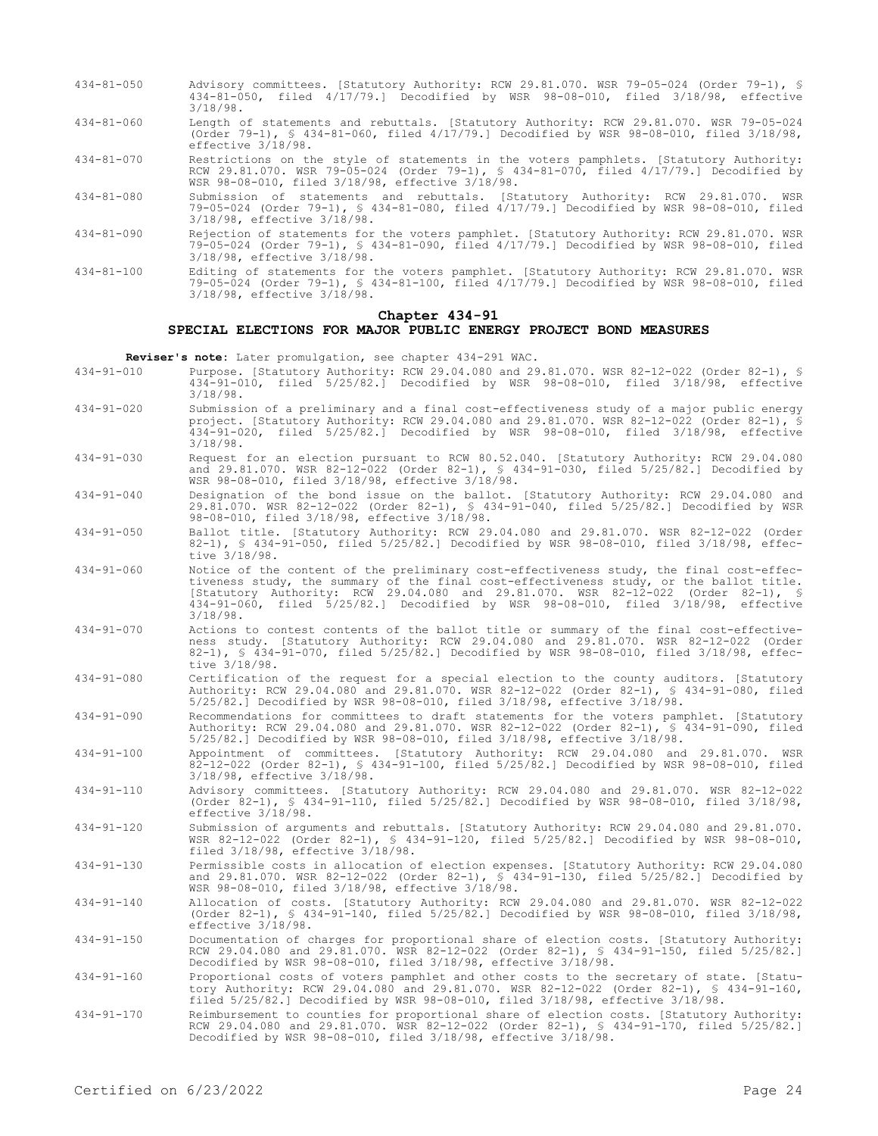- 434-81-050 Advisory committees. [Statutory Authority: RCW 29.81.070. WSR 79-05-024 (Order 79-1), § 434-81-050, filed 4/17/79.] Decodified by WSR 98-08-010, filed 3/18/98, effective 3/18/98.
- 434-81-060 Length of statements and rebuttals. [Statutory Authority: RCW 29.81.070. WSR 79-05-024 (Order 79-1), § 434-81-060, filed 4/17/79.] Decodified by WSR 98-08-010, filed 3/18/98, effective 3/18/98.

434-81-070 Restrictions on the style of statements in the voters pamphlets. [Statutory Authority: RCW 29.81.070. WSR 79-05-024 (Order 79-1), § 434-81-070, filed 4/17/79.] Decodified by WSR 98-08-010, filed 3/18/98, effective 3/18/98.

- 434-81-080 Submission of statements and rebuttals. [Statutory Authority: RCW 29.81.070. WSR 79-05-024 (Order 79-1), § 434-81-080, filed 4/17/79.] Decodified by WSR 98-08-010, filed 3/18/98, effective 3/18/98.
- 434-81-090 Rejection of statements for the voters pamphlet. [Statutory Authority: RCW 29.81.070. WSR 79-05-024 (Order 79-1), § 434-81-090, filed 4/17/79.] Decodified by WSR 98-08-010, filed 3/18/98, effective 3/18/98.
- 434-81-100 Editing of statements for the voters pamphlet. [Statutory Authority: RCW 29.81.070. WSR 79-05-024 (Order 79-1), § 434-81-100, filed 4/17/79.] Decodified by WSR 98-08-010, filed 3/18/98, effective 3/18/98.

# **Chapter 434-91**

## **SPECIAL ELECTIONS FOR MAJOR PUBLIC ENERGY PROJECT BOND MEASURES**

**Reviser's note:** Later promulgation, see chapter 434-291 WAC.

- 434-91-010 Purpose. [Statutory Authority: RCW 29.04.080 and 29.81.070. WSR 82-12-022 (Order 82-1), § 434-91-010, filed 5/25/82.] Decodified by WSR 98-08-010, filed 3/18/98, effective 3/18/98.
- 434-91-020 Submission of a preliminary and a final cost-effectiveness study of a major public energy project. [Statutory Authority: RCW 29.04.080 and 29.81.070. WSR 82-12-022 (Order 82-1), § 434-91-020, filed 5/25/82.] Decodified by WSR 98-08-010, filed 3/18/98, effective 3/18/98.
- 434-91-030 Request for an election pursuant to RCW 80.52.040. [Statutory Authority: RCW 29.04.080 and 29.81.070. WSR 82-12-022 (Order 82-1), § 434-91-030, filed 5/25/82.] Decodified by WSR 98-08-010, filed 3/18/98, effective 3/18/98.
- 434-91-040 Designation of the bond issue on the ballot. [Statutory Authority: RCW 29.04.080 and 29.81.070. WSR 82-12-022 (Order 82-1), § 434-91-040, filed 5/25/82.] Decodified by WSR 98-08-010, filed 3/18/98, effective 3/18/98.
- 434-91-050 Ballot title. [Statutory Authority: RCW 29.04.080 and 29.81.070. WSR 82-12-022 (Order 82-1), § 434-91-050, filed 5/25/82.] Decodified by WSR 98-08-010, filed 3/18/98, effective 3/18/98.
- 434-91-060 Notice of the content of the preliminary cost-effectiveness study, the final cost-effectiveness study, the summary of the final cost-effectiveness study, or the ballot title. [Statutory Authority: RCW 29.04.080 and 29.81.070. WSR 82-12-022 (Order 82-1), § 434-91-060, filed 5/25/82.] Decodified by WSR 98-08-010, filed 3/18/98, effective 3/18/98.
- 434-91-070 Actions to contest contents of the ballot title or summary of the final cost-effectiveness study. [Statutory Authority: RCW 29.04.080 and 29.81.070. WSR 82-12-022 (Order 82-1), § 434-91-070, filed 5/25/82.] Decodified by WSR 98-08-010, filed 3/18/98, effective 3/18/98.
- 434-91-080 Certification of the request for a special election to the county auditors. [Statutory Authority: RCW 29.04.080 and 29.81.070. WSR 82-12-022 (Order 82-1), § 434-91-080, filed 5/25/82.] Decodified by WSR 98-08-010, filed 3/18/98, effective 3/18/98.
- 434-91-090 Recommendations for committees to draft statements for the voters pamphlet. [Statutory<br>Authority: RCW 29.04.080 and 29.81.070. WSR 82-12-022 (Order 82-1), § 434-91-090, filed Authority: RCW 29.04.080 and 29.81.070. WSR 82-12-022 (Order 82-1), § 434-91-090, filed 5/25/82.] Decodified by WSR 98-08-010, filed 3/18/98, effective 3/18/98.
- 434-91-100 Appointment of committees. [Statutory Authority: RCW 29.04.080 and 29.81.070. WSR 82-12-022 (Order 82-1), § 434-91-100, filed 5/25/82.] Decodified by WSR 98-08-010, filed 3/18/98, effective 3/18/98.
- 434-91-110 Advisory committees. [Statutory Authority: RCW 29.04.080 and 29.81.070. WSR 82-12-022 (Order 82-1), § 434-91-110, filed 5/25/82.] Decodified by WSR 98-08-010, filed 3/18/98, effective 3/18/98.
- 434-91-120 Submission of arguments and rebuttals. [Statutory Authority: RCW 29.04.080 and 29.81.070. WSR 82-12-022 (Order 82-1), § 434-91-120, filed 5/25/82.] Decodified by WSR 98-08-010, filed 3/18/98, effective 3/18/98.
- 434-91-130 Permissible costs in allocation of election expenses. [Statutory Authority: RCW 29.04.080 and 29.81.070. WSR 82-12-022 (Order 82-1), § 434-91-130, filed 5/25/82.] Decodified by WSR 98-08-010, filed 3/18/98, effective 3/18/98.
- 434-91-140 Allocation of costs. [Statutory Authority: RCW 29.04.080 and 29.81.070. WSR 82-12-022 (Order 82-1), § 434-91-140, filed 5/25/82.] Decodified by WSR 98-08-010, filed 3/18/98, effective 3/18/98.
- 434-91-150 Documentation of charges for proportional share of election costs. [Statutory Authority: RCW 29.04.080 and 29.81.070. WSR 82-12-022 (Order 82-1), § 434-91-150, filed 5/25/82.] Decodified by WSR 98-08-010, filed 3/18/98, effective 3/18/98.
- 434-91-160 Proportional costs of voters pamphlet and other costs to the secretary of state. [Statu-tory Authority: RCW 29.04.080 and 29.81.070. WSR 82-12-022 (Order 82-1), § 434-91-160, filed 5/25/82.] Decodified by WSR 98-08-010, filed 3/18/98, effective 3/18/98.
- 434-91-170 Reimbursement to counties for proportional share of election costs. [Statutory Authority: RCW 29.04.080 and 29.81.070. WSR 82-12-022 (Order 82-1), § 434-91-170, filed 5/25/82.] Decodified by WSR 98-08-010, filed 3/18/98, effective 3/18/98.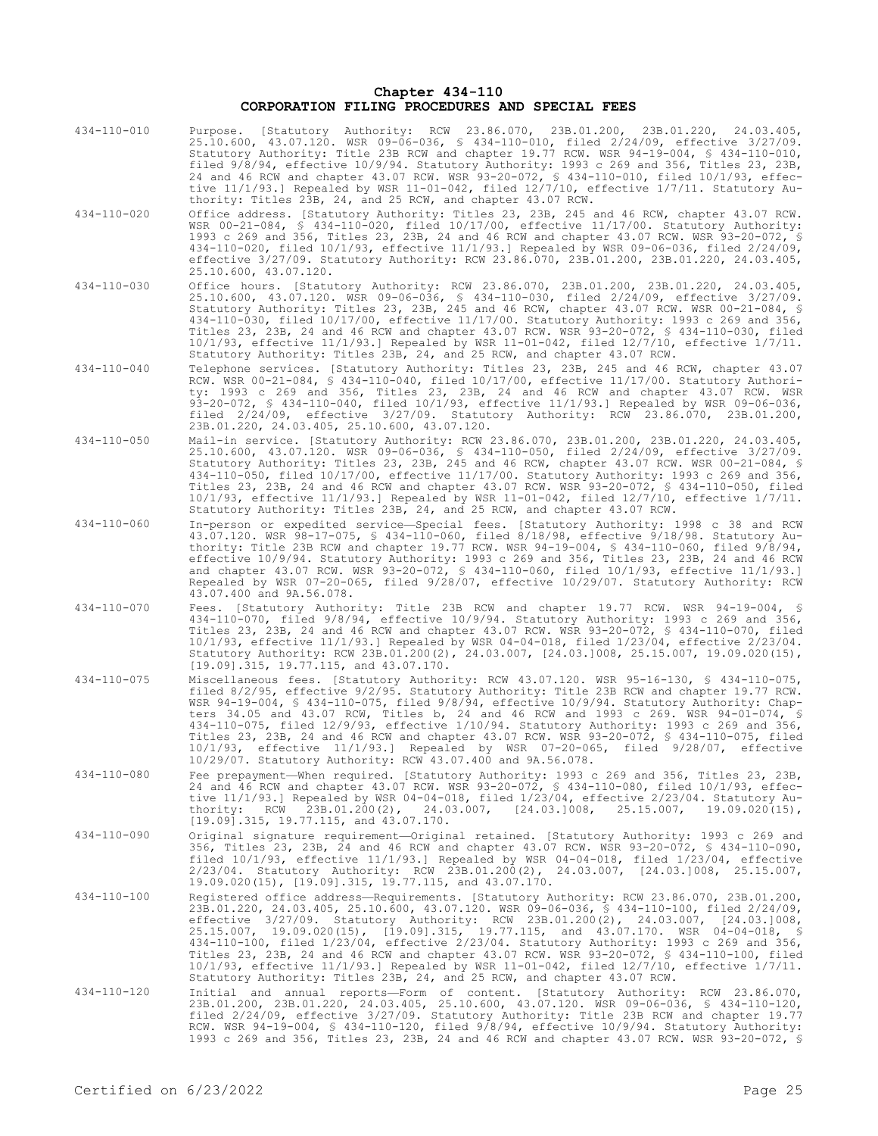# **Chapter 434-110 CORPORATION FILING PROCEDURES AND SPECIAL FEES**

| 434-110-010       | Purpose. [Statutory Authority: RCW 23.86.070, 23B.01.200, 23B.01.220, 24.03.405,<br>25.10.600, 43.07.120. WSR 09-06-036, § 434-110-010, filed 2/24/09, effective 3/27/09.<br>Statutory Authority: Title 23B RCW and chapter 19.77 RCW. WSR 94-19-004, \$ 434-110-010,<br>filed 9/8/94, effective 10/9/94. Statutory Authority: 1993 c 269 and 356, Titles 23, 23B,<br>24 and 46 RCW and chapter 43.07 RCW. WSR 93-20-072, § 434-110-010, filed 10/1/93, effec-<br>tive $11/1/93$ .] Repealed by WSR 11-01-042, filed $12/7/10$ , effective $1/7/11$ . Statutory Au-<br>thority: Titles 23B, 24, and 25 RCW, and chapter 43.07 RCW.                                                                                                        |
|-------------------|-------------------------------------------------------------------------------------------------------------------------------------------------------------------------------------------------------------------------------------------------------------------------------------------------------------------------------------------------------------------------------------------------------------------------------------------------------------------------------------------------------------------------------------------------------------------------------------------------------------------------------------------------------------------------------------------------------------------------------------------|
| 434-110-020       | Office address. [Statutory Authority: Titles 23, 23B, 245 and 46 RCW, chapter 43.07 RCW.<br>WSR $00-21-084$ , § 434-110-020, filed $10/17/00$ , effective $11/17/00$ . Statutory Authority:<br>1993 c 269 and 356, Titles 23, 23B, 24 and 46 RCW and chapter 43.07 RCW. WSR 93-20-072, §<br>434-110-020, filed $10/1/93$ , effective $11/1/93$ . Repealed by WSR 09-06-036, filed $2/24/09$ ,<br>effective 3/27/09. Statutory Authority: RCW 23.86.070, 23B.01.200, 23B.01.220, 24.03.405,<br>25.10.600, 43.07.120.                                                                                                                                                                                                                       |
| $434 - 110 - 030$ | Office hours. [Statutory Authority: RCW 23.86.070, 23B.01.200, 23B.01.220, 24.03.405,<br>25.10.600, 43.07.120. WSR 09-06-036, \$ 434-110-030, filed 2/24/09, effective 3/27/09.<br>Statutory Authority: Titles 23, 23B, 245 and 46 RCW, chapter 43.07 RCW. WSR 00-21-084, §<br>434-110-030, filed 10/17/00, effective 11/17/00. Statutory Authority: 1993 c 269 and 356,<br>Titles 23, 23B, 24 and 46 RCW and chapter 43.07 RCW. WSR 93-20-072, § 434-110-030, filed<br>$10/1/93$ , effective $11/1/93$ . Repealed by WSR 11-01-042, filed $12/7/10$ , effective $1/7/11$ .<br>Statutory Authority: Titles 23B, 24, and 25 RCW, and chapter 43.07 RCW.                                                                                    |
| 434-110-040       | Telephone services. [Statutory Authority: Titles 23, 23B, 245 and 46 RCW, chapter 43.07<br>RCW. WSR 00-21-084, § 434-110-040, filed 10/17/00, effective 11/17/00. Statutory Authori-<br>ty: 1993 c 269 and 356, Titles 23, 23B, 24 and 46 RCW and chapter 43.07 RCW. WSR<br>93-20-072, § 434-110-040, filed $10/1/93$ , effective $11/1/93$ .] Repealed by WSR 09-06-036,<br>filed 2/24/09, effective 3/27/09. Statutory Authority: RCW 23.86.070, 23B.01.200,<br>23B.01.220, 24.03.405, 25.10.600, 43.07.120.                                                                                                                                                                                                                            |
| $434 - 110 - 050$ | Mail-in service. [Statutory Authority: RCW 23.86.070, 23B.01.200, 23B.01.220, 24.03.405,<br>25.10.600, 43.07.120. WSR 09-06-036, § 434-110-050, filed 2/24/09, effective 3/27/09.<br>Statutory Authority: Titles 23, 23B, 245 and 46 RCW, chapter 43.07 RCW. WSR 00-21-084, §<br>434-110-050, filed 10/17/00, effective 11/17/00. Statutory Authority: 1993 c 269 and 356,<br>Titles 23, 23B, 24 and 46 RCW and chapter 43.07 RCW. WSR 93-20-072, § 434-110-050, filed<br>$10/1/93$ , effective $11/1/93$ . Repealed by WSR 11-01-042, filed $12/7/10$ , effective $1/7/11$ .<br>Statutory Authority: Titles 23B, 24, and 25 RCW, and chapter 43.07 RCW.                                                                                  |
| 434-110-060       | In-person or expedited service—Special fees. [Statutory Authority: 1998 c 38 and RCW<br>43.07.120. WSR 98-17-075, § 434-110-060, filed 8/18/98, effective 9/18/98. Statutory Au-<br>thority: Title 23B RCW and chapter 19.77 RCW. WSR 94-19-004, § 434-110-060, filed 9/8/94,<br>effective 10/9/94. Statutory Authority: 1993 c 269 and 356, Titles 23, 23B, 24 and 46 RCW<br>and chapter 43.07 RCW. WSR 93-20-072, § 434-110-060, filed 10/1/93, effective 11/1/93.]<br>Repealed by WSR 07-20-065, filed 9/28/07, effective 10/29/07. Statutory Authority: RCW<br>43.07.400 and 9A.56.078.                                                                                                                                               |
| 434-110-070       | Fees. [Statutory Authority: Title 23B RCW and chapter 19.77 RCW. WSR 94-19-004, §<br>434-110-070, filed $9/8/94$ , effective 10/9/94. Statutory Authority: 1993 c 269 and 356,<br>Titles 23, 23B, 24 and 46 RCW and chapter 43.07 RCW. WSR 93-20-072, § 434-110-070, filed<br>$10/1/93$ , effective $11/1/93$ . Repealed by WSR 04-04-018, filed $1/23/04$ , effective $2/23/04$ .<br>Statutory Authority: RCW 23B.01.200(2), 24.03.007, [24.03.]008, 25.15.007, 19.09.020(15),<br>$[19.09]$ .315, 19.77.115, and 43.07.170.                                                                                                                                                                                                              |
| $434 - 110 - 075$ | Miscellaneous fees. [Statutory Authority: RCW 43.07.120. WSR 95-16-130, § 434-110-075,<br>filed 8/2/95, effective 9/2/95. Statutory Authority: Title 23B RCW and chapter 19.77 RCW.<br>WSR 94-19-004, § 434-110-075, filed $9/8/94$ , effective $10/9/94$ . Statutory Authority: Chap-<br>ters 34.05 and 43.07 RCW, Titles b, 24 and 46 RCW and 1993 c 269. WSR 94-01-074, §<br>434-110-075, filed 12/9/93, effective $1/10/94$ . Statutory Authority: 1993 c 269 and 356,<br>Titles 23, 23B, 24 and 46 RCW and chapter 43.07 RCW. WSR 93-20-072, § 434-110-075, filed<br>$10/1/93$ , effective $11/1/93$ .] Repealed by WSR 07-20-065, filed $9/28/07$ , effective<br>10/29/07. Statutory Authority: RCW 43.07.400 and 9A.56.078.        |
| $434 - 110 - 080$ | Fee prepayment-When required. [Statutory Authority: 1993 c 269 and 356, Titles 23, 23B,<br>24 and 46 RCW and chapter 43.07 RCW. WSR 93-20-072, § 434-110-080, filed 10/1/93, effec-<br>tive 11/1/93.] Repealed by WSR 04-04-018, filed 1/23/04, effective 2/23/04. Statutory Au-<br>$23B.01.200(2)$ , $24.03.007$ , $[24.03.]008$ ,<br>25.15.007.<br>$19.09.020(15)$ ,<br>thority: RCW<br>$[19.09]$ .315, 19.77.115, and 43.07.170.                                                                                                                                                                                                                                                                                                       |
| 434-110-090       | Original signature requirement-Original retained. [Statutory Authority: 1993 c 269 and<br>356, Titles 23, 23B, 24 and 46 RCW and chapter 43.07 RCW. WSR 93-20-072, § 434-110-090,<br>filed $10/1/93$ , effective $11/1/93$ . Repealed by WSR 04-04-018, filed $1/23/04$ , effective<br>2/23/04. Statutory Authority: RCW 23B.01.200(2), 24.03.007, [24.03.]008, 25.15.007,<br>19.09.020(15), [19.09].315, 19.77.115, and 43.07.170.                                                                                                                                                                                                                                                                                                       |
| 434-110-100       | Registered office address-Requirements. [Statutory Authority: RCW 23.86.070, 23B.01.200,<br>23B.01.220, 24.03.405, 25.10.600, 43.07.120. WSR 09-06-036, § 434-110-100, filed 2/24/09,<br>effective 3/27/09. Statutory Authority: RCW 23B.01.200(2), 24.03.007, [24.03.]008,<br>25.15.007, 19.09.020(15), [19.09].315, 19.77.115, and 43.07.170. WSR 04-04-018, §<br>434-110-100, filed 1/23/04, effective 2/23/04. Statutory Authority: 1993 c 269 and 356,<br>Titles 23, 23B, 24 and 46 RCW and chapter 43.07 RCW. WSR 93-20-072, § 434-110-100, filed<br>$10/1/93$ , effective $11/1/93$ . Repealed by WSR 11-01-042, filed $12/7/10$ , effective $1/7/11$ .<br>Statutory Authority: Titles 23B, 24, and 25 RCW, and chapter 43.07 RCW. |
| 434-110-120       | Initial and annual reports-Form of content. [Statutory Authority: RCW 23.86.070,<br>23B.01.200, 23B.01.220, 24.03.405, 25.10.600, 43.07.120. WSR 09-06-036, § 434-110-120,<br>filed 2/24/09, effective 3/27/09. Statutory Authority: Title 23B RCW and chapter 19.77<br>RCW. WSR 94-19-004, § 434-110-120, filed $9/8/94$ , effective $10/9/94$ . Statutory Authority:<br>1993 c 269 and 356, Titles 23, 23B, 24 and 46 RCW and chapter 43.07 RCW. WSR 93-20-072, §                                                                                                                                                                                                                                                                       |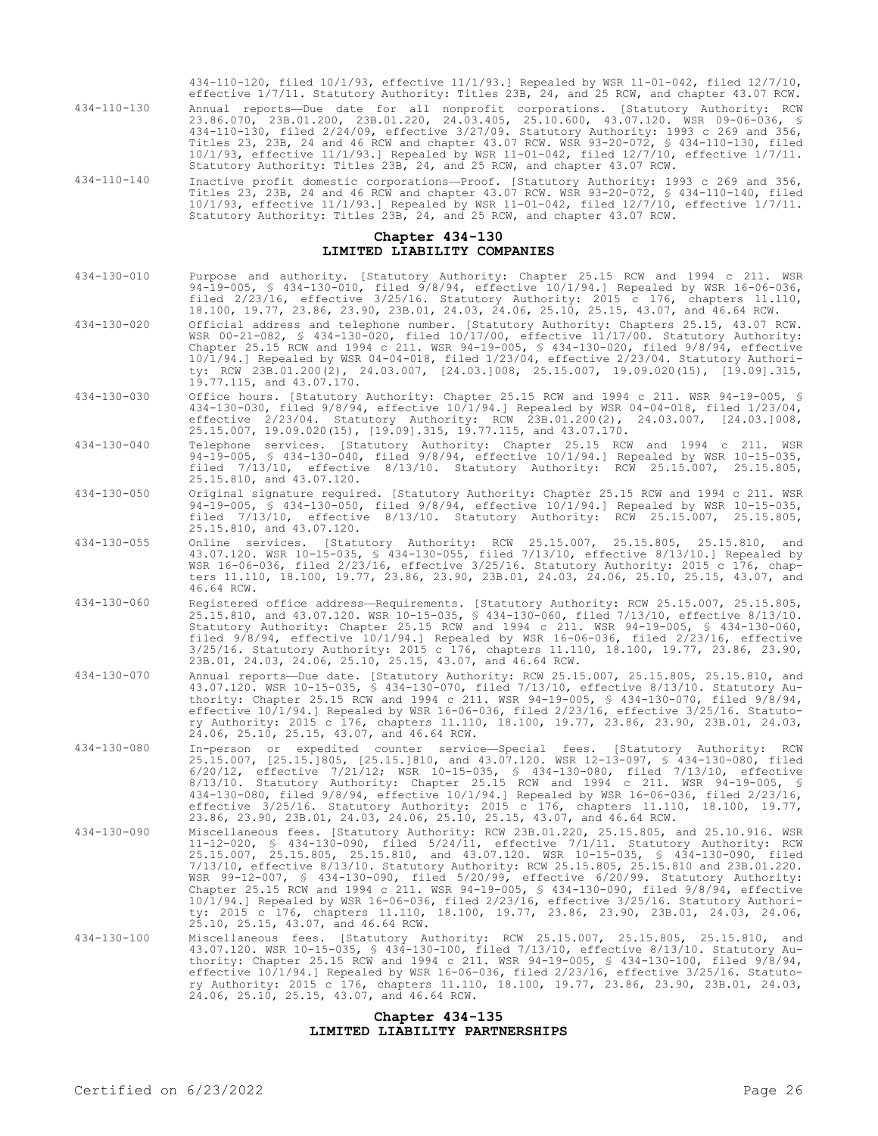434-110-120, filed 10/1/93, effective 11/1/93.] Repealed by WSR 11-01-042, filed 12/7/10, effective 1/7/11. Statutory Authority: Titles 23B, 24, and 25 RCW, and chapter 43.07 RCW. 434-110-130 Annual reports—Due date for all nonprofit corporations. [Statutory Authority: RCW 23.86.070, 23B.01.200, 23B.01.220, 24.03.405, 25.10.600, 43.07.120. WSR 09-06-036, § 434-110-130, filed 2/24/09, effective 3/27/09. Statutory Authority: 1993 c 269 and 356, Titles 23, 23B, 24 and 46 RCW and chapter 43.07 RCW. WSR 93-20-072, § 434-110-130, filed 10/1/93, effective 11/1/93.] Repealed by WSR 11-01-042, filed 12/7/10, effective 1/7/11. Statutory Authority: Titles 23B, 24, and 25 RCW, and chapter 43.07 RCW.

434-110-140 Inactive profit domestic corporations—Proof. [Statutory Authority: 1993 c 269 and 356, Titles 23, 23B, 24 and 46 RCW and chapter 43.07 RCW. WSR 93-20-072, § 434-110-140, filed 10/1/93, effective 11/1/93.] Repealed by WSR 11-01-042, filed 12/7/10, effective 1/7/11. Statutory Authority: Titles 23B, 24, and 25 RCW, and chapter 43.07 RCW.

# **Chapter 434-130 LIMITED LIABILITY COMPANIES**

- 434-130-010 Purpose and authority. [Statutory Authority: Chapter 25.15 RCW and 1994 c 211. WSR 94-19-005, § 434-130-010, filed 9/8/94, effective 10/1/94.] Repealed by WSR 16-06-036, filed 2/23/16, effective 3/25/16. Statutory Authority: 2015 c 176, chapters 11.110, 18.100, 19.77, 23.86, 23.90, 23B.01, 24.03, 24.06, 25.10, 25.15, 43.07, and 46.64 RCW.
- 434-130-020 Official address and telephone number. [Statutory Authority: Chapters 25.15, 43.07 RCW. WSR 00-21-082, § 434-130-020, filed 10/17/00, effective 11/17/00. Statutory Authority: Chapter 25.15 RCW and 1994 c 211. WSR 94-19-005, § 434-130-020, filed 9/8/94, effective 10/1/94.] Repealed by WSR 04-04-018, filed 1/23/04, effective 2/23/04. Statutory Authority: RCW 23B.01.200(2), 24.03.007, [24.03.]008, 25.15.007, 19.09.020(15), [19.09].315, 19.77.115, and 43.07.170.
- 434-130-030 Office hours. [Statutory Authority: Chapter 25.15 RCW and 1994 c 211. WSR 94-19-005, § 434-130-030, filed 9/8/94, effective 10/1/94.] Repealed by WSR 04-04-018, filed 1/23/04, effective 2/23/04. Statutory Authority: RCW 23B.01.200(2), 24.03.007, [24.03.]008, 25.15.007, 19.09.020(15), [19.09].315, 19.77.115, and 43.07.170.
- 434-130-040 Telephone services. [Statutory Authority: Chapter 25.15 RCW and 1994 c 211. WSR 94-19-005, § 434-130-040, filed 9/8/94, effective 10/1/94.] Repealed by WSR 10-15-035, filed 7/13/10, effective 8/13/10. Statutory Authority: RCW 25.15.007, 25.15.805, 25.15.810, and 43.07.120.
- 434-130-050 Original signature required. [Statutory Authority: Chapter 25.15 RCW and 1994 c 211. WSR 94-19-005, § 434-130-050, filed 9/8/94, effective 10/1/94.] Repealed by WSR 10-15-035, filed 7/13/10, effective 8/13/10. Statutory Authority: RCW 25.15.007, 25.15.805, 25.15.810, and 43.07.120.
- 434-130-055 Online services. [Statutory Authority: RCW 25.15.007, 25.15.805, 25.15.810, and 43.07.120. WSR 10-15-035, § 434-130-055, filed 7/13/10, effective 8/13/10.] Repealed by WSR 16-06-036, filed 2/23/16, effective 3/25/16. Statutory Authority: 2015 c 176, chapters 11.110, 18.100, 19.77, 23.86, 23.90, 23B.01, 24.03, 24.06, 25.10, 25.15, 43.07, and 46.64 RCW.
- 434-130-060 Registered office address—Requirements. [Statutory Authority: RCW 25.15.007, 25.15.805, 25.15.810, and 43.07.120. WSR 10-15-035, § 434-130-060, filed 7/13/10, effective 8/13/10. Statutory Authority: Chapter 25.15 RCW and 1994 c 211. WSR 94-19-005, § 434-130-060, filed 9/8/94, effective 10/1/94.] Repealed by WSR 16-06-036, filed 2/23/16, effective 3/25/16. Statutory Authority: 2015 c 176, chapters 11.110, 18.100, 19.77, 23.86, 23.90, 23B.01, 24.03, 24.06, 25.10, 25.15, 43.07, and 46.64 RCW.
- 434-130-070 Annual reports—Due date. [Statutory Authority: RCW 25.15.007, 25.15.805, 25.15.810, and 43.07.120. WSR 10-15-035, § 434-130-070, filed 7/13/10, effective 8/13/10. Statutory Authority: Chapter 25.15 RCW and 1994 c 211. WSR 94-19-005, § 434-130-070, filed 9/8/94, effective 10/1/94.] Repealed by WSR 16-06-036, filed 2/23/16, effective 3/25/16. Statutory Authority: 2015 c 176, chapters 11.110, 18.100, 19.77, 23.86, 23.90, 23B.01, 24.03, 24.06, 25.10, 25.15, 43.07, and 46.64 RCW.
- 434-130-080 In-person or expedited counter service—Special fees. [Statutory Authority: RCW 25.15.007, [25.15.]805, [25.15.]810, and 43.07.120. WSR 12-13-097, § 434-130-080, filed 6/20/12, effective 7/21/12; WSR 10-15-035, § 434-130-080, filed 7/13/10, effective 8/13/10. Statutory Authority: Chapter 25.15 RCW and 1994 c 211. WSR 94-19-005, § 434-130-080, filed 9/8/94, effective 10/1/94.] Repealed by WSR 16-06-036, filed 2/23/16, effective 3/25/16. Statutory Authority: 2015 c 176, chapters 11.110, 18.100, 19.77, 23.86, 23.90, 23B.01, 24.03, 24.06, 25.10, 25.15, 43.07, and 46.64 RCW.
- 434-130-090 Miscellaneous fees. [Statutory Authority: RCW 23B.01.220, 25.15.805, and 25.10.916. WSR 11-12-020, § 434-130-090, filed 5/24/11, effective 7/1/11. Statutory Authority: RCW 25.15.007, 25.15.805, 25.15.810, and 43.07.120. WSR 10-15-035, § 434-130-090, filed 7/13/10, effective 8/13/10. Statutory Authority: RCW 25.15.805, 25.15.810 and 23B.01.220. WSR 99-12-007, § 434-130-090, filed 5/20/99, effective 6/20/99. Statutory Authority: Chapter 25.15 RCW and 1994 c 211. WSR 94-19-005, § 434-130-090, filed 9/8/94, effective 10/1/94.] Repealed by WSR 16-06-036, filed 2/23/16, effective 3/25/16. Statutory Authority: 2015 c 176, chapters 11.110, 18.100, 19.77, 23.86, 23.90, 23B.01, 24.03, 24.06, 25.10, 25.15, 43.07, and 46.64 RCW.
- 434-130-100 Miscellaneous fees. [Statutory Authority: RCW 25.15.007, 25.15.805, 25.15.810, and<br>43.07.120. WSR 10-15-035, § 434-130-100, filed 7/13/10, effective 8/13/10. Statutory Au-<br>thority: Chapter 25.15 RCW and 1994 c effective 10/1/94.] Repealed by WSR 16-06-036, filed 2/23/16, effective 3/25/16. Statutory Authority: 2015 c 176, chapters 11.110, 18.100, 19.77, 23.86, 23.90, 23B.01, 24.03, 24.06, 25.10, 25.15, 43.07, and 46.64 RCW.

# **Chapter 434-135 LIMITED LIABILITY PARTNERSHIPS**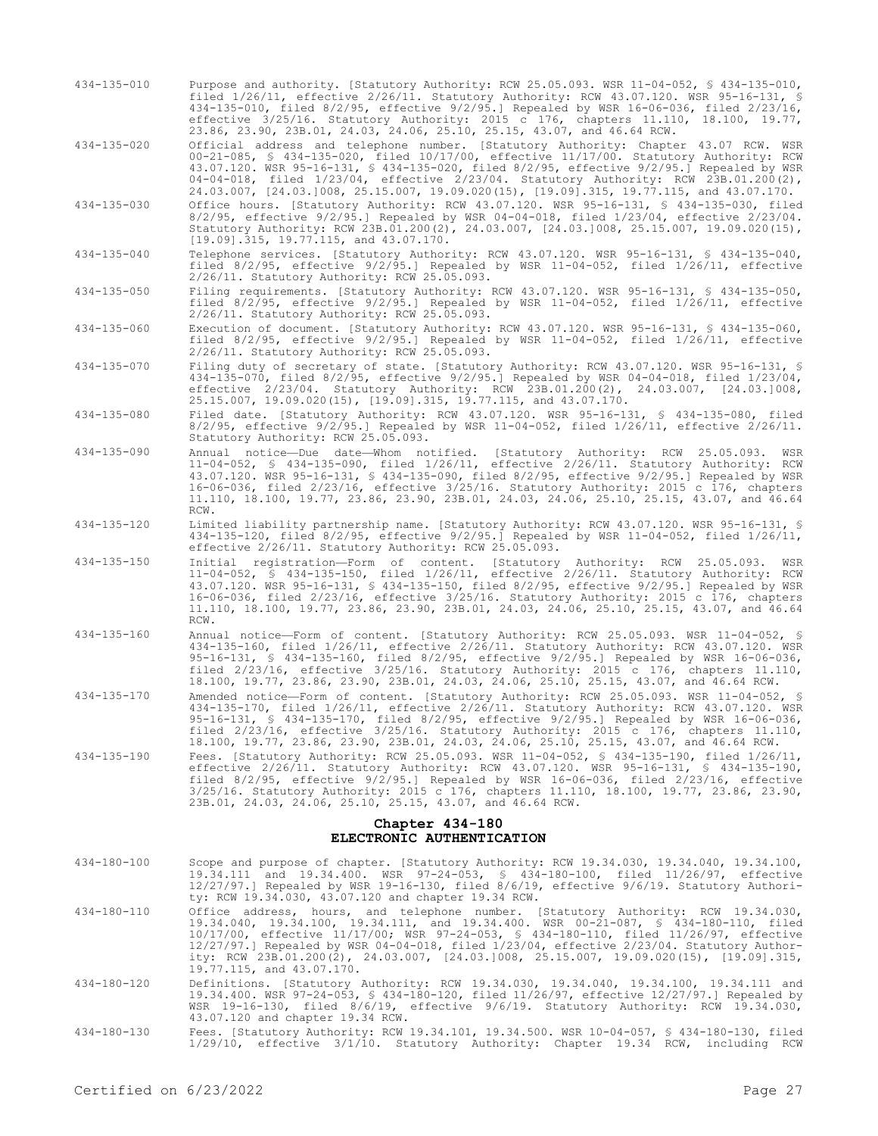434-135-010 Purpose and authority. [Statutory Authority: RCW 25.05.093. WSR 11-04-052, § 434-135-010, filed 1/26/11, effective 2/26/11. Statutory Authority: RCW 43.07.120. WSR 95-16-131, § 434-135-010, filed 8/2/95, effective 9/2/95.] Repealed by WSR 16-06-036, filed 2/23/16, effective 3/25/16. Statutory Authority: 2015 c 176, chapters 11.110, 18.100, 19.77, 23.86, 23.90, 23B.01, 24.03, 24.06, 25.10, 25.15, 43.07, and 46.64 RCW.

434-135-020 Official address and telephone number. [Statutory Authority: Chapter 43.07 RCW. WSR 00-21-085, § 434-135-020, filed 10/17/00, effective 11/17/00. Statutory Authority: RCW 43.07.120. WSR 95-16-131, § 434-135-020, filed 8/2/95, effective 9/2/95.] Repealed by WSR 04-04-018, filed 1/23/04, effective 2/23/04. Statutory Authority: RCW 23B.01.200(2), 24.03.007, [24.03.]008, 25.15.007, 19.09.020(15), [19.09].315, 19.77.115, and 43.07.170.

434-135-030 Office hours. [Statutory Authority: RCW 43.07.120. WSR 95-16-131, § 434-135-030, filed 8/2/95, effective 9/2/95.] Repealed by WSR 04-04-018, filed 1/23/04, effective 2/23/04. Statutory Authority: RCW 23B.01.200(2), 24.03.007, [24.03.]008, 25.15.007, 19.09.020(15), [19.09].315, 19.77.115, and 43.07.170.

434-135-040 Telephone services. [Statutory Authority: RCW 43.07.120. WSR 95-16-131, § 434-135-040, filed 8/2/95, effective 9/2/95.] Repealed by WSR 11-04-052, filed 1/26/11, effective 2/26/11. Statutory Authority: RCW 25.05.093.

434-135-050 Filing requirements. [Statutory Authority: RCW 43.07.120. WSR 95-16-131, § 434-135-050, filed 8/2/95, effective 9/2/95.] Repealed by WSR 11-04-052, filed 1/26/11, effective 2/26/11. Statutory Authority: RCW 25.05.093.

434-135-060 Execution of document. [Statutory Authority: RCW 43.07.120. WSR 95-16-131, § 434-135-060, filed 8/2/95, effective 9/2/95.] Repealed by WSR 11-04-052, filed 1/26/11, effective 2/26/11. Statutory Authority: RCW 25.05.093.

434-135-070 Filing duty of secretary of state. [Statutory Authority: RCW 43.07.120. WSR 95-16-131, § 434-135-070, filed 8/2/95, effective 9/2/95.] Repealed by WSR 04-04-018, filed 1/23/04, effective 2/23/04. Statutory Authority: RCW 23B.01.200(2), 24.03.007, [24.03.]008, 25.15.007, 19.09.020(15), [19.09].315, 19.77.115, and 43.07.170.

434-135-080 Filed date. [Statutory Authority: RCW 43.07.120. WSR 95-16-131, § 434-135-080, filed 8/2/95, effective 9/2/95.] Repealed by WSR 11-04-052, filed 1/26/11, effective 2/26/11. Statutory Authority: RCW 25.05.093.

- 434-135-090 Annual notice—Due date—Whom notified. [Statutory Authority: RCW 25.05.093. WSR 11-04-052, § 434-135-090, filed 1/26/11, effective 2/26/11. Statutory Authority: RCW 43.07.120. WSR 95-16-131, § 434-135-090, filed 8/2/95, effective 9/2/95.] Repealed by WSR 16-06-036, filed 2/23/16, effective 3/25/16. Statutory Authority: 2015 c 176, chapters 11.110, 18.100, 19.77, 23.86, 23.90, 23B.01, 24.03, 24.06, 25.10, 25.15, 43.07, and 46.64 RCW.
- 434-135-120 Limited liability partnership name. [Statutory Authority: RCW 43.07.120. WSR 95-16-131, § 434-135-120, filed 8/2/95, effective 9/2/95.] Repealed by WSR 11-04-052, filed 1/26/11, effective 2/26/11. Statutory Authority: RCW 25.05.093.
- 434-135-150 Initial registration—Form of content. [Statutory Authority: RCW 25.05.093. WSR 11-04-052, § 434-135-150, filed 1/26/11, effective 2/26/11. Statutory Authority: RCW 43.07.120. WSR 95-16-131, § 434-135-150, filed 8/2/95, effective 9/2/95.] Repealed by WSR 16-06-036, filed 2/23/16, effective 3/25/16. Statutory Authority: 2015 c 176, chapters 11.110, 18.100, 19.77, 23.86, 23.90, 23B.01, 24.03, 24.06, 25.10, 25.15, 43.07, and 46.64 RCW.
- 434-135-160 Annual notice—Form of content. [Statutory Authority: RCW 25.05.093. WSR 11-04-052, § 434-135-160, filed 1/26/11, effective 2/26/11. Statutory Authority: RCW 43.07.120. WSR 95-16-131, § 434-135-160, filed 8/2/95, effective 9/2/95.] Repealed by WSR 16-06-036, filed 2/23/16, effective 3/25/16. Statutory Authority: 2015 c 176, chapters 11.110, 18.100, 19.77, 23.86, 23.90, 23B.01, 24.03, 24.06, 25.10, 25.15, 43.07, and 46.64 RCW.
- 434-135-170 Amended notice—Form of content. [Statutory Authority: RCW 25.05.093. WSR 11-04-052, § 434-135-170, filed 1/26/11, effective 2/26/11. Statutory Authority: RCW 43.07.120. WSR 95-16-131, § 434-135-170, filed 8/2/95, effective 9/2/95.] Repealed by WSR 16-06-036, filed 2/23/16, effective 3/25/16. Statutory Authority: 2015 c 176, chapters 11.110, 18.100, 19.77, 23.86, 23.90, 23B.01, 24.03, 24.06, 25.10, 25.15, 43.07, and 46.64 RCW.
- 434-135-190 Fees. [Statutory Authority: RCW 25.05.093. WSR 11-04-052, § 434-135-190, filed 1/26/11, effective 2/26/11. Statutory Authority: RCW 43.07.120. WSR 95-16-131, § 434-135-190, filed 8/2/95, effective 9/2/95.] Repealed by WSR 16-06-036, filed 2/23/16, effective 3/25/16. Statutory Authority: 2015 c 176, chapters 11.110, 18.100, 19.77, 23.86, 23.90, 23B.01, 24.03, 24.06, 25.10, 25.15, 43.07, and 46.64 RCW.

### **Chapter 434-180 ELECTRONIC AUTHENTICATION**

- 434-180-100 Scope and purpose of chapter. [Statutory Authority: RCW 19.34.030, 19.34.040, 19.34.100, 19.34.111 and 19.34.400. WSR 97-24-053, § 434-180-100, filed 11/26/97, effective 12/27/97.] Repealed by WSR 19-16-130, filed 8/6/19, effective 9/6/19. Statutory Authority: RCW 19.34.030, 43.07.120 and chapter 19.34 RCW.
- 434-180-110 Office address, hours, and telephone number. [Statutory Authority: RCW 19.34.030, 19.34.040, 19.34.100, 19.34.111, and 19.34.400. WSR 00-21-087, § 434-180-110, filed 10/17/00, effective 11/17/00; WSR 97-24-053, § 434-180-110, filed 11/26/97, effective<br>12/27/97.] Repealed by WSR 04-04-018, filed 1/23/04, effective 2/23/04. Statutory Author-<br>ity: RCW 23B.01.200(2), 24.03.007, [24.03.]008 19.77.115, and 43.07.170.
- 434-180-120 Definitions. [Statutory Authority: RCW 19.34.030, 19.34.040, 19.34.100, 19.34.111 and 19.34.400. WSR 97-24-053, § 434-180-120, filed 11/26/97, effective 12/27/97.] Repealed by WSR 19-16-130, filed 8/6/19, effective 9/6/19. Statutory Authority: RCW 19.34.030, 43.07.120 and chapter 19.34 RCW.
- 434-180-130 Fees. [Statutory Authority: RCW 19.34.101, 19.34.500. WSR 10-04-057, § 434-180-130, filed 1/29/10, effective 3/1/10. Statutory Authority: Chapter 19.34 RCW, including RCW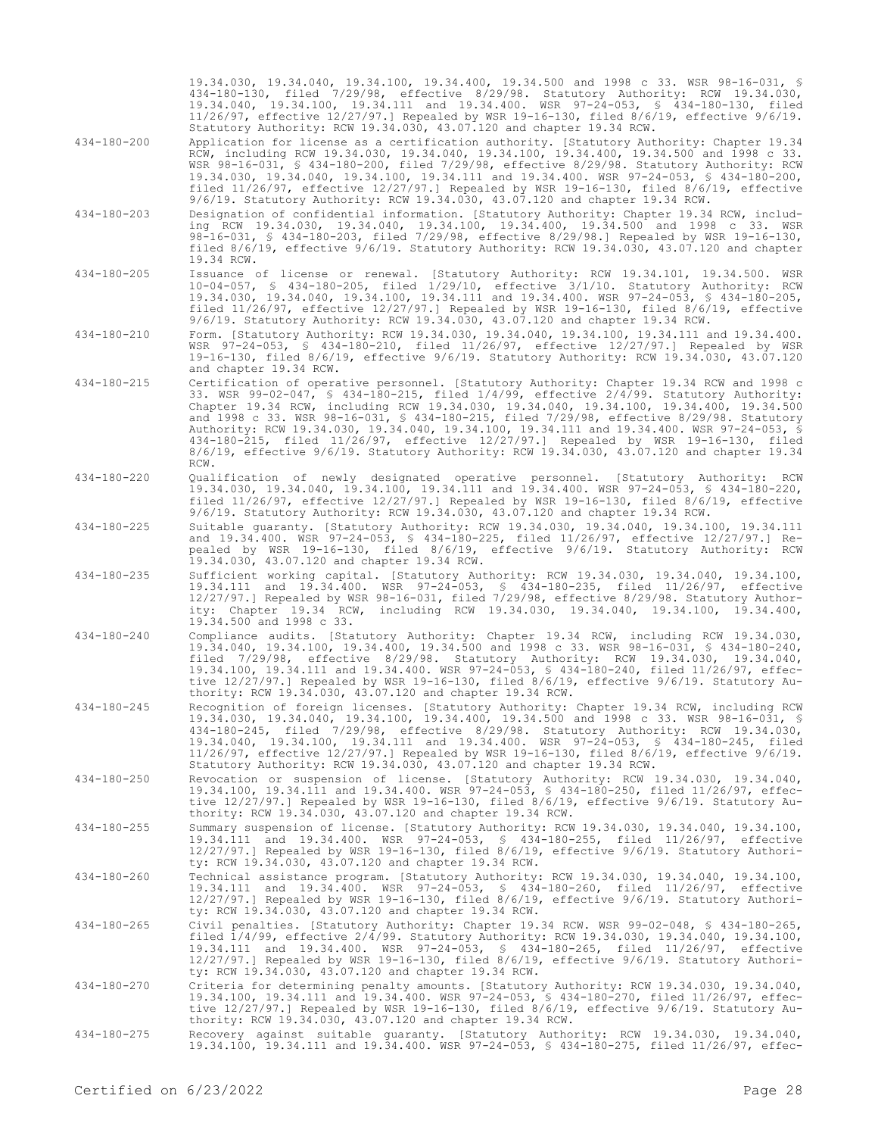19.34.030, 19.34.040, 19.34.100, 19.34.400, 19.34.500 and 1998 c 33. WSR 98-16-031, § 434-180-130, filed 7/29/98, effective 8/29/98. Statutory Authority: RCW 19.34.030, 19.34.040, 19.34.100, 19.34.111 and 19.34.400. WSR 97-24-053, § 434-180-130, filed 11/26/97, effective 12/27/97.] Repealed by WSR 19-16-130, filed 8/6/19, effective 9/6/19. Statutory Authority: RCW 19.34.030, 43.07.120 and chapter 19.34 RCW.

- 434-180-200 Application for license as a certification authority. [Statutory Authority: Chapter 19.34 RCW, including RCW 19.34.030, 19.34.040, 19.34.100, 19.34.400, 19.34.500 and 1998 c 33. WSR 98-16-031, § 434-180-200, filed 7/29/98, effective 8/29/98. Statutory Authority: RCW 19.34.030, 19.34.040, 19.34.100, 19.34.111 and 19.34.400. WSR 97-24-053, § 434-180-200, filed 11/26/97, effective 12/27/97.] Repealed by WSR 19-16-130, filed 8/6/19, effective 9/6/19. Statutory Authority: RCW 19.34.030, 43.07.120 and chapter 19.34 RCW.
- 434-180-203 Designation of confidential information. [Statutory Authority: Chapter 19.34 RCW, including RCW 19.34.030, 19.34.040, 19.34.100, 19.34.400, 19.34.500 and 1998 c 33. WSR 98-16-031, § 434-180-203, filed 7/29/98, effective 8/29/98.] Repealed by WSR 19-16-130, filed 8/6/19, effective 9/6/19. Statutory Authority: RCW 19.34.030, 43.07.120 and chapter 19.34 RCW.
- 434-180-205 Issuance of license or renewal. [Statutory Authority: RCW 19.34.101, 19.34.500. WSR 10-04-057, § 434-180-205, filed 1/29/10, effective 3/1/10. Statutory Authority: RCW 19.34.030, 19.34.040, 19.34.100, 19.34.111 and 19.34.400. WSR 97-24-053, § 434-180-205, filed 11/26/97, effective 12/27/97.] Repealed by WSR 19-16-130, filed 8/6/19, effective 9/6/19. Statutory Authority: RCW 19.34.030, 43.07.120 and chapter 19.34 RCW.
- 434-180-210 Form. [Statutory Authority: RCW 19.34.030, 19.34.040, 19.34.100, 19.34.111 and 19.34.400. WSR 97-24-053, § 434-180-210, filed 11/26/97, effective 12/27/97.] Repealed by WSR 19-16-130, filed 8/6/19, effective 9/6/19. Statutory Authority: RCW 19.34.030, 43.07.120 and chapter 19.34 RCW.
- 434-180-215 Certification of operative personnel. [Statutory Authority: Chapter 19.34 RCW and 1998 c 33. WSR 99-02-047, § 434-180-215, filed 1/4/99, effective 2/4/99. Statutory Authority: Chapter 19.34 RCW, including RCW 19.34.030, 19.34.040, 19.34.100, 19.34.400, 19.34.500 and 1998 c 33. WSR 98-16-031, § 434-180-215, filed 7/29/98, effective 8/29/98. Statutory Authority: RCW 19.34.030, 19.34.040, 19.34.100, 19.34.111 and 19.34.400. WSR 97-24-053, § 434-180-215, filed 11/26/97, effective 12/27/97.] Repealed by WSR 19-16-130, filed 8/6/19, effective 9/6/19. Statutory Authority: RCW 19.34.030, 43.07.120 and chapter 19.34 RCW.
- 434-180-220 Qualification of newly designated operative personnel. [Statutory Authority: RCW 19.34.030, 19.34.040, 19.34.100, 19.34.111 and 19.34.400. WSR 97-24-053, § 434-180-220, filed 11/26/97, effective 12/27/97.] Repealed by WSR 19-16-130, filed 8/6/19, effective 9/6/19. Statutory Authority: RCW 19.34.030, 43.07.120 and chapter 19.34 RCW.
- 434-180-225 Suitable guaranty. [Statutory Authority: RCW 19.34.030, 19.34.040, 19.34.100, 19.34.111 and 19.34.400. WSR 97-24-053, § 434-180-225, filed 11/26/97, effective 12/27/97.] Repealed by WSR 19-16-130, filed 8/6/19, effective 9/6/19. Statutory Authority: RCW 19.34.030, 43.07.120 and chapter 19.34 RCW.
- 434-180-235 Sufficient working capital. [Statutory Authority: RCW 19.34.030, 19.34.040, 19.34.100, 19.34.111 and 19.34.400. WSR 97-24-053, § 434-180-235, filed 11/26/97, effective 12/27/97.] Repealed by WSR 98-16-031, filed 7/29/98, effective 8/29/98. Statutory Authority: Chapter 19.34 RCW, including RCW 19.34.030, 19.34.040, 19.34.100, 19.34.400, 19.34.500 and 1998 c 33.
- 434-180-240 Compliance audits. [Statutory Authority: Chapter 19.34 RCW, including RCW 19.34.030, 19.34.040, 19.34.100, 19.34.400, 19.34.500 and 1998 c 33. WSR 98-16-031, § 434-180-240, filed 7/29/98, effective 8/29/98. Statutory Authority: RCW 19.34.030, 19.34.040, 19.34.100, 19.34.111 and 19.34.400. WSR 97-24-053, § 434-180-240, filed 11/26/97, effective 12/27/97.] Repealed by WSR 19-16-130, filed 8/6/19, effective 9/6/19. Statutory Authority: RCW 19.34.030, 43.07.120 and chapter 19.34 RCW.
- 434-180-245 Recognition of foreign licenses. [Statutory Authority: Chapter 19.34 RCW, including RCW 19.34.030, 19.34.040, 19.34.100, 19.34.400, 19.34.500 and 1998 c 33. WSR 98-16-031, § 434-180-245, filed 7/29/98, effective 8/29/98. Statutory Authority: RCW 19.34.030, 19.34.040, 19.34.100, 19.34.111 and 19.34.400. WSR 97-24-053, § 434-180-245, filed 11/26/97, effective 12/27/97.] Repealed by WSR 19-16-130, filed 8/6/19, effective 9/6/19. Statutory Authority: RCW 19.34.030, 43.07.120 and chapter 19.34 RCW.
- 434-180-250 Revocation or suspension of license. [Statutory Authority: RCW 19.34.030, 19.34.040, 19.34.100, 19.34.111 and 19.34.400. WSR 97-24-053, § 434-180-250, filed 11/26/97, effective 12/27/97.] Repealed by WSR 19-16-130, filed 8/6/19, effective 9/6/19. Statutory Authority: RCW 19.34.030, 43.07.120 and chapter 19.34 RCW.
- 434-180-255 Summary suspension of license. [Statutory Authority: RCW 19.34.030, 19.34.040, 19.34.100, 19.34.111 and 19.34.400. WSR 97-24-053, § 434-180-255, filed 11/26/97, effective 12/27/97.] Repealed by WSR 19-16-130, filed 8/6/19, effective 9/6/19. Statutory Authority: RCW 19.34.030, 43.07.120 and chapter 19.34 RCW.
- 434-180-260 Technical assistance program. [Statutory Authority: RCW 19.34.030, 19.34.040, 19.34.100, 19.34.111 and 19.34.400. WSR 97-24-053, § 434-180-260, filed 11/26/97, effective 12/27/97.] Repealed by WSR 19-16-130, filed 8/6/19, effective 9/6/19. Statutory Authority: RCW 19.34.030, 43.07.120 and chapter 19.34 RCW.
- 434-180-265 Civil penalties. [Statutory Authority: Chapter 19.34 RCW. WSR 99-02-048, § 434-180-265, filed 1/4/99, effective 2/4/99. Statutory Authority: RCW 19.34.030, 19.34.040, 19.34.100,<br>19.34.111 and 19.34.400. WSR 97-24-053, § 434-180-265, filed 11/26/97, effective<br>12/27/97.] Repealed by WSR 19-16-130, filed 8/6/19, ty: RCW 19.34.030, 43.07.120 and chapter 19.34 RCW.
- 434-180-270 Criteria for determining penalty amounts. [Statutory Authority: RCW 19.34.030, 19.34.040, 19.34.100, 19.34.111 and 19.34.400. WSR 97-24-053, § 434-180-270, filed 11/26/97, effective 12/27/97.] Repealed by WSR 19-16-130, filed 8/6/19, effective 9/6/19. Statutory Authority: RCW 19.34.030, 43.07.120 and chapter 19.34 RCW.
- 434-180-275 Recovery against suitable guaranty. [Statutory Authority: RCW 19.34.030, 19.34.040, 19.34.100, 19.34.111 and 19.34.400. WSR 97-24-053, § 434-180-275, filed 11/26/97, effec-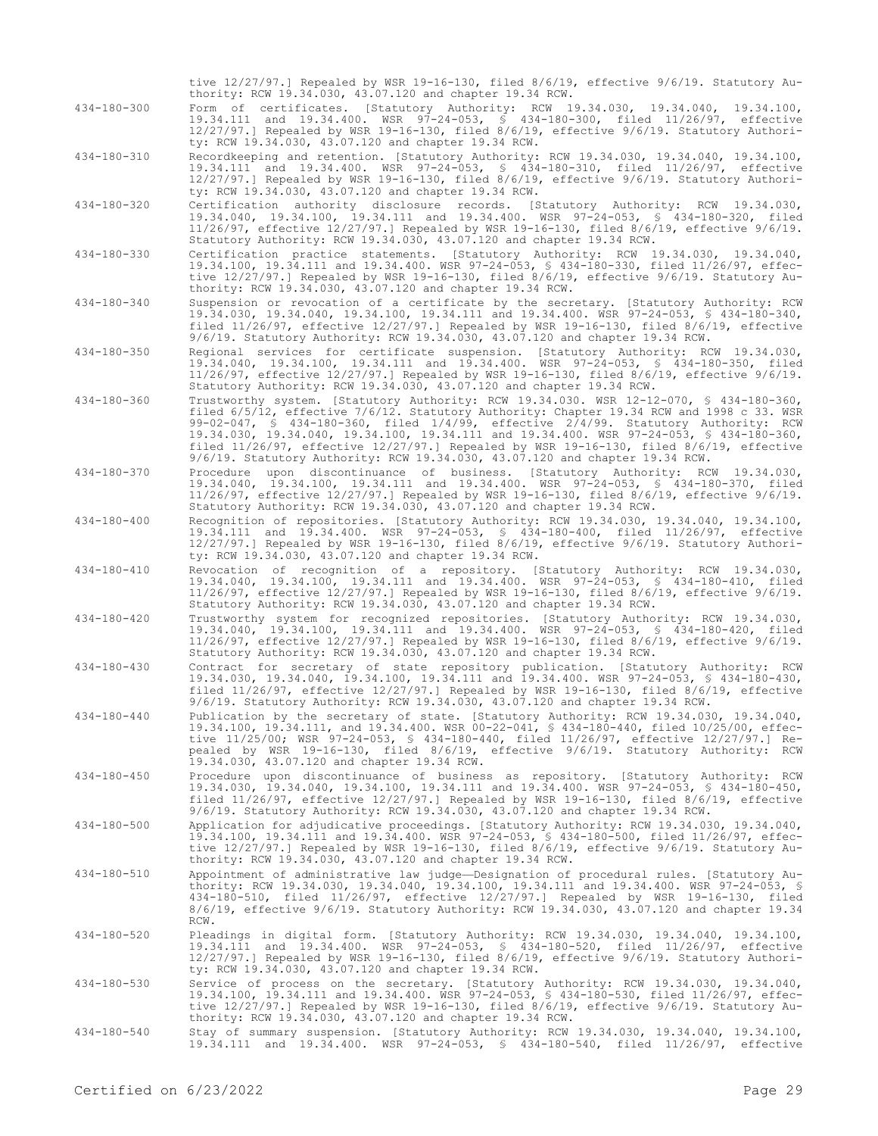|                   | tive 12/27/97.] Repealed by WSR 19-16-130, filed 8/6/19, effective 9/6/19. Statutory Au-<br>thority: RCW 19.34.030, 43.07.120 and chapter 19.34 RCW.                                                                                                                                                                                                                                                                                                                                                                                                          |
|-------------------|---------------------------------------------------------------------------------------------------------------------------------------------------------------------------------------------------------------------------------------------------------------------------------------------------------------------------------------------------------------------------------------------------------------------------------------------------------------------------------------------------------------------------------------------------------------|
| 434-180-300       | Form of certificates. [Statutory Authority: RCW 19.34.030, 19.34.040, 19.34.100,<br>19.34.111 and 19.34.400. WSR 97-24-053, § 434-180-300, filed 11/26/97, effective<br>$12/27/97.$ Repealed by WSR 19-16-130, filed 8/6/19, effective 9/6/19. Statutory Authori-<br>ty: RCW 19.34.030, 43.07.120 and chapter 19.34 RCW.                                                                                                                                                                                                                                      |
| 434-180-310       | Recordkeeping and retention. [Statutory Authority: RCW 19.34.030, 19.34.040, 19.34.100,<br>19.34.111 and 19.34.400. WSR 97-24-053, § 434-180-310, filed 11/26/97, effective<br>$12/27/97.$ Repealed by WSR 19-16-130, filed 8/6/19, effective 9/6/19. Statutory Authori-<br>ty: RCW 19.34.030, 43.07.120 and chapter 19.34 RCW.                                                                                                                                                                                                                               |
| 434-180-320       | Certification authority disclosure records. [Statutory Authority: RCW 19.34.030,<br>19.34.040, 19.34.100, 19.34.111 and 19.34.400. WSR 97-24-053, § 434-180-320, filed<br>11/26/97, effective 12/27/97.] Repealed by WSR 19-16-130, filed 8/6/19, effective 9/6/19.<br>Statutory Authority: RCW 19.34.030, 43.07.120 and chapter 19.34 RCW.                                                                                                                                                                                                                   |
| 434-180-330       | Certification practice statements. [Statutory Authority: RCW 19.34.030, 19.34.040,<br>19.34.100, 19.34.111 and 19.34.400. WSR 97-24-053, § 434-180-330, filed 11/26/97, effec-<br>tive 12/27/97.1 Repealed by WSR 19-16-130, filed 8/6/19, effective 9/6/19. Statutory Au-<br>thority: RCW 19.34.030, 43.07.120 and chapter 19.34 RCW.                                                                                                                                                                                                                        |
| 434-180-340       | Suspension or revocation of a certificate by the secretary. [Statutory Authority: RCW<br>19.34.030, 19.34.040, 19.34.100, 19.34.111 and 19.34.400. WSR 97-24-053, § 434-180-340,<br>filed $11/26/97$ , effective $12/27/97$ .] Repealed by WSR 19-16-130, filed 8/6/19, effective<br>9/6/19. Statutory Authority: RCW 19.34.030, 43.07.120 and chapter 19.34 RCW.                                                                                                                                                                                             |
| 434-180-350       | Regional services for certificate suspension. [Statutory Authority: RCW 19.34.030,<br>19.34.040, 19.34.100, 19.34.111 and 19.34.400. WSR 97-24-053, § 434-180-350, filed<br>$11/26/97$ , effective $12/27/97$ .] Repealed by WSR 19-16-130, filed 8/6/19, effective 9/6/19.<br>Statutory Authority: RCW 19.34.030, 43.07.120 and chapter 19.34 RCW.                                                                                                                                                                                                           |
| 434-180-360       | Trustworthy system. [Statutory Authority: RCW 19.34.030. WSR 12-12-070, § 434-180-360,<br>filed 6/5/12, effective 7/6/12. Statutory Authority: Chapter 19.34 RCW and 1998 c 33. WSR<br>99-02-047, § 434-180-360, filed $1/4/99$ , effective $2/4/99$ . Statutory Authority: RCW<br>19.34.030, 19.34.040, 19.34.100, 19.34.111 and 19.34.400. WSR 97-24-053, § 434-180-360,<br>filed $11/26/97$ , effective $12/27/97$ . Repealed by WSR 19-16-130, filed $8/6/19$ , effective<br>9/6/19. Statutory Authority: RCW 19.34.030, 43.07.120 and chapter 19.34 RCW. |
| 434-180-370       | Procedure upon discontinuance of business. [Statutory Authority: RCW 19.34.030,<br>19.34.040, 19.34.100, 19.34.111 and 19.34.400. WSR 97-24-053, § 434-180-370, filed<br>$11/26/97$ , effective $12/27/97$ .] Repealed by WSR 19-16-130, filed 8/6/19, effective 9/6/19.<br>Statutory Authority: RCW 19.34.030, 43.07.120 and chapter 19.34 RCW.                                                                                                                                                                                                              |
| 434-180-400       | Recognition of repositories. [Statutory Authority: RCW 19.34.030, 19.34.040, 19.34.100,<br>19.34.111 and 19.34.400. WSR 97-24-053, § 434-180-400, filed 11/26/97, effective<br>$12/27/97.$ Repealed by WSR 19-16-130, filed 8/6/19, effective 9/6/19. Statutory Authori-<br>ty: RCW 19.34.030, 43.07.120 and chapter 19.34 RCW.                                                                                                                                                                                                                               |
| $434 - 180 - 410$ | Revocation of recognition of a repository. [Statutory Authority: RCW 19.34.030,<br>19.34.040, 19.34.100, 19.34.111 and 19.34.400. WSR 97-24-053, § 434-180-410, filed<br>$11/26/97$ , effective $12/27/97$ .] Repealed by WSR 19-16-130, filed 8/6/19, effective 9/6/19.<br>Statutory Authority: RCW 19.34.030, 43.07.120 and chapter 19.34 RCW.                                                                                                                                                                                                              |
| 434-180-420       | Trustworthy system for recognized repositories. [Statutory Authority: RCW 19.34.030,<br>19.34.040, 19.34.100, 19.34.111 and 19.34.400. WSR 97-24-053, § 434-180-420, filed<br>11/26/97, effective 12/27/97.] Repealed by WSR 19-16-130, filed 8/6/19, effective 9/6/19.<br>Statutory Authority: RCW 19.34.030, 43.07.120 and chapter 19.34 RCW.                                                                                                                                                                                                               |
| $434 - 180 - 430$ | Contract for secretary of state repository publication. [Statutory Authority: RCW<br>19.34.030, 19.34.040, 19.34.100, 19.34.111 and 19.34.400. WSR 97-24-053, \$ 434-180-430,<br>filed $11/26/97$ , effective $12/27/97$ . Repealed by WSR 19-16-130, filed 8/6/19, effective<br>9/6/19. Statutory Authority: RCW 19.34.030, 43.07.120 and chapter 19.34 RCW.                                                                                                                                                                                                 |
| 434-180-440       | Publication by the secretary of state. [Statutory Authority: RCW 19.34.030, 19.34.040,<br>19.34.100, 19.34.111, and 19.34.400. WSR 00-22-041, § 434-180-440, filed 10/25/00, effec-<br>tive 11/25/00; WSR 97-24-053, § 434-180-440, filed 11/26/97, effective 12/27/97.] Re-<br>pealed by WSR 19-16-130, filed 8/6/19, effective 9/6/19. Statutory Authority: RCW<br>19.34.030, 43.07.120 and chapter 19.34 RCW.                                                                                                                                              |
| 434-180-450       | Procedure upon discontinuance of business as repository. [Statutory Authority: RCW<br>19.34.030, 19.34.040, 19.34.100, 19.34.111 and 19.34.400. WSR 97-24-053, § 434-180-450,<br>filed $11/26/97$ , effective $12/27/97$ .] Repealed by WSR 19-16-130, filed 8/6/19, effective<br>9/6/19. Statutory Authority: RCW 19.34.030, 43.07.120 and chapter 19.34 RCW.                                                                                                                                                                                                |
| 434-180-500       | Application for adjudicative proceedings. [Statutory Authority: RCW 19.34.030, 19.34.040,<br>19.34.100, 19.34.111 and 19.34.400. WSR 97-24-053, § 434-180-500, filed 11/26/97, effec-<br>tive 12/27/97.] Repealed by WSR 19-16-130, filed 8/6/19, effective 9/6/19. Statutory Au-<br>thority: RCW 19.34.030, 43.07.120 and chapter 19.34 RCW.                                                                                                                                                                                                                 |
| 434-180-510       | Appointment of administrative law judge-Designation of procedural rules. [Statutory Au-<br>thority: RCW 19.34.030, 19.34.040, 19.34.100, 19.34.111 and 19.34.400. WSR 97-24-053, \$<br>434-180-510, filed 11/26/97, effective 12/27/97.] Repealed by WSR 19-16-130, filed<br>8/6/19, effective 9/6/19. Statutory Authority: RCW 19.34.030, 43.07.120 and chapter 19.34<br>RCW.                                                                                                                                                                                |
| 434-180-520       | Pleadings in digital form. [Statutory Authority: RCW 19.34.030, 19.34.040, 19.34.100,<br>19.34.111 and 19.34.400. WSR 97-24-053, § 434-180-520, filed 11/26/97, effective<br>12/27/97.] Repealed by WSR 19-16-130, filed 8/6/19, effective 9/6/19. Statutory Authori-<br>ty: RCW 19.34.030, 43.07.120 and chapter 19.34 RCW.                                                                                                                                                                                                                                  |
| 434-180-530       | Service of process on the secretary. [Statutory Authority: RCW 19.34.030, 19.34.040,<br>19.34.100, 19.34.111 and 19.34.400. WSR 97-24-053, § 434-180-530, filed 11/26/97, effec-<br>tive 12/27/97.] Repealed by WSR 19-16-130, filed 8/6/19, effective 9/6/19. Statutory Au-<br>thority: RCW 19.34.030, 43.07.120 and chapter 19.34 RCW.                                                                                                                                                                                                                      |
| 434-180-540       | Stay of summary suspension. [Statutory Authority: RCW 19.34.030, 19.34.040, 19.34.100,<br>19.34.111 and 19.34.400. WSR 97-24-053, \$ 434-180-540, filed 11/26/97, effective                                                                                                                                                                                                                                                                                                                                                                                   |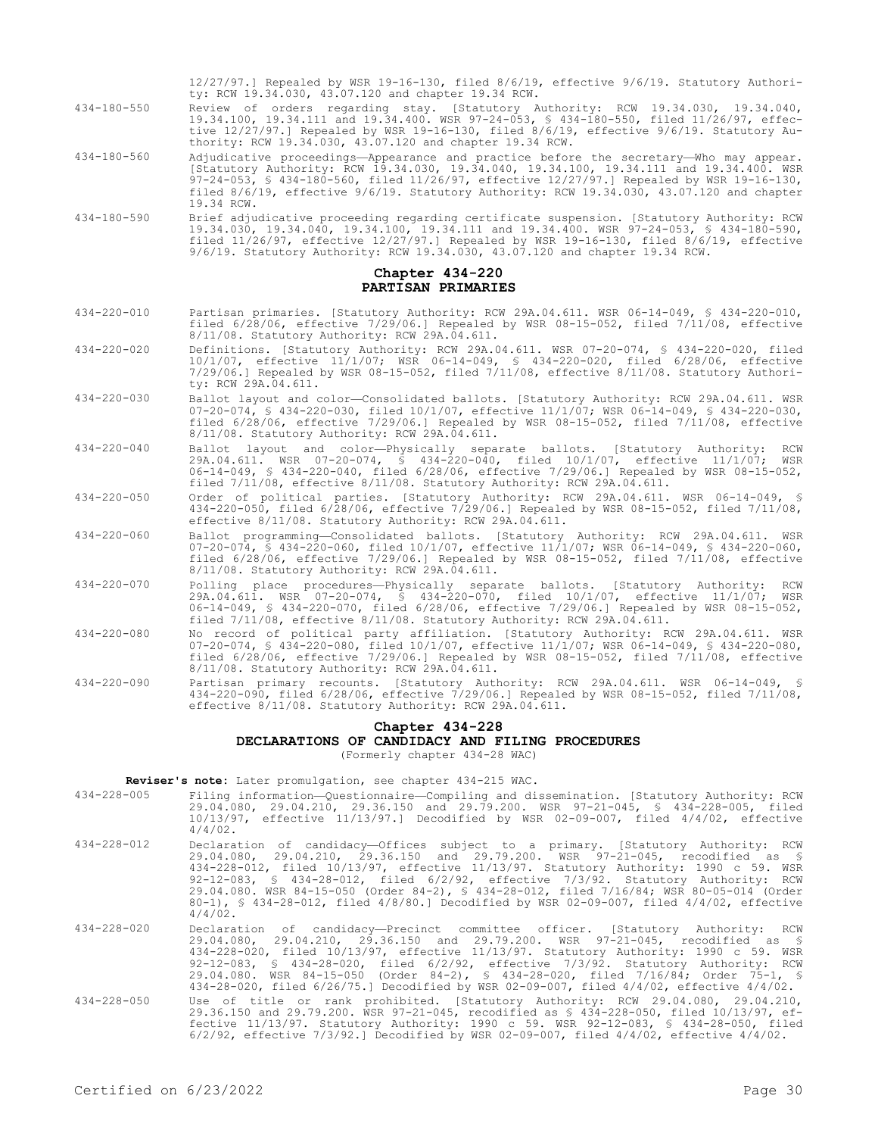|                   | ty: RCW 19.34.030, 43.07.120 and chapter 19.34 RCW.                                                                                                                                                                                                                                                                                                                                             |
|-------------------|-------------------------------------------------------------------------------------------------------------------------------------------------------------------------------------------------------------------------------------------------------------------------------------------------------------------------------------------------------------------------------------------------|
| 434-180-550       | Review of orders regarding stay. [Statutory Authority: RCW 19.34.030, 19.34.040,<br>19.34.100, 19.34.111 and 19.34.400. WSR 97-24-053, § 434-180-550, filed 11/26/97, effec-<br>tive 12/27/97.] Repealed by WSR 19-16-130, filed 8/6/19, effective 9/6/19. Statutory Au-<br>thority: RCW 19.34.030, 43.07.120 and chapter 19.34 RCW.                                                            |
| 434-180-560       | Adjudicative proceedings—Appearance and practice before the secretary—Who may appear.<br>[Statutory Authority: RCW 19.34.030, 19.34.040, 19.34.100, 19.34.111 and 19.34.400. WSR<br>97-24-053, \$ 434-180-560, filed 11/26/97, effective 12/27/97.] Repealed by WSR 19-16-130,<br>filed $8/6/19$ , effective $9/6/19$ . Statutory Authority: RCW 19.34.030, 43.07.120 and chapter<br>19.34 RCW. |
| 434-180-590       | Brief adjudicative proceeding regarding certificate suspension. [Statutory Authority: RCW<br>19.34.030, 19.34.040, 19.34.100, 19.34.111 and 19.34.400. WSR 97-24-053, § 434-180-590,<br>filed $11/26/97$ , effective $12/27/97$ .] Repealed by WSR 19-16-130, filed 8/6/19, effective<br>9/6/19. Statutory Authority: RCW 19.34.030, 43.07.120 and chapter 19.34 RCW.                           |
|                   | Chapter 434-220<br>PARTISAN PRIMARIES                                                                                                                                                                                                                                                                                                                                                           |
| 434-220-010       | Partisan primaries. [Statutory Authority: RCW 29A.04.611. WSR 06-14-049, § 434-220-010,<br>filed $6/28/06$ , effective $7/29/06$ . Repealed by WSR 08-15-052, filed $7/11/08$ , effective<br>8/11/08. Statutory Authority: RCW 29A.04.611.                                                                                                                                                      |
| 434-220-020       | Definitions. [Statutory Authority: RCW 29A.04.611. WSR 07-20-074, § 434-220-020, filed<br>10/1/07, effective 11/1/07; WSR 06-14-049, § 434-220-020, filed 6/28/06, effective<br>$7/29/06.$ ] Repealed by WSR 08-15-052, filed $7/11/08$ , effective 8/11/08. Statutory Authori-<br>ty: RCW 29A.04.611.                                                                                          |
| 434-220-030       | Ballot layout and color-Consolidated ballots. [Statutory Authority: RCW 29A.04.611. WSR<br>07-20-074, § 434-220-030, filed 10/1/07, effective 11/1/07; WSR 06-14-049, § 434-220-030,<br>filed $6/28/06$ , effective $7/29/06$ . Repealed by WSR 08-15-052, filed $7/11/08$ , effective<br>8/11/08. Statutory Authority: RCW 29A.04.611.                                                         |
| $434 - 220 - 040$ | Ballot layout and color-Physically separate ballots. [Statutory Authority:<br>RCW<br>29A.04.611. WSR 07-20-074, § 434-220-040, filed 10/1/07, effective 11/1/07; WSR<br>06-14-049, \$ 434-220-040, filed 6/28/06, effective 7/29/06.] Repealed by WSR 08-15-052,<br>filed $7/11/08$ , effective $8/11/08$ . Statutory Authority: RCW 29A.04.611.                                                |
| 434-220-050       | Order of political parties. [Statutory Authority: RCW 29A.04.611. WSR 06-14-049, §<br>434-220-050, filed 6/28/06, effective 7/29/06.] Repealed by WSR 08-15-052, filed 7/11/08,<br>effective 8/11/08. Statutory Authority: RCW 29A.04.611.                                                                                                                                                      |
| 434-220-060       | Ballot programming-Consolidated ballots. [Statutory Authority: RCW 29A.04.611. WSR<br>07-20-074, § 434-220-060, filed 10/1/07, effective 11/1/07; WSR 06-14-049, § 434-220-060,<br>filed $6/28/06$ , effective $7/29/06$ . Repealed by WSR 08-15-052, filed $7/11/08$ , effective<br>8/11/08. Statutory Authority: RCW 29A.04.611.                                                              |
| 434-220-070       | Polling place procedures--Physically separate ballots. [Statutory Authority:<br>RCW<br>29A.04.611. WSR 07-20-074, \$ 434-220-070, filed 10/1/07, effective 11/1/07;<br>WSR<br>06-14-049, \$ 434-220-070, filed 6/28/06, effective 7/29/06.] Repealed by WSR 08-15-052,<br>filed 7/11/08, effective 8/11/08. Statutory Authority: RCW 29A.04.611.                                                |
| 434-220-080       | No record of political party affiliation. [Statutory Authority: RCW 29A.04.611. WSR<br>07-20-074, § 434-220-080, filed 10/1/07, effective 11/1/07; WSR 06-14-049, § 434-220-080,<br>filed $6/28/06$ , effective $7/29/06$ . Repealed by WSR 08-15-052, filed $7/11/08$ , effective<br>8/11/08. Statutory Authority: RCW 29A.04.611.                                                             |
| 434-220-090       | Partisan primary recounts. [Statutory Authority: RCW 29A.04.611. WSR 06-14-049, §<br>434-220-090, filed 6/28/06, effective 7/29/06.] Repealed by WSR 08-15-052, filed 7/11/08,<br>effective 8/11/08. Statutory Authority: RCW 29A.04.611.                                                                                                                                                       |
|                   | Chapter 434-228                                                                                                                                                                                                                                                                                                                                                                                 |
|                   | DECLARATIONS OF CANDIDACY AND FILING PROCEDURES<br>(Formerly chapter 434-28 WAC)                                                                                                                                                                                                                                                                                                                |
|                   |                                                                                                                                                                                                                                                                                                                                                                                                 |

12/27/97.] Repealed by WSR 19-16-130, filed 8/6/19, effective 9/6/19. Statutory Authori-

**Reviser's note:** Later promulgation, see chapter 434-215 WAC.

| 434-228-005 |            | Filing information-Questionnaire-Compiling and dissemination. [Statutory Authority: RCW     |  |  |  |  |
|-------------|------------|---------------------------------------------------------------------------------------------|--|--|--|--|
|             |            | 29.04.080, 29.04.210, 29.36.150 and 29.79.200. WSR 97-21-045, § 434-228-005, filed          |  |  |  |  |
|             | $4/4/02$ . | $10/13/97$ , effective $11/13/97$ . Decodified by WSR 02-09-007, filed $4/4/02$ , effective |  |  |  |  |

- 434-228-012 Declaration of candidacy—Offices subject to a primary. [Statutory Authority: RCW 29.04.080, 29.04.210, 29.36.150 and 29.79.200. WSR 97-21-045, recodified as § 434-228-012, filed 10/13/97, effective 11/13/97. Statutory Authority: 1990 c 59. WSR 92-12-083, § 434-28-012, filed 6/2/92, effective 7/3/92. Statutory Authority: RCW 29.04.080. WSR 84-15-050 (Order 84-2), § 434-28-012, filed 7/16/84; WSR 80-05-014 (Order 80-1), § 434-28-012, filed 4/8/80.] Decodified by WSR 02-09-007, filed 4/4/02, effective 4/4/02.
- 434-228-020 Declaration of candidacy—Precinct committee officer. [Statutory Authority: RCW 29.04.080, 29.04.210, 29.36.150 and 29.79.200. WSR 97-21-045, recodified as \$<br>434-228-020, filed 10/13/97, effective 11/13/97. Statutory Authority: 1990 c 59. WSR<br>92-12-083, \$ 434-28-020, filed 6/2/92, effective 7/3/92. St 29.04.080. WSR 84-15-050 (Order 84-2), § 434-28-020, filed 7/16/84; Order 75-1, § 434-28-020, filed 6/26/75.] Decodified by WSR 02-09-007, filed 4/4/02, effective 4/4/02.
- 434-228-050 Use of title or rank prohibited. [Statutory Authority: RCW 29.04.080, 29.04.210, 29.36.150 and 29.79.200. WSR 97-21-045, recodified as § 434-228-050, filed 10/13/97, effective 11/13/97. Statutory Authority: 1990 c 59. WSR 92-12-083, § 434-28-050, filed 6/2/92, effective 7/3/92.] Decodified by WSR 02-09-007, filed 4/4/02, effective 4/4/02.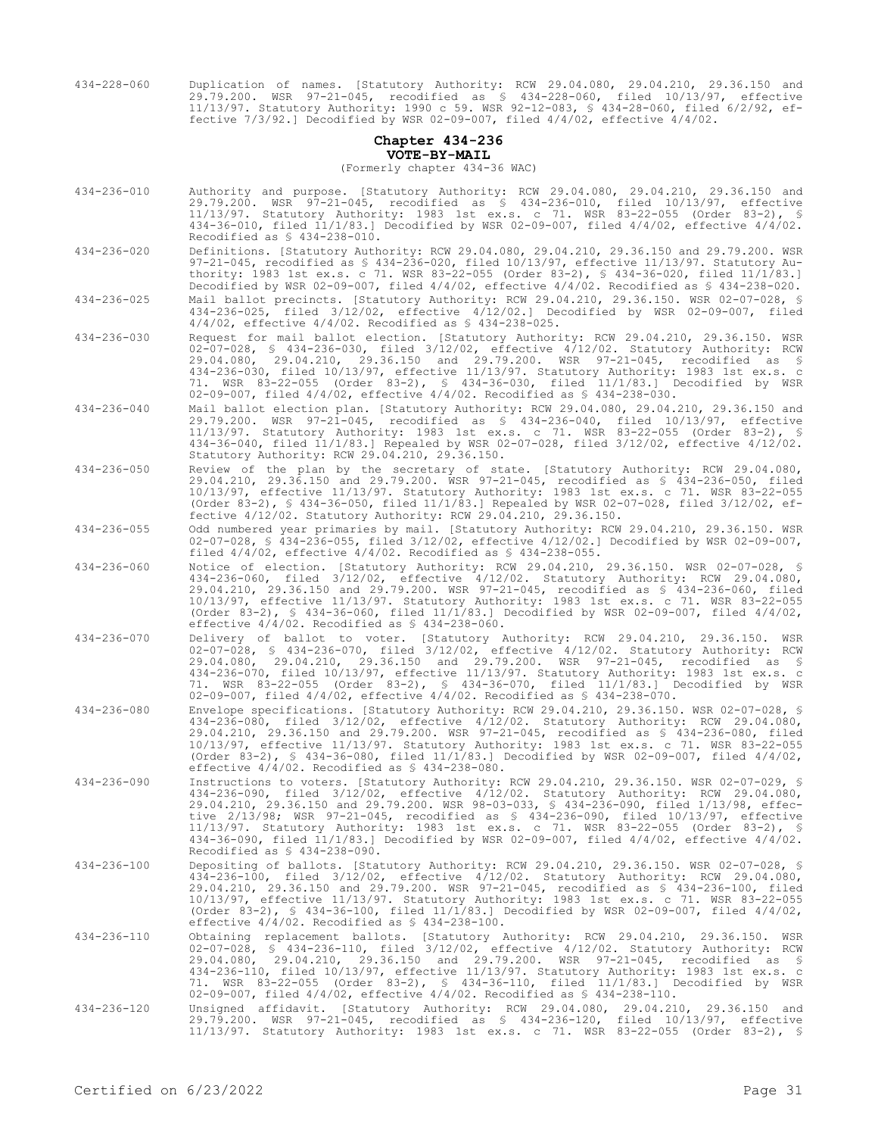434-228-060 Duplication of names. [Statutory Authority: RCW 29.04.080, 29.04.210, 29.36.150 and 29.79.200. WSR 97-21-045, recodified as § 434-228-060, filed 10/13/97, effective 11/13/97. Statutory Authority: 1990 c 59. WSR 92-12-083, § 434-28-060, filed 6/2/92, effective 7/3/92.] Decodified by WSR 02-09-007, filed 4/4/02, effective 4/4/02.

### **Chapter 434-236 VOTE-BY-MAIL**

(Formerly chapter 434-36 WAC)

- 434-236-010 Authority and purpose. [Statutory Authority: RCW 29.04.080, 29.04.210, 29.36.150 and 29.79.200. WSR 97-21-045, recodified as § 434-236-010, filed 10/13/97, effective 11/13/97. Statutory Authority: 1983 1st ex.s. c 71. WSR 83-22-055 (Order 83-2), § 434-36-010, filed 11/1/83.] Decodified by WSR 02-09-007, filed 4/4/02, effective 4/4/02. Recodified as § 434-238-010.
- 434-236-020 Definitions. [Statutory Authority: RCW 29.04.080, 29.04.210, 29.36.150 and 29.79.200. WSR 97-21-045, recodified as § 434-236-020, filed 10/13/97, effective 11/13/97. Statutory Authority: 1983 1st ex.s. c 71. WSR 83-22-055 (Order 83-2), § 434-36-020, filed 11/1/83.] Decodified by WSR 02-09-007, filed 4/4/02, effective 4/4/02. Recodified as § 434-238-020.
- 434-236-025 Mail ballot precincts. [Statutory Authority: RCW 29.04.210, 29.36.150. WSR 02-07-028, § 434-236-025, filed 3/12/02, effective 4/12/02.] Decodified by WSR 02-09-007, filed 4/4/02, effective 4/4/02. Recodified as § 434-238-025.
- 434-236-030 Request for mail ballot election. [Statutory Authority: RCW 29.04.210, 29.36.150. WSR 02-07-028, § 434-236-030, filed 3/12/02, effective 4/12/02. Statutory Authority: RCW 29.04.080, 29.04.210, 29.36.150 and 29.79.200. WSR 97-21-045, recodified as § 434-236-030, filed 10/13/97, effective 11/13/97. Statutory Authority: 1983 1st ex.s. c 71. WSR 83-22-055 (Order 83-2), § 434-36-030, filed 11/1/83.] Decodified by WSR 02-09-007, filed 4/4/02, effective 4/4/02. Recodified as § 434-238-030.
- 434-236-040 Mail ballot election plan. [Statutory Authority: RCW 29.04.080, 29.04.210, 29.36.150 and 29.79.200. WSR 97-21-045, recodified as § 434-236-040, filed 10/13/97, effective 11/13/97. Statutory Authority: 1983 1st ex.s. c 71. WSR 83-22-055 (Order 83-2), § 434-36-040, filed 11/1/83.] Repealed by WSR 02-07-028, filed 3/12/02, effective 4/12/02. Statutory Authority: RCW 29.04.210, 29.36.150.
- 434-236-050 Review of the plan by the secretary of state. [Statutory Authority: RCW 29.04.080, 29.04.210, 29.36.150 and 29.79.200. WSR 97-21-045, recodified as § 434-236-050, filed 10/13/97, effective 11/13/97. Statutory Authority: 1983 1st ex.s. c 71. WSR 83-22-055 (Order 83-2), § 434-36-050, filed 11/1/83.] Repealed by WSR 02-07-028, filed 3/12/02, effective 4/12/02. Statutory Authority: RCW 29.04.210, 29.36.150.

434-236-055 Odd numbered year primaries by mail. [Statutory Authority: RCW 29.04.210, 29.36.150. WSR 02-07-028, § 434-236-055, filed 3/12/02, effective 4/12/02.] Decodified by WSR 02-09-007, filed 4/4/02, effective 4/4/02. Recodified as § 434-238-055.

- 434-236-060 Notice of election. [Statutory Authority: RCW 29.04.210, 29.36.150. WSR 02-07-028, § 434-236-060, filed 3/12/02, effective 4/12/02. Statutory Authority: RCW 29.04.080, 29.04.210, 29.36.150 and 29.79.200. WSR 97-21-045, recodified as § 434-236-060, filed 10/13/97, effective 11/13/97. Statutory Authority: 1983 1st ex.s. c 71. WSR 83-22-055 (Order 83-2), § 434-36-060, filed  $11/1/83$ .] Decodified by WSR 02-09-007, filed  $4/4/02$ , effective  $4/4/02$ . Recodified as §  $434-238-060$ .
- 434-236-070 Delivery of ballot to voter. [Statutory Authority: RCW 29.04.210, 29.36.150. WSR 02-07-028, § 434-236-070, filed 3/12/02, effective 4/12/02. Statutory Authority: RCW 29.04.080, 29.04.210, 29.36.150 and 29.79.200. WSR 97-21-045, recodified as § 434-236-070, filed 10/13/97, effective 11/13/97. Statutory Authority: 1983 1st ex.s. c 71. WSR 83-22-055 (Order 83-2), § 434-36-070, filed 11/1/83.] Decodified by WSR 02-09-007, filed 4/4/02, effective 4/4/02. Recodified as § 434-238-070.
- 434-236-080 Envelope specifications. [Statutory Authority: RCW 29.04.210, 29.36.150. WSR 02-07-028, § 434-236-080, filed 3/12/02, effective 4/12/02. Statutory Authority: RCW 29.04.080, 29.04.210, 29.36.150 and 29.79.200. WSR 97-21-045, recodified as § 434-236-080, filed 10/13/97, effective 11/13/97. Statutory Authority: 1983 1st ex.s. c 71. WSR 83-22-055 (Order 83-2), § 434-36-080, filed 11/1/83.] Decodified by WSR 02-09-007, filed 4/4/02, effective 4/4/02. Recodified as § 434-238-080.
- 434-236-090 Instructions to voters. [Statutory Authority: RCW 29.04.210, 29.36.150. WSR 02-07-029, § 434-236-090, filed 3/12/02, effective 4/12/02. Statutory Authority: RCW 29.04.080, 29.04.210, 29.36.150 and 29.79.200. WSR 98-03-033, § 434-236-090, filed 1/13/98, effective 2/13/98; WSR 97-21-045, recodified as § 434-236-090, filed 10/13/97, effective 11/13/97. Statutory Authority: 1983 1st ex.s. c 71. WSR 83-22-055 (Order 83-2), § 434-36-090, filed 11/1/83.] Decodified by WSR 02-09-007, filed 4/4/02, effective 4/4/02. Recodified as § 434-238-090.
- 434-236-100 Depositing of ballots. [Statutory Authority: RCW 29.04.210, 29.36.150. WSR 02-07-028, § 434-236-100, filed 3/12/02, effective 4/12/02. Statutory Authority: RCW 29.04.080, 29.04.210, 29.36.150 and 29.79.200. WSR 97-21-045, recodified as § 434-236-100, filed 10/13/97, effective 11/13/97. Statutory Authority: 1983 1st ex.s. c 71. WSR 83-22-055 (Order 83-2), § 434-36-100, filed 11/1/83.] Decodified by WSR 02-09-007, filed 4/4/02, effective  $4/4/02$ . Recodified as  $$ 434-238-100$ .
- 434-236-110 Obtaining replacement ballots. [Statutory Authority: RCW 29.04.210, 29.36.150. WSR<br>02-07-028, § 434-236-110, filed 3/12/02, effective 4/12/02. Statutory Authority: RCW<br>29.04.080, 29.04.210, 29.36.150 and 29.79. 434-236-110, filed 10/13/97, effective 11/13/97. Statutory Authority: 1983 1st ex.s. c 71. WSR 83-22-055 (Order 83-2), § 434-36-110, filed 11/1/83.] Decodified by WSR 02-09-007, filed 4/4/02, effective 4/4/02. Recodified as § 434-238-110.
- 434-236-120 Unsigned affidavit. [Statutory Authority: RCW 29.04.080, 29.04.210, 29.36.150 and 29.79.200. WSR 97-21-045, recodified as § 434-236-120, filed 10/13/97, effective 11/13/97. Statutory Authority: 1983 1st ex.s. c 71. WSR 83-22-055 (Order 83-2), §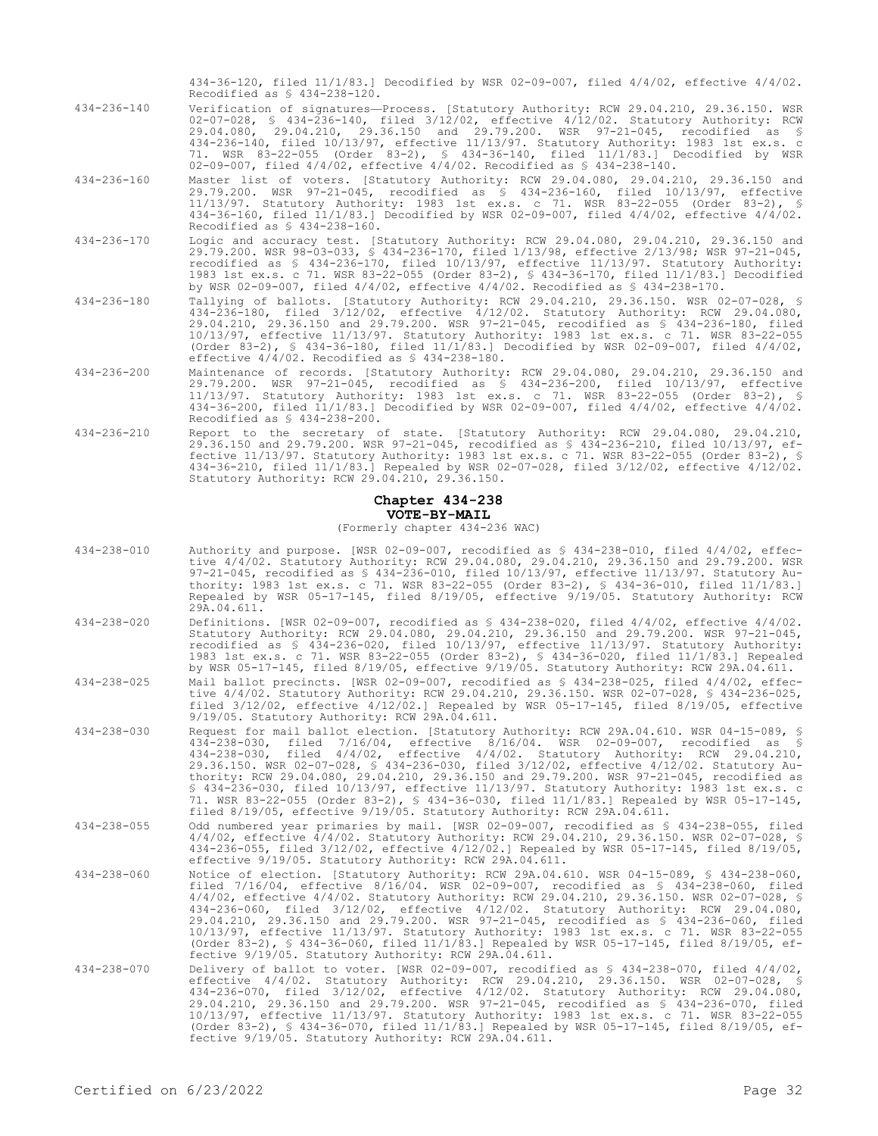434-36-120, filed 11/1/83.] Decodified by WSR 02-09-007, filed 4/4/02, effective 4/4/02. Recodified as § 434-238-120.

- 434-236-140 Verification of signatures—Process. [Statutory Authority: RCW 29.04.210, 29.36.150. WSR 02-07-028, § 434-236-140, filed 3/12/02, effective 4/12/02. Statutory Authority: RCW 29.04.080, 29.04.210, 29.36.150 and 29.79.200. WSR 97-21-045, recodified as § 434-236-140, filed 10/13/97, effective 11/13/97. Statutory Authority: 1983 1st ex.s. c 71. WSR 83-22-055 (Order 83-2), § 434-36-140, filed 11/1/83.] Decodified by WSR 02-09-007, filed 4/4/02, effective 4/4/02. Recodified as § 434-238-140.
- 434-236-160 Master list of voters. [Statutory Authority: RCW 29.04.080, 29.04.210, 29.36.150 and 29.79.200. WSR 97-21-045, recodified as § 434-236-160, filed 10/13/97, effective 11/13/97. Statutory Authority: 1983 1st ex.s. c 71. WSR 83-22-055 (Order 83-2), § 434-36-160, filed 11/1/83.] Decodified by WSR 02-09-007, filed 4/4/02, effective 4/4/02. Recodified as § 434-238-160.
- 434-236-170 Logic and accuracy test. [Statutory Authority: RCW 29.04.080, 29.04.210, 29.36.150 and 29.79.200. WSR 98-03-033, § 434-236-170, filed 1/13/98, effective 2/13/98; WSR 97-21-045, recodified as § 434-236-170, filed 10/13/97, effective 11/13/97. Statutory Authority: 1983 1st ex.s. c 71. WSR 83-22-055 (Order 83-2), § 434-36-170, filed 11/1/83.] Decodified by WSR 02-09-007, filed 4/4/02, effective 4/4/02. Recodified as § 434-238-170.
- 434-236-180 Tallying of ballots. [Statutory Authority: RCW 29.04.210, 29.36.150. WSR 02-07-028, § 434-236-180, filed 3/12/02, effective 4/12/02. Statutory Authority: RCW 29.04.080, 29.04.210, 29.36.150 and 29.79.200. WSR 97-21-045, recodified as § 434-236-180, filed 10/13/97, effective 11/13/97. Statutory Authority: 1983 1st ex.s. c 71. WSR 83-22-055 (Order 83-2), § 434-36-180, filed 11/1/83.] Decodified by WSR 02-09-007, filed 4/4/02, effective 4/4/02. Recodified as § 434-238-180.
- 434-236-200 Maintenance of records. [Statutory Authority: RCW 29.04.080, 29.04.210, 29.36.150 and 29.79.200. WSR 97-21-045, recodified as § 434-236-200, filed 10/13/97, effective 11/13/97. Statutory Authority: 1983 1st ex.s. c 71. WSR 83-22-055 (Order 83-2), § 434-36-200, filed 11/1/83.] Decodified by WSR 02-09-007, filed 4/4/02, effective 4/4/02. Recodified as § 434-238-200.
- 434-236-210 Report to the secretary of state. [Statutory Authority: RCW 29.04.080, 29.04.210, 29.36.150 and 29.79.200. WSR 97-21-045, recodified as § 434-236-210, filed 10/13/97, effective 11/13/97. Statutory Authority: 1983 1st ex.s. c 71. WSR 83-22-055 (Order 83-2), § 434-36-210, filed 11/1/83.] Repealed by WSR 02-07-028, filed 3/12/02, effective 4/12/02. Statutory Authority: RCW 29.04.210, 29.36.150.

# **Chapter 434-238 VOTE-BY-MAIL**

# (Formerly chapter 434-236 WAC)

- 434-238-010 Authority and purpose. [WSR 02-09-007, recodified as § 434-238-010, filed 4/4/02, effective 4/4/02. Statutory Authority: RCW 29.04.080, 29.04.210, 29.36.150 and 29.79.200. WSR 97-21-045, recodified as § 434-236-010, filed 10/13/97, effective 11/13/97. Statutory Authority: 1983 1st ex.s. c 71. WSR 83-22-055 (Order 83-2), § 434-36-010, filed 11/1/83.] Repealed by WSR 05-17-145, filed 8/19/05, effective 9/19/05. Statutory Authority: RCW 29A.04.611.
- 434-238-020 Definitions. [WSR 02-09-007, recodified as § 434-238-020, filed 4/4/02, effective 4/4/02. Statutory Authority: RCW 29.04.080, 29.04.210, 29.36.150 and 29.79.200. WSR 97-21-045, recodified as § 434-236-020, filed 10/13/97, effective 11/13/97. Statutory Authority: 1983 1st ex.s. c 71. WSR 83-22-055 (Order 83-2), § 434-36-020, filed 11/1/83.] Repealed by WSR 05-17-145, filed 8/19/05, effective 9/19/05. Statutory Authority: RCW 29A.04.611.
- 434-238-025 Mail ballot precincts. [WSR 02-09-007, recodified as § 434-238-025, filed 4/4/02, effective 4/4/02. Statutory Authority: RCW 29.04.210, 29.36.150. WSR 02-07-028, § 434-236-025, filed 3/12/02, effective 4/12/02.] Repealed by WSR 05-17-145, filed 8/19/05, effective 9/19/05. Statutory Authority: RCW 29A.04.611.
- 434-238-030 Request for mail ballot election. [Statutory Authority: RCW 29A.04.610. WSR 04-15-089, § 434-238-030, filed 7/16/04, effective 8/16/04. WSR 02-09-007, recodified as § 434-238-030, filed 4/4/02, effective 4/4/02. Statutory Authority: RCW 29.04.210, 29.36.150. WSR 02-07-028, § 434-236-030, filed 3/12/02, effective 4/12/02. Statutory Authority: RCW 29.04.080, 29.04.210, 29.36.150 and 29.79.200. WSR 97-21-045, recodified as § 434-236-030, filed 10/13/97, effective 11/13/97. Statutory Authority: 1983 1st ex.s. c 71. WSR 83-22-055 (Order 83-2), § 434-36-030, filed 11/1/83.] Repealed by WSR 05-17-145, filed 8/19/05, effective 9/19/05. Statutory Authority: RCW 29A.04.611.
- 434-238-055 Odd numbered year primaries by mail. [WSR 02-09-007, recodified as § 434-238-055, filed 4/4/02, effective 4/4/02. Statutory Authority: RCW 29.04.210, 29.36.150. WSR 02-07-028, § 434-236-055, filed 3/12/02, effective 4/12/02.] Repealed by WSR 05-17-145, filed 8/19/05, effective 9/19/05. Statutory Authority: RCW 29A.04.611.
- 434-238-060 Notice of election. [Statutory Authority: RCW 29A.04.610. WSR 04-15-089, § 434-238-060, filed 7/16/04, effective 8/16/04. WSR 02-09-007, recodified as § 434-238-060, filed 4/4/02, effective 4/4/02. Statutory Authority: RCW 29.04.210, 29.36.150. WSR 02-07-028, § 434-236-060, filed 3/12/02, effective 4/12/02. Statutory Authority: RCW 29.04.080, 29.04.210, 29.36.150 and 29.79.200. WSR 97-21-045, recodified as § 434-236-060, filed 10/13/97, effective 11/13/97. Statutory Authority: 1983 1st ex.s. c 71. WSR 83-22-055 (Order 83-2), § 434-36-060, filed 11/1/83.] Repealed by WSR 05-17-145, filed 8/19/05, effective 9/19/05. Statutory Authority: RCW 29A.04.611.
- 434-238-070 Delivery of ballot to voter. [WSR 02-09-007, recodified as § 434-238-070, filed 4/4/02, effective 4/4/02. Statutory Authority: RCW 29.04.210, 29.36.150. WSR 02-07-028, § 434-236-070, filed 3/12/02, effective 4/12/02. Statutory Authority: RCW 29.04.080, 29.04.210, 29.36.150 and 29.79.200. WSR 97-21-045, recodified as § 434-236-070, filed 10/13/97, effective 11/13/97. Statutory Authority: 1983 1st ex.s. c 71. WSR 83-22-055 (Order 83-2), § 434-36-070, filed 11/1/83.] Repealed by WSR 05-17-145, filed 8/19/05, effective 9/19/05. Statutory Authority: RCW 29A.04.611.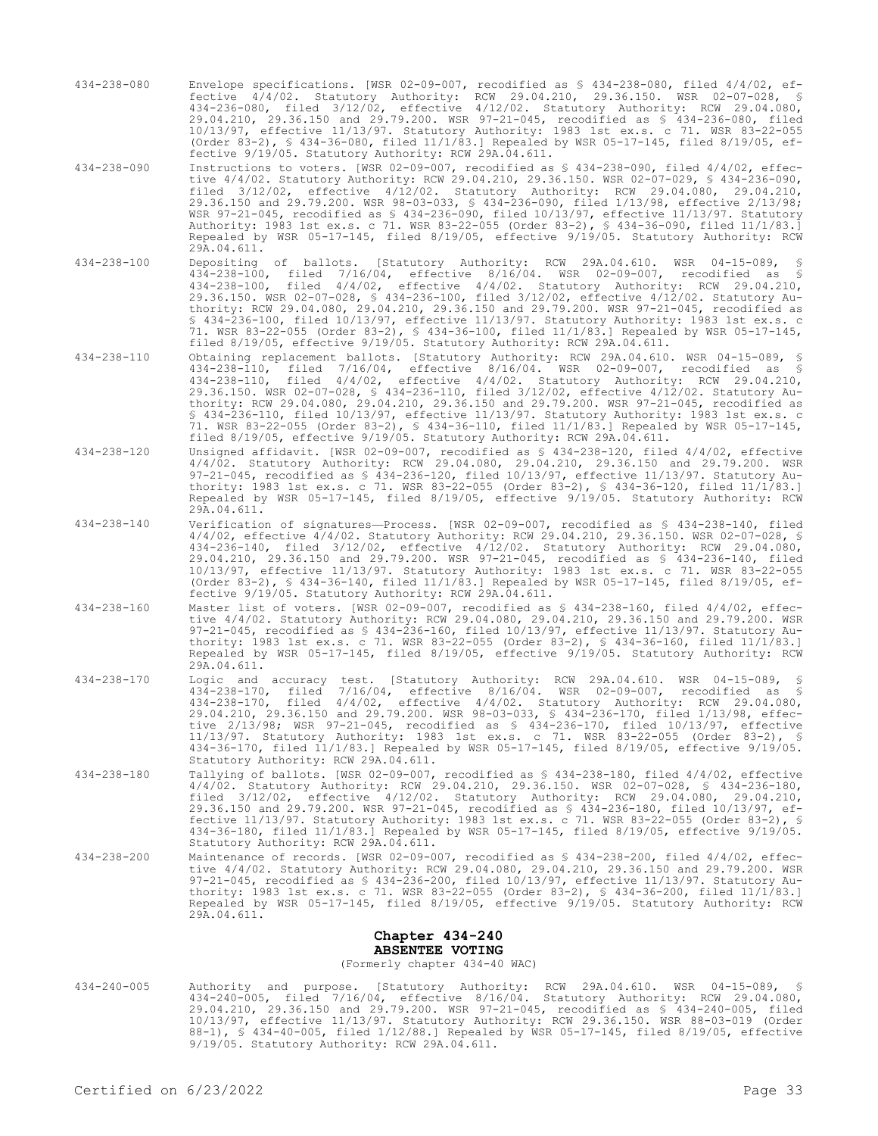- 434-238-080 Envelope specifications. [WSR 02-09-007, recodified as § 434-238-080, filed 4/4/02, effective 4/4/02. Statutory Authority: RCW 29.04.210, 29.36.150. WSR 02-07-028, § 434-236-080, filed 3/12/02, effective 4/12/02. Statutory Authority: RCW 29.04.080, 29.04.210, 29.36.150 and 29.79.200. WSR 97-21-045, recodified as § 434-236-080, filed 10/13/97, effective 11/13/97. Statutory Authority: 1983 1st ex.s. c 71. WSR 83-22-055 (Order 83-2), § 434-36-080, filed 11/1/83.] Repealed by WSR 05-17-145, filed 8/19/05, effective 9/19/05. Statutory Authority: RCW 29A.04.611.
- 434-238-090 Instructions to voters. [WSR 02-09-007, recodified as § 434-238-090, filed 4/4/02, effective 4/4/02. Statutory Authority: RCW 29.04.210, 29.36.150. WSR 02-07-029, § 434-236-090, filed 3/12/02, effective 4/12/02. Statutory Authority: RCW 29.04.080, 29.04.210, 29.36.150 and 29.79.200. WSR 98-03-033, § 434-236-090, filed 1/13/98, effective 2/13/98; WSR 97-21-045, recodified as § 434-236-090, filed 10/13/97, effective 11/13/97. Statutory Authority: 1983 1st ex.s. c 71. WSR 83-22-055 (Order 83-2), § 434-36-090, filed 11/1/83.] Repealed by WSR 05-17-145, filed 8/19/05, effective 9/19/05. Statutory Authority: RCW 29A.04.611.
- 434-238-100 Depositing of ballots. [Statutory Authority: RCW 29A.04.610. WSR 04-15-089, § 434-238-100, filed 7/16/04, effective 8/16/04. WSR 02-09-007, recodified as § 434-238-100, filed 4/4/02, effective 4/4/02. Statutory Authority: RCW 29.04.210, 29.36.150. WSR 02-07-028, § 434-236-100, filed 3/12/02, effective 4/12/02. Statutory Authority: RCW 29.04.080, 29.04.210, 29.36.150 and 29.79.200. WSR 97-21-045, recodified as § 434-236-100, filed 10/13/97, effective 11/13/97. Statutory Authority: 1983 1st ex.s. c 71. WSR 83-22-055 (Order 83-2), § 434-36-100, filed 11/1/83.] Repealed by WSR 05-17-145, filed 8/19/05, effective 9/19/05. Statutory Authority: RCW 29A.04.611.
- 434-238-110 Obtaining replacement ballots. [Statutory Authority: RCW 29A.04.610. WSR 04-15-089, § 434-238-110, filed 7/16/04, effective 8/16/04. WSR 02-09-007, recodified as § 434-238-110, filed 4/4/02, effective 4/4/02. Statutory Authority: RCW 29.04.210, 29.36.150. WSR 02-07-028, § 434-236-110, filed 3/12/02, effective 4/12/02. Statutory Authority: RCW 29.04.080, 29.04.210, 29.36.150 and 29.79.200. WSR 97-21-045, recodified as § 434-236-110, filed 10/13/97, effective 11/13/97. Statutory Authority: 1983 1st ex.s. c 71. WSR 83-22-055 (Order 83-2), § 434-36-110, filed 11/1/83.] Repealed by WSR 05-17-145, filed 8/19/05, effective 9/19/05. Statutory Authority: RCW 29A.04.611.
- 434-238-120 Unsigned affidavit. [WSR 02-09-007, recodified as § 434-238-120, filed 4/4/02, effective 4/4/02. Statutory Authority: RCW 29.04.080, 29.04.210, 29.36.150 and 29.79.200. WSR 97-21-045, recodified as § 434-236-120, filed 10/13/97, effective 11/13/97. Statutory Authority: 1983 1st ex.s. c 71. WSR 83-22-055 (Order 83-2), § 434-36-120, filed 11/1/83.] Repealed by WSR 05-17-145, filed 8/19/05, effective 9/19/05. Statutory Authority: RCW 29A.04.611.
- 434-238-140 Verification of signatures—Process. [WSR 02-09-007, recodified as § 434-238-140, filed 4/4/02, effective 4/4/02. Statutory Authority: RCW 29.04.210, 29.36.150. WSR 02-07-028, § 434-236-140, filed 3/12/02, effective 4/12/02. Statutory Authority: RCW 29.04.080, 29.04.210, 29.36.150 and 29.79.200. WSR 97-21-045, recodified as § 434-236-140, filed 10/13/97, effective 11/13/97. Statutory Authority: 1983 1st ex.s. c 71. WSR 83-22-055 (Order 83-2), § 434-36-140, filed 11/1/83.] Repealed by WSR 05-17-145, filed 8/19/05, effective 9/19/05. Statutory Authority: RCW 29A.04.611.
- 434-238-160 Master list of voters. [WSR 02-09-007, recodified as § 434-238-160, filed 4/4/02, effective 4/4/02. Statutory Authority: RCW 29.04.080, 29.04.210, 29.36.150 and 29.79.200. WSR 97-21-045, recodified as § 434-236-160, filed 10/13/97, effective 11/13/97. Statutory Authority: 1983 1st ex.s. c 71. WSR 83-22-055 (Order 83-2), § 434-36-160, filed 11/1/83.] Repealed by WSR 05-17-145, filed 8/19/05, effective 9/19/05. Statutory Authority: RCW 29A.04.611.
- 434-238-170 Logic and accuracy test. [Statutory Authority: RCW 29A.04.610. WSR 04-15-089, § 434-238-170, filed 7/16/04, effective 8/16/04. WSR 02-09-007, recodified as § 434-238-170, filed 4/4/02, effective 4/4/02. Statutory Authority: RCW 29.04.080, 29.04.210, 29.36.150 and 29.79.200. WSR 98-03-033, § 434-236-170, filed 1/13/98, effective 2/13/98; WSR 97-21-045, recodified as § 434-236-170, filed 10/13/97, effective 11/13/97. Statutory Authority: 1983 1st ex.s. c 71. WSR 83-22-055 (Order 83-2), § 434-36-170, filed 11/1/83.] Repealed by WSR 05-17-145, filed 8/19/05, effective 9/19/05. Statutory Authority: RCW 29A.04.611.
- 434-238-180 Tallying of ballots. [WSR 02-09-007, recodified as § 434-238-180, filed 4/4/02, effective 4/4/02. Statutory Authority: RCW 29.04.210, 29.36.150. WSR 02-07-028, § 434-236-180, filed 3/12/02, effective 4/12/02. Statutory Authority: RCW 29.04.080, 29.04.210, 29.36.150 and 29.79.200. WSR 97-21-045, recodified as § 434-236-180, filed 10/13/97, effective 11/13/97. Statutory Authority: 1983 1st ex.s. c 71. WSR 83-22-055 (Order 83-2), § 434-36-180, filed 11/1/83.] Repealed by WSR 05-17-145, filed 8/19/05, effective 9/19/05. Statutory Authority: RCW 29A.04.611.
- 434-238-200 Maintenance of records. [WSR 02-09-007, recodified as § 434-238-200, filed 4/4/02, effective 4/4/02. Statutory Authority: RCW 29.04.080, 29.04.210, 29.36.150 and 29.79.200. WSR 97-21-045, recodified as § 434-236-200, filed 10/13/97, effective 11/13/97. Statutory Authority: 1983 1st ex.s. c 71. WSR 83-22-055 (Order 83-2), § 434-36-200, filed 11/1/83.] Repealed by WSR 05-17-145, filed 8/19/05, effective 9/19/05. Statutory Authority: RCW 29A.04.611.

### **Chapter 434-240 ABSENTEE VOTING** (Formerly chapter 434-40 WAC)

434-240-005 Authority and purpose. [Statutory Authority: RCW 29A.04.610. WSR 04-15-089, § 434-240-005, filed 7/16/04, effective 8/16/04. Statutory Authority: RCW 29.04.080, 29.04.210, 29.36.150 and 29.79.200. WSR 97-21-045, recodified as § 434-240-005, filed 10/13/97, effective 11/13/97. Statutory Authority: RCW 29.36.150. WSR 88-03-019 (Order 88-1), § 434-40-005, filed 1/12/88.] Repealed by WSR 05-17-145, filed 8/19/05, effective 9/19/05. Statutory Authority: RCW 29A.04.611.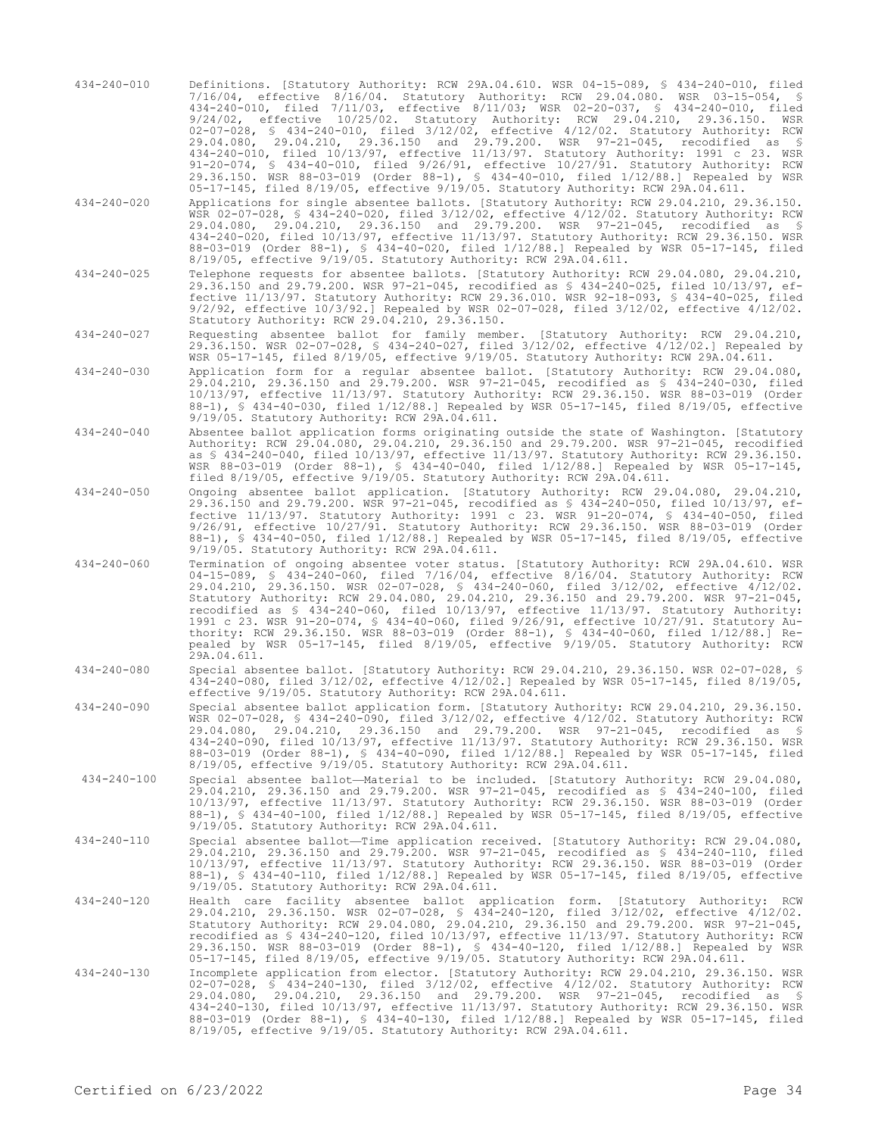- 434-240-010 Definitions. [Statutory Authority: RCW 29A.04.610. WSR 04-15-089, § 434-240-010, filed 7/16/04, effective 8/16/04. Statutory Authority: RCW 29.04.080. WSR 03-15-054, § 434-240-010, filed 7/11/03, effective 8/11/03; WSR 02-20-037, § 434-240-010, filed 9/24/02, effective 10/25/02. Statutory Authority: RCW 29.04.210, 29.36.150. WSR 02-07-028, § 434-240-010, filed 3/12/02, effective 4/12/02. Statutory Authority: RCW 29.04.080, 29.04.210, 29.36.150 and 29.79.200. WSR 97-21-045, recodified as § 434-240-010, filed 10/13/97, effective 11/13/97. Statutory Authority: 1991 c 23. WSR 91-20-074, § 434-40-010, filed 9/26/91, effective 10/27/91. Statutory Authority: RCW 29.36.150. WSR 88-03-019 (Order 88-1), § 434-40-010, filed 1/12/88.] Repealed by WSR 05-17-145, filed 8/19/05, effective 9/19/05. Statutory Authority: RCW 29A.04.611.
- 434-240-020 Applications for single absentee ballots. [Statutory Authority: RCW 29.04.210, 29.36.150. WSR 02-07-028, § 434-240-020, filed 3/12/02, effective 4/12/02. Statutory Authority: RCW 29.04.080, 29.04.210, 29.36.150 and 29.79.200. WSR 97-21-045, recodified as § 434-240-020, filed 10/13/97, effective 11/13/97. Statutory Authority: RCW 29.36.150. WSR 88-03-019 (Order 88-1), § 434-40-020, filed 1/12/88.] Repealed by WSR 05-17-145, filed 8/19/05, effective 9/19/05. Statutory Authority: RCW 29A.04.611.
- 434-240-025 Telephone requests for absentee ballots. [Statutory Authority: RCW 29.04.080, 29.04.210, 29.36.150 and 29.79.200. WSR 97-21-045, recodified as § 434-240-025, filed 10/13/97, effective 11/13/97. Statutory Authority: RCW 29.36.010. WSR 92-18-093, § 434-40-025, filed 9/2/92, effective 10/3/92.] Repealed by WSR 02-07-028, filed 3/12/02, effective 4/12/02. Statutory Authority: RCW 29.04.210, 29.36.150.
- 434-240-027 Requesting absentee ballot for family member. [Statutory Authority: RCW 29.04.210, 29.36.150. WSR 02-07-028, § 434-240-027, filed 3/12/02, effective 4/12/02.] Repealed by WSR 05-17-145, filed 8/19/05, effective 9/19/05. Statutory Authority: RCW 29A.04.611.
- 434-240-030 Application form for a regular absentee ballot. [Statutory Authority: RCW 29.04.080, 29.04.210, 29.36.150 and 29.79.200. WSR 97-21-045, recodified as § 434-240-030, filed 10/13/97, effective 11/13/97. Statutory Authority: RCW 29.36.150. WSR 88-03-019 (Order 88-1), § 434-40-030, filed 1/12/88.] Repealed by WSR 05-17-145, filed 8/19/05, effective 9/19/05. Statutory Authority: RCW 29A.04.611.
- 434-240-040 Absentee ballot application forms originating outside the state of Washington. [Statutory Authority: RCW 29.04.080, 29.04.210, 29.36.150 and 29.79.200. WSR 97-21-045, recodified as § 434-240-040, filed 10/13/97, effective 11/13/97. Statutory Authority: RCW 29.36.150. WSR 88-03-019 (Order 88-1), § 434-40-040, filed 1/12/88.] Repealed by WSR 05-17-145, filed 8/19/05, effective 9/19/05. Statutory Authority: RCW 29A.04.611.
- 434-240-050 Ongoing absentee ballot application. [Statutory Authority: RCW 29.04.080, 29.04.210, 29.36.150 and 29.79.200. WSR 97-21-045, recodified as § 434-240-050, filed 10/13/97, effective 11/13/97. Statutory Authority: 1991 c 23. WSR 91-20-074, § 434-40-050, filed 9/26/91, effective 10/27/91. Statutory Authority: RCW 29.36.150. WSR 88-03-019 (Order 88-1), § 434-40-050, filed 1/12/88.] Repealed by WSR 05-17-145, filed 8/19/05, effective 9/19/05. Statutory Authority: RCW 29A.04.611.
- 434-240-060 Termination of ongoing absentee voter status. [Statutory Authority: RCW 29A.04.610. WSR 04-15-089, § 434-240-060, filed 7/16/04, effective 8/16/04. Statutory Authority: RCW 29.04.210, 29.36.150. WSR 02-07-028, § 434-240-060, filed 3/12/02, effective 4/12/02. Statutory Authority: RCW 29.04.080, 29.04.210, 29.36.150 and 29.79.200. WSR 97-21-045, recodified as § 434-240-060, filed 10/13/97, effective 11/13/97. Statutory Authority: 1991 c 23. WSR 91-20-074, § 434-40-060, filed 9/26/91, effective 10/27/91. Statutory Authority: RCW 29.36.150. WSR 88-03-019 (Order 88-1), § 434-40-060, filed 1/12/88.] Repealed by WSR 05-17-145, filed 8/19/05, effective 9/19/05. Statutory Authority: RCW 29A.04.611.
- 434-240-080 Special absentee ballot. [Statutory Authority: RCW 29.04.210, 29.36.150. WSR 02-07-028, § 434-240-080, filed 3/12/02, effective 4/12/02.] Repealed by WSR 05-17-145, filed 8/19/05, effective 9/19/05. Statutory Authority: RCW 29A.04.611.
- 434-240-090 Special absentee ballot application form. [Statutory Authority: RCW 29.04.210, 29.36.150. WSR 02-07-028, § 434-240-090, filed 3/12/02, effective 4/12/02. Statutory Authority: RCW 29.04.080, 29.04.210, 29.36.150 and 29.79.200. WSR 97-21-045, recodified as § 434-240-090, filed 10/13/97, effective 11/13/97. Statutory Authority: RCW 29.36.150. WSR 88-03-019 (Order 88-1), § 434-40-090, filed 1/12/88.] Repealed by WSR 05-17-145, filed 8/19/05, effective 9/19/05. Statutory Authority: RCW 29A.04.611.
- 434-240-100 Special absentee ballot—Material to be included. [Statutory Authority: RCW 29.04.080, 29.04.210, 29.36.150 and 29.79.200. WSR 97-21-045, recodified as § 434-240-100, filed 10/13/97, effective 11/13/97. Statutory Authority: RCW 29.36.150. WSR 88-03-019 (Order 88-1), § 434-40-100, filed 1/12/88.] Repealed by WSR 05-17-145, filed 8/19/05, effective 9/19/05. Statutory Authority: RCW 29A.04.611.
- 434-240-110 Special absentee ballot—Time application received. [Statutory Authority: RCW 29.04.080, 29.04.210, 29.36.150 and 29.79.200. WSR 97-21-045, recodified as § 434-240-110, filed 10/13/97, effective 11/13/97. Statutory Authority: RCW 29.36.150. WSR 88-03-019 (Order 88-1), § 434-40-110, filed 1/12/88.] Repealed by WSR 05-17-145, filed 8/19/05, effective 9/19/05. Statutory Authority: RCW 29A.04.611.
- 434-240-120 Health care facility absentee ballot application form. [Statutory Authority: RCW 29.04.210, 29.36.150. WSR 02-07-028, § 434-240-120, filed 3/12/02, effective 4/12/02. Statutory Authority: RCW 29.04.080, 29.04.210, 29.36.150 and 29.79.200. WSR 97-21-045, recodified as \$ 434-240-120, filed 10/13/97, effective 11/13/97. Statutory Authority: RCW<br>29.36.150. WSR 88-03-019 (Order 88-1), \$ 434-40-120, filed 1/12/88.] Repealed by WSR<br>05-17-145, filed 8/19/05, effective 9/19/05. St
- 434-240-130 Incomplete application from elector. [Statutory Authority: RCW 29.04.210, 29.36.150. WSR 02-07-028, § 434-240-130, filed 3/12/02, effective 4/12/02. Statutory Authority: RCW 29.04.080, 29.04.210, 29.36.150 and 29.79.200. WSR 97-21-045, recodified as § 434-240-130, filed 10/13/97, effective 11/13/97. Statutory Authority: RCW 29.36.150. WSR 88-03-019 (Order 88-1), § 434-40-130, filed 1/12/88.] Repealed by WSR 05-17-145, filed 8/19/05, effective 9/19/05. Statutory Authority: RCW 29A.04.611.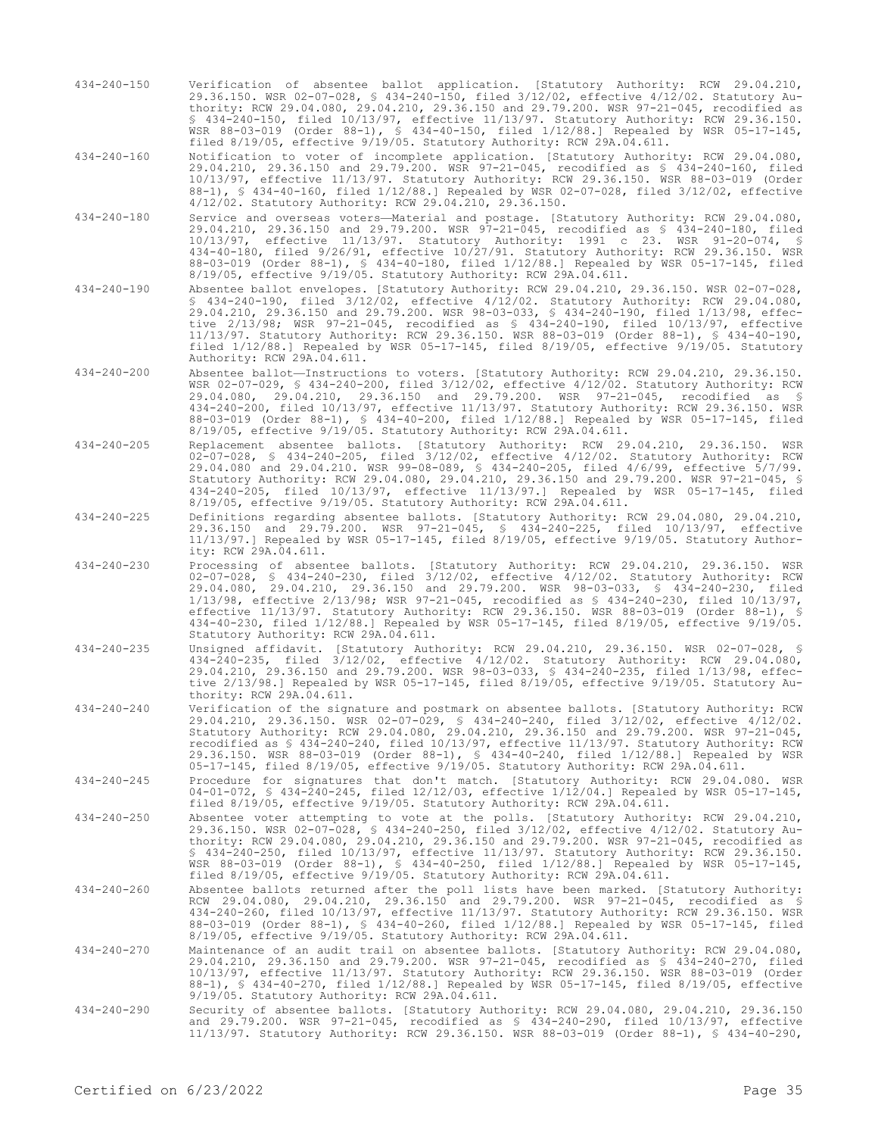434-240-150 Verification of absentee ballot application. [Statutory Authority: RCW 29.04.210, 29.36.150. WSR 02-07-028, § 434-240-150, filed 3/12/02, effective 4/12/02. Statutory Authority: RCW 29.04.080, 29.04.210, 29.36.150 and 29.79.200. WSR 97-21-045, recodified as § 434-240-150, filed 10/13/97, effective 11/13/97. Statutory Authority: RCW 29.36.150. WSR 88-03-019 (Order 88-1), § 434-40-150, filed 1/12/88.] Repealed by WSR 05-17-145, filed 8/19/05, effective 9/19/05. Statutory Authority: RCW 29A.04.611.

434-240-160 Notification to voter of incomplete application. [Statutory Authority: RCW 29.04.080, 29.04.210, 29.36.150 and 29.79.200. WSR 97-21-045, recodified as § 434-240-160, filed 10/13/97, effective 11/13/97. Statutory Authority: RCW 29.36.150. WSR 88-03-019 (Order 88-1), § 434-40-160, filed 1/12/88.] Repealed by WSR 02-07-028, filed 3/12/02, effective 4/12/02. Statutory Authority: RCW 29.04.210, 29.36.150.

- 434-240-180 Service and overseas voters—Material and postage. [Statutory Authority: RCW 29.04.080, 29.04.210, 29.36.150 and 29.79.200. WSR 97-21-045, recodified as § 434-240-180, filed 10/13/97, effective 11/13/97. Statutory Authority: 1991 c 23. WSR 91-20-074, § 434-40-180, filed 9/26/91, effective 10/27/91. Statutory Authority: RCW 29.36.150. WSR 88-03-019 (Order 88-1), § 434-40-180, filed 1/12/88.] Repealed by WSR 05-17-145, filed 8/19/05, effective 9/19/05. Statutory Authority: RCW 29A.04.611.
- 434-240-190 Absentee ballot envelopes. [Statutory Authority: RCW 29.04.210, 29.36.150. WSR 02-07-028, § 434-240-190, filed 3/12/02, effective 4/12/02. Statutory Authority: RCW 29.04.080, 29.04.210, 29.36.150 and 29.79.200. WSR 98-03-033, § 434-240-190, filed 1/13/98, effective 2/13/98; WSR 97-21-045, recodified as § 434-240-190, filed 10/13/97, effective 11/13/97. Statutory Authority: RCW 29.36.150. WSR 88-03-019 (Order 88-1), § 434-40-190, filed 1/12/88.] Repealed by WSR 05-17-145, filed 8/19/05, effective 9/19/05. Statutory Authority: RCW 29A.04.611.
- 434-240-200 Absentee ballot—Instructions to voters. [Statutory Authority: RCW 29.04.210, 29.36.150. WSR 02-07-029, § 434-240-200, filed 3/12/02, effective 4/12/02. Statutory Authority: RCW 29.04.080, 29.04.210, 29.36.150 and 29.79.200. WSR 97-21-045, recodified as § 434-240-200, filed 10/13/97, effective 11/13/97. Statutory Authority: RCW 29.36.150. WSR 88-03-019 (Order 88-1), § 434-40-200, filed 1/12/88.] Repealed by WSR 05-17-145, filed 8/19/05, effective 9/19/05. Statutory Authority: RCW 29A.04.611.
- 434-240-205 Replacement absentee ballots. [Statutory Authority: RCW 29.04.210, 29.36.150. WSR 02-07-028, § 434-240-205, filed 3/12/02, effective 4/12/02. Statutory Authority: RCW 29.04.080 and 29.04.210. WSR 99-08-089, § 434-240-205, filed 4/6/99, effective 5/7/99. Statutory Authority: RCW 29.04.080, 29.04.210, 29.36.150 and 29.79.200. WSR 97-21-045, § 434-240-205, filed 10/13/97, effective 11/13/97.] Repealed by WSR 05-17-145, filed 8/19/05, effective 9/19/05. Statutory Authority: RCW 29A.04.611.
- 434-240-225 Definitions regarding absentee ballots. [Statutory Authority: RCW 29.04.080, 29.04.210, 29.36.150 and 29.79.200. WSR 97-21-045, § 434-240-225, filed 10/13/97, effective 11/13/97.] Repealed by WSR 05-17-145, filed 8/19/05, effective 9/19/05. Statutory Authority: RCW 29A.04.611.
- 434-240-230 Processing of absentee ballots. [Statutory Authority: RCW 29.04.210, 29.36.150. WSR 02-07-028, § 434-240-230, filed 3/12/02, effective 4/12/02. Statutory Authority: RCW 29.04.080, 29.04.210, 29.36.150 and 29.79.200. WSR 98-03-033, § 434-240-230, filed 1/13/98, effective 2/13/98; WSR 97-21-045, recodified as § 434-240-230, filed 10/13/97, effective 11/13/97. Statutory Authority: RCW 29.36.150. WSR 88-03-019 (Order 88-1), § 434-40-230, filed 1/12/88.] Repealed by WSR 05-17-145, filed 8/19/05, effective 9/19/05. Statutory Authority: RCW 29A.04.611.
- 434-240-235 Unsigned affidavit. [Statutory Authority: RCW 29.04.210, 29.36.150. WSR 02-07-028, § 434-240-235, filed 3/12/02, effective 4/12/02. Statutory Authority: RCW 29.04.080, 29.04.210, 29.36.150 and 29.79.200. WSR 98-03-033, § 434-240-235, filed 1/13/98, effective 2/13/98.] Repealed by WSR 05-17-145, filed 8/19/05, effective 9/19/05. Statutory Authority: RCW 29A.04.611.
- 434-240-240 Verification of the signature and postmark on absentee ballots. [Statutory Authority: RCW 29.04.210, 29.36.150. WSR 02-07-029, § 434-240-240, filed 3/12/02, effective 4/12/02. Statutory Authority: RCW 29.04.080, 29.04.210, 29.36.150 and 29.79.200. WSR 97-21-045, recodified as § 434-240-240, filed 10/13/97, effective 11/13/97. Statutory Authority: RCW 29.36.150. WSR 88-03-019 (Order 88-1), § 434-40-240, filed 1/12/88.] Repealed by WSR 05-17-145, filed 8/19/05, effective 9/19/05. Statutory Authority: RCW 29A.04.611.
- 434-240-245 Procedure for signatures that don't match. [Statutory Authority: RCW 29.04.080. WSR 04-01-072, § 434-240-245, filed 12/12/03, effective 1/12/04.] Repealed by WSR 05-17-145, filed 8/19/05, effective 9/19/05. Statutory Authority: RCW 29A.04.611.
- 434-240-250 Absentee voter attempting to vote at the polls. [Statutory Authority: RCW 29.04.210, 29.36.150. WSR 02-07-028, § 434-240-250, filed 3/12/02, effective 4/12/02. Statutory Authority: RCW 29.04.080, 29.04.210, 29.36.150 and 29.79.200. WSR 97-21-045, recodified as § 434-240-250, filed 10/13/97, effective 11/13/97. Statutory Authority: RCW 29.36.150. WSR 88-03-019 (Order 88-1), § 434-40-250, filed 1/12/88.] Repealed by WSR 05-17-145, filed 8/19/05, effective 9/19/05. Statutory Authority: RCW 29A.04.611.
- 434-240-260 Absentee ballots returned after the poll lists have been marked. [Statutory Authority: RCW 29.04.080, 29.04.210, 29.36.150 and 29.79.200. WSR 97-21-045, recodified as § 434-240-260, filed 10/13/97, effective 11/13/97. Statutory Authority: RCW 29.36.150. WSR 88-03-019 (Order 88-1), § 434-40-260, filed 1/12/88.] Repealed by WSR 05-17-145, filed 8/19/05, effective 9/19/05. Statutory Authority: RCW 29A.04.611.
- 434-240-270 Maintenance of an audit trail on absentee ballots. [Statutory Authority: RCW 29.04.080, 29.04.210, 29.36.150 and 29.79.200. WSR 97-21-045, recodified as § 434-240-270, filed 10/13/97, effective 11/13/97. Statutory Authority: RCW 29.36.150. WSR 88-03-019 (Order 88-1), § 434-40-270, filed 1/12/88.] Repealed by WSR 05-17-145, filed 8/19/05, effective 9/19/05. Statutory Authority: RCW 29A.04.611.
- 434-240-290 Security of absentee ballots. [Statutory Authority: RCW 29.04.080, 29.04.210, 29.36.150 and 29.79.200. WSR 97-21-045, recodified as § 434-240-290, filed 10/13/97, effective 11/13/97. Statutory Authority: RCW 29.36.150. WSR 88-03-019 (Order 88-1), § 434-40-290,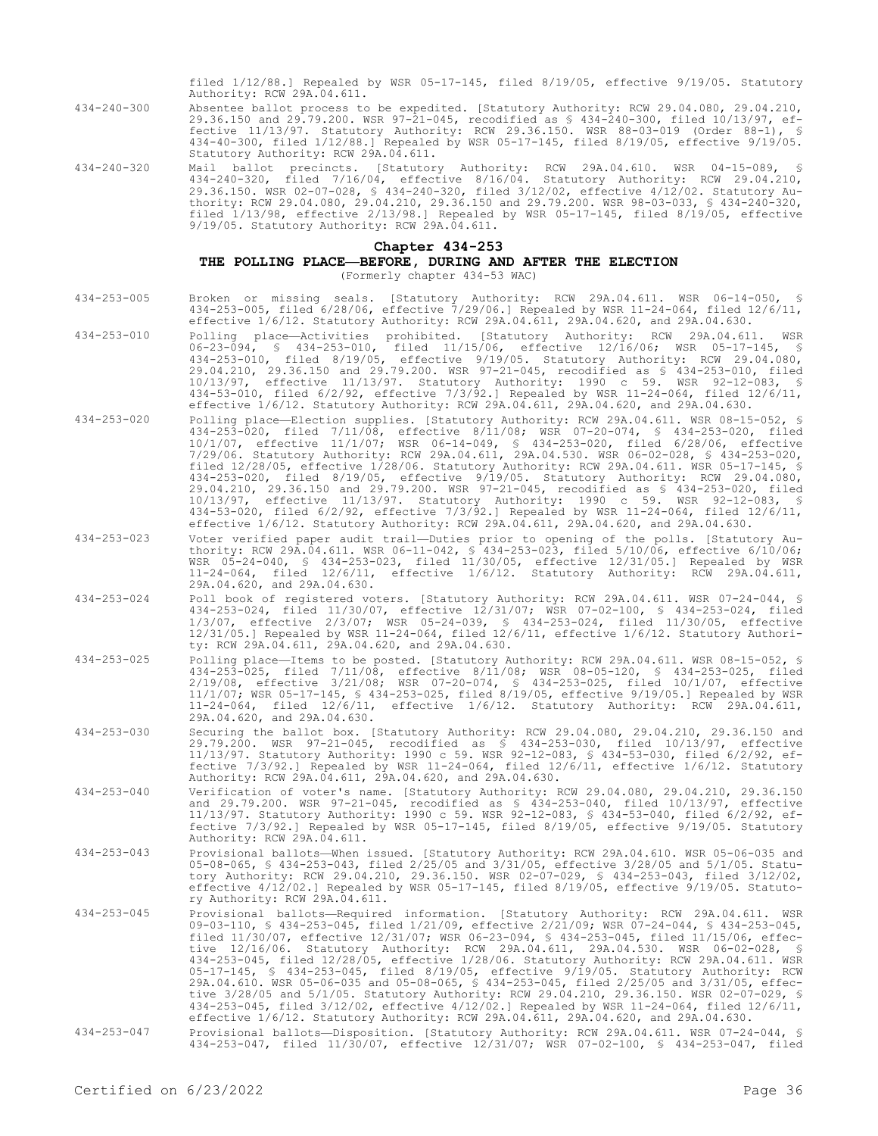filed 1/12/88.] Repealed by WSR 05-17-145, filed 8/19/05, effective 9/19/05. Statutory Authority: RCW 29A.04.611.

434-40-300, filed 1/12/88.] Repealed by WSR 05-17-145, filed 8/19/05, effective 9/19/05.

434-240-300 Absentee ballot process to be expedited. [Statutory Authority: RCW 29.04.080, 29.04.210, 29.36.150 and 29.79.200. WSR 97-21-045, recodified as § 434-240-300, filed 10/13/97, effective 11/13/97. Statutory Authority: RCW 29.36.150. WSR 88-03-019 (Order 88-1), §

Statutory Authority: RCW 29A.04.611.

- 
- 434-240-320 Mail ballot precincts. [Statutory Authority: RCW 29A.04.610. WSR 04-15-089, § 434-240-320, filed 7/16/04, effective 8/16/04. Statutory Authority: RCW 29.04.210, 29.36.150. WSR 02-07-028, § 434-240-320, filed 3/12/02, effective 4/12/02. Statutory Authority: RCW 29.04.080, 29.04.210, 29.36.150 and 29.79.200. WSR 98-03-033, § 434-240-320, filed 1/13/98, effective 2/13/98.] Repealed by WSR 05-17-145, filed 8/19/05, effective 9/19/05. Statutory Authority: RCW 29A.04.611.

### **Chapter 434-253**

### **THE POLLING PLACE—BEFORE, DURING AND AFTER THE ELECTION** (Formerly chapter 434-53 WAC)

- 434-253-005 Broken or missing seals. [Statutory Authority: RCW 29A.04.611. WSR 06-14-050, § 434-253-005, filed 6/28/06, effective 7/29/06.] Repealed by WSR 11-24-064, filed 12/6/11, effective 1/6/12. Statutory Authority: RCW 29A.04.611, 29A.04.620, and 29A.04.630.
- 434-253-010 Polling place—Activities prohibited. [Statutory Authority: RCW 29A.04.611. WSR 06-23-094, § 434-253-010, filed 11/15/06, effective 12/16/06; WSR 05-17-145, § 434-253-010, filed 8/19/05, effective 9/19/05. Statutory Authority: RCW 29.04.080, 29.04.210, 29.36.150 and 29.79.200. WSR 97-21-045, recodified as § 434-253-010, filed 10/13/97, effective 11/13/97. Statutory Authority: 1990 c 59. WSR 92-12-083, § 434-53-010, filed 6/2/92, effective 7/3/92.] Repealed by WSR 11-24-064, filed 12/6/11, effective 1/6/12. Statutory Authority: RCW 29A.04.611, 29A.04.620, and 29A.04.630.
- 434-253-020 Polling place—Election supplies. [Statutory Authority: RCW 29A.04.611. WSR 08-15-052, § 434-253-020, filed 7/11/08, effective 8/11/08; WSR 07-20-074, § 434-253-020, filed 10/1/07, effective 11/1/07; WSR 06-14-049, § 434-253-020, filed 6/28/06, effective 7/29/06. Statutory Authority: RCW 29A.04.611, 29A.04.530. WSR 06-02-028, § 434-253-020, filed 12/28/05, effective 1/28/06. Statutory Authority: RCW 29A.04.611. WSR 05-17-145, § 434-253-020, filed 8/19/05, effective 9/19/05. Statutory Authority: RCW 29.04.080, 29.04.210, 29.36.150 and 29.79.200. WSR 97-21-045, recodified as § 434-253-020, filed 10/13/97, effective 11/13/97. Statutory Authority: 1990 c 59. WSR 92-12-083, § 434-53-020, filed 6/2/92, effective 7/3/92.] Repealed by WSR 11-24-064, filed 12/6/11, effective 1/6/12. Statutory Authority: RCW 29A.04.611, 29A.04.620, and 29A.04.630.
- 434-253-023 Voter verified paper audit trail—Duties prior to opening of the polls. [Statutory Authority: RCW 29A.04.611. WSR 06-11-042, § 434-253-023, filed 5/10/06, effective 6/10/06; WSR 05-24-040, § 434-253-023, filed 11/30/05, effective 12/31/05.] Repealed by WSR 11-24-064, filed 12/6/11, effective 1/6/12. Statutory Authority: RCW 29A.04.611, 29A.04.620, and 29A.04.630.
- 434-253-024 Poll book of registered voters. [Statutory Authority: RCW 29A.04.611. WSR 07-24-044, § 434-253-024, filed 11/30/07, effective 12/31/07; WSR 07-02-100, § 434-253-024, filed 1/3/07, effective 2/3/07; WSR 05-24-039, § 434-253-024, filed 11/30/05, effective 12/31/05.] Repealed by WSR 11-24-064, filed 12/6/11, effective 1/6/12. Statutory Authority: RCW 29A.04.611, 29A.04.620, and 29A.04.630.
- 434-253-025 Polling place—Items to be posted. [Statutory Authority: RCW 29A.04.611. WSR 08-15-052, § 434-253-025, filed 7/11/08, effective 8/11/08; WSR 08-05-120, § 434-253-025, filed 2/19/08, effective 3/21/08; WSR 07-20-074, § 434-253-025, filed 10/1/07, effective 11/1/07; WSR 05-17-145, § 434-253-025, filed 8/19/05, effective 9/19/05.] Repealed by WSR 11-24-064, filed 12/6/11, effective 1/6/12. Statutory Authority: RCW 29A.04.611, 29A.04.620, and 29A.04.630.
- 434-253-030 Securing the ballot box. [Statutory Authority: RCW 29.04.080, 29.04.210, 29.36.150 and 29.79.200. WSR 97-21-045, recodified as § 434-253-030, filed 10/13/97, effective 11/13/97. Statutory Authority: 1990 c 59. WSR 92-12-083, § 434-53-030, filed 6/2/92, effective 7/3/92.] Repealed by WSR 11-24-064, filed 12/6/11, effective 1/6/12. Statutory Authority: RCW 29A.04.611, 29A.04.620, and 29A.04.630.
- 434-253-040 Verification of voter's name. [Statutory Authority: RCW 29.04.080, 29.04.210, 29.36.150 and 29.79.200. WSR 97-21-045, recodified as § 434-253-040, filed 10/13/97, effective 11/13/97. Statutory Authority: 1990 c 59. WSR 92-12-083, § 434-53-040, filed 6/2/92, effective 7/3/92.] Repealed by WSR 05-17-145, filed 8/19/05, effective 9/19/05. Statutory Authority: RCW 29A.04.611.
- 434-253-043 Provisional ballots—When issued. [Statutory Authority: RCW 29A.04.610. WSR 05-06-035 and 05-08-065, § 434-253-043, filed 2/25/05 and 3/31/05, effective 3/28/05 and 5/1/05. Statutory Authority: RCW 29.04.210, 29.36.150. WSR 02-07-029, § 434-253-043, filed 3/12/02, effective 4/12/02.] Repealed by WSR 05-17-145, filed 8/19/05, effective 9/19/05. Statutory Authority: RCW 29A.04.611.
- 434-253-045 Provisional ballots—Required information. [Statutory Authority: RCW 29A.04.611. WSR 09-03-110, § 434-253-045, filed 1/21/09, effective 2/21/09; WSR 07-24-044, § 434-253-045, filed 11/30/07, effective 12/31/07; WSR 06-23-094, § 434-253-045, filed 11/15/06, effec-<br>tive 12/16/06. Statutory Authority: RCW 29A.04.611, 29A.04.530. WSR 06-02-028, §<br>434-253-045, filed 12/28/05, effective 1/28/06. Stat 05-17-145, § 434-253-045, filed 8/19/05, effective 9/19/05. Statutory Authority: RCW 29A.04.610. WSR 05-06-035 and 05-08-065, § 434-253-045, filed 2/25/05 and 3/31/05, effective 3/28/05 and 5/1/05. Statutory Authority: RCW 29.04.210, 29.36.150. WSR 02-07-029, § 434-253-045, filed 3/12/02, effective 4/12/02.] Repealed by WSR 11-24-064, filed 12/6/11, effective 1/6/12. Statutory Authority: RCW 29A.04.611, 29A.04.620, and 29A.04.630.
- 434-253-047 Provisional ballots—Disposition. [Statutory Authority: RCW 29A.04.611. WSR 07-24-044, § 434-253-047, filed 11/30/07, effective 12/31/07; WSR 07-02-100, § 434-253-047, filed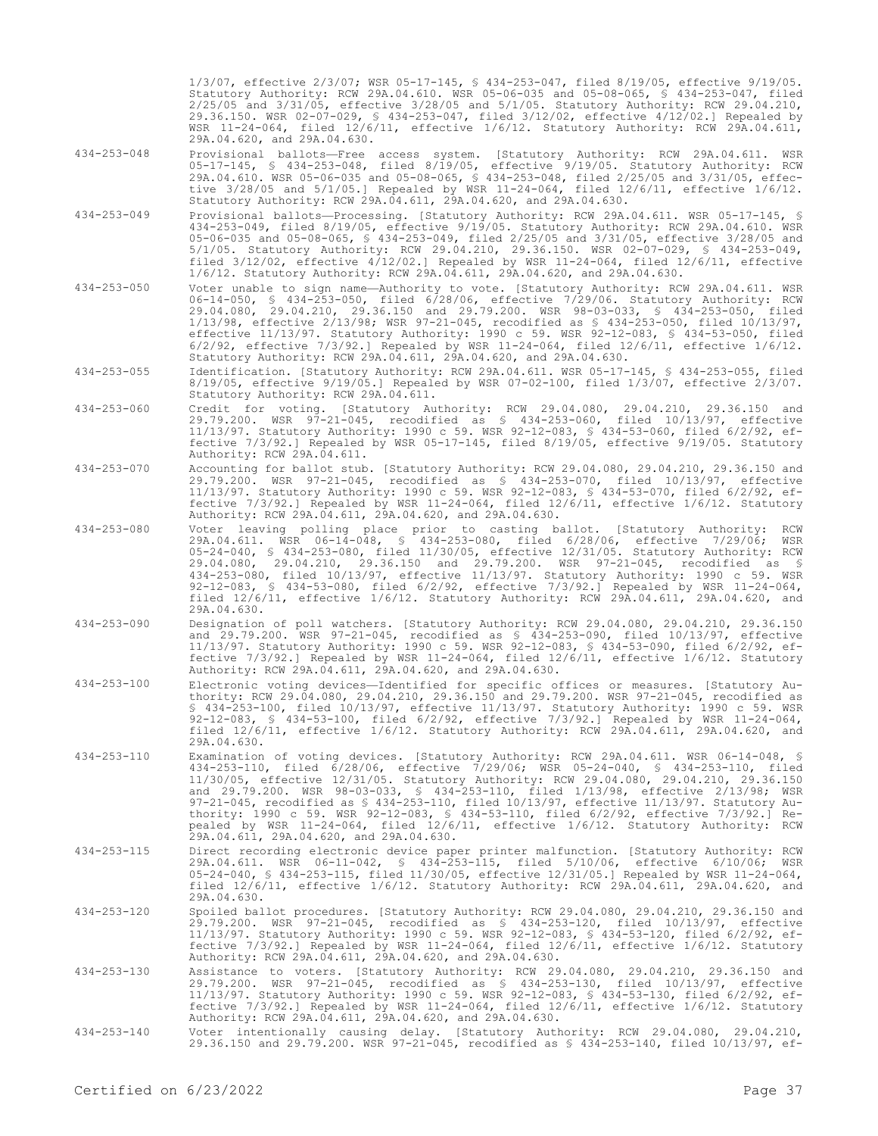1/3/07, effective 2/3/07; WSR 05-17-145, § 434-253-047, filed 8/19/05, effective 9/19/05. Statutory Authority: RCW 29A.04.610. WSR 05-06-035 and 05-08-065, § 434-253-047, filed 2/25/05 and 3/31/05, effective 3/28/05 and 5/1/05. Statutory Authority: RCW 29.04.210, 29.36.150. WSR 02-07-029, § 434-253-047, filed 3/12/02, effective 4/12/02.] Repealed by WSR 11-24-064, filed 12/6/11, effective 1/6/12. Statutory Authority: RCW 29A.04.611, 29A.04.620, and 29A.04.630.

- 434-253-048 Provisional ballots—Free access system. [Statutory Authority: RCW 29A.04.611. WSR 05-17-145, § 434-253-048, filed 8/19/05, effective 9/19/05. Statutory Authority: RCW 29A.04.610. WSR 05-06-035 and 05-08-065, § 434-253-048, filed 2/25/05 and 3/31/05, effective 3/28/05 and 5/1/05.] Repealed by WSR 11-24-064, filed 12/6/11, effective 1/6/12. Statutory Authority: RCW 29A.04.611, 29A.04.620, and 29A.04.630.
- 434-253-049 Provisional ballots—Processing. [Statutory Authority: RCW 29A.04.611. WSR 05-17-145, § 434-253-049, filed 8/19/05, effective 9/19/05. Statutory Authority: RCW 29A.04.610. WSR 05-06-035 and 05-08-065, § 434-253-049, filed 2/25/05 and 3/31/05, effective 3/28/05 and 5/1/05. Statutory Authority: RCW 29.04.210, 29.36.150. WSR 02-07-029, § 434-253-049, filed 3/12/02, effective 4/12/02.] Repealed by WSR 11-24-064, filed 12/6/11, effective 1/6/12. Statutory Authority: RCW 29A.04.611, 29A.04.620, and 29A.04.630.
- 434-253-050 Voter unable to sign name—Authority to vote. [Statutory Authority: RCW 29A.04.611. WSR 06-14-050, § 434-253-050, filed 6/28/06, effective 7/29/06. Statutory Authority: RCW 29.04.080, 29.04.210, 29.36.150 and 29.79.200. WSR 98-03-033, § 434-253-050, filed 1/13/98, effective 2/13/98; WSR 97-21-045, recodified as § 434-253-050, filed 10/13/97, effective 11/13/97. Statutory Authority: 1990 c 59. WSR 92-12-083, § 434-53-050, filed 6/2/92, effective 7/3/92.] Repealed by WSR 11-24-064, filed 12/6/11, effective 1/6/12. Statutory Authority: RCW 29A.04.611, 29A.04.620, and 29A.04.630.
- 434-253-055 Identification. [Statutory Authority: RCW 29A.04.611. WSR 05-17-145, § 434-253-055, filed 8/19/05, effective 9/19/05.] Repealed by WSR 07-02-100, filed 1/3/07, effective 2/3/07. Statutory Authority: RCW 29A.04.611.
- 434-253-060 Credit for voting. [Statutory Authority: RCW 29.04.080, 29.04.210, 29.36.150 and 29.79.200. WSR 97-21-045, recodified as § 434-253-060, filed 10/13/97, effective 11/13/97. Statutory Authority: 1990 c 59. WSR 92-12-083, § 434-53-060, filed 6/2/92, effective 7/3/92.] Repealed by WSR 05-17-145, filed 8/19/05, effective 9/19/05. Statutory Authority: RCW 29A.04.611.
- 434-253-070 Accounting for ballot stub. [Statutory Authority: RCW 29.04.080, 29.04.210, 29.36.150 and 29.79.200. WSR 97-21-045, recodified as § 434-253-070, filed 10/13/97, effective 11/13/97. Statutory Authority: 1990 c 59. WSR 92-12-083, § 434-53-070, filed 6/2/92, effective 7/3/92.] Repealed by WSR 11-24-064, filed 12/6/11, effective 1/6/12. Statutory Authority: RCW 29A.04.611, 29A.04.620, and 29A.04.630.
- 434-253-080 Voter leaving polling place prior to casting ballot. [Statutory Authority: RCW 29A.04.611. WSR 06-14-048, § 434-253-080, filed 6/28/06, effective 7/29/06; WSR 05-24-040, § 434-253-080, filed 11/30/05, effective 12/31/05. Statutory Authority: RCW 29.04.080, 29.04.210, 29.36.150 and 29.79.200. WSR 97-21-045, recodified as § 434-253-080, filed 10/13/97, effective 11/13/97. Statutory Authority: 1990 c 59. WSR 92-12-083, § 434-53-080, filed 6/2/92, effective 7/3/92.] Repealed by WSR 11-24-064, filed 12/6/11, effective 1/6/12. Statutory Authority: RCW 29A.04.611, 29A.04.620, and 29A.04.630.
- 434-253-090 Designation of poll watchers. [Statutory Authority: RCW 29.04.080, 29.04.210, 29.36.150 and 29.79.200. WSR 97-21-045, recodified as § 434-253-090, filed 10/13/97, effective 11/13/97. Statutory Authority: 1990 c 59. WSR 92-12-083, § 434-53-090, filed 6/2/92, effective 7/3/92.] Repealed by WSR 11-24-064, filed 12/6/11, effective 1/6/12. Statutory Authority: RCW 29A.04.611, 29A.04.620, and 29A.04.630.
- 434-253-100 Electronic voting devices—Identified for specific offices or measures. [Statutory Authority: RCW 29.04.080, 29.04.210, 29.36.150 and 29.79.200. WSR 97-21-045, recodified as § 434-253-100, filed 10/13/97, effective 11/13/97. Statutory Authority: 1990 c 59. WSR 92-12-083, § 434-53-100, filed 6/2/92, effective 7/3/92.] Repealed by WSR 11-24-064, filed 12/6/11, effective 1/6/12. Statutory Authority: RCW 29A.04.611, 29A.04.620, and 29A.04.630.
- 434-253-110 Examination of voting devices. [Statutory Authority: RCW 29A.04.611. WSR 06-14-048, § 434-253-110, filed 6/28/06, effective 7/29/06; WSR 05-24-040, § 434-253-110, filed 11/30/05, effective 12/31/05. Statutory Authority: RCW 29.04.080, 29.04.210, 29.36.150 and 29.79.200. WSR 98-03-033, § 434-253-110, filed 1/13/98, effective 2/13/98; WSR 97-21-045, recodified as § 434-253-110, filed 10/13/97, effective 11/13/97. Statutory Authority: 1990 c 59. WSR 92-12-083, § 434-53-110, filed 6/2/92, effective 7/3/92.] Repealed by WSR 11-24-064, filed 12/6/11, effective 1/6/12. Statutory Authority: RCW 29A.04.611, 29A.04.620, and 29A.04.630.
- 434-253-115 Direct recording electronic device paper printer malfunction. [Statutory Authority: RCW 29A.04.611. WSR 06-11-042, § 434-253-115, filed 5/10/06, effective 6/10/06; WSR 05-24-040, § 434-253-115, filed 11/30/05, effective 12/31/05.] Repealed by WSR 11-24-064, filed 12/6/11, effective 1/6/12. Statutory Authority: RCW 29A.04.611, 29A.04.620, and 29A.04.630.
- 434-253-120 Spoiled ballot procedures. [Statutory Authority: RCW 29.04.080, 29.04.210, 29.36.150 and 29.79.200. WSR 97-21-045, recodified as § 434-253-120, filed 10/13/97, effective 11/13/97. Statutory Authority: 1990 c 59. WSR 92-12-083, § 434-53-120, filed 6/2/92, effective 7/3/92.] Repealed by WSR 11-24-064, filed 12/6/11, effective 1/6/12. Statutory Authority: RCW 29A.04.611, 29A.04.620, and 29A.04.630.
- 434-253-130 Assistance to voters. [Statutory Authority: RCW 29.04.080, 29.04.210, 29.36.150 and 29.79.200. WSR 97-21-045, recodified as § 434-253-130, filed 10/13/97, effective 11/13/97. Statutory Authority: 1990 c 59. WSR 92-12-083, § 434-53-130, filed 6/2/92, effective 7/3/92.] Repealed by WSR 11-24-064, filed 12/6/11, effective 1/6/12. Statutory Authority: RCW 29A.04.611, 29A.04.620, and 29A.04.630.
- 434-253-140 Voter intentionally causing delay. [Statutory Authority: RCW 29.04.080, 29.04.210, 29.36.150 and 29.79.200. WSR 97-21-045, recodified as § 434-253-140, filed 10/13/97, ef-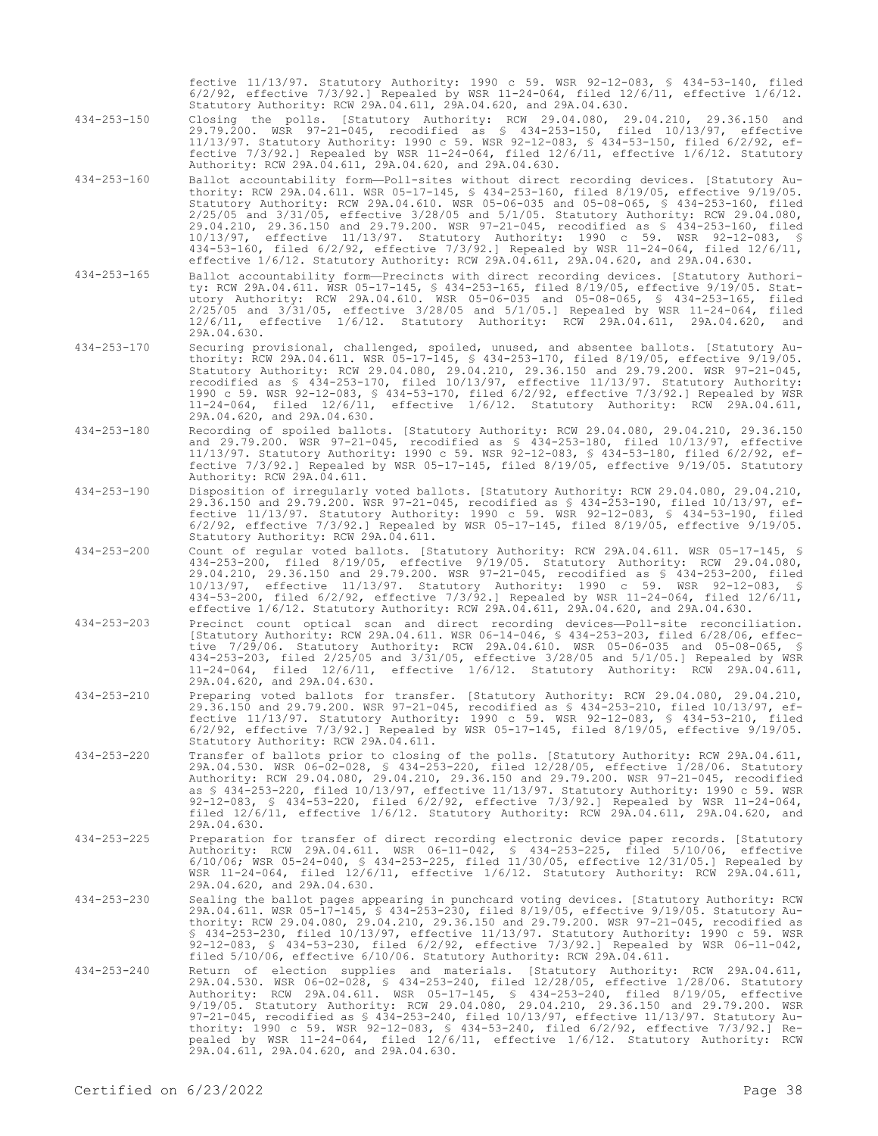fective 11/13/97. Statutory Authority: 1990 c 59. WSR 92-12-083, § 434-53-140, filed 6/2/92, effective 7/3/92.] Repealed by WSR 11-24-064, filed 12/6/11, effective 1/6/12. Statutory Authority: RCW 29A.04.611, 29A.04.620, and 29A.04.630.

- 434-253-150 Closing the polls. [Statutory Authority: RCW 29.04.080, 29.04.210, 29.36.150 and 29.79.200. WSR 97-21-045, recodified as § 434-253-150, filed 10/13/97, effective 11/13/97. Statutory Authority: 1990 c 59. WSR 92-12-083, § 434-53-150, filed 6/2/92, effective 7/3/92.] Repealed by WSR 11-24-064, filed 12/6/11, effective 1/6/12. Statutory Authority: RCW 29A.04.611, 29A.04.620, and 29A.04.630.
- 434-253-160 Ballot accountability form—Poll-sites without direct recording devices. [Statutory Authority: RCW 29A.04.611. WSR 05-17-145, § 434-253-160, filed 8/19/05, effective 9/19/05. Statutory Authority: RCW 29A.04.610. WSR 05-06-035 and 05-08-065, § 434-253-160, filed 2/25/05 and 3/31/05, effective 3/28/05 and 5/1/05. Statutory Authority: RCW 29.04.080, 29.04.210, 29.36.150 and 29.79.200. WSR 97-21-045, recodified as § 434-253-160, filed 10/13/97, effective 11/13/97. Statutory Authority: 1990 c 59. WSR 92-12-083, § 434-53-160, filed 6/2/92, effective 7/3/92.] Repealed by WSR 11-24-064, filed 12/6/11, effective 1/6/12. Statutory Authority: RCW 29A.04.611, 29A.04.620, and 29A.04.630.
- 434-253-165 Ballot accountability form—Precincts with direct recording devices. [Statutory Authority: RCW 29A.04.611. WSR 05-17-145, § 434-253-165, filed 8/19/05, effective 9/19/05. Statutory Authority: RCW 29A.04.610. WSR 05-06-035 and 05-08-065, § 434-253-165, filed 2/25/05 and 3/31/05, effective 3/28/05 and 5/1/05.] Repealed by WSR 11-24-064, filed 12/6/11, effective 1/6/12. Statutory Authority: RCW 29A.04.611, 29A.04.620, and 29A.04.630.
- 434-253-170 Securing provisional, challenged, spoiled, unused, and absentee ballots. [Statutory Authority: RCW 29A.04.611. WSR 05-17-145, § 434-253-170, filed 8/19/05, effective 9/19/05. Statutory Authority: RCW 29.04.080, 29.04.210, 29.36.150 and 29.79.200. WSR 97-21-045, recodified as § 434-253-170, filed 10/13/97, effective 11/13/97. Statutory Authority: 1990 c 59. WSR 92-12-083, § 434-53-170, filed 6/2/92, effective 7/3/92.] Repealed by WSR 11-24-064, filed 12/6/11, effective 1/6/12. Statutory Authority: RCW 29A.04.611, 29A.04.620, and 29A.04.630.
- 434-253-180 Recording of spoiled ballots. [Statutory Authority: RCW 29.04.080, 29.04.210, 29.36.150 and 29.79.200. WSR 97-21-045, recodified as § 434-253-180, filed 10/13/97, effective 11/13/97. Statutory Authority: 1990 c 59. WSR 92-12-083, § 434-53-180, filed 6/2/92, effective 7/3/92.] Repealed by WSR 05-17-145, filed 8/19/05, effective 9/19/05. Statutory Authority: RCW 29A.04.611.
- 434-253-190 Disposition of irregularly voted ballots. [Statutory Authority: RCW 29.04.080, 29.04.210, 29.36.150 and 29.79.200. WSR 97-21-045, recodified as § 434-253-190, filed 10/13/97, effective 11/13/97. Statutory Authority: 1990 c 59. WSR 92-12-083, § 434-53-190, filed 6/2/92, effective 7/3/92.] Repealed by WSR 05-17-145, filed 8/19/05, effective 9/19/05. Statutory Authority: RCW 29A.04.611.
- 434-253-200 Count of regular voted ballots. [Statutory Authority: RCW 29A.04.611. WSR 05-17-145, § 434-253-200, filed 8/19/05, effective 9/19/05. Statutory Authority: RCW 29.04.080, 29.04.210, 29.36.150 and 29.79.200. WSR 97-21-045, recodified as § 434-253-200, filed 10/13/97, effective 11/13/97. Statutory Authority: 1990 c 59. WSR 92-12-083, § 434-53-200, filed 6/2/92, effective 7/3/92.] Repealed by WSR 11-24-064, filed 12/6/11, effective 1/6/12. Statutory Authority: RCW 29A.04.611, 29A.04.620, and 29A.04.630.
- 434-253-203 Precinct count optical scan and direct recording devices—Poll-site reconciliation. [Statutory Authority: RCW 29A.04.611. WSR 06-14-046, § 434-253-203, filed 6/28/06, effective 7/29/06. Statutory Authority: RCW 29A.04.610. WSR 05-06-035 and 05-08-065, § 434-253-203, filed 2/25/05 and 3/31/05, effective 3/28/05 and 5/1/05.] Repealed by WSR 11-24-064, filed 12/6/11, effective 1/6/12. Statutory Authority: RCW 29A.04.611, 29A.04.620, and 29A.04.630.
- 434-253-210 Preparing voted ballots for transfer. [Statutory Authority: RCW 29.04.080, 29.04.210, 29.36.150 and 29.79.200. WSR 97-21-045, recodified as § 434-253-210, filed 10/13/97, effective 11/13/97. Statutory Authority: 1990 c 59. WSR 92-12-083, § 434-53-210, filed 6/2/92, effective 7/3/92.] Repealed by WSR 05-17-145, filed 8/19/05, effective 9/19/05. Statutory Authority: RCW 29A.04.611.
- 434-253-220 Transfer of ballots prior to closing of the polls. [Statutory Authority: RCW 29A.04.611, 29A.04.530. WSR 06-02-028, § 434-253-220, filed 12/28/05, effective 1/28/06. Statutory Authority: RCW 29.04.080, 29.04.210, 29.36.150 and 29.79.200. WSR 97-21-045, recodified as § 434-253-220, filed 10/13/97, effective 11/13/97. Statutory Authority: 1990 c 59. WSR 92-12-083, § 434-53-220, filed 6/2/92, effective 7/3/92.] Repealed by WSR 11-24-064, filed 12/6/11, effective 1/6/12. Statutory Authority: RCW 29A.04.611, 29A.04.620, and 29A.04.630.
- 434-253-225 Preparation for transfer of direct recording electronic device paper records. [Statutory Authority: RCW 29A.04.611. WSR 06-11-042, § 434-253-225, filed 5/10/06, effective 6/10/06; WSR 05-24-040, § 434-253-225, filed 11/30/05, effective 12/31/05.] Repealed by WSR 11-24-064, filed 12/6/11, effective 1/6/12. Statutory Authority: RCW 29A.04.611, 29A.04.620, and 29A.04.630.
- 434-253-230 Sealing the ballot pages appearing in punchcard voting devices. [Statutory Authority: RCW 29A.04.611. WSR 05-17-145, § 434-253-230, filed 8/19/05, effective 9/19/05. Statutory Authority: RCW 29.04.080, 29.04.210, 29.36.150 and 29.79.200. WSR 97-21-045, recodified as § 434-253-230, filed 10/13/97, effective 11/13/97. Statutory Authority: 1990 c 59. WSR 92-12-083, § 434-53-230, filed 6/2/92, effective 7/3/92.] Repealed by WSR 06-11-042, filed 5/10/06, effective 6/10/06. Statutory Authority: RCW 29A.04.611.
- 434-253-240 Return of election supplies and materials. [Statutory Authority: RCW 29A.04.611, 29A.04.530. WSR 06-02-028, § 434-253-240, filed 12/28/05, effective 1/28/06. Statutory Authority: RCW 29A.04.611. WSR 05-17-145, § 434-253-240, filed 8/19/05, effective 9/19/05. Statutory Authority: RCW 29.04.080, 29.04.210, 29.36.150 and 29.79.200. WSR 97-21-045, recodified as § 434-253-240, filed 10/13/97, effective 11/13/97. Statutory Authority: 1990 c 59. WSR 92-12-083, § 434-53-240, filed 6/2/92, effective 7/3/92.] Repealed by WSR 11-24-064, filed 12/6/11, effective 1/6/12. Statutory Authority: RCW 29A.04.611, 29A.04.620, and 29A.04.630.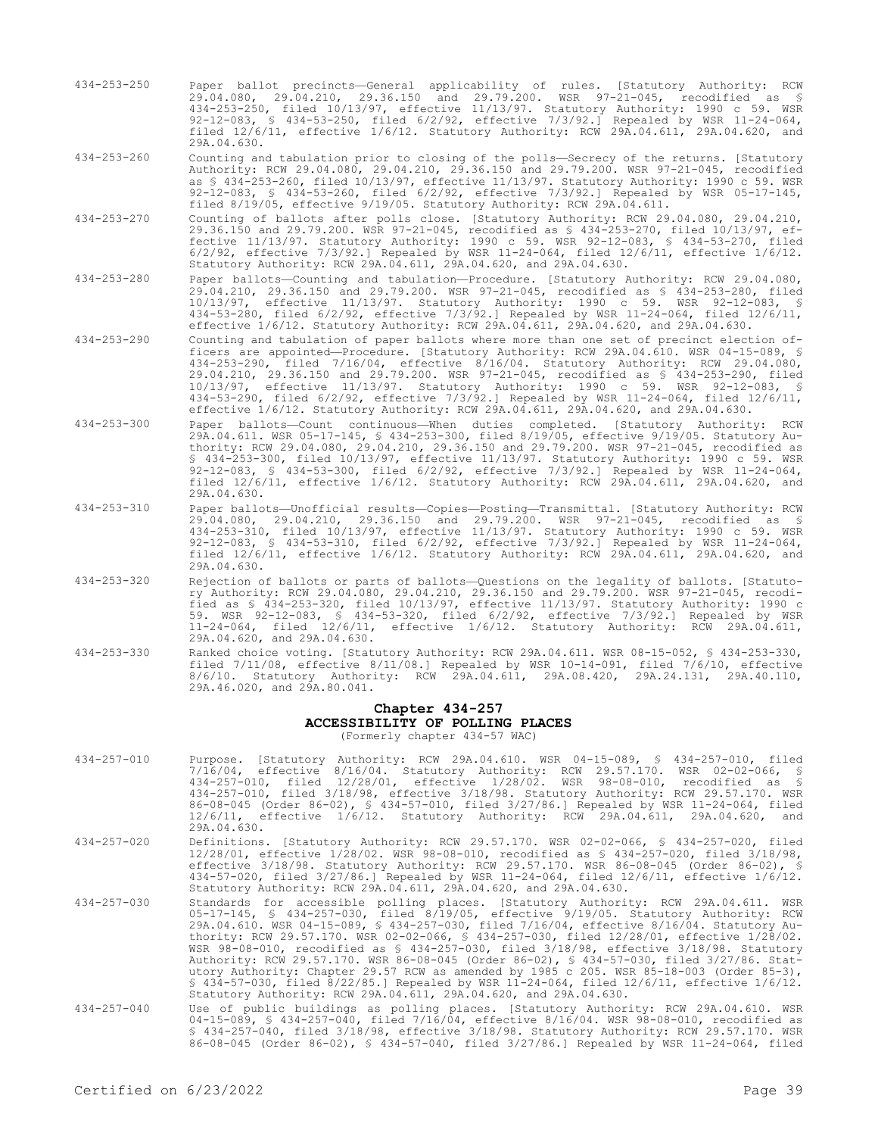434-253-250 Paper ballot precincts—General applicability of rules. [Statutory Authority: RCW 29.04.080, 29.04.210, 29.36.150 and 29.79.200. WSR 97-21-045, recodified as § 434-253-250, filed 10/13/97, effective 11/13/97. Statutory Authority: 1990 c 59. WSR 92-12-083, § 434-53-250, filed 6/2/92, effective 7/3/92.] Repealed by WSR 11-24-064, filed 12/6/11, effective 1/6/12. Statutory Authority: RCW 29A.04.611, 29A.04.620, and 29A.04.630.

434-253-260 Counting and tabulation prior to closing of the polls—Secrecy of the returns. [Statutory Authority: RCW 29.04.080, 29.04.210, 29.36.150 and 29.79.200. WSR 97-21-045, recodified as § 434-253-260, filed 10/13/97, effective 11/13/97. Statutory Authority: 1990 c 59. WSR 92-12-083, § 434-53-260, filed 6/2/92, effective 7/3/92.] Repealed by WSR 05-17-145, filed 8/19/05, effective 9/19/05. Statutory Authority: RCW 29A.04.611.

- 434-253-270 Counting of ballots after polls close. [Statutory Authority: RCW 29.04.080, 29.04.210, 29.36.150 and 29.79.200. WSR 97-21-045, recodified as § 434-253-270, filed 10/13/97, effective 11/13/97. Statutory Authority: 1990 c 59. WSR 92-12-083, § 434-53-270, filed 6/2/92, effective 7/3/92.] Repealed by WSR 11-24-064, filed 12/6/11, effective 1/6/12. Statutory Authority: RCW 29A.04.611, 29A.04.620, and 29A.04.630.
- 434-253-280 Paper ballots—Counting and tabulation—Procedure. [Statutory Authority: RCW 29.04.080, 29.04.210, 29.36.150 and 29.79.200. WSR 97-21-045, recodified as § 434-253-280, filed 10/13/97, effective 11/13/97. Statutory Authority: 1990 c 59. WSR 92-12-083, § 434-53-280, filed 6/2/92, effective 7/3/92.] Repealed by WSR 11-24-064, filed 12/6/11, effective 1/6/12. Statutory Authority: RCW 29A.04.611, 29A.04.620, and 29A.04.630.
- 434-253-290 Counting and tabulation of paper ballots where more than one set of precinct election officers are appointed—Procedure. [Statutory Authority: RCW 29A.04.610. WSR 04-15-089, § 434-253-290, filed 7/16/04, effective 8/16/04. Statutory Authority: RCW 29.04.080, 29.04.210, 29.36.150 and 29.79.200. WSR 97-21-045, recodified as § 434-253-290, filed 10/13/97, effective 11/13/97. Statutory Authority: 1990 c 59. WSR 92-12-083, § 434-53-290, filed 6/2/92, effective 7/3/92.] Repealed by WSR 11-24-064, filed 12/6/11, effective 1/6/12. Statutory Authority: RCW 29A.04.611, 29A.04.620, and 29A.04.630.
- 434-253-300 Paper ballots—Count continuous—When duties completed. [Statutory Authority: RCW 29A.04.611. WSR 05-17-145, § 434-253-300, filed 8/19/05, effective 9/19/05. Statutory Authority: RCW 29.04.080, 29.04.210, 29.36.150 and 29.79.200. WSR 97-21-045, recodified as § 434-253-300, filed 10/13/97, effective 11/13/97. Statutory Authority: 1990 c 59. WSR 92-12-083, § 434-53-300, filed 6/2/92, effective 7/3/92.] Repealed by WSR 11-24-064, filed 12/6/11, effective 1/6/12. Statutory Authority: RCW 29A.04.611, 29A.04.620, and 29A.04.630.
- 434-253-310 Paper ballots—Unofficial results—Copies—Posting—Transmittal. [Statutory Authority: RCW 29.04.080, 29.04.210, 29.36.150 and 29.79.200. WSR 97-21-045, recodified as § 434-253-310, filed 10/13/97, effective 11/13/97. Statutory Authority: 1990 c 59. WSR 92-12-083, § 434-53-310, filed 6/2/92, effective 7/3/92.] Repealed by WSR 11-24-064, filed 12/6/11, effective 1/6/12. Statutory Authority: RCW 29A.04.611, 29A.04.620, and 29A.04.630.
- 434-253-320 Rejection of ballots or parts of ballots—Questions on the legality of ballots. [Statutory Authority: RCW 29.04.080, 29.04.210, 29.36.150 and 29.79.200. WSR 97-21-045, recodified as § 434-253-320, filed 10/13/97, effective 11/13/97. Statutory Authority: 1990 c 59. WSR 92-12-083, § 434-53-320, filed 6/2/92, effective 7/3/92.] Repealed by WSR 11-24-064, filed 12/6/11, effective 1/6/12. Statutory Authority: RCW 29A.04.611, 29A.04.620, and 29A.04.630.
- 434-253-330 Ranked choice voting. [Statutory Authority: RCW 29A.04.611. WSR 08-15-052, § 434-253-330, filed 7/11/08, effective 8/11/08.] Repealed by WSR 10-14-091, filed 7/6/10, effective 8/6/10. Statutory Authority: RCW 29A.04.611, 29A.08.420, 29A.24.131, 29A.40.110, 29A.46.020, and 29A.80.041.

# **Chapter 434-257 ACCESSIBILITY OF POLLING PLACES**

(Formerly chapter 434-57 WAC)

- 434-257-010 Purpose. [Statutory Authority: RCW 29A.04.610. WSR 04-15-089, § 434-257-010, filed 7/16/04, effective 8/16/04. Statutory Authority: RCW 29.57.170. WSR 02-02-066, § 434-257-010, filed 12/28/01, effective 1/28/02. WSR 98-08-010, recodified as § 434-257-010, filed 3/18/98, effective 3/18/98. Statutory Authority: RCW 29.57.170. WSR 86-08-045 (Order 86-02), § 434-57-010, filed 3/27/86.] Repealed by WSR 11-24-064, filed 12/6/11, effective 1/6/12. Statutory Authority: RCW 29A.04.611, 29A.04.620, and 29A.04.630.
- 434-257-020 Definitions. [Statutory Authority: RCW 29.57.170. WSR 02-02-066, § 434-257-020, filed 12/28/01, effective 1/28/02. WSR 98-08-010, recodified as § 434-257-020, filed 3/18/98, effective 3/18/98. Statutory Authority: RCW 29.57.170. WSR 86-08-045 (Order 86-02), § 434-57-020, filed 3/27/86.] Repealed by WSR 11-24-064, filed 12/6/11, effective 1/6/12. Statutory Authority: RCW 29A.04.611, 29A.04.620, and 29A.04.630.
- 434-257-030 Standards for accessible polling places. [Statutory Authority: RCW 29A.04.611. WSR 05-17-145, § 434-257-030, filed 8/19/05, effective 9/19/05. Statutory Authority: RCW 29A.04.610. WSR 04-15-089, § 434-257-030, filed 7/16/04, effective 8/16/04. Statutory Authority: RCW 29.57.170. WSR 02-02-066, § 434-257-030, filed 12/28/01, effective 1/28/02.<br>WSR 98-08-010, recodified as § 434-257-030, filed 3/18/98, effective 3/18/98. Statutory<br>Authority: RCW 29.57.170. WSR 86-08-045 (Orde utory Authority: Chapter 29.57 RCW as amended by 1985 c 205. WSR 85-18-003 (Order 85-3), § 434-57-030, filed 8/22/85.] Repealed by WSR 11-24-064, filed 12/6/11, effective 1/6/12. Statutory Authority: RCW 29A.04.611, 29A.04.620, and 29A.04.630.
- 434-257-040 Use of public buildings as polling places. [Statutory Authority: RCW 29A.04.610. WSR 04-15-089, § 434-257-040, filed 7/16/04, effective 8/16/04. WSR 98-08-010, recodified as § 434-257-040, filed 3/18/98, effective 3/18/98. Statutory Authority: RCW 29.57.170. WSR 86-08-045 (Order 86-02), § 434-57-040, filed 3/27/86.] Repealed by WSR 11-24-064, filed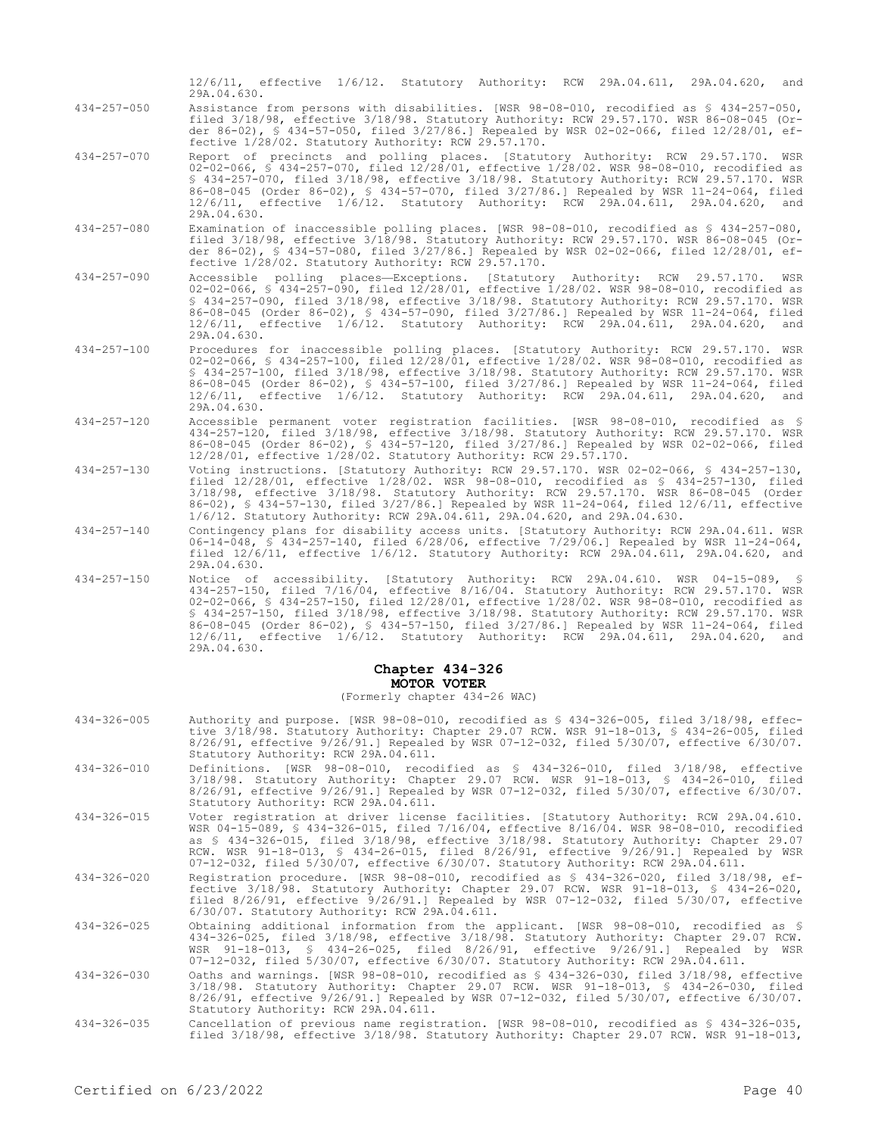12/6/11, effective 1/6/12. Statutory Authority: RCW 29A.04.611, 29A.04.620, and 29A.04.630. 434-257-050 Assistance from persons with disabilities. [WSR 98-08-010, recodified as § 434-257-050, filed 3/18/98, effective 3/18/98. Statutory Authority: RCW 29.57.170. WSR 86-08-045 (Order 86-02), § 434-57-050, filed 3/27/86.] Repealed by WSR 02-02-066, filed 12/28/01, effective 1/28/02. Statutory Authority: RCW 29.57.170. 434-257-070 Report of precincts and polling places. [Statutory Authority: RCW 29.57.170. WSR 02-02-066, § 434-257-070, filed 12/28/01, effective 1/28/02. WSR 98-08-010, recodified as § 434-257-070, filed 3/18/98, effective 3/18/98. Statutory Authority: RCW 29.57.170. WSR 86-08-045 (Order 86-02), § 434-57-070, filed 3/27/86.] Repealed by WSR 11-24-064, filed 12/6/11, effective 1/6/12. Statutory Authority: RCW 29A.04.611, 29A.04.620, and 29A.04.630. 434-257-080 Examination of inaccessible polling places. [WSR 98-08-010, recodified as § 434-257-080, filed 3/18/98, effective 3/18/98. Statutory Authority: RCW 29.57.170. WSR 86-08-045 (Order 86-02), § 434-57-080, filed 3/27/86.] Repealed by WSR 02-02-066, filed 12/28/01, effective 1/28/02. Statutory Authority: RCW 29.57.170.

434-257-090 Accessible polling places—Exceptions. [Statutory Authority: RCW 29.57.170. WSR 02-02-066, § 434-257-090, filed 12/28/01, effective 1/28/02. WSR 98-08-010, recodified as § 434-257-090, filed 3/18/98, effective 3/18/98. Statutory Authority: RCW 29.57.170. WSR 86-08-045 (Order 86-02), § 434-57-090, filed 3/27/86.] Repealed by WSR 11-24-064, filed 12/6/11, effective 1/6/12. Statutory Authority: RCW 29A.04.611, 29A.04.620, and 29A.04.630.

434-257-100 Procedures for inaccessible polling places. [Statutory Authority: RCW 29.57.170. WSR 02-02-066, § 434-257-100, filed 12/28/01, effective 1/28/02. WSR 98-08-010, recodified as § 434-257-100, filed 3/18/98, effective 3/18/98. Statutory Authority: RCW 29.57.170. WSR 86-08-045 (Order 86-02), § 434-57-100, filed 3/27/86.] Repealed by WSR 11-24-064, filed 12/6/11, effective 1/6/12. Statutory Authority: RCW 29A.04.611, 29A.04.620, and 29A.04.630.

434-257-120 Accessible permanent voter registration facilities. [WSR 98-08-010, recodified as § 434-257-120, filed 3/18/98, effective 3/18/98. Statutory Authority: RCW 29.57.170. WSR 86-08-045 (Order 86-02), § 434-57-120, filed 3/27/86.] Repealed by WSR 02-02-066, filed 12/28/01, effective 1/28/02. Statutory Authority: RCW 29.57.170.

434-257-130 Voting instructions. [Statutory Authority: RCW 29.57.170. WSR 02-02-066, § 434-257-130, filed 12/28/01, effective 1/28/02. WSR 98-08-010, recodified as § 434-257-130, filed 3/18/98, effective 3/18/98. Statutory Authority: RCW 29.57.170. WSR 86-08-045 (Order 86-02), § 434-57-130, filed 3/27/86.] Repealed by WSR 11-24-064, filed 12/6/11, effective 1/6/12. Statutory Authority: RCW 29A.04.611, 29A.04.620, and 29A.04.630.

434-257-140 Contingency plans for disability access units. [Statutory Authority: RCW 29A.04.611. WSR 06-14-048, § 434-257-140, filed 6/28/06, effective 7/29/06.] Repealed by WSR 11-24-064, filed 12/6/11, effective 1/6/12. Statutory Authority: RCW 29A.04.611, 29A.04.620, and 29A.04.630.

434-257-150 Notice of accessibility. [Statutory Authority: RCW 29A.04.610. WSR 04-15-089, § 434-257-150, filed 7/16/04, effective 8/16/04. Statutory Authority: RCW 29.57.170. WSR 02-02-066, § 434-257-150, filed 12/28/01, effective 1/28/02. WSR 98-08-010, recodified as § 434-257-150, filed 3/18/98, effective 3/18/98. Statutory Authority: RCW 29.57.170. WSR 86-08-045 (Order 86-02), § 434-57-150, filed 3/27/86.] Repealed by WSR 11-24-064, filed 12/6/11, effective 1/6/12. Statutory Authority: RCW 29A.04.611, 29A.04.620, and 29A.04.630.

# **Chapter 434-326 MOTOR VOTER**

### (Formerly chapter 434-26 WAC)

| $434 - 326 - 005$ | Authority and purpose. [WSR 98-08-010, recodified as \$ 434-326-005, filed 3/18/98, effec-<br>tive 3/18/98. Statutory Authority: Chapter 29.07 RCW. WSR 91-18-013, § 434-26-005, filed<br>8/26/91, effective 9/26/91.1 Repealed by WSR 07-12-032, filed 5/30/07, effective 6/30/07.<br>Statutory Authority: RCW 29A.04.611.                                                                                                                                |
|-------------------|------------------------------------------------------------------------------------------------------------------------------------------------------------------------------------------------------------------------------------------------------------------------------------------------------------------------------------------------------------------------------------------------------------------------------------------------------------|
| $434 - 326 - 010$ | Definitions. [WSR 98-08-010, recodified as \$ 434-326-010, filed 3/18/98, effective<br>3/18/98. Statutory Authority: Chapter 29.07 RCW. WSR 91-18-013, § 434-26-010, filed<br>8/26/91, effective 9/26/91.] Repealed by WSR 07-12-032, filed 5/30/07, effective 6/30/07.<br>Statutory Authority: RCW 29A.04.611.                                                                                                                                            |
| $434 - 326 - 015$ | Voter registration at driver license facilities. [Statutory Authority: RCW 29A.04.610.<br>WSR 04-15-089, § 434-326-015, filed 7/16/04, effective 8/16/04. WSR 98-08-010, recodified<br>as § 434-326-015, filed 3/18/98, effective 3/18/98. Statutory Authority: Chapter 29.07<br>RCW. WSR 91-18-013, § 434-26-015, filed 8/26/91, effective 9/26/91.] Repealed by WSR<br>07-12-032, filed 5/30/07, effective 6/30/07. Statutory Authority: RCW 29A.04.611. |
| $434 - 326 - 020$ | Registration procedure. [WSR 98-08-010, recodified as § 434-326-020, filed 3/18/98, ef-<br>fective 3/18/98. Statutory Authority: Chapter 29.07 RCW. WSR 91-18-013, § 434-26-020,<br>filed $8/26/91$ , effective $9/26/91$ . Repealed by WSR 07-12-032, filed $5/30/07$ , effective<br>6/30/07. Statutory Authority: RCW 29A.04.611.                                                                                                                        |
| $434 - 326 - 025$ | Obtaining additional information from the applicant. [WSR 98-08-010, recodified as §<br>434-326-025, filed 3/18/98, effective 3/18/98. Statutory Authority: Chapter 29.07 RCW.<br>WSR 91-18-013, § 434-26-025, filed 8/26/91, effective 9/26/91.] Repealed by WSR<br>07-12-032, filed 5/30/07, effective 6/30/07. Statutory Authority: RCW 29A.04.611.                                                                                                     |
| $434 - 326 - 030$ | Oaths and warnings. [WSR 98-08-010, recodified as § 434-326-030, filed 3/18/98, effective<br>3/18/98. Statutory Authority: Chapter 29.07 RCW. WSR 91-18-013, § 434-26-030, filed<br>8/26/91, effective 9/26/91.] Repealed by WSR 07-12-032, filed 5/30/07, effective 6/30/07.<br>Statutory Authority: RCW 29A.04.611.                                                                                                                                      |
| $434 - 326 - 035$ | Cancellation of previous name registration. [WSR 98-08-010, recodified as \$ 434-326-035,<br>filed 3/18/98, effective 3/18/98. Statutory Authority: Chapter 29.07 RCW. WSR 91-18-013,                                                                                                                                                                                                                                                                      |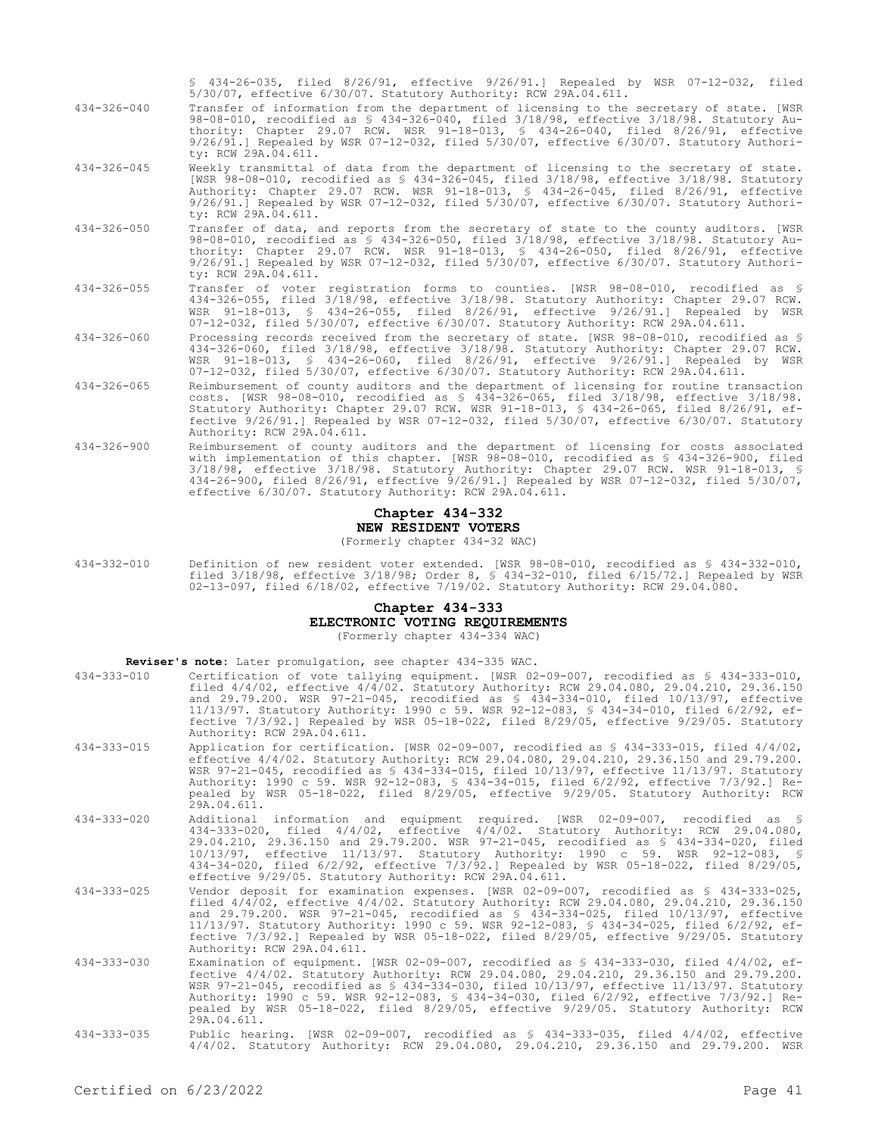§ 434-26-035, filed 8/26/91, effective 9/26/91.] Repealed by WSR 07-12-032, filed 5/30/07, effective 6/30/07. Statutory Authority: RCW 29A.04.611.

- 434-326-040 Transfer of information from the department of licensing to the secretary of state. [WSR 98-08-010, recodified as § 434-326-040, filed 3/18/98, effective 3/18/98. Statutory Authority: Chapter 29.07 RCW. WSR 91-18-013, § 434-26-040, filed 8/26/91, effective 9/26/91.] Repealed by WSR 07-12-032, filed 5/30/07, effective 6/30/07. Statutory Authority: RCW 29A.04.611.
- 434-326-045 Weekly transmittal of data from the department of licensing to the secretary of state. [WSR 98-08-010, recodified as § 434-326-045, filed 3/18/98, effective 3/18/98. Statutory Authority: Chapter 29.07 RCW. WSR 91-18-013, § 434-26-045, filed 8/26/91, effective 9/26/91.] Repealed by WSR 07-12-032, filed 5/30/07, effective 6/30/07. Statutory Authority: RCW 29A.04.611.
- 434-326-050 Transfer of data, and reports from the secretary of state to the county auditors. [WSR 98-08-010, recodified as § 434-326-050, filed 3/18/98, effective 3/18/98. Statutory Authority: Chapter 29.07 RCW. WSR 91-18-013, § 434-26-050, filed 8/26/91, effective 9/26/91.] Repealed by WSR 07-12-032, filed 5/30/07, effective 6/30/07. Statutory Authority: RCW 29A.04.611.
- 434-326-055 Transfer of voter registration forms to counties. [WSR 98-08-010, recodified as § 434-326-055, filed 3/18/98, effective 3/18/98. Statutory Authority: Chapter 29.07 RCW. WSR 91-18-013, § 434-26-055, filed 8/26/91, effective 9/26/91.] Repealed by WSR 07-12-032, filed 5/30/07, effective 6/30/07. Statutory Authority: RCW 29A.04.611.
- 434-326-060 Processing records received from the secretary of state. [WSR 98-08-010, recodified as § 434-326-060, filed 3/18/98, effective 3/18/98. Statutory Authority: Chapter 29.07 RCW. WSR 91-18-013, § 434-26-060, filed 8/26/91, effective 9/26/91.] Repealed by WSR 07-12-032, filed 5/30/07, effective 6/30/07. Statutory Authority: RCW 29A.04.611.
- 434-326-065 Reimbursement of county auditors and the department of licensing for routine transaction costs. [WSR 98-08-010, recodified as § 434-326-065, filed 3/18/98, effective 3/18/98. Statutory Authority: Chapter 29.07 RCW. WSR 91-18-013, § 434-26-065, filed 8/26/91, effective 9/26/91.] Repealed by WSR 07-12-032, filed 5/30/07, effective 6/30/07. Statutory Authority: RCW 29A.04.611.
- 434-326-900 Reimbursement of county auditors and the department of licensing for costs associated with implementation of this chapter. [WSR 98-08-010, recodified as § 434-326-900, filed 3/18/98, effective 3/18/98. Statutory Authority: Chapter 29.07 RCW. WSR 91-18-013, § 434-26-900, filed 8/26/91, effective 9/26/91.] Repealed by WSR 07-12-032, filed 5/30/07, effective 6/30/07. Statutory Authority: RCW 29A.04.611.

# **Chapter 434-332 NEW RESIDENT VOTERS**

(Formerly chapter 434-32 WAC)

434-332-010 Definition of new resident voter extended. [WSR 98-08-010, recodified as § 434-332-010, filed 3/18/98, effective 3/18/98; Order 8, § 434-32-010, filed 6/15/72.] Repealed by WSR 02-13-097, filed 6/18/02, effective 7/19/02. Statutory Authority: RCW 29.04.080.

# **Chapter 434-333**

**ELECTRONIC VOTING REQUIREMENTS**

(Formerly chapter 434-334 WAC)

| Reviser's note: Later promulgation, see chapter 434-335 WAC. |  |  |  |  |  |  |
|--------------------------------------------------------------|--|--|--|--|--|--|
|--------------------------------------------------------------|--|--|--|--|--|--|

| $434 - 333 - 010$ | Certification of vote tallying equipment. [WSR 02-09-007, recodified as $$ 434-333-010$ ,        |
|-------------------|--------------------------------------------------------------------------------------------------|
|                   | filed 4/4/02, effective 4/4/02. Statutory Authority: RCW 29.04.080, 29.04.210, 29.36.150         |
|                   | and 29.79.200. WSR 97-21-045, recodified as $\frac{1}{2}$ 434-334-010, filed 10/13/97, effective |
|                   | 11/13/97. Statutory Authority: 1990 c 59. WSR 92-12-083, § 434-34-010, filed 6/2/92, ef-         |
|                   | fective 7/3/92.] Repealed by WSR 05-18-022, filed 8/29/05, effective 9/29/05. Statutory          |
|                   | Authority: RCW 29A.04.611.                                                                       |

- 434-333-015 Application for certification. [WSR 02-09-007, recodified as § 434-333-015, filed 4/4/02, effective 4/4/02. Statutory Authority: RCW 29.04.080, 29.04.210, 29.36.150 and 29.79.200. WSR 97-21-045, recodified as § 434-334-015, filed 10/13/97, effective 11/13/97. Statutory Authority: 1990 c 59. WSR 92-12-083, § 434-34-015, filed 6/2/92, effective 7/3/92.] Repealed by WSR 05-18-022, filed 8/29/05, effective 9/29/05. Statutory Authority: RCW 29A.04.611.
- 434-333-020 Additional information and equipment required. [WSR 02-09-007, recodified as § 434-333-020, filed 4/4/02, effective 4/4/02. Statutory Authority: RCW 29.04.080, 29.04.210, 29.36.150 and 29.79.200. WSR 97-21-045, recodified as § 434-334-020, filed 10/13/97, effective 11/13/97. Statutory Authority: 1990 c 59. WSR 92-12-083, § 434-34-020, filed 6/2/92, effective 7/3/92.] Repealed by WSR 05-18-022, filed 8/29/05, effective 9/29/05. Statutory Authority: RCW 29A.04.611.
- 434-333-025 Vendor deposit for examination expenses. [WSR 02-09-007, recodified as § 434-333-025, filed 4/4/02, effective 4/4/02. Statutory Authority: RCW 29.04.080, 29.04.210, 29.36.150 and 29.79.200. WSR 97-21-045, recodified as § 434-334-025, filed 10/13/97, effective 11/13/97. Statutory Authority: 1990 c 59. WSR 92-12-083, § 434-34-025, filed 6/2/92, effective 7/3/92.] Repealed by WSR 05-18-022, filed 8/29/05, effective 9/29/05. Statutory Authority: RCW 29A.04.611.
- 434-333-030 Examination of equipment. [WSR 02-09-007, recodified as § 434-333-030, filed 4/4/02, ef-fective 4/4/02. Statutory Authority: RCW 29.04.080, 29.04.210, 29.36.150 and 29.79.200. WSR 97-21-045, recodified as § 434-334-030, filed 10/13/97, effective 11/13/97. Statutory Authority: 1990 c 59. WSR 92-12-083, § 434-34-030, filed 6/2/92, effective 7/3/92.] Repealed by WSR 05-18-022, filed 8/29/05, effective 9/29/05. Statutory Authority: RCW 29A.04.611.
- 434-333-035 Public hearing. [WSR 02-09-007, recodified as § 434-333-035, filed 4/4/02, effective 4/4/02. Statutory Authority: RCW 29.04.080, 29.04.210, 29.36.150 and 29.79.200. WSR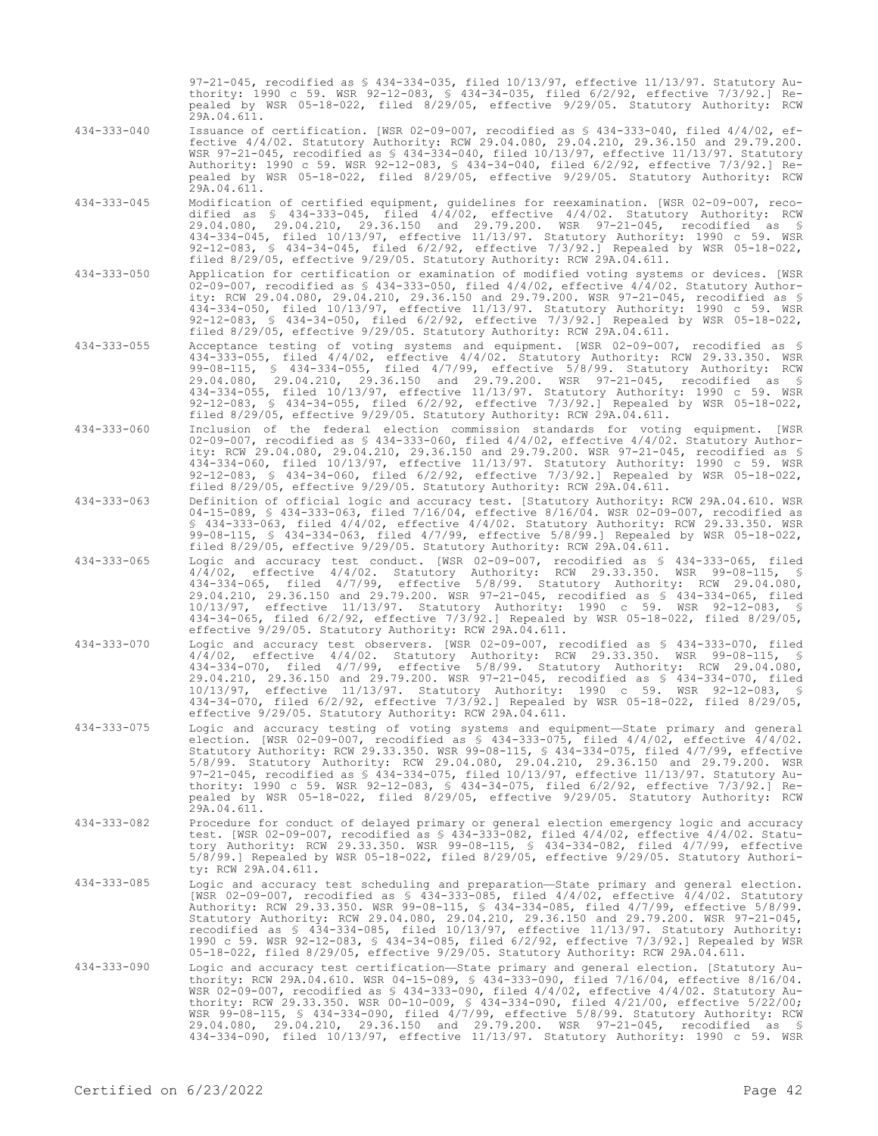97-21-045, recodified as § 434-334-035, filed 10/13/97, effective 11/13/97. Statutory Authority: 1990 c 59. WSR 92-12-083, § 434-34-035, filed 6/2/92, effective 7/3/92.] Repealed by WSR 05-18-022, filed 8/29/05, effective 9/29/05. Statutory Authority: RCW  $29A.04.611.$ 

- 434-333-040 Issuance of certification. [WSR 02-09-007, recodified as § 434-333-040, filed 4/4/02, effective 4/4/02. Statutory Authority: RCW 29.04.080, 29.04.210, 29.36.150 and 29.79.200. WSR 97-21-045, recodified as § 434-334-040, filed 10/13/97, effective 11/13/97. Statutory Authority: 1990 c 59. WSR 92-12-083, § 434-34-040, filed 6/2/92, effective 7/3/92.] Repealed by WSR 05-18-022, filed 8/29/05, effective 9/29/05. Statutory Authority: RCW 29A.04.611.
- 434-333-045 Modification of certified equipment, guidelines for reexamination. [WSR 02-09-007, recodified as § 434-333-045, filed 4/4/02, effective 4/4/02. Statutory Authority: RCW 29.04.080, 29.04.210, 29.36.150 and 29.79.200. WSR 97-21-045, recodified as § 434-334-045, filed 10/13/97, effective 11/13/97. Statutory Authority: 1990 c 59. WSR 92-12-083, § 434-34-045, filed 6/2/92, effective 7/3/92.] Repealed by WSR 05-18-022, filed 8/29/05, effective 9/29/05. Statutory Authority: RCW 29A.04.611.
- 434-333-050 Application for certification or examination of modified voting systems or devices. [WSR 02-09-007, recodified as § 434-333-050, filed 4/4/02, effective 4/4/02. Statutory Authority: RCW 29.04.080, 29.04.210, 29.36.150 and 29.79.200. WSR 97-21-045, recodified as § 434-334-050, filed 10/13/97, effective 11/13/97. Statutory Authority: 1990 c 59. WSR 92-12-083, § 434-34-050, filed 6/2/92, effective 7/3/92.] Repealed by WSR 05-18-022, filed 8/29/05, effective 9/29/05. Statutory Authority: RCW 29A.04.611.
- 434-333-055 Acceptance testing of voting systems and equipment. [WSR 02-09-007, recodified as § 434-333-055, filed 4/4/02, effective 4/4/02. Statutory Authority: RCW 29.33.350. WSR 99-08-115, § 434-334-055, filed 4/7/99, effective 5/8/99. Statutory Authority: RCW 29.04.080, 29.04.210, 29.36.150 and 29.79.200. WSR 97-21-045, recodified as § 434-334-055, filed 10/13/97, effective 11/13/97. Statutory Authority: 1990 c 59. WSR 92-12-083, § 434-34-055, filed 6/2/92, effective 7/3/92.] Repealed by WSR 05-18-022, filed 8/29/05, effective 9/29/05. Statutory Authority: RCW 29A.04.611.
- 434-333-060 Inclusion of the federal election commission standards for voting equipment. [WSR 02-09-007, recodified as § 434-333-060, filed 4/4/02, effective 4/4/02. Statutory Authority: RCW 29.04.080, 29.04.210, 29.36.150 and 29.79.200. WSR 97-21-045, recodified as § 434-334-060, filed 10/13/97, effective 11/13/97. Statutory Authority: 1990 c 59. WSR 92-12-083, § 434-34-060, filed 6/2/92, effective 7/3/92.] Repealed by WSR 05-18-022, filed 8/29/05, effective 9/29/05. Statutory Authority: RCW 29A.04.611.
- 434-333-063 Definition of official logic and accuracy test. [Statutory Authority: RCW 29A.04.610. WSR 04-15-089, § 434-333-063, filed 7/16/04, effective 8/16/04. WSR 02-09-007, recodified as § 434-333-063, filed 4/4/02, effective 4/4/02. Statutory Authority: RCW 29.33.350. WSR 99-08-115, § 434-334-063, filed 4/7/99, effective 5/8/99.] Repealed by WSR 05-18-022, filed 8/29/05, effective 9/29/05. Statutory Authority: RCW 29A.04.611.
- 434-333-065 Logic and accuracy test conduct. [WSR 02-09-007, recodified as § 434-333-065, filed 4/4/02, effective 4/4/02. Statutory Authority: RCW 29.33.350. WSR 99-08-115, § 434-334-065, filed 4/7/99, effective 5/8/99. Statutory Authority: RCW 29.04.080, 29.04.210, 29.36.150 and 29.79.200. WSR 97-21-045, recodified as § 434-334-065, filed 10/13/97, effective 11/13/97. Statutory Authority: 1990 c 59. WSR 92-12-083, § 434-34-065, filed 6/2/92, effective 7/3/92.] Repealed by WSR 05-18-022, filed 8/29/05, effective 9/29/05. Statutory Authority: RCW 29A.04.611.
- 434-333-070 Logic and accuracy test observers. [WSR 02-09-007, recodified as § 434-333-070, filed 4/4/02, effective 4/4/02. Statutory Authority: RCW 29.33.350. WSR 99-08-115, § 434-334-070, filed 4/7/99, effective 5/8/99. Statutory Authority: RCW 29.04.080, 29.04.210, 29.36.150 and 29.79.200. WSR 97-21-045, recodified as § 434-334-070, filed 10/13/97, effective 11/13/97. Statutory Authority: 1990 c 59. WSR 92-12-083, § 434-34-070, filed 6/2/92, effective 7/3/92.] Repealed by WSR 05-18-022, filed 8/29/05, effective 9/29/05. Statutory Authority: RCW 29A.04.611.
- 434-333-075 Logic and accuracy testing of voting systems and equipment—State primary and general election. [WSR 02-09-007, recodified as § 434-333-075, filed 4/4/02, effective 4/4/02. Statutory Authority: RCW 29.33.350. WSR 99-08-115, § 434-334-075, filed 4/7/99, effective 5/8/99. Statutory Authority: RCW 29.04.080, 29.04.210, 29.36.150 and 29.79.200. WSR 97-21-045, recodified as § 434-334-075, filed 10/13/97, effective 11/13/97. Statutory Authority: 1990 c 59. WSR 92-12-083, § 434-34-075, filed 6/2/92, effective 7/3/92.] Repealed by WSR 05-18-022, filed 8/29/05, effective 9/29/05. Statutory Authority: RCW 29A.04.611.
- 434-333-082 Procedure for conduct of delayed primary or general election emergency logic and accuracy test. [WSR 02-09-007, recodified as § 434-333-082, filed 4/4/02, effective 4/4/02. Statutory Authority: RCW 29.33.350. WSR 99-08-115, § 434-334-082, filed 4/7/99, effective 5/8/99.] Repealed by WSR 05-18-022, filed 8/29/05, effective 9/29/05. Statutory Authority: RCW 29A.04.611.
- 434-333-085 Logic and accuracy test scheduling and preparation—State primary and general election. [WSR 02-09-007, recodified as § 434-333-085, filed 4/4/02, effective 4/4/02. Statutory Authority: RCW 29.33.350. WSR 99-08-115, § 434-334-085, filed 4/7/99, effective 5/8/99. Statutory Authority: RCW 29.04.080, 29.04.210, 29.36.150 and 29.79.200. WSR 97-21-045, recodified as § 434-334-085, filed 10/13/97, effective 11/13/97. Statutory Authority: 1990 c 59. WSR 92-12-083, § 434-34-085, filed 6/2/92, effective 7/3/92.] Repealed by WSR 05-18-022, filed 8/29/05, effective 9/29/05. Statutory Authority: RCW 29A.04.611.
- 434-333-090 Logic and accuracy test certification—State primary and general election. [Statutory Authority: RCW 29A.04.610. WSR 04-15-089, § 434-333-090, filed 7/16/04, effective 8/16/04. WSR 02-09-007, recodified as § 434-333-090, filed 4/4/02, effective 4/4/02. Statutory Authority: RCW 29.33.350. WSR 00-10-009, § 434-334-090, filed 4/21/00, effective 5/22/00; WSR 99-08-115, § 434-334-090, filed 4/7/99, effective 5/8/99. Statutory Authority: RCW 29.04.080, 29.04.210, 29.36.150 and 29.79.200. WSR 97-21-045, recodified as § 434-334-090, filed 10/13/97, effective 11/13/97. Statutory Authority: 1990 c 59. WSR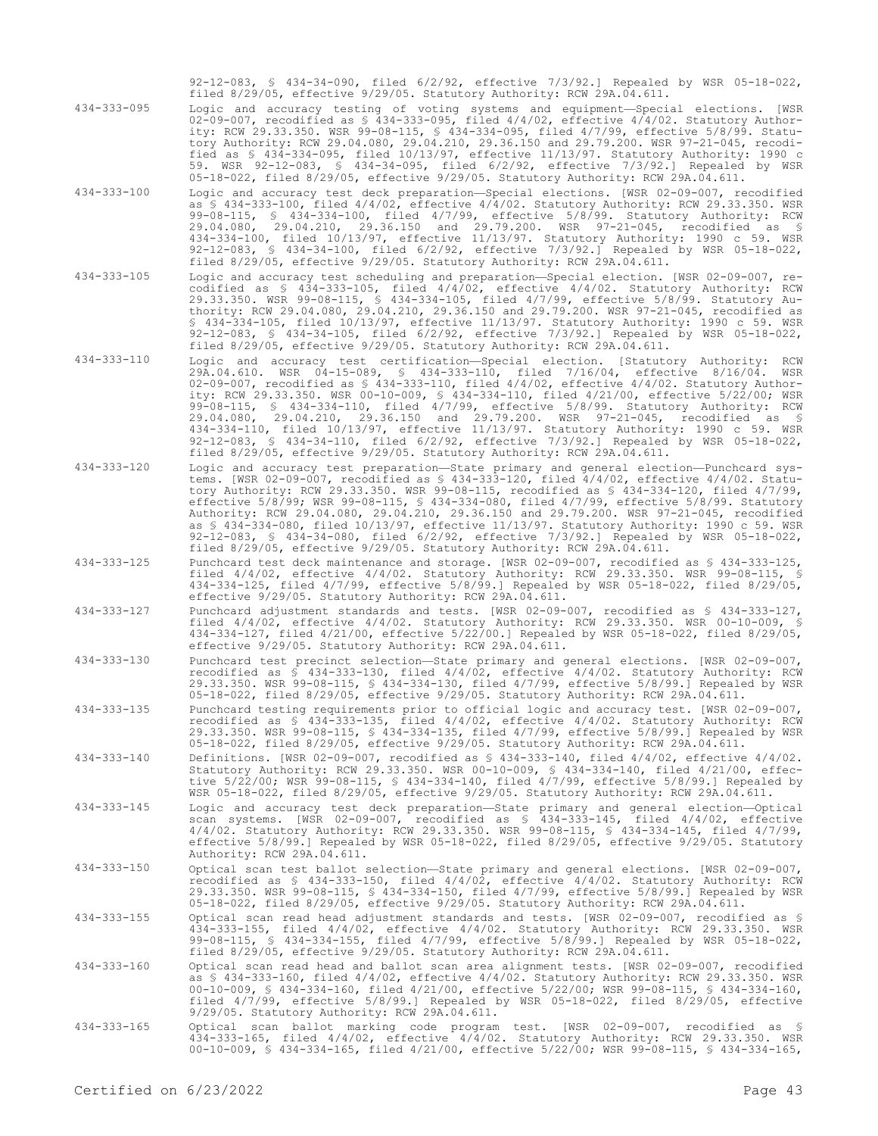92-12-083, § 434-34-090, filed 6/2/92, effective 7/3/92.] Repealed by WSR 05-18-022, filed 8/29/05, effective 9/29/05. Statutory Authority: RCW 29A.04.611.

434-333-095 Logic and accuracy testing of voting systems and equipment—Special elections. [WSR 02-09-007, recodified as § 434-333-095, filed 4/4/02, effective 4/4/02. Statutory Authority: RCW 29.33.350. WSR 99-08-115, § 434-334-095, filed 4/7/99, effective 5/8/99. Statutory Authority: RCW 29.04.080, 29.04.210, 29.36.150 and 29.79.200. WSR 97-21-045, recodified as § 434-334-095, filed 10/13/97, effective 11/13/97. Statutory Authority: 1990 c 59. WSR 92-12-083, § 434-34-095, filed 6/2/92, effective 7/3/92.] Repealed by WSR 05-18-022, filed 8/29/05, effective 9/29/05. Statutory Authority: RCW 29A.04.611.

- 434-333-100 Logic and accuracy test deck preparation—Special elections. [WSR 02-09-007, recodified as § 434-333-100, filed 4/4/02, effective 4/4/02. Statutory Authority: RCW 29.33.350. WSR 99-08-115, § 434-334-100, filed 4/7/99, effective 5/8/99. Statutory Authority: RCW 29.04.080, 29.04.210, 29.36.150 and 29.79.200. WSR 97-21-045, recodified as § 434-334-100, filed 10/13/97, effective 11/13/97. Statutory Authority: 1990 c 59. WSR 92-12-083, § 434-34-100, filed 6/2/92, effective 7/3/92.] Repealed by WSR 05-18-022, filed 8/29/05, effective 9/29/05. Statutory Authority: RCW 29A.04.611.
- 434-333-105 Logic and accuracy test scheduling and preparation—Special election. [WSR 02-09-007, recodified as § 434-333-105, filed 4/4/02, effective 4/4/02. Statutory Authority: RCW 29.33.350. WSR 99-08-115, § 434-334-105, filed 4/7/99, effective 5/8/99. Statutory Authority: RCW 29.04.080, 29.04.210, 29.36.150 and 29.79.200. WSR 97-21-045, recodified as § 434-334-105, filed 10/13/97, effective 11/13/97. Statutory Authority: 1990 c 59. WSR 92-12-083, § 434-34-105, filed 6/2/92, effective 7/3/92.] Repealed by WSR 05-18-022, filed 8/29/05, effective 9/29/05. Statutory Authority: RCW 29A.04.611.
- 434-333-110 Logic and accuracy test certification—Special election. [Statutory Authority: RCW 29A.04.610. WSR 04-15-089, § 434-333-110, filed 7/16/04, effective 8/16/04. WSR 02-09-007, recodified as § 434-333-110, filed 4/4/02, effective 4/4/02. Statutory Authority: RCW 29.33.350. WSR 00-10-009, § 434-334-110, filed 4/21/00, effective 5/22/00; WSR 99-08-115, § 434-334-110, filed 4/7/99, effective 5/8/99. Statutory Authority: RCW 29.04.080, 29.04.210, 29.36.150 and 29.79.200. WSR 97-21-045, recodified as § 434-334-110, filed 10/13/97, effective 11/13/97. Statutory Authority: 1990 c 59. WSR 92-12-083, § 434-34-110, filed 6/2/92, effective 7/3/92.] Repealed by WSR 05-18-022, filed 8/29/05, effective 9/29/05. Statutory Authority: RCW 29A.04.611.
- 434-333-120 Logic and accuracy test preparation—State primary and general election—Punchcard systems. [WSR 02-09-007, recodified as § 434-333-120, filed 4/4/02, effective 4/4/02. Statutory Authority: RCW 29.33.350. WSR 99-08-115, recodified as § 434-334-120, filed 4/7/99, effective 5/8/99; WSR 99-08-115, § 434-334-080, filed 4/7/99, effective 5/8/99. Statutory Authority: RCW 29.04.080, 29.04.210, 29.36.150 and 29.79.200. WSR 97-21-045, recodified as § 434-334-080, filed 10/13/97, effective 11/13/97. Statutory Authority: 1990 c 59. WSR 92-12-083, § 434-34-080, filed 6/2/92, effective 7/3/92.] Repealed by WSR 05-18-022, filed 8/29/05, effective 9/29/05. Statutory Authority: RCW 29A.04.611.
- 434-333-125 Punchcard test deck maintenance and storage. [WSR 02-09-007, recodified as § 434-333-125, filed 4/4/02, effective 4/4/02. Statutory Authority: RCW 29.33.350. WSR 99-08-115, § 434-334-125, filed 4/7/99, effective 5/8/99.] Repealed by WSR 05-18-022, filed 8/29/05, effective 9/29/05. Statutory Authority: RCW 29A.04.611.
- 434-333-127 Punchcard adjustment standards and tests. [WSR 02-09-007, recodified as § 434-333-127, filed 4/4/02, effective 4/4/02. Statutory Authority: RCW 29.33.350. WSR 00-10-009, § 434-334-127, filed 4/21/00, effective 5/22/00.] Repealed by WSR 05-18-022, filed 8/29/05, effective 9/29/05. Statutory Authority: RCW 29A.04.611.
- 434-333-130 Punchcard test precinct selection—State primary and general elections. [WSR 02-09-007, recodified as § 434-333-130, filed 4/4/02, effective 4/4/02. Statutory Authority: RCW 29.33.350. WSR 99-08-115, § 434-334-130, filed 4/7/99, effective 5/8/99.] Repealed by WSR 05-18-022, filed 8/29/05, effective 9/29/05. Statutory Authority: RCW 29A.04.611.
- 434-333-135 Punchcard testing requirements prior to official logic and accuracy test. [WSR 02-09-007, recodified as § 434-333-135, filed 4/4/02, effective 4/4/02. Statutory Authority: RCW 29.33.350. WSR 99-08-115, § 434-334-135, filed 4/7/99, effective 5/8/99.] Repealed by WSR 05-18-022, filed 8/29/05, effective 9/29/05. Statutory Authority: RCW 29A.04.611.
- 434-333-140 Definitions. [WSR 02-09-007, recodified as § 434-333-140, filed 4/4/02, effective 4/4/02. Statutory Authority: RCW 29.33.350. WSR 00-10-009, § 434-334-140, filed 4/21/00, effective 5/22/00; WSR 99-08-115, § 434-334-140, filed 4/7/99, effective 5/8/99.] Repealed by WSR 05-18-022, filed 8/29/05, effective 9/29/05. Statutory Authority: RCW 29A.04.611.
- 434-333-145 Logic and accuracy test deck preparation—State primary and general election—Optical scan systems. [WSR 02-09-007, recodified as § 434-333-145, filed 4/4/02, effective 4/4/02. Statutory Authority: RCW 29.33.350. WSR 99-08-115, § 434-334-145, filed 4/7/99, effective 5/8/99.] Repealed by WSR 05-18-022, filed 8/29/05, effective 9/29/05. Statutory Authority: RCW 29A.04.611.
- 434-333-150 Optical scan test ballot selection—State primary and general elections. [WSR 02-09-007, recodified as § 434-333-150, filed 4/4/02, effective 4/4/02. Statutory Authority: RCW 29.33.350. WSR 99-08-115, § 434-334-150, filed 4/7/99, effective 5/8/99.] Repealed by WSR 05-18-022, filed 8/29/05, effective 9/29/05. Statutory Authority: RCW 29A.04.611.
- 434-333-155 Optical scan read head adjustment standards and tests. [WSR 02-09-007, recodified as § 434-333-155, filed 4/4/02, effective 4/4/02. Statutory Authority: RCW 29.33.350. WSR 99-08-115, § 434-334-155, filed 4/7/99, effective 5/8/99.] Repealed by WSR 05-18-022, filed 8/29/05, effective 9/29/05. Statutory Authority: RCW 29A.04.611.
- 434-333-160 Optical scan read head and ballot scan area alignment tests. [WSR 02-09-007, recodified as § 434-333-160, filed 4/4/02, effective 4/4/02. Statutory Authority: RCW 29.33.350. WSR 00-10-009, § 434-334-160, filed 4/21/00, effective 5/22/00; WSR 99-08-115, § 434-334-160, filed 4/7/99, effective 5/8/99.] Repealed by WSR 05-18-022, filed 8/29/05, effective 9/29/05. Statutory Authority: RCW 29A.04.611.
- 434-333-165 Optical scan ballot marking code program test. [WSR 02-09-007, recodified as § 434-333-165, filed 4/4/02, effective 4/4/02. Statutory Authority: RCW 29.33.350. WSR 00-10-009, § 434-334-165, filed 4/21/00, effective 5/22/00; WSR 99-08-115, § 434-334-165,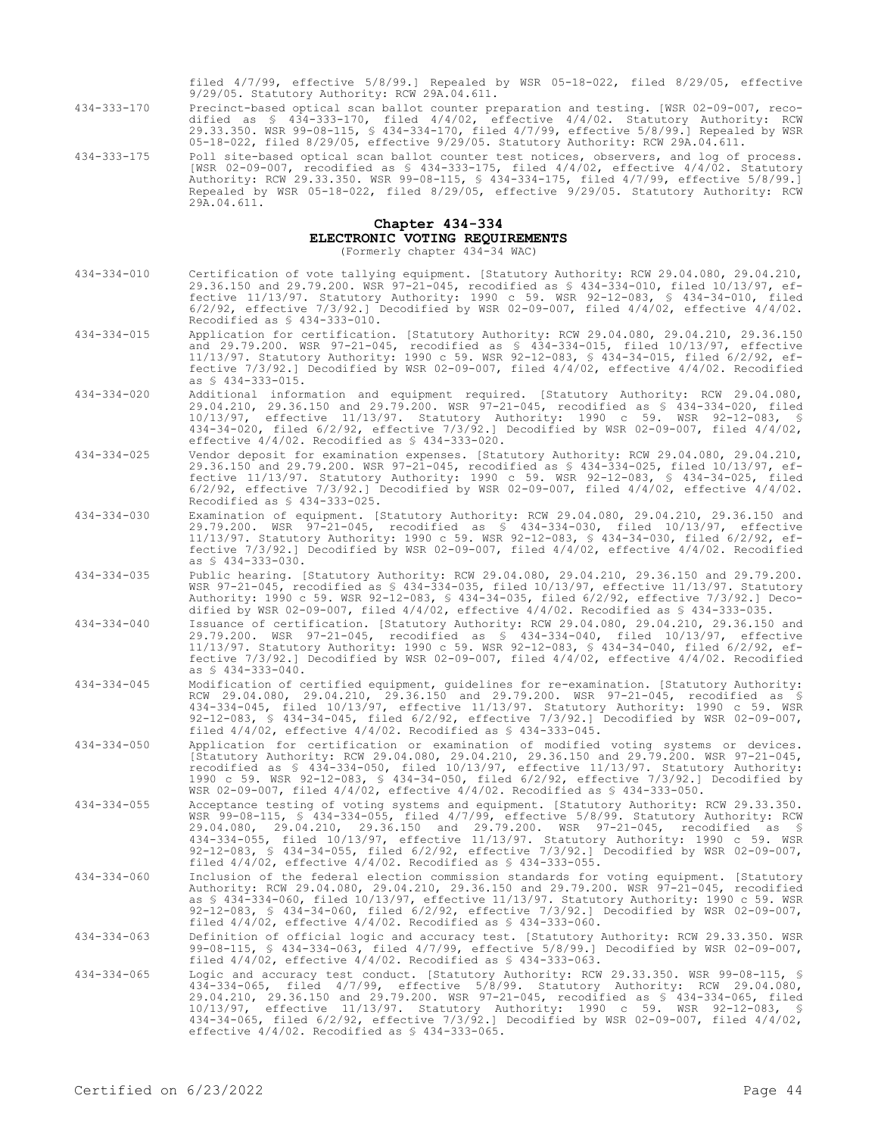filed 4/7/99, effective 5/8/99.] Repealed by WSR 05-18-022, filed 8/29/05, effective 9/29/05. Statutory Authority: RCW 29A.04.611.

434-333-170 Precinct-based optical scan ballot counter preparation and testing. [WSR 02-09-007, recodified as § 434-333-170, filed 4/4/02, effective 4/4/02. Statutory Authority: RCW 29.33.350. WSR 99-08-115, § 434-334-170, filed 4/7/99, effective 5/8/99.] Repealed by WSR 05-18-022, filed 8/29/05, effective 9/29/05. Statutory Authority: RCW 29A.04.611.

434-333-175 Poll site-based optical scan ballot counter test notices, observers, and log of process. [WSR 02-09-007, recodified as § 434-333-175, filed 4/4/02, effective 4/4/02. Statutory Authority: RCW 29.33.350. WSR 99-08-115, § 434-334-175, filed 4/7/99, effective 5/8/99.] Repealed by WSR 05-18-022, filed 8/29/05, effective 9/29/05. Statutory Authority: RCW 29A.04.611.

### **Chapter 434-334**

**ELECTRONIC VOTING REQUIREMENTS**

(Formerly chapter 434-34 WAC)

- 434-334-010 Certification of vote tallying equipment. [Statutory Authority: RCW 29.04.080, 29.04.210, 29.36.150 and 29.79.200. WSR 97-21-045, recodified as § 434-334-010, filed 10/13/97, effective 11/13/97. Statutory Authority: 1990 c 59. WSR 92-12-083, § 434-34-010, filed 6/2/92, effective 7/3/92.] Decodified by WSR 02-09-007, filed 4/4/02, effective 4/4/02. Recodified as § 434-333-010.
- 434-334-015 Application for certification. [Statutory Authority: RCW 29.04.080, 29.04.210, 29.36.150 and 29.79.200. WSR 97-21-045, recodified as § 434-334-015, filed 10/13/97, effective 11/13/97. Statutory Authority: 1990 c 59. WSR 92-12-083, § 434-34-015, filed 6/2/92, effective 7/3/92.] Decodified by WSR 02-09-007, filed 4/4/02, effective 4/4/02. Recodified as § 434-333-015.
- 434-334-020 Additional information and equipment required. [Statutory Authority: RCW 29.04.080, 29.04.210, 29.36.150 and 29.79.200. WSR 97-21-045, recodified as § 434-334-020, filed 10/13/97, effective 11/13/97. Statutory Authority: 1990 c 59. WSR 92-12-083, § 434-34-020, filed 6/2/92, effective 7/3/92.] Decodified by WSR 02-09-007, filed 4/4/02, effective 4/4/02. Recodified as \$ 434-333-020.
- 434-334-025 Vendor deposit for examination expenses. [Statutory Authority: RCW 29.04.080, 29.04.210, 29.36.150 and 29.79.200. WSR 97-21-045, recodified as § 434-334-025, filed 10/13/97, effective 11/13/97. Statutory Authority: 1990 c 59. WSR 92-12-083, § 434-34-025, filed 6/2/92, effective 7/3/92.] Decodified by WSR 02-09-007, filed 4/4/02, effective 4/4/02. Recodified as § 434-333-025.
- 434-334-030 Examination of equipment. [Statutory Authority: RCW 29.04.080, 29.04.210, 29.36.150 and 29.79.200. WSR 97-21-045, recodified as § 434-334-030, filed 10/13/97, effective 11/13/97. Statutory Authority: 1990 c 59. WSR 92-12-083, § 434-34-030, filed 6/2/92, effective 7/3/92.] Decodified by WSR 02-09-007, filed 4/4/02, effective 4/4/02. Recodified as § 434-333-030.
- 434-334-035 Public hearing. [Statutory Authority: RCW 29.04.080, 29.04.210, 29.36.150 and 29.79.200. WSR 97-21-045, recodified as § 434-334-035, filed 10/13/97, effective 11/13/97. Statutory Authority: 1990 c 59. WSR 92-12-083, § 434-34-035, filed 6/2/92, effective 7/3/92.] Decodified by WSR 02-09-007, filed 4/4/02, effective 4/4/02. Recodified as § 434-333-035.
- 434-334-040 Issuance of certification. [Statutory Authority: RCW 29.04.080, 29.04.210, 29.36.150 and 29.79.200. WSR 97-21-045, recodified as § 434-334-040, filed 10/13/97, effective 11/13/97. Statutory Authority: 1990 c 59. WSR 92-12-083, § 434-34-040, filed 6/2/92, effective 7/3/92.] Decodified by WSR 02-09-007, filed 4/4/02, effective 4/4/02. Recodified as § 434-333-040.
- 434-334-045 Modification of certified equipment, guidelines for re-examination. [Statutory Authority: RCW 29.04.080, 29.04.210, 29.36.150 and 29.79.200. WSR 97-21-045, recodified as § 434-334-045, filed 10/13/97, effective 11/13/97. Statutory Authority: 1990 c 59. WSR 92-12-083, § 434-34-045, filed 6/2/92, effective 7/3/92.] Decodified by WSR 02-09-007, filed 4/4/02, effective 4/4/02. Recodified as § 434-333-045.
- 434-334-050 Application for certification or examination of modified voting systems or devices. [Statutory Authority: RCW 29.04.080, 29.04.210, 29.36.150 and 29.79.200. WSR 97-21-045, recodified as § 434-334-050, filed 10/13/97, effective 11/13/97. Statutory Authority: 1990 c 59. WSR 92-12-083, § 434-34-050, filed 6/2/92, effective 7/3/92.] Decodified by WSR 02-09-007, filed 4/4/02, effective 4/4/02. Recodified as § 434-333-050.
- 434-334-055 Acceptance testing of voting systems and equipment. [Statutory Authority: RCW 29.33.350. WSR 99-08-115, § 434-334-055, filed 4/7/99, effective 5/8/99. Statutory Authority: RCW 29.04.080, 29.04.210, 29.36.150 and 29.79.200. WSR 97-21-045, recodified as § 434-334-055, filed 10/13/97, effective 11/13/97. Statutory Authority: 1990 c 59. WSR 92-12-083, § 434-34-055, filed 6/2/92, effective 7/3/92.] Decodified by WSR 02-09-007, filed 4/4/02, effective 4/4/02. Recodified as § 434-333-055.
- 434-334-060 Inclusion of the federal election commission standards for voting equipment. [Statutory Authority: RCW 29.04.080, 29.04.210, 29.36.150 and 29.79.200. WSR 97-21-045, recodified as § 434-334-060, filed 10/13/97, effective 11/13/97. Statutory Authority: 1990 c 59. WSR 92-12-083, § 434-34-060, filed 6/2/92, effective 7/3/92.] Decodified by WSR 02-09-007, filed 4/4/02, effective 4/4/02. Recodified as § 434-333-060.
- 434-334-063 Definition of official logic and accuracy test. [Statutory Authority: RCW 29.33.350. WSR 99-08-115, § 434-334-063, filed 4/7/99, effective 5/8/99.] Decodified by WSR 02-09-007, filed 4/4/02, effective 4/4/02. Recodified as § 434-333-063.
- 434-334-065 Logic and accuracy test conduct. [Statutory Authority: RCW 29.33.350. WSR 99-08-115, § 434-334-065, filed 4/7/99, effective 5/8/99. Statutory Authority: RCW 29.04.080, 29.04.210, 29.36.150 and 29.79.200. WSR 97-21-045, recodified as § 434-334-065, filed 10/13/97, effective 11/13/97. Statutory Authority: 1990 c 59. WSR 92-12-083, § 434-34-065, filed 6/2/92, effective 7/3/92.] Decodified by WSR 02-09-007, filed 4/4/02, effective 4/4/02. Recodified as § 434-333-065.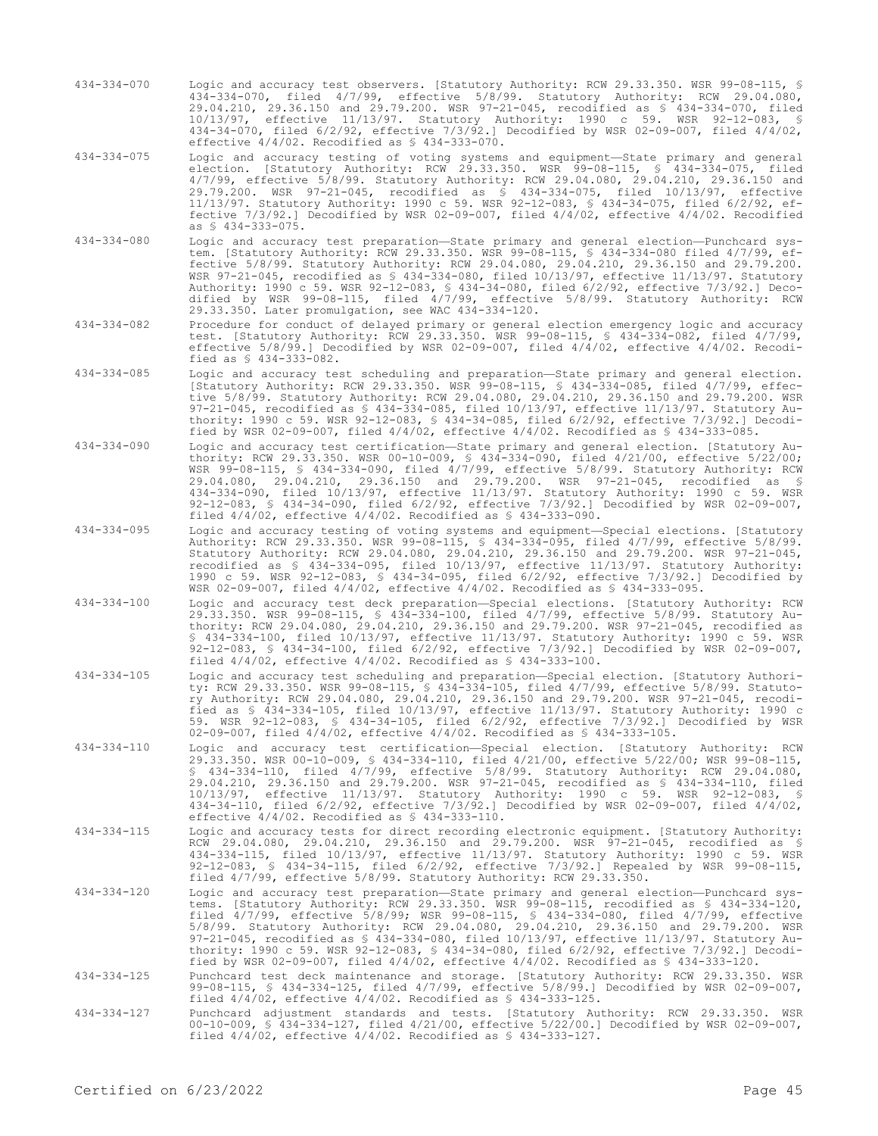- 434-334-070 Logic and accuracy test observers. [Statutory Authority: RCW 29.33.350. WSR 99-08-115, § 434-334-070, filed 4/7/99, effective 5/8/99. Statutory Authority: RCW 29.04.080, 29.04.210, 29.36.150 and 29.79.200. WSR 97-21-045, recodified as § 434-334-070, filed 10/13/97, effective 11/13/97. Statutory Authority: 1990 c 59. WSR 92-12-083, § 434-34-070, filed 6/2/92, effective 7/3/92.] Decodified by WSR 02-09-007, filed 4/4/02, effective 4/4/02. Recodified as § 434-333-070.
- 434-334-075 Logic and accuracy testing of voting systems and equipment—State primary and general election. [Statutory Authority: RCW 29.33.350. WSR 99-08-115, § 434-334-075, filed 4/7/99, effective 5/8/99. Statutory Authority: RCW 29.04.080, 29.04.210, 29.36.150 and 29.79.200. WSR 97-21-045, recodified as § 434-334-075, filed 10/13/97, effective 11/13/97. Statutory Authority: 1990 c 59. WSR 92-12-083, § 434-34-075, filed 6/2/92, effective 7/3/92.] Decodified by WSR 02-09-007, filed 4/4/02, effective 4/4/02. Recodified as § 434-333-075.
- 434-334-080 Logic and accuracy test preparation—State primary and general election—Punchcard system. [Statutory Authority: RCW 29.33.350. WSR 99-08-115, § 434-334-080 filed 4/7/99, effective 5/8/99. Statutory Authority: RCW 29.04.080, 29.04.210, 29.36.150 and 29.79.200. WSR 97-21-045, recodified as § 434-334-080, filed 10/13/97, effective 11/13/97. Statutory Authority: 1990 c 59. WSR 92-12-083, § 434-34-080, filed 6/2/92, effective 7/3/92.] Decodified by WSR 99-08-115, filed 4/7/99, effective 5/8/99. Statutory Authority: RCW 29.33.350. Later promulgation, see WAC 434-334-120.
- 434-334-082 Procedure for conduct of delayed primary or general election emergency logic and accuracy test. [Statutory Authority: RCW 29.33.350. WSR 99-08-115, § 434-334-082, filed 4/7/99, effective 5/8/99.] Decodified by WSR 02-09-007, filed 4/4/02, effective 4/4/02. Recodified as § 434-333-082.
- 434-334-085 Logic and accuracy test scheduling and preparation—State primary and general election. [Statutory Authority: RCW 29.33.350. WSR 99-08-115, § 434-334-085, filed 4/7/99, effective 5/8/99. Statutory Authority: RCW 29.04.080, 29.04.210, 29.36.150 and 29.79.200. WSR 97-21-045, recodified as § 434-334-085, filed 10/13/97, effective 11/13/97. Statutory Authority: 1990 c 59. WSR 92-12-083, § 434-34-085, filed 6/2/92, effective 7/3/92.] Decodified by WSR 02-09-007, filed 4/4/02, effective 4/4/02. Recodified as § 434-333-085.
- 434-334-090 Logic and accuracy test certification—State primary and general election. [Statutory Authority: RCW 29.33.350. WSR 00-10-009, § 434-334-090, filed 4/21/00, effective 5/22/00; WSR 99-08-115, § 434-334-090, filed 4/7/99, effective 5/8/99. Statutory Authority: RCW 29.04.080, 29.04.210, 29.36.150 and 29.79.200. WSR 97-21-045, recodified as § 434-334-090, filed 10/13/97, effective 11/13/97. Statutory Authority: 1990 c 59. WSR 92-12-083, § 434-34-090, filed 6/2/92, effective 7/3/92.] Decodified by WSR 02-09-007, filed 4/4/02, effective 4/4/02. Recodified as § 434-333-090.
- 434-334-095 Logic and accuracy testing of voting systems and equipment—Special elections. [Statutory Authority: RCW 29.33.350. WSR 99-08-115, § 434-334-095, filed 4/7/99, effective 5/8/99. Statutory Authority: RCW 29.04.080, 29.04.210, 29.36.150 and 29.79.200. WSR 97-21-045, recodified as § 434-334-095, filed 10/13/97, effective 11/13/97. Statutory Authority: 1990 c 59. WSR 92-12-083, § 434-34-095, filed 6/2/92, effective 7/3/92.] Decodified by WSR 02-09-007, filed 4/4/02, effective 4/4/02. Recodified as § 434-333-095.
- 434-334-100 Logic and accuracy test deck preparation—Special elections. [Statutory Authority: RCW 29.33.350. WSR 99-08-115, § 434-334-100, filed 4/7/99, effective 5/8/99. Statutory Authority: RCW 29.04.080, 29.04.210, 29.36.150 and 29.79.200. WSR 97-21-045, recodified as § 434-334-100, filed 10/13/97, effective 11/13/97. Statutory Authority: 1990 c 59. WSR 92-12-083, § 434-34-100, filed 6/2/92, effective 7/3/92.] Decodified by WSR 02-09-007, filed 4/4/02, effective 4/4/02. Recodified as § 434-333-100.
- 434-334-105 Logic and accuracy test scheduling and preparation—Special election. [Statutory Authority: RCW 29.33.350. WSR 99-08-115, § 434-334-105, filed 4/7/99, effective 5/8/99. Statutory Authority: RCW 29.04.080, 29.04.210, 29.36.150 and 29.79.200. WSR 97-21-045, recodified as § 434-334-105, filed 10/13/97, effective 11/13/97. Statutory Authority: 1990 c 59. WSR 92-12-083, § 434-34-105, filed 6/2/92, effective 7/3/92.] Decodified by WSR 02-09-007, filed 4/4/02, effective 4/4/02. Recodified as § 434-333-105.
- 434-334-110 Logic and accuracy test certification—Special election. [Statutory Authority: RCW 29.33.350. WSR 00-10-009, § 434-334-110, filed 4/21/00, effective 5/22/00; WSR 99-08-115, § 434-334-110, filed 4/7/99, effective 5/8/99. Statutory Authority: RCW 29.04.080, 29.04.210, 29.36.150 and 29.79.200. WSR 97-21-045, recodified as § 434-334-110, filed 10/13/97, effective 11/13/97. Statutory Authority: 1990 c 59. WSR 92-12-083, § 434-34-110, filed 6/2/92, effective 7/3/92.] Decodified by WSR 02-09-007, filed 4/4/02, effective 4/4/02. Recodified as § 434-333-110.
- 434-334-115 Logic and accuracy tests for direct recording electronic equipment. [Statutory Authority: RCW 29.04.080, 29.04.210, 29.36.150 and 29.79.200. WSR 97-21-045, recodified as § 434-334-115, filed 10/13/97, effective 11/13/97. Statutory Authority: 1990 c 59. WSR 92-12-083, § 434-34-115, filed 6/2/92, effective 7/3/92.] Repealed by WSR 99-08-115, filed 4/7/99, effective 5/8/99. Statutory Authority: RCW 29.33.350.
- 434-334-120 Logic and accuracy test preparation—State primary and general election—Punchcard systems. [Statutory Authority: RCW 29.33.350. WSR 99-08-115, recodified as § 434-334-120, filed 4/7/99, effective 5/8/99; WSR 99-08-115, § 434-334-080, filed 4/7/99, effective 5/8/99. Statutory Authority: RCW 29.04.080, 29.04.210, 29.36.150 and 29.79.200. WSR 97-21-045, recodified as § 434-334-080, filed 10/13/97, effective 11/13/97. Statutory Au-thority: 1990 c 59. WSR 92-12-083, § 434-34-080, filed 6/2/92, effective 7/3/92.] Decodified by WSR 02-09-007, filed  $4/4/02$ , effective  $4/4/02$ . Recodified as § 434-333-120.

434-334-125 Punchcard test deck maintenance and storage. [Statutory Authority: RCW 29.33.350. WSR 99-08-115, § 434-334-125, filed 4/7/99, effective 5/8/99.] Decodified by WSR 02-09-007, filed 4/4/02, effective 4/4/02. Recodified as § 434-333-125.

434-334-127 Punchcard adjustment standards and tests. [Statutory Authority: RCW 29.33.350. WSR 00-10-009, § 434-334-127, filed 4/21/00, effective 5/22/00.] Decodified by WSR 02-09-007, filed 4/4/02, effective 4/4/02. Recodified as § 434-333-127.